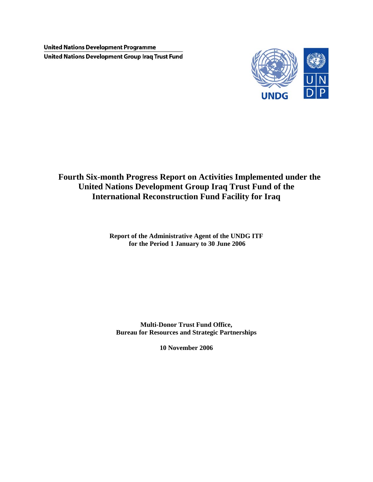**United Nations Development Programme United Nations Development Group Iraq Trust Fund** 



# **Fourth Six-month Progress Report on Activities Implemented under the United Nations Development Group Iraq Trust Fund of the International Reconstruction Fund Facility for Iraq**

**Report of the Administrative Agent of the UNDG ITF for the Period 1 January to 30 June 2006** 

**Multi-Donor Trust Fund Office, Bureau for Resources and Strategic Partnerships** 

**10 November 2006**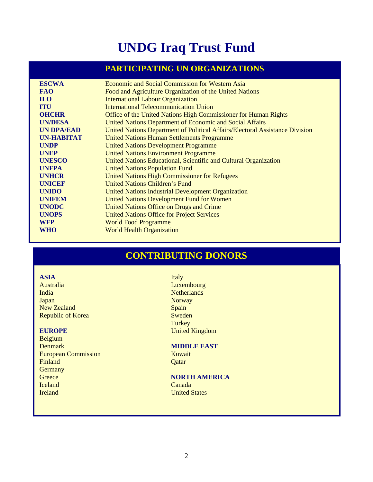# **UNDG Iraq Trust Fund**

# **PARTICIPATING UN ORGANIZATIONS**

| <b>ESCWA</b>      | <b>Economic and Social Commission for Western Asia</b>                       |
|-------------------|------------------------------------------------------------------------------|
| <b>FAO</b>        | Food and Agriculture Organization of the United Nations                      |
| <b>ILO</b>        | <b>International Labour Organization</b>                                     |
| <b>ITU</b>        | <b>International Telecommunication Union</b>                                 |
| <b>OHCHR</b>      | Office of the United Nations High Commissioner for Human Rights              |
| <b>UN/DESA</b>    | United Nations Department of Economic and Social Affairs                     |
| <b>UN DPA/EAD</b> | United Nations Department of Political Affairs/Electoral Assistance Division |
| <b>UN-HABITAT</b> | <b>United Nations Human Settlements Programme</b>                            |
| <b>UNDP</b>       | <b>United Nations Development Programme</b>                                  |
| <b>UNEP</b>       | <b>United Nations Environment Programme</b>                                  |
| <b>UNESCO</b>     | United Nations Educational, Scientific and Cultural Organization             |
| <b>UNFPA</b>      | <b>United Nations Population Fund</b>                                        |
| <b>UNHCR</b>      | <b>United Nations High Commissioner for Refugees</b>                         |
| <b>UNICEF</b>     | <b>United Nations Children's Fund</b>                                        |
| <b>UNIDO</b>      | <b>United Nations Industrial Development Organization</b>                    |
| <b>UNIFEM</b>     | <b>United Nations Development Fund for Women</b>                             |
| <b>UNODC</b>      | United Nations Office on Drugs and Crime                                     |
| <b>UNOPS</b>      | <b>United Nations Office for Project Services</b>                            |
| <b>WFP</b>        | <b>World Food Programme</b>                                                  |
| <b>WHO</b>        | <b>World Health Organization</b>                                             |
|                   |                                                                              |

# **CONTRIBUTING DONORS**

# **ASIA** Italy

India Netherlands Netherlands **Japan Norway** New Zealand Spain<br>Republic of Korea Sweden Republic of Korea

Belgium **Denmark MIDDLE EAST** European Commission Kuwait **Finland** Qatar **Qatar** Germany<br>Greece Iceland Canada **Ireland** United States

Australia Luxembourg **Turkey EUROPE** United Kingdom

# **NORTH AMERICA**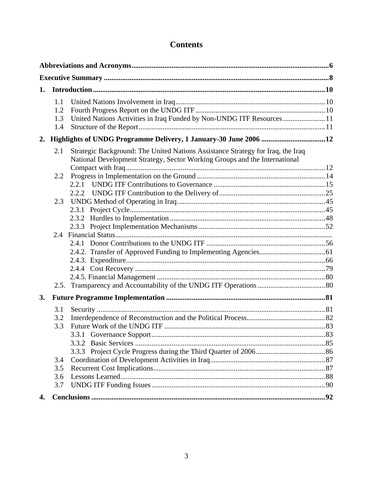# **Contents**

| 1. |     |                                                                                 |  |
|----|-----|---------------------------------------------------------------------------------|--|
|    | 1.1 |                                                                                 |  |
|    | 1.2 |                                                                                 |  |
|    | 1.3 | United Nations Activities in Iraq Funded by Non-UNDG ITF Resources  11          |  |
|    | 1.4 |                                                                                 |  |
| 2. |     |                                                                                 |  |
|    | 2.1 | Strategic Background: The United Nations Assistance Strategy for Iraq, the Iraq |  |
|    |     | National Development Strategy, Sector Working Groups and the International      |  |
|    |     |                                                                                 |  |
|    | 2.2 |                                                                                 |  |
|    |     | 2.2.1                                                                           |  |
|    |     |                                                                                 |  |
|    | 2.3 |                                                                                 |  |
|    |     |                                                                                 |  |
|    |     |                                                                                 |  |
|    |     |                                                                                 |  |
|    | 2.4 |                                                                                 |  |
|    |     |                                                                                 |  |
|    |     |                                                                                 |  |
|    |     |                                                                                 |  |
|    |     |                                                                                 |  |
|    |     |                                                                                 |  |
| 3. |     |                                                                                 |  |
|    | 3.1 |                                                                                 |  |
|    | 3.2 |                                                                                 |  |
|    | 3.3 |                                                                                 |  |
|    |     |                                                                                 |  |
|    |     |                                                                                 |  |
|    |     |                                                                                 |  |
|    | 3.4 |                                                                                 |  |
|    | 3.5 |                                                                                 |  |
|    | 3.6 |                                                                                 |  |
|    | 3.7 |                                                                                 |  |
| 4. |     |                                                                                 |  |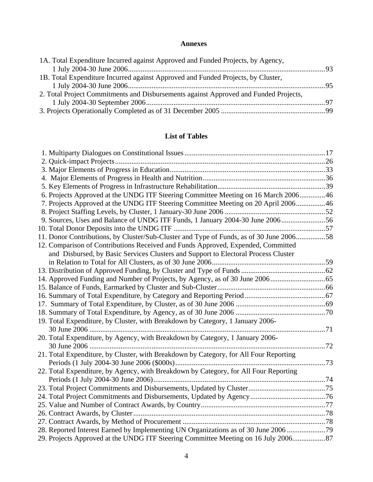# **Annexes**

| 1A. Total Expenditure Incurred against Approved and Funded Projects, by Agency,      |  |
|--------------------------------------------------------------------------------------|--|
|                                                                                      |  |
| 1B. Total Expenditure Incurred against Approved and Funded Projects, by Cluster,     |  |
|                                                                                      |  |
| 2. Total Project Commitments and Disbursements against Approved and Funded Projects, |  |
|                                                                                      |  |
|                                                                                      |  |

# **List of Tables**

| 6. Projects Approved at the UNDG ITF Steering Committee Meeting on 16 March 2006 46     |  |
|-----------------------------------------------------------------------------------------|--|
| 7. Projects Approved at the UNDG ITF Steering Committee Meeting on 20 April 200646      |  |
|                                                                                         |  |
| 9. Sources, Uses and Balance of UNDG ITF Funds, 1 January 2004-30 June 200656           |  |
|                                                                                         |  |
| 11. Donor Contributions, by Cluster/Sub-Cluster and Type of Funds, as of 30 June 200658 |  |
| 12. Comparison of Contributions Received and Funds Approved, Expended, Committed        |  |
| and Disbursed, by Basic Services Clusters and Support to Electoral Process Cluster      |  |
|                                                                                         |  |
|                                                                                         |  |
|                                                                                         |  |
|                                                                                         |  |
|                                                                                         |  |
|                                                                                         |  |
|                                                                                         |  |
| 19. Total Expenditure, by Cluster, with Breakdown by Category, 1 January 2006-          |  |
|                                                                                         |  |
| 20. Total Expenditure, by Agency, with Breakdown by Category, 1 January 2006-           |  |
|                                                                                         |  |
| 21. Total Expenditure, by Cluster, with Breakdown by Category, for All Four Reporting   |  |
|                                                                                         |  |
| 22. Total Expenditure, by Agency, with Breakdown by Category, for All Four Reporting    |  |
|                                                                                         |  |
|                                                                                         |  |
|                                                                                         |  |
|                                                                                         |  |
|                                                                                         |  |
|                                                                                         |  |
| 28. Reported Interest Earned by Implementing UN Organizations as of 30 June 2006 79     |  |
| 29. Projects Approved at the UNDG ITF Steering Committee Meeting on 16 July 2006        |  |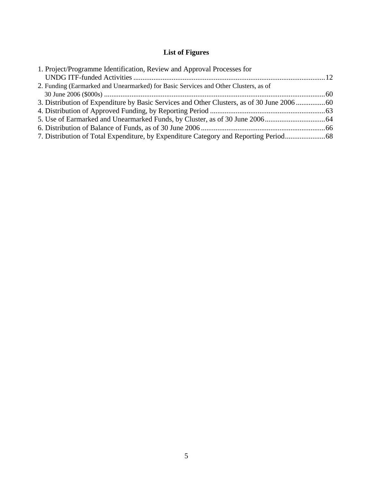# **List of Figures**

| 1. Project/Programme Identification, Review and Approval Processes for                    |  |
|-------------------------------------------------------------------------------------------|--|
|                                                                                           |  |
| 2. Funding (Earmarked and Unearmarked) for Basic Services and Other Clusters, as of       |  |
|                                                                                           |  |
| 3. Distribution of Expenditure by Basic Services and Other Clusters, as of 30 June 200660 |  |
|                                                                                           |  |
|                                                                                           |  |
|                                                                                           |  |
| 7. Distribution of Total Expenditure, by Expenditure Category and Reporting Period        |  |
|                                                                                           |  |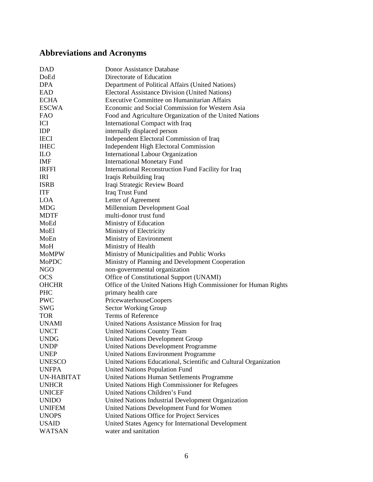# <span id="page-5-0"></span>**Abbreviations and Acronyms**

| <b>DAD</b>          | Donor Assistance Database                                        |
|---------------------|------------------------------------------------------------------|
| DoEd                | Directorate of Education                                         |
| <b>DPA</b>          | Department of Political Affairs (United Nations)                 |
| EAD                 | <b>Electoral Assistance Division (United Nations)</b>            |
| <b>ECHA</b>         | Executive Committee on Humanitarian Affairs                      |
| <b>ESCWA</b>        | Economic and Social Commission for Western Asia                  |
| <b>FAO</b>          | Food and Agriculture Organization of the United Nations          |
| ICI                 | International Compact with Iraq                                  |
| <b>IDP</b>          | internally displaced person                                      |
| <b>IECI</b>         | Independent Electoral Commission of Iraq                         |
| <b>IHEC</b>         | <b>Independent High Electoral Commission</b>                     |
| <b>ILO</b>          | International Labour Organization                                |
| <b>IMF</b>          | <b>International Monetary Fund</b>                               |
| <b>IRFFI</b>        | International Reconstruction Fund Facility for Iraq              |
| IRI                 | Iraqis Rebuilding Iraq                                           |
| <b>ISRB</b>         | Iraqi Strategic Review Board                                     |
| <b>ITF</b>          | Iraq Trust Fund                                                  |
| <b>LOA</b>          | Letter of Agreement                                              |
| <b>MDG</b>          | Millennium Development Goal                                      |
|                     | multi-donor trust fund                                           |
| <b>MDTF</b><br>MoEd |                                                                  |
|                     | Ministry of Education                                            |
| MoEl                | Ministry of Electricity                                          |
| MoEn                | Ministry of Environment                                          |
| MoH                 | Ministry of Health                                               |
| <b>MoMPW</b>        | Ministry of Municipalities and Public Works                      |
| MoPDC               | Ministry of Planning and Development Cooperation                 |
| <b>NGO</b>          | non-governmental organization                                    |
| <b>OCS</b>          | Office of Constitutional Support (UNAMI)                         |
| <b>OHCHR</b>        | Office of the United Nations High Commissioner for Human Rights  |
| <b>PHC</b>          | primary health care                                              |
| <b>PWC</b>          | <b>PricewaterhouseCoopers</b>                                    |
| <b>SWG</b>          | Sector Working Group                                             |
| <b>TOR</b>          | Terms of Reference                                               |
| <b>UNAMI</b>        | United Nations Assistance Mission for Iraq                       |
| <b>UNCT</b>         | <b>United Nations Country Team</b>                               |
| <b>UNDG</b>         | <b>United Nations Development Group</b>                          |
| <b>UNDP</b>         | <b>United Nations Development Programme</b>                      |
| <b>UNEP</b>         | <b>United Nations Environment Programme</b>                      |
| <b>UNESCO</b>       | United Nations Educational, Scientific and Cultural Organization |
| <b>UNFPA</b>        | <b>United Nations Population Fund</b>                            |
| <b>UN-HABITAT</b>   | United Nations Human Settlements Programme                       |
| <b>UNHCR</b>        | United Nations High Commissioner for Refugees                    |
| <b>UNICEF</b>       | United Nations Children's Fund                                   |
| <b>UNIDO</b>        | United Nations Industrial Development Organization               |
| <b>UNIFEM</b>       | United Nations Development Fund for Women                        |
| <b>UNOPS</b>        | United Nations Office for Project Services                       |
| <b>USAID</b>        | United States Agency for International Development               |
| <b>WATSAN</b>       | water and sanitation                                             |
|                     |                                                                  |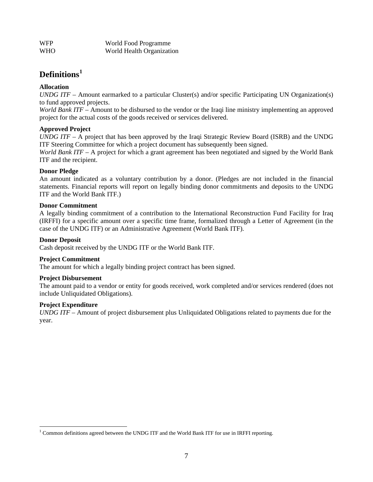| <b>WFP</b> | World Food Programme      |
|------------|---------------------------|
| <b>WHO</b> | World Health Organization |

# **Definitions[1](#page-6-0)**

# **Allocation**

*UNDG ITF* – Amount earmarked to a particular Cluster(s) and/or specific Participating UN Organization(s) to fund approved projects.

*World Bank ITF* – Amount to be disbursed to the vendor or the Iraqi line ministry implementing an approved project for the actual costs of the goods received or services delivered.

# **Approved Project**

*UNDG ITF* – A project that has been approved by the Iraqi Strategic Review Board (ISRB) and the UNDG ITF Steering Committee for which a project document has subsequently been signed.

*World Bank ITF* – A project for which a grant agreement has been negotiated and signed by the World Bank ITF and the recipient.

# **Donor Pledge**

An amount indicated as a voluntary contribution by a donor. (Pledges are not included in the financial statements. Financial reports will report on legally binding donor commitments and deposits to the UNDG ITF and the World Bank ITF.)

# **Donor Commitment**

A legally binding commitment of a contribution to the International Reconstruction Fund Facility for Iraq (IRFFI) for a specific amount over a specific time frame, formalized through a Letter of Agreement (in the case of the UNDG ITF) or an Administrative Agreement (World Bank ITF).

#### **Donor Deposit**

Cash deposit received by the UNDG ITF or the World Bank ITF.

## **Project Commitment**

The amount for which a legally binding project contract has been signed.

## **Project Disbursement**

The amount paid to a vendor or entity for goods received, work completed and/or services rendered (does not include Unliquidated Obligations).

## **Project Expenditure**

 $\overline{a}$ 

*UNDG ITF* – Amount of project disbursement plus Unliquidated Obligations related to payments due for the year.

<span id="page-6-0"></span><sup>&</sup>lt;sup>1</sup> Common definitions agreed between the UNDG ITF and the World Bank ITF for use in IRFFI reporting.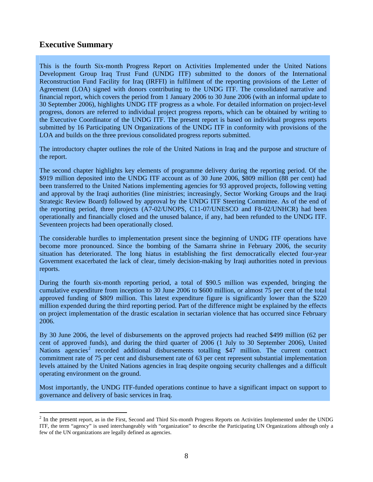# <span id="page-7-0"></span>**Executive Summary**

 $\overline{a}$ 

This is the fourth Six-month Progress Report on Activities Implemented under the United Nations Development Group Iraq Trust Fund (UNDG ITF) submitted to the donors of the International Reconstruction Fund Facility for Iraq (IRFFI) in fulfilment of the reporting provisions of the Letter of Agreement (LOA) signed with donors contributing to the UNDG ITF. The consolidated narrative and financial report, which covers the period from 1 January 2006 to 30 June 2006 (with an informal update to 30 September 2006), highlights UNDG ITF progress as a whole. For detailed information on project-level progress, donors are referred to individual project progress reports, which can be obtained by writing to the Executive Coordinator of the UNDG ITF. The present report is based on individual progress reports submitted by 16 Participating UN Organizations of the UNDG ITF in conformity with provisions of the LOA and builds on the three previous consolidated progress reports submitted.

The introductory chapter outlines the role of the United Nations in Iraq and the purpose and structure of the report.

The second chapter highlights key elements of programme delivery during the reporting period. Of the \$919 million deposited into the UNDG ITF account as of 30 June 2006, \$809 million (88 per cent) had been transferred to the United Nations implementing agencies for 93 approved projects, following vetting and approval by the Iraqi authorities (line ministries; increasingly, Sector Working Groups and the Iraqi Strategic Review Board) followed by approval by the UNDG ITF Steering Committee. As of the end of the reporting period, three projects (A7-02/UNOPS, C11-07/UNESCO and F8-02/UNHCR) had been operationally and financially closed and the unused balance, if any, had been refunded to the UNDG ITF. Seventeen projects had been operationally closed.

The considerable hurdles to implementation present since the beginning of UNDG ITF operations have become more pronounced. Since the bombing of the Samarra shrine in February 2006, the security situation has deteriorated. The long hiatus in establishing the first democratically elected four-year Government exacerbated the lack of clear, timely decision-making by Iraqi authorities noted in previous reports.

During the fourth six-month reporting period, a total of \$90.5 million was expended, bringing the cumulative expenditure from inception to 30 June 2006 to \$600 million, or almost 75 per cent of the total approved funding of \$809 million. This latest expenditure figure is significantly lower than the \$220 million expended during the third reporting period. Part of the difference might be explained by the effects on project implementation of the drastic escalation in sectarian violence that has occurred since February 2006.

By 30 June 2006, the level of disbursements on the approved projects had reached \$499 million (62 per cent of approved funds), and during the third quarter of 2006 (1 July to 30 September 2006), United Nations agencies<sup>[2](#page-7-1)</sup> recorded additional disbursements totalling \$47 million. The current contract commitment rate of 75 per cent and disbursement rate of 63 per cent represent substantial implementation levels attained by the United Nations agencies in Iraq despite ongoing security challenges and a difficult operating environment on the ground.

Most importantly, the UNDG ITF-funded operations continue to have a significant impact on support to governance and delivery of basic services in Iraq.

<span id="page-7-1"></span> $2$  In the present report, as in the First, Second and Third Six-month Progress Reports on Activities Implemented under the UNDG ITF, the term "agency" is used interchangeably with "organization" to describe the Participating UN Organizations although only a few of the UN organizations are legally defined as agencies.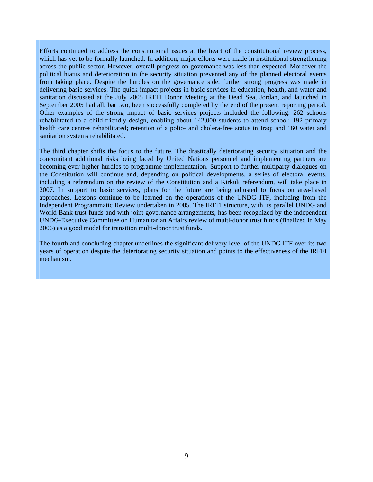Efforts continued to address the constitutional issues at the heart of the constitutional review process, which has yet to be formally launched. In addition, major efforts were made in institutional strengthening across the public sector. However, overall progress on governance was less than expected. Moreover the political hiatus and deterioration in the security situation prevented any of the planned electoral events from taking place. Despite the hurdles on the governance side, further strong progress was made in delivering basic services. The quick-impact projects in basic services in education, health, and water and sanitation discussed at the July 2005 IRFFI Donor Meeting at the Dead Sea, Jordan, and launched in September 2005 had all, bar two, been successfully completed by the end of the present reporting period. Other examples of the strong impact of basic services projects included the following: 262 schools rehabilitated to a child-friendly design, enabling about 142,000 students to attend school; 192 primary health care centres rehabilitated; retention of a polio- and cholera-free status in Iraq; and 160 water and sanitation systems rehabilitated.

The third chapter shifts the focus to the future. The drastically deteriorating security situation and the concomitant additional risks being faced by United Nations personnel and implementing partners are becoming ever higher hurdles to programme implementation. Support to further multiparty dialogues on the Constitution will continue and, depending on political developments, a series of electoral events, including a referendum on the review of the Constitution and a Kirkuk referendum, will take place in 2007. In support to basic services, plans for the future are being adjusted to focus on area-based approaches. Lessons continue to be learned on the operations of the UNDG ITF, including from the Independent Programmatic Review undertaken in 2005. The IRFFI structure, with its parallel UNDG and World Bank trust funds and with joint governance arrangements, has been recognized by the independent UNDG-Executive Committee on Humanitarian Affairs review of multi-donor trust funds (finalized in May 2006) as a good model for transition multi-donor trust funds.

The fourth and concluding chapter underlines the significant delivery level of the UNDG ITF over its two years of operation despite the deteriorating security situation and points to the effectiveness of the IRFFI mechanism.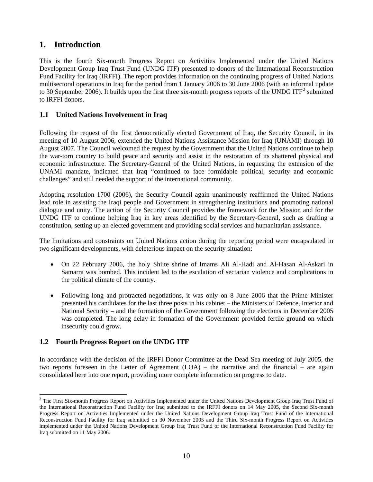# <span id="page-9-0"></span>**1. Introduction**

This is the fourth Six-month Progress Report on Activities Implemented under the United Nations Development Group Iraq Trust Fund (UNDG ITF) presented to donors of the International Reconstruction Fund Facility for Iraq (IRFFI). The report provides information on the continuing progress of United Nations multisectoral operations in Iraq for the period from 1 January 2006 to 30 June 2006 (with an informal update to [3](#page-9-1)0 September 2006). It builds upon the first three six-month progress reports of the UNDG ITF<sup>3</sup> submitted to IRFFI donors.

# **1.1 United Nations Involvement in Iraq**

Following the request of the first democratically elected Government of Iraq, the Security Council, in its meeting of 10 August 2006, extended the United Nations Assistance Mission for Iraq (UNAMI) through 10 August 2007. The Council welcomed the request by the Government that the United Nations continue to help the war-torn country to build peace and security and assist in the restoration of its shattered physical and economic infrastructure. The Secretary-General of the United Nations, in requesting the extension of the UNAMI mandate, indicated that Iraq "continued to face formidable political, security and economic challenges" and still needed the support of the international community.

Adopting resolution 1700 (2006), the Security Council again unanimously reaffirmed the United Nations lead role in assisting the Iraqi people and Government in strengthening institutions and promoting national dialogue and unity. The action of the Security Council provides the framework for the Mission and for the UNDG ITF to continue helping Iraq in key areas identified by the Secretary-General, such as drafting a constitution, setting up an elected government and providing social services and humanitarian assistance.

The limitations and constraints on United Nations action during the reporting period were encapsulated in two significant developments, with deleterious impact on the security situation:

- On 22 February 2006, the holy Shiite shrine of Imams Ali Al-Hadi and Al-Hasan Al-Askari in Samarra was bombed. This incident led to the escalation of sectarian violence and complications in the political climate of the country.
- Following long and protracted negotiations, it was only on 8 June 2006 that the Prime Minister presented his candidates for the last three posts in his cabinet – the Ministers of Defence, Interior and National Security – and the formation of the Government following the elections in December 2005 was completed. The long delay in formation of the Government provided fertile ground on which insecurity could grow.

# **1.2 Fourth Progress Report on the UNDG ITF**

In accordance with the decision of the IRFFI Donor Committee at the Dead Sea meeting of July 2005, the two reports foreseen in the Letter of Agreement (LOA) – the narrative and the financial – are again consolidated here into one report, providing more complete information on progress to date.

<span id="page-9-1"></span> $\overline{a}$ <sup>3</sup> The First Six-month Progress Report on Activities Implemented under the United Nations Development Group Iraq Trust Fund of the International Reconstruction Fund Facility for Iraq submitted to the IRFFI donors on 14 May 2005, the Second Six-month Progress Report on Activities Implemented under the United Nations Development Group Iraq Trust Fund of the International Reconstruction Fund Facility for Iraq submitted on 30 November 2005 and the Third Six-month Progress Report on Activities implemented under the United Nations Development Group Iraq Trust Fund of the International Reconstruction Fund Facility for Iraq submitted on 11 May 2006.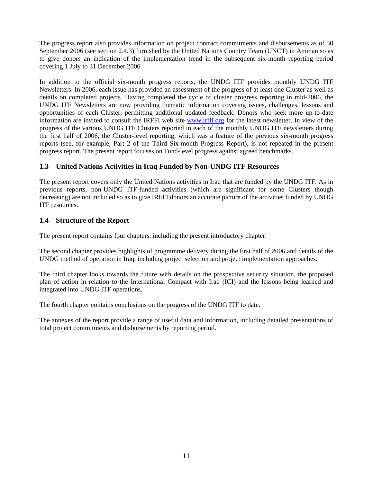<span id="page-10-0"></span>The progress report also provides information on project contract commitments and disbursements as of 30 September 2006 (see section 2.4.3) furnished by the United Nations Country Team (UNCT) in Amman so as to give donors an indication of the implementation trend in the subsequent six-month reporting period covering 1 July to 31 December 2006.

In addition to the official six-month progress reports, the UNDG ITF provides monthly UNDG ITF Newsletters. In 2006, each issue has provided an assessment of the progress of at least one Cluster as well as details on completed projects. Having completed the cycle of cluster progress reporting in mid-2006, the UNDG ITF Newsletters are now providing thematic information covering issues, challenges, lessons and opportunities of each Cluster, permitting additional updated feedback. Donors who seek more up-to-date information are invited to consult the IRFFI web site [www.irffi.org](http://www.irffi.org/) for the latest newsletter. In view of the progress of the various UNDG ITF Clusters reported in each of the monthly UNDG ITF newsletters during the first half of 2006, the Cluster-level reporting, which was a feature of the previous six-month progress reports (see, for example, Part 2 of the Third Six-month Progress Report), is not repeated in the present progress report. The present report focuses on Fund-level progress against agreed benchmarks.

# **1.3 United Nations Activities in Iraq Funded by Non-UNDG ITF Resources**

The present report covers only the United Nations activities in Iraq that are funded by the UNDG ITF. As in previous reports, non-UNDG ITF-funded activities (which are significant for some Clusters though decreasing) are not included so as to give IRFFI donors an accurate picture of the activities funded by UNDG ITF resources.

# **1.4 Structure of the Report**

The present report contains four chapters, including the present introductory chapter.

The second chapter provides highlights of programme delivery during the first half of 2006 and details of the UNDG method of operation in Iraq, including project selection and project implementation approaches.

The third chapter looks towards the future with details on the prospective security situation, the proposed plan of action in relation to the International Compact with Iraq (ICI) and the lessons being learned and integrated into UNDG ITF operations.

The fourth chapter contains conclusions on the progress of the UNDG ITF to date.

The annexes of the report provide a range of useful data and information, including detailed presentations of total project commitments and disbursements by reporting period.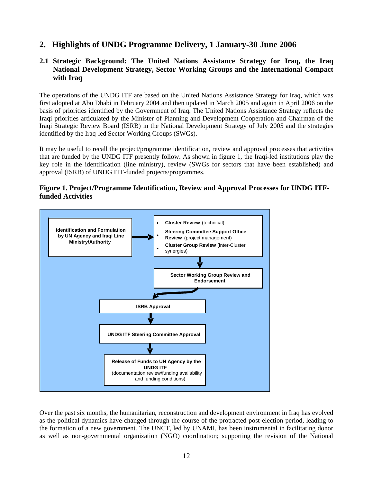# <span id="page-11-0"></span>**2. Highlights of UNDG Programme Delivery, 1 January-30 June 2006**

# **2.1 Strategic Background: The United Nations Assistance Strategy for Iraq, the Iraq National Development Strategy, Sector Working Groups and the International Compact with Iraq**

The operations of the UNDG ITF are based on the United Nations Assistance Strategy for Iraq, which was first adopted at Abu Dhabi in February 2004 and then updated in March 2005 and again in April 2006 on the basis of priorities identified by the Government of Iraq. The United Nations Assistance Strategy reflects the Iraqi priorities articulated by the Minister of Planning and Development Cooperation and Chairman of the Iraqi Strategic Review Board (ISRB) in the National Development Strategy of July 2005 and the strategies identified by the Iraq-led Sector Working Groups (SWGs).

It may be useful to recall the project/programme identification, review and approval processes that activities that are funded by the UNDG ITF presently follow. As shown in figure 1, the Iraqi-led institutions play the key role in the identification (line ministry), review (SWGs for sectors that have been established) and approval (ISRB) of UNDG ITF-funded projects/programmes.

# **Figure 1. Project/Programme Identification, Review and Approval Processes for UNDG ITFfunded Activities**



Over the past six months, the humanitarian, reconstruction and development environment in Iraq has evolved as the political dynamics have changed through the course of the protracted post-election period, leading to the formation of a new government. The UNCT, led by UNAMI, has been instrumental in facilitating donor as well as non-governmental organization (NGO) coordination; supporting the revision of the National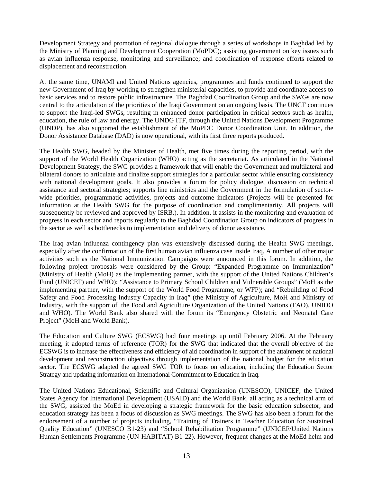Development Strategy and promotion of regional dialogue through a series of workshops in Baghdad led by the Ministry of Planning and Development Cooperation (MoPDC); assisting government on key issues such as avian influenza response, monitoring and surveillance; and coordination of response efforts related to displacement and reconstruction.

At the same time, UNAMI and United Nations agencies, programmes and funds continued to support the new Government of Iraq by working to strengthen ministerial capacities, to provide and coordinate access to basic services and to restore public infrastructure. The Baghdad Coordination Group and the SWGs are now central to the articulation of the priorities of the Iraqi Government on an ongoing basis. The UNCT continues to support the Iraqi-led SWGs, resulting in enhanced donor participation in critical sectors such as health, education, the rule of law and energy. The UNDG ITF, through the United Nations Development Programme (UNDP), has also supported the establishment of the MoPDC Donor Coordination Unit. In addition, the Donor Assistance Database (DAD) is now operational, with its first three reports produced.

The Health SWG, headed by the Minister of Health, met five times during the reporting period, with the support of the World Health Organization (WHO) acting as the secretariat. As articulated in the National Development Strategy, the SWG provides a framework that will enable the Government and multilateral and bilateral donors to articulate and finalize support strategies for a particular sector while ensuring consistency with national development goals. It also provides a forum for policy dialogue, discussion on technical assistance and sectoral strategies; supports line ministries and the Government in the formulation of sectorwide priorities, programmatic activities, projects and outcome indicators (Projects will be presented for information at the Health SWG for the purpose of coordination and complimentarity. All projects will subsequently be reviewed and approved by ISRB.). In addition, it assists in the monitoring and evaluation of progress in each sector and reports regularly to the Baghdad Coordination Group on indicators of progress in the sector as well as bottlenecks to implementation and delivery of donor assistance.

The Iraq avian influenza contingency plan was extensively discussed during the Health SWG meetings, especially after the confirmation of the first human avian influenza case inside Iraq. A number of other major activities such as the National Immunization Campaigns were announced in this forum. In addition, the following project proposals were considered by the Group: "Expanded Programme on Immunization" (Ministry of Health (MoH) as the implementing partner, with the support of the United Nations Children's Fund (UNICEF) and WHO); "Assistance to Primary School Children and Vulnerable Groups" (MoH as the implementing partner, with the support of the World Food Programme, or WFP); and "Rebuilding of Food Safety and Food Processing Industry Capacity in Iraq" (the Ministry of Agriculture, MoH and Ministry of Industry, with the support of the Food and Agriculture Organization of the United Nations (FAO), UNIDO and WHO). The World Bank also shared with the forum its "Emergency Obstetric and Neonatal Care Project" (MoH and World Bank).

The Education and Culture SWG (ECSWG) had four meetings up until February 2006. At the February meeting, it adopted terms of reference (TOR) for the SWG that indicated that the overall objective of the ECSWG is to increase the effectiveness and efficiency of aid coordination in support of the attainment of national development and reconstruction objectives through implementation of the national budget for the education sector. The ECSWG adapted the agreed SWG TOR to focus on education, including the Education Sector Strategy and updating information on International Commitment to Education in Iraq.

The United Nations Educational, Scientific and Cultural Organization (UNESCO), UNICEF, the United States Agency for International Development (USAID) and the World Bank, all acting as a technical arm of the SWG, assisted the MoEd in developing a strategic framework for the basic education subsector, and education strategy has been a focus of discussion as SWG meetings. The SWG has also been a forum for the endorsement of a number of projects including, "Training of Trainers in Teacher Education for Sustained Quality Education" (UNESCO B1-23) and "School Rehabilitation Programme" (UNICEF/United Nations Human Settlements Programme (UN-HABITAT) B1-22). However, frequent changes at the MoEd helm and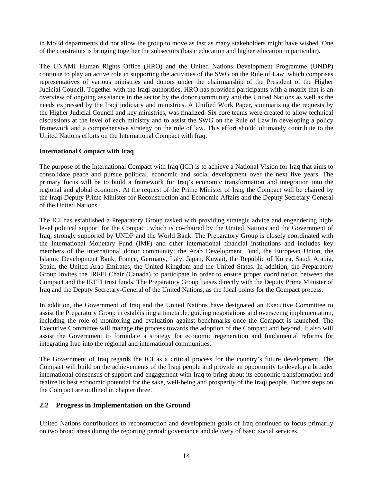<span id="page-13-0"></span>in MoEd departments did not allow the group to move as fast as many stakeholders might have wished. One of the constraints is bringing together the subsectors (basic education and higher education in particular).

The UNAMI Human Rights Office (HRO) and the United Nations Development Programme (UNDP) continue to play an active role in supporting the activities of the SWG on the Rule of Law, which comprises representatives of various ministries and donors under the chairmanship of the President of the Higher Judicial Council. Together with the Iraqi authorities, HRO has provided participants with a matrix that is an overview of ongoing assistance in the sector by the donor community and the United Nations as well as the needs expressed by the Iraqi judiciary and ministries. A Unified Work Paper, summarizing the requests by the Higher Judicial Council and key ministries, was finalized. Six core teams were created to allow technical discussions at the level of each ministry and to assist the SWG on the Rule of Law in developing a policy framework and a comprehensive strategy on the rule of law. This effort should ultimately contribute to the United Nations efforts on the International Compact with Iraq.

## **International Compact with Iraq**

The purpose of the International Compact with Iraq (ICI) is to achieve a National Vision for Iraq that aims to consolidate peace and pursue political, economic and social development over the next five years. The primary focus will be to build a framework for Iraq's economic transformation and integration into the regional and global economy. At the request of the Prime Minister of Iraq, the Compact will be chaired by the Iraqi Deputy Prime Minister for Reconstruction and Economic Affairs and the Deputy Secretary-General of the United Nations.

The ICI has established a Preparatory Group tasked with providing strategic advice and engendering highlevel political support for the Compact, which is co-chaired by the United Nations and the Government of Iraq, strongly supported by UNDP and the World Bank. The Preparatory Group is closely coordinated with the International Monetary Fund (IMF) and other international financial institutions and includes key members of the international donor community: the Arab Development Fund, the European Union, the Islamic Development Bank, France, Germany, Italy, Japan, Kuwait, the Republic of Korea, Saudi Arabia, Spain, the United Arab Emirates, the United Kingdom and the United States. In addition, the Preparatory Group invites the IRFFI Chair (Canada) to participate in order to ensure proper coordination between the Compact and the IRFFI trust funds. The Preparatory Group liaises directly with the Deputy Prime Minister of Iraq and the Deputy Secretary-General of the United Nations, as the focal points for the Compact process.

In addition, the Government of Iraq and the United Nations have designated an Executive Committee to assist the Preparatory Group in establishing a timetable, guiding negotiations and overseeing implementation, including the role of monitoring and evaluation against benchmarks once the Compact is launched. The Executive Committee will manage the process towards the adoption of the Compact and beyond. It also will assist the Government to formulate a strategy for economic regeneration and fundamental reforms for integrating Iraq into the regional and international communities.

The Government of Iraq regards the ICI as a critical process for the country's future development. The Compact will build on the achievements of the Iraqi people and provide an opportunity to develop a broader international consensus of support and engagement with Iraq to bring about its economic transformation and realize its best economic potential for the sake, well-being and prosperity of the Iraqi people. Further steps on the Compact are outlined in chapter three.

# **2.2 Progress in Implementation on the Ground**

United Nations contributions to reconstruction and development goals of Iraq continued to focus primarily on two broad areas during the reporting period: governance and delivery of basic social services.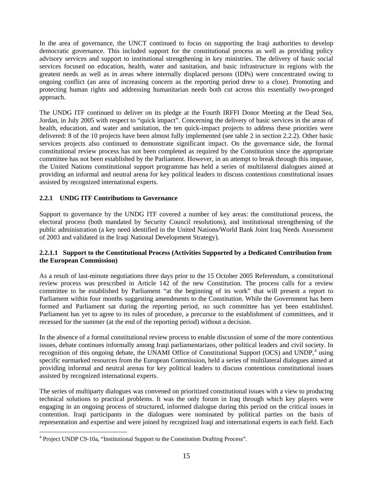<span id="page-14-0"></span>In the area of governance, the UNCT continued to focus on supporting the Iraqi authorities to develop democratic governance. This included support for the constitutional process as well as providing policy advisory services and support to institutional strengthening in key ministries. The delivery of basic social services focused on education, health, water and sanitation, and basic infrastructure in regions with the greatest needs as well as in areas where internally displaced persons (IDPs) were concentrated owing to ongoing conflict (an area of increasing concern as the reporting period drew to a close). Promoting and protecting human rights and addressing humanitarian needs both cut across this essentially two-pronged approach.

The UNDG ITF continued to deliver on its pledge at the Fourth IRFFI Donor Meeting at the Dead Sea, Jordan, in July 2005 with respect to "quick impact". Concerning the delivery of basic services in the areas of health, education, and water and sanitation, the ten quick-impact projects to address these priorities were delivered: 8 of the 10 projects have been almost fully implemented (see table 2 in section 2.2.2). Other basic services projects also continued to demonstrate significant impact. On the governance side, the formal constitutional review process has not been completed as required by the Constitution since the appropriate committee has not been established by the Parliament. However, in an attempt to break through this impasse, the United Nations constitutional support programme has held a series of multilateral dialogues aimed at providing an informal and neutral arena for key political leaders to discuss contentious constitutional issues assisted by recognized international experts.

# **2.2.1 UNDG ITF Contributions to Governance**

Support to governance by the UNDG ITF covered a number of key areas: the constitutional process, the electoral process (both mandated by Security Council resolutions), and institutional strengthening of the public administration (a key need identified in the United Nations/World Bank Joint Iraq Needs Assessment of 2003 and validated in the Iraqi National Development Strategy).

# **2.2.1.1 Support to the Constitutional Process (Activities Supported by a Dedicated Contribution from the European Commission)**

As a result of last-minute negotiations three days prior to the 15 October 2005 Referendum, a constitutional review process was prescribed in Article 142 of the new Constitution. The process calls for a review committee to be established by Parliament "at the beginning of its work" that will present a report to Parliament within four months suggesting amendments to the Constitution. While the Government has been formed and Parliament sat during the reporting period, no such committee has yet been established. Parliament has yet to agree to its rules of procedure, a precursor to the establishment of committees, and it recessed for the summer (at the end of the reporting period) without a decision.

In the absence of a formal constitutional review process to enable discussion of some of the more contentious issues, debate continues informally among Iraqi parliamentarians, other political leaders and civil society. In recognition of this ongoing debate, the UNAMI Office of Constitutional Support (OCS) and UNDP,<sup>[4](#page-14-1)</sup> using specific earmarked resources from the European Commission, held a series of multilateral dialogues aimed at providing informal and neutral arenas for key political leaders to discuss contentious constitutional issues assisted by recognized international experts.

The series of multiparty dialogues was convened on prioritized constitutional issues with a view to producing technical solutions to practical problems. It was the only forum in Iraq through which key players were engaging in an ongoing process of structured, informed dialogue during this period on the critical issues in contention. Iraqi participants in the dialogues were nominated by political parties on the basis of representation and expertise and were joined by recognized Iraqi and international experts in each field. Each

<span id="page-14-1"></span> 4 Project UNDP C9-10a, "Institutional Support to the Constitution Drafting Process".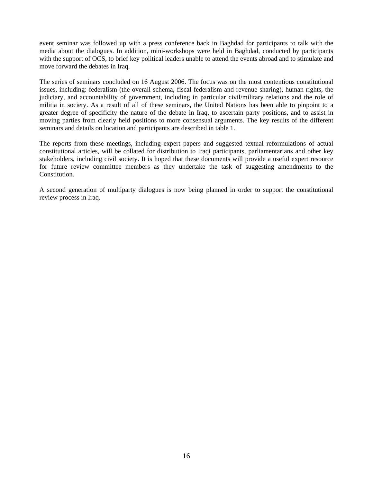event seminar was followed up with a press conference back in Baghdad for participants to talk with the media about the dialogues. In addition, mini-workshops were held in Baghdad, conducted by participants with the support of OCS, to brief key political leaders unable to attend the events abroad and to stimulate and move forward the debates in Iraq.

The series of seminars concluded on 16 August 2006. The focus was on the most contentious constitutional issues, including: federalism (the overall schema, fiscal federalism and revenue sharing), human rights, the judiciary, and accountability of government, including in particular civil/military relations and the role of militia in society. As a result of all of these seminars, the United Nations has been able to pinpoint to a greater degree of specificity the nature of the debate in Iraq, to ascertain party positions, and to assist in moving parties from clearly held positions to more consensual arguments. The key results of the different seminars and details on location and participants are described in table 1.

The reports from these meetings, including expert papers and suggested textual reformulations of actual constitutional articles, will be collated for distribution to Iraqi participants, parliamentarians and other key stakeholders, including civil society. It is hoped that these documents will provide a useful expert resource for future review committee members as they undertake the task of suggesting amendments to the Constitution.

A second generation of multiparty dialogues is now being planned in order to support the constitutional review process in Iraq.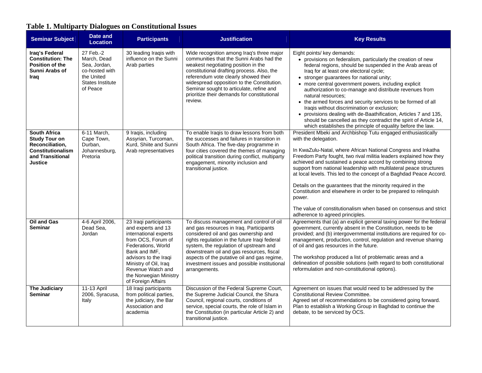# **Table 1. Multiparty Dialogues on Constitutional Issues**

<span id="page-16-0"></span>

| <b>Seminar Subject</b>                                                                                                    | Date and<br><b>Location</b>                                                                                     | <b>Participants</b>                                                                                                                                                                                                                                      | <b>Justification</b>                                                                                                                                                                                                                                                                                                                                                               | <b>Key Results</b>                                                                                                                                                                                                                                                                                                                                                                                                                                                                                                                                                                                                                                                                                            |
|---------------------------------------------------------------------------------------------------------------------------|-----------------------------------------------------------------------------------------------------------------|----------------------------------------------------------------------------------------------------------------------------------------------------------------------------------------------------------------------------------------------------------|------------------------------------------------------------------------------------------------------------------------------------------------------------------------------------------------------------------------------------------------------------------------------------------------------------------------------------------------------------------------------------|---------------------------------------------------------------------------------------------------------------------------------------------------------------------------------------------------------------------------------------------------------------------------------------------------------------------------------------------------------------------------------------------------------------------------------------------------------------------------------------------------------------------------------------------------------------------------------------------------------------------------------------------------------------------------------------------------------------|
| Iraq's Federal<br><b>Constitution: The</b><br>Position of the<br>Sunni Arabs of<br>Iraq                                   | 27 Feb.-2<br>March, Dead<br>Sea, Jordan,<br>co-hosted with<br>the United<br><b>States Institute</b><br>of Peace | 30 leading Iraqis with<br>influence on the Sunni<br>Arab parties                                                                                                                                                                                         | Wide recognition among Iraq's three major<br>communities that the Sunni Arabs had the<br>weakest negotiating position in the<br>constitutional drafting process. Also, the<br>referendum vote clearly showed their<br>widespread opposition to the Constitution.<br>Seminar sought to articulate, refine and<br>prioritize their demands for constitutional<br>review.             | Eight points/ key demands:<br>• provisions on federalism, particularly the creation of new<br>federal regions, should be suspended in the Arab areas of<br>Iraq for at least one electoral cycle;<br>• stronger guarantees for national unity;<br>• more central government powers, including explicit<br>authorization to co-manage and distribute revenues from<br>natural resources:<br>• the armed forces and security services to be formed of all<br>Iraqis without discrimination or exclusion;<br>• provisions dealing with de-Baathification, Articles 7 and 135,<br>should be cancelled as they contradict the spirit of Article 14,<br>which establishes the principle of equality before the law. |
| <b>South Africa</b><br><b>Study Tour on</b><br>Reconciliation,<br>Constitutionalism<br>and Transitional<br><b>Justice</b> | 6-11 March,<br>Cape Town,<br>Durban,<br>Johannesburg,<br>Pretoria                                               | 9 Iraqis, including<br>Assyrian, Turcoman,<br>Kurd, Shiite and Sunni<br>Arab representatives                                                                                                                                                             | To enable Iraqis to draw lessons from both<br>the successes and failures in transition in<br>South Africa. The five-day programme in<br>four cities covered the themes of managing<br>political transition during conflict, multiparty<br>engagement, minority inclusion and<br>transitional justice.                                                                              | President Mbeki and Archbishop Tutu engaged enthusiastically<br>with the delegation.<br>In KwaZulu-Natal, where African National Congress and Inkatha<br>Freedom Party fought, two rival militia leaders explained how they<br>achieved and sustained a peace accord by combining strong<br>support from national leadership with multilateral peace structures<br>at local levels. This led to the concept of a Baghdad Peace Accord.<br>Details on the guarantees that the minority required in the<br>Constitution and elsewhere in order to be prepared to relinquish<br>power.<br>The value of constitutionalism when based on consensus and strict<br>adherence to agreed principles.                   |
| <b>Oil and Gas</b><br><b>Seminar</b>                                                                                      | 4-6 April 2006,<br>Dead Sea,<br>Jordan                                                                          | 23 Iraqi participants<br>and experts and 13<br>international experts<br>from OCS, Forum of<br>Federations, World<br>Bank and IMF.<br>advisors to the Iragi<br>Ministry of Oil, Iraq<br>Revenue Watch and<br>the Norwegian Ministry<br>of Foreign Affairs | To discuss management and control of oil<br>and gas resources in Iraq. Participants<br>considered oil and gas ownership and<br>rights regulation in the future Iraqi federal<br>system, the regulation of upstream and<br>downstream oil and gas resources, fiscal<br>aspects of the putative oil and gas regime,<br>investment issues and possible institutional<br>arrangements. | Agreements that (a) an explicit general taxing power for the federal<br>government, currently absent in the Constitution, needs to be<br>provided; and (b) intergovernmental institutions are required for co-<br>management, production, control, regulation and revenue sharing<br>of oil and gas resources in the future.<br>The workshop produced a list of problematic areas and a<br>delineation of possible solutions (with regard to both constitutional<br>reformulation and non-constitutional options).                                                                                                                                                                                            |
| <b>The Judiciary</b><br><b>Seminar</b>                                                                                    | 11-13 April<br>2006, Syracusa,<br>Italy                                                                         | 18 Iraqi participants<br>from political parties,<br>the judiciary, the Bar<br>Association and<br>academia                                                                                                                                                | Discussion of the Federal Supreme Court,<br>the Supreme Judicial Council, the Shura<br>Council, regional courts, conditions of<br>service, special courts, the role of Islam in<br>the Constitution (in particular Article 2) and<br>transitional justice.                                                                                                                         | Agreement on issues that would need to be addressed by the<br><b>Constitutional Review Committee.</b><br>Agreed set of recommendations to be considered going forward.<br>Plan to establish a Working Group in Baghdad to continue the<br>debate, to be serviced by OCS.                                                                                                                                                                                                                                                                                                                                                                                                                                      |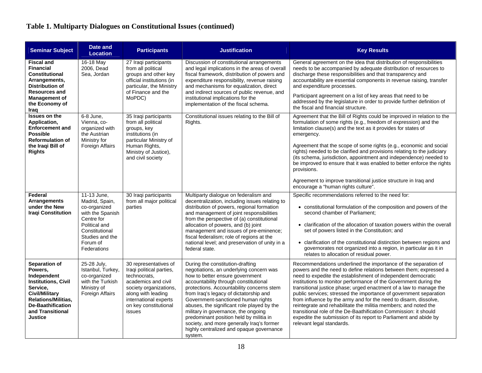# **Table 1. Multiparty Dialogues on Constitutional Issues (continued)**

| <b>Seminar Subject</b>                                                                                                                                                                                     | <b>Date and</b><br><b>Location</b>                                                                                                                               | <b>Participants</b>                                                                                                                                                                                  | <b>Justification</b>                                                                                                                                                                                                                                                                                                                                                                                                                                                                                                     | <b>Key Results</b>                                                                                                                                                                                                                                                                                                                                                                                                                                                                                                                                                                                                                                                                                                             |
|------------------------------------------------------------------------------------------------------------------------------------------------------------------------------------------------------------|------------------------------------------------------------------------------------------------------------------------------------------------------------------|------------------------------------------------------------------------------------------------------------------------------------------------------------------------------------------------------|--------------------------------------------------------------------------------------------------------------------------------------------------------------------------------------------------------------------------------------------------------------------------------------------------------------------------------------------------------------------------------------------------------------------------------------------------------------------------------------------------------------------------|--------------------------------------------------------------------------------------------------------------------------------------------------------------------------------------------------------------------------------------------------------------------------------------------------------------------------------------------------------------------------------------------------------------------------------------------------------------------------------------------------------------------------------------------------------------------------------------------------------------------------------------------------------------------------------------------------------------------------------|
| <b>Fiscal and</b><br><b>Financial</b><br><b>Constitutional</b><br>Arrangements,<br><b>Distribution of</b><br><b>Resources and</b><br><b>Management of</b><br>the Economy of<br>Iraq                        | 16-18 May<br>2006, Dead<br>Sea, Jordan                                                                                                                           | 27 Iraqi participants<br>from all political<br>groups and other key<br>official institutions (in<br>particular, the Ministry<br>of Finance and the<br>MoPDC)                                         | Discussion of constitutional arrangements<br>and legal implications in the areas of overall<br>fiscal framework, distribution of powers and<br>expenditure responsibility, revenue raising<br>and mechanisms for equalization, direct<br>and indirect sources of public revenue, and<br>institutional implications for the<br>implementation of the fiscal schema.                                                                                                                                                       | General agreement on the idea that distribution of responsibilities<br>needs to be accompanied by adequate distribution of resources to<br>discharge these responsibilities and that transparency and<br>accountability are essential components in revenue raising, transfer<br>and expenditure processes.<br>Participant agreement on a list of key areas that need to be<br>addressed by the legislature in order to provide further definition of<br>the fiscal and financial structure.                                                                                                                                                                                                                                   |
| <b>Issues on the</b><br>Application,<br><b>Enforcement and</b><br><b>Possible</b><br><b>Reformulation of</b><br>the Iraqi Bill of<br><b>Rights</b>                                                         | 6-8 June,<br>Vienna, co-<br>organized with<br>the Austrian<br>Ministry for<br>Foreign Affairs                                                                    | 35 Iraqi participants<br>from all political<br>groups, key<br>institutions (in<br>particular Ministry of<br>Human Rights,<br>Ministry of Justice),<br>and civil society                              | Constitutional issues relating to the Bill of<br>Rights.                                                                                                                                                                                                                                                                                                                                                                                                                                                                 | Agreement that the Bill of Rights could be improved in relation to the<br>formulation of some rights (e.g., freedom of expression) and the<br>limitation clause(s) and the text as it provides for states of<br>emergency.<br>Agreement that the scope of some rights (e.g., economic and social<br>rights) needed to be clarified and provisions relating to the judiciary<br>(its schema, jurisdiction, appointment and independence) needed to<br>be improved to ensure that it was enabled to better enforce the rights<br>provisions.<br>Agreement to improve transitional justice structure in Iraq and<br>encourage a "human rights culture".                                                                           |
| Federal<br>Arrangements<br>under the New<br><b>Iragi Constitution</b>                                                                                                                                      | 11-13 June,<br>Madrid, Spain,<br>co-organized<br>with the Spanish<br>Centre for<br>Political and<br>Constitutional<br>Studies and the<br>Forum of<br>Federations | 30 Iraqi participants<br>from all major political<br>parties                                                                                                                                         | Multiparty dialogue on federalism and<br>decentralization, including issues relating to<br>distribution of powers, regional formation<br>and management of joint responsibilities<br>from the perspective of (a) constitutional<br>allocation of powers, and (b) joint<br>management and issues of pre-eminence;<br>fiscal federalism; role of regions at the<br>national level; and preservation of unity in a<br>federal state.                                                                                        | Specific recommendations referred to the need for:<br>• constitutional formulation of the composition and powers of the<br>second chamber of Parliament;<br>• clarification of the allocation of taxation powers within the overall<br>set of powers listed in the Constitution; and<br>• clarification of the constitutional distinction between regions and<br>governorates not organized into a region, in particular as it in<br>relates to allocation of residual power.                                                                                                                                                                                                                                                  |
| Separation of<br>Powers.<br>Independent<br><b>Institutions, Civil</b><br>Service,<br><b>Civil/Military</b><br><b>Relations/Militias.</b><br><b>De-Baathification</b><br>and Transitional<br><b>Justice</b> | 25-28 July,<br>Istanbul, Turkey,<br>co-organized<br>with the Turkish<br>Ministry of<br>Foreign Affairs                                                           | 30 representatives of<br>Iraqi political parties,<br>technocrats.<br>academics and civil<br>society organizations,<br>along with leading<br>international experts<br>on key constitutional<br>issues | During the constitution-drafting<br>negotiations, an underlying concern was<br>how to better ensure government<br>accountability through constitutional<br>protections. Accountability concerns stem<br>from Iraq's legacy of dictatorship and<br>Government-sanctioned human rights<br>abuses, the significant role played by the<br>military in governance, the ongoing<br>predominant position held by militia in<br>society, and more generally Iraq's former<br>highly centralized and opaque governance<br>system. | Recommendations underlined the importance of the separation of<br>powers and the need to define relations between them; expressed a<br>need to expedite the establishment of independent democratic<br>institutions to monitor performance of the Government during the<br>transitional justice phase; urged enactment of a law to manage the<br>public services; stressed the importance of government separation<br>from influence by the army and for the need to disarm, dissolve,<br>reintegrate and rehabilitate the militia members; and noted the<br>transitional role of the De-Baathification Commission: it should<br>expedite the submission of its report to Parliament and abide by<br>relevant legal standards. |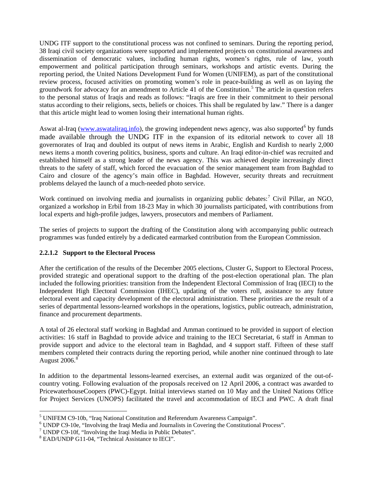UNDG ITF support to the constitutional process was not confined to seminars. During the reporting period, 38 Iraqi civil society organizations were supported and implemented projects on constitutional awareness and dissemination of democratic values, including human rights, women's rights, rule of law, youth empowerment and political participation through seminars, workshops and artistic events. During the reporting period, the United Nations Development Fund for Women (UNIFEM), as part of the constitutional review process, focused activities on promoting women's role in peace-building as well as on laying the groundwork for advocacy for an amendment to Article 41 of the Constitution.<sup>[5](#page-18-0)</sup> The article in question refers to the personal status of Iraqis and reads as follows: "Iraqis are free in their commitment to their personal status according to their religions, sects, beliefs or choices. This shall be regulated by law." There is a danger that this article might lead to women losing their international human rights.

Aswat al-Iraq ([www.aswataliraq.info](http://www.aswataliraq.info/)), the growing independent news agency, was also supported<sup>[6](#page-18-1)</sup> by funds made available through the UNDG ITF in the expansion of its editorial network to cover all 18 governorates of Iraq and doubled its output of news items in Arabic, English and Kurdish to nearly 2,000 news items a month covering politics, business, sports and culture. An Iraqi editor-in-chief was recruited and established himself as a strong leader of the news agency. This was achieved despite increasingly direct threats to the safety of staff, which forced the evacuation of the senior management team from Baghdad to Cairo and closure of the agency's main office in Baghdad. However, security threats and recruitment problems delayed the launch of a much-needed photo service.

Work continued on involving media and journalists in organizing public debates:<sup>[7](#page-18-2)</sup> Civil Pillar, an NGO, organized a workshop in Erbil from 18-23 May in which 30 journalists participated, with contributions from local experts and high-profile judges, lawyers, prosecutors and members of Parliament.

The series of projects to support the drafting of the Constitution along with accompanying public outreach programmes was funded entirely by a dedicated earmarked contribution from the European Commission.

# **2.2.1.2 Support to the Electoral Process**

After the certification of the results of the December 2005 elections, Cluster G, Support to Electoral Process, provided strategic and operational support to the drafting of the post-election operational plan. The plan included the following priorities: transition from the Independent Electoral Commission of Iraq (IECI) to the Independent High Electoral Commission (IHEC), updating of the voters roll, assistance to any future electoral event and capacity development of the electoral administration. These priorities are the result of a series of departmental lessons-learned workshops in the operations, logistics, public outreach, administration, finance and procurement departments.

A total of 26 electoral staff working in Baghdad and Amman continued to be provided in support of election activities: 16 staff in Baghdad to provide advice and training to the IECI Secretariat, 6 staff in Amman to provide support and advice to the electoral team in Baghdad, and 4 support staff. Fifteen of these staff members completed their contracts during the reporting period, while another nine continued through to late August  $2006.<sup>8</sup>$  $2006.<sup>8</sup>$  $2006.<sup>8</sup>$ 

In addition to the departmental lessons-learned exercises, an external audit was organized of the out-ofcountry voting. Following evaluation of the proposals received on 12 April 2006, a contract was awarded to PricewaterhouseCoopers (PWC)-Egypt. Initial interviews started on 10 May and the United Nations Office for Project Services (UNOPS) facilitated the travel and accommodation of IECI and PWC. A draft final

<span id="page-18-0"></span><sup>&</sup>lt;sup>5</sup> UNIFEM C9-10b, "Iraq National Constitution and Referendum Awareness Campaign".<br><sup>6</sup> UNIPP C0-10e, "Involving the Iraqi Media and Iournalists in Covering the Constitutions

<span id="page-18-1"></span><sup>&</sup>lt;sup>6</sup> UNDP C9-10e, "Involving the Iraqi Media and Journalists in Covering the Constitutional Process".

<span id="page-18-2"></span> $7$  UNDP C9-10f, "Involving the Iraqi Media in Public Debates".

<span id="page-18-3"></span><sup>8</sup> EAD/UNDP G11-04, "Technical Assistance to IECI".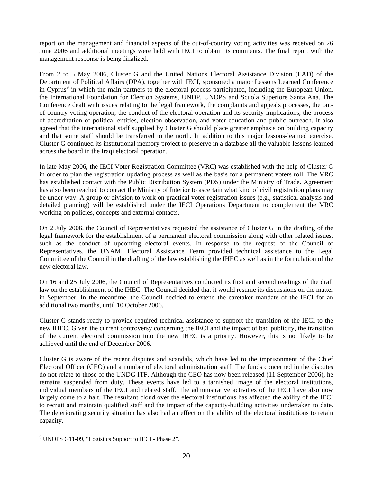report on the management and financial aspects of the out-of-country voting activities was received on 26 June 2006 and additional meetings were held with IECI to obtain its comments. The final report with the management response is being finalized.

From 2 to 5 May 2006, Cluster G and the United Nations Electoral Assistance Division (EAD) of the Department of Political Affairs (DPA), together with IECI, sponsored a major Lessons Learned Conference in Cyprus<sup>[9](#page-19-0)</sup> in which the main partners to the electoral process participated, including the European Union, the International Foundation for Election Systems, UNDP, UNOPS and Scuola Superiore Santa Ana. The Conference dealt with issues relating to the legal framework, the complaints and appeals processes, the outof-country voting operation, the conduct of the electoral operation and its security implications, the process of accreditation of political entities, election observation, and voter education and public outreach. It also agreed that the international staff supplied by Cluster G should place greater emphasis on building capacity and that some staff should be transferred to the north. In addition to this major lessons-learned exercise, Cluster G continued its institutional memory project to preserve in a database all the valuable lessons learned across the board in the Iraqi electoral operation.

In late May 2006, the IECI Voter Registration Committee (VRC) was established with the help of Cluster G in order to plan the registration updating process as well as the basis for a permanent voters roll. The VRC has established contact with the Public Distribution System (PDS) under the Ministry of Trade. Agreement has also been reached to contact the Ministry of Interior to ascertain what kind of civil registration plans may be under way. A group or division to work on practical voter registration issues (e.g., statistical analysis and detailed planning) will be established under the IECI Operations Department to complement the VRC working on policies, concepts and external contacts.

On 2 July 2006, the Council of Representatives requested the assistance of Cluster G in the drafting of the legal framework for the establishment of a permanent electoral commission along with other related issues, such as the conduct of upcoming electoral events. In response to the request of the Council of Representatives, the UNAMI Electoral Assistance Team provided technical assistance to the Legal Committee of the Council in the drafting of the law establishing the IHEC as well as in the formulation of the new electoral law.

On 16 and 25 July 2006, the Council of Representatives conducted its first and second readings of the draft law on the establishment of the IHEC. The Council decided that it would resume its discussions on the matter in September. In the meantime, the Council decided to extend the caretaker mandate of the IECI for an additional two months, until 10 October 2006.

Cluster G stands ready to provide required technical assistance to support the transition of the IECI to the new IHEC. Given the current controversy concerning the IECI and the impact of bad publicity, the transition of the current electoral commission into the new IHEC is a priority. However, this is not likely to be achieved until the end of December 2006.

Cluster G is aware of the recent disputes and scandals, which have led to the imprisonment of the Chief Electoral Officer (CEO) and a number of electoral administration staff. The funds concerned in the disputes do not relate to those of the UNDG ITF. Although the CEO has now been released (11 September 2006), he remains suspended from duty. These events have led to a tarnished image of the electoral institutions, individual members of the IECI and related staff. The administrative activities of the IECI have also now largely come to a halt. The resultant cloud over the electoral institutions has affected the ability of the IECI to recruit and maintain qualified staff and the impact of the capacity-building activities undertaken to date. The deteriorating security situation has also had an effect on the ability of the electoral institutions to retain capacity.

<span id="page-19-0"></span> 9 UNOPS G11-09, "Logistics Support to IECI - Phase 2".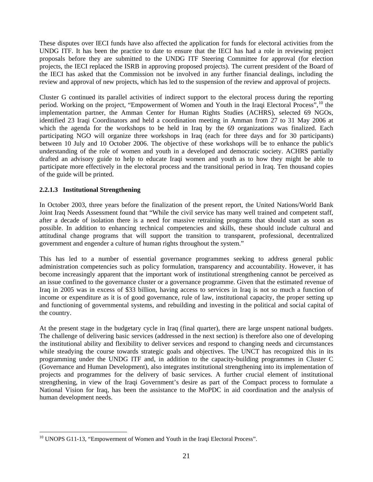These disputes over IECI funds have also affected the application for funds for electoral activities from the UNDG ITF. It has been the practice to date to ensure that the IECI has had a role in reviewing project proposals before they are submitted to the UNDG ITF Steering Committee for approval (for election projects, the IECI replaced the ISRB in approving proposed projects). The current president of the Board of the IECI has asked that the Commission not be involved in any further financial dealings, including the review and approval of new projects, which has led to the suspension of the review and approval of projects.

Cluster G continued its parallel activities of indirect support to the electoral process during the reporting period. Working on the project, "Empowerment of Women and Youth in the Iraqi Electoral Process", <sup>[10](#page-20-0)</sup> the implementation partner, the Amman Center for Human Rights Studies (ACHRS), selected 69 NGOs, identified 23 Iraqi Coordinators and held a coordination meeting in Amman from 27 to 31 May 2006 at which the agenda for the workshops to be held in Iraq by the 69 organizations was finalized. Each participating NGO will organize three workshops in Iraq (each for three days and for 30 participants) between 10 July and 10 October 2006. The objective of these workshops will be to enhance the public's understanding of the role of women and youth in a developed and democratic society. ACHRS partially drafted an advisory guide to help to educate Iraqi women and youth as to how they might be able to participate more effectively in the electoral process and the transitional period in Iraq. Ten thousand copies of the guide will be printed.

# **2.2.1.3 Institutional Strengthening**

In October 2003, three years before the finalization of the present report, the United Nations/World Bank Joint Iraq Needs Assessment found that "While the civil service has many well trained and competent staff, after a decade of isolation there is a need for massive retraining programs that should start as soon as possible. In addition to enhancing technical competencies and skills, these should include cultural and attitudinal change programs that will support the transition to transparent, professional, decentralized government and engender a culture of human rights throughout the system."

This has led to a number of essential governance programmes seeking to address general public administration competencies such as policy formulation, transparency and accountability. However, it has become increasingly apparent that the important work of institutional strengthening cannot be perceived as an issue confined to the governance cluster or a governance programme. Given that the estimated revenue of Iraq in 2005 was in excess of \$33 billion, having access to services in Iraq is not so much a function of income or expenditure as it is of good governance, rule of law, institutional capacity, the proper setting up and functioning of governmental systems, and rebuilding and investing in the political and social capital of the country.

At the present stage in the budgetary cycle in Iraq (final quarter), there are large unspent national budgets. The challenge of delivering basic services (addressed in the next section) is therefore also one of developing the institutional ability and flexibility to deliver services and respond to changing needs and circumstances while steadying the course towards strategic goals and objectives. The UNCT has recognized this in its programming under the UNDG ITF and, in addition to the capacity-building programmes in Cluster C (Governance and Human Development), also integrates institutional strengthening into its implementation of projects and programmes for the delivery of basic services. A further crucial element of institutional strengthening, in view of the Iraqi Government's desire as part of the Compact process to formulate a National Vision for Iraq, has been the assistance to the MoPDC in aid coordination and the analysis of human development needs.

<span id="page-20-0"></span> $\overline{a}$ <sup>10</sup> UNOPS G11-13, "Empowerment of Women and Youth in the Iraqi Electoral Process".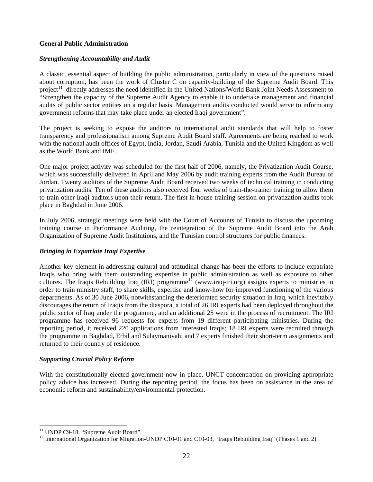## **General Public Administration**

## *Strengthening Accountability and Audit*

A classic, essential aspect of building the public administration, particularly in view of the questions raised about corruption, has been the work of Cluster C on capacity-building of the Supreme Audit Board. This project<sup>[1](#page-21-0)1</sup> directly addresses the need identified in the United Nations/World Bank Joint Needs Assessment to "Strengthen the capacity of the Supreme Audit Agency to enable it to undertake management and financial audits of public sector entities on a regular basis. Management audits conducted would serve to inform any government reforms that may take place under an elected Iraqi government".

The project is seeking to expose the auditors to international audit standards that will help to foster transparency and professionalism among Supreme Audit Board staff. Agreements are being reached to work with the national audit offices of Egypt, India, Jordan, Saudi Arabia, Tunisia and the United Kingdom as well as the World Bank and IMF.

One major project activity was scheduled for the first half of 2006, namely, the Privatization Audit Course, which was successfully delivered in April and May 2006 by audit training experts from the Audit Bureau of Jordan. Twenty auditors of the Supreme Audit Board received two weeks of technical training in conducting privatization audits. Ten of these auditors also received four weeks of train-the-trainer training to allow them to train other Iraqi auditors upon their return. The first in-house training session on privatization audits took place in Baghdad in June 2006.

In July 2006, strategic meetings were held with the Court of Accounts of Tunisia to discuss the upcoming training course in Performance Auditing, the reintegration of the Supreme Audit Board into the Arab Organization of Supreme Audit Institutions, and the Tunisian control structures for public finances.

# *Bringing in Expatriate Iraqi Expertise*

Another key element in addressing cultural and attitudinal change has been the efforts to include expatriate Iraqis who bring with them outstanding expertise in public administration as well as exposure to other cultures. The Iraqis Rebuilding Iraq (IRI) programme<sup>[12](#page-21-1)</sup> [\(www.iraq-iri.org\)](http://www.iraq-iri.org/) assigns experts to ministries in order to train ministry staff, to share skills, expertise and know-how for improved functioning of the various departments. As of 30 June 2006, notwithstanding the deteriorated security situation in Iraq, which inevitably discourages the return of Iraqis from the diaspora, a total of 26 IRI experts had been deployed throughout the public sector of Iraq under the programme, and an additional 25 were in the process of recruitment. The IRI programme has received 96 requests for experts from 19 different participating ministries. During the reporting period, it received 220 applications from interested Iraqis; 18 IRI experts were recruited through the programme in Baghdad, Erbil and Sulaymaniyah; and 7 experts finished their short-term assignments and returned to their country of residence.

## *Supporting Crucial Policy Reform*

With the constitutionally elected government now in place, UNCT concentration on providing appropriate policy advice has increased. During the reporting period, the focus has been on assistance in the area of economic reform and sustainability/environmental protection.

<span id="page-21-0"></span><sup>&</sup>lt;sup>11</sup> UNDP C9-18, "Supreme Audit Board".

<span id="page-21-1"></span><sup>&</sup>lt;sup>12</sup> International Organization for Migration-UNDP C10-01 and C10-03, "Iraqis Rebuilding Iraq" (Phases 1 and 2).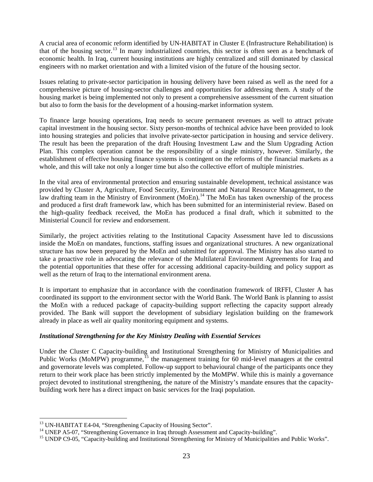A crucial area of economic reform identified by UN-HABITAT in Cluster E (Infrastructure Rehabilitation) is that of the housing sector.<sup>[13](#page-22-0)</sup> In many industrialized countries, this sector is often seen as a benchmark of economic health. In Iraq, current housing institutions are highly centralized and still dominated by classical engineers with no market orientation and with a limited vision of the future of the housing sector.

Issues relating to private-sector participation in housing delivery have been raised as well as the need for a comprehensive picture of housing-sector challenges and opportunities for addressing them. A study of the housing market is being implemented not only to present a comprehensive assessment of the current situation but also to form the basis for the development of a housing-market information system.

To finance large housing operations, Iraq needs to secure permanent revenues as well to attract private capital investment in the housing sector. Sixty person-months of technical advice have been provided to look into housing strategies and policies that involve private-sector participation in housing and service delivery. The result has been the preparation of the draft Housing Investment Law and the Slum Upgrading Action Plan. This complex operation cannot be the responsibility of a single ministry, however. Similarly, the establishment of effective housing finance systems is contingent on the reforms of the financial markets as a whole, and this will take not only a longer time but also the collective effort of multiple ministries.

In the vital area of environmental protection and ensuring sustainable development, technical assistance was provided by Cluster A, Agriculture, Food Security, Environment and Natural Resource Management, to the law drafting team in the Ministry of Environment (MoEn).<sup>[1](#page-22-1)4</sup> The MoEn has taken ownership of the process and produced a first draft framework law, which has been submitted for an interministerial review. Based on the high-quality feedback received, the MoEn has produced a final draft, which it submitted to the Ministerial Council for review and endorsement.

Similarly, the project activities relating to the Institutional Capacity Assessment have led to discussions inside the MoEn on mandates, functions, staffing issues and organizational structures. A new organizational structure has now been prepared by the MoEn and submitted for approval. The Ministry has also started to take a proactive role in advocating the relevance of the Multilateral Environment Agreements for Iraq and the potential opportunities that these offer for accessing additional capacity-building and policy support as well as the return of Iraq to the international environment arena.

It is important to emphasize that in accordance with the coordination framework of IRFFI, Cluster A has coordinated its support to the environment sector with the World Bank. The World Bank is planning to assist the MoEn with a reduced package of capacity-building support reflecting the capacity support already provided. The Bank will support the development of subsidiary legislation building on the framework already in place as well air quality monitoring equipment and systems.

## *Institutional Strengthening for the Key Ministry Dealing with Essential Services*

Under the Cluster C Capacity-building and Institutional Strengthening for Ministry of Municipalities and Public Works (MoMPW) programme,  $^{15}$  $^{15}$  $^{15}$  the management training for 60 mid-level managers at the central and governorate levels was completed. Follow-up support to behavioural change of the participants once they return to their work place has been strictly implemented by the MoMPW. While this is mainly a governance project devoted to institutional strengthening, the nature of the Ministry's mandate ensures that the capacitybuilding work here has a direct impact on basic services for the Iraqi population.

<span id="page-22-0"></span><sup>&</sup>lt;sup>13</sup> UN-HABITAT E4-04, "Strengthening Capacity of Housing Sector".

<span id="page-22-1"></span><sup>&</sup>lt;sup>14</sup> UNEP A5-07, "Strengthening Governance in Iraq through Assessment and Capacity-building".

<span id="page-22-2"></span><sup>&</sup>lt;sup>15</sup> UNDP C9-05, "Capacity-building and Institutional Strengthening for Ministry of Municipalities and Public Works".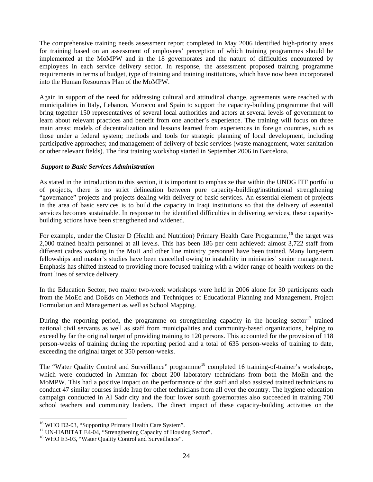<span id="page-23-0"></span>The comprehensive training needs assessment report completed in May 2006 identified high-priority areas for training based on an assessment of employees' perception of which training programmes should be implemented at the MoMPW and in the 18 governorates and the nature of difficulties encountered by employees in each service delivery sector. In response, the assessment proposed training programme requirements in terms of budget, type of training and training institutions, which have now been incorporated into the Human Resources Plan of the MoMPW.

Again in support of the need for addressing cultural and attitudinal change, agreements were reached with municipalities in Italy, Lebanon, Morocco and Spain to support the capacity-building programme that will bring together 150 representatives of several local authorities and actors at several levels of government to learn about relevant practices and benefit from one another's experience. The training will focus on three main areas: models of decentralization and lessons learned from experiences in foreign countries, such as those under a federal system; methods and tools for strategic planning of local development, including participative approaches; and management of delivery of basic services (waste management, water sanitation or other relevant fields). The first training workshop started in September 2006 in Barcelona.

## *Support to Basic Services Administration*

As stated in the introduction to this section, it is important to emphasize that within the UNDG ITF portfolio of projects, there is no strict delineation between pure capacity-building/institutional strengthening "governance" projects and projects dealing with delivery of basic services. An essential element of projects in the area of basic services is to build the capacity in Iraqi institutions so that the delivery of essential services becomes sustainable. In response to the identified difficulties in delivering services, these capacitybuilding actions have been strengthened and widened.

For example, under the Cluster D (Health and Nutrition) Primary Health Care Programme, <sup>[1](#page-23-0)6</sup> the target was 2,000 trained health personnel at all levels. This has been 186 per cent achieved: almost 3,722 staff from different cadres working in the MoH and other line ministry personnel have been trained. Many long-term fellowships and master's studies have been cancelled owing to instability in ministries' senior management. Emphasis has shifted instead to providing more focused training with a wider range of health workers on the front lines of service delivery.

In the Education Sector, two major two-week workshops were held in 2006 alone for 30 participants each from the MoEd and DoEds on Methods and Techniques of Educational Planning and Management, Project Formulation and Management as well as School Mapping.

During the reporting period, the programme on strengthening capacity in the housing sector<sup>[1](#page-23-0)7</sup> trained national civil servants as well as staff from municipalities and community-based organizations, helping to exceed by far the original target of providing training to 120 persons. This accounted for the provision of 118 person-weeks of training during the reporting period and a total of 635 person-weeks of training to date, exceeding the original target of 350 person-weeks.

The "Water Quality Control and Surveillance" programme<sup>[18](#page-23-0)</sup> completed 16 training-of-trainer's workshops, which were conducted in Amman for about 200 laboratory technicians from both the MoEn and the MoMPW. This had a positive impact on the performance of the staff and also assisted trained technicians to conduct 47 similar courses inside Iraq for other technicians from all over the country. The hygiene education campaign conducted in Al Sadr city and the four lower south governorates also succeeded in training 700 school teachers and community leaders. The direct impact of these capacity-building activities on the

<sup>&</sup>lt;sup>16</sup> WHO D2-03, "Supporting Primary Health Care System".<br><sup>17</sup> UN-HABITAT E4-04, "Strengthening Capacity of Housing Sector".

<sup>&</sup>lt;sup>18</sup> WHO E3-03, "Water Quality Control and Surveillance".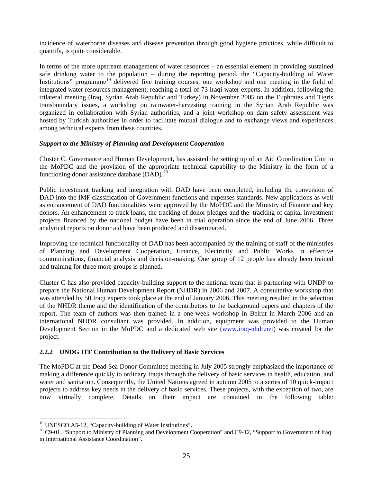<span id="page-24-0"></span>incidence of waterborne diseases and disease prevention through good hygiene practices, while difficult to quantify, is quite considerable.

In terms of the more upstream management of water resources – an essential element in providing sustained safe drinking water to the population – during the reporting period, the "Capacity-building of Water Institutions" programme<sup>[19](#page-24-0)</sup> delivered five training courses, one workshop and one meeting in the field of integrated water resources management, reaching a total of 73 Iraqi water experts. In addition, following the trilateral meeting (Iraq, Syrian Arab Republic and Turkey) in November 2005 on the Euphrates and Tigris transboundary issues, a workshop on rainwater-harvesting training in the Syrian Arab Republic was organized in collaboration with Syrian authorities, and a joint workshop on dam safety assessment was hosted by Turkish authorities in order to facilitate mutual dialogue and to exchange views and experiences among technical experts from these countries.

## *Support to the Ministry of Planning and Development Cooperation*

Cluster C, Governance and Human Development, has assisted the setting up of an Aid Coordination Unit in the MoPDC and the provision of the appropriate technical capability to the Ministry in the form of a functioning donor assistance database  $(DAD)$ .<sup>[2](#page-24-0)</sup>

Public investment tracking and integration with DAD have been completed, including the conversion of DAD into the IMF classification of Government functions and expenses standards. New applications as well as enhancement of DAD functionalities were approved by the MoPDC and the Ministry of Finance and key donors. An enhancement to track loans, the tracking of donor pledges and the tracking of capital investment projects financed by the national budget have been in trial operation since the end of June 2006. Three analytical reports on donor aid have been produced and disseminated.

Improving the technical functionality of DAD has been accompanied by the training of staff of the ministries of Planning and Development Cooperation, Finance, Electricity and Public Works in effective communications, financial analysis and decision-making. One group of 12 people has already been trained and training for three more groups is planned.

Cluster C has also provided capacity-building support to the national team that is partnering with UNDP to prepare the National Human Development Report (NHDR) in 2006 and 2007. A consultative workshop that was attended by 50 Iraqi experts took place at the end of January 2006. This meeting resulted in the selection of the NHDR theme and the identification of the contributors to the background papers and chapters of the report. The team of authors was then trained in a one-week workshop in Beirut in March 2006 and an international NHDR consultant was provided. In addition, equipment was provided to the Human Development Section in the MoPDC and a dedicated web site [\(www.iraq-nhdr.net\)](http://www.iraq-nhdr.net/) was created for the project.

## **2.2.2 UNDG ITF Contribution to the Delivery of Basic Services**

The MoPDC at the Dead Sea Donor Committee meeting in July 2005 strongly emphasized the importance of making a difference quickly to ordinary Iraqis through the delivery of basic services in health, education, and water and sanitation. Consequently, the United Nations agreed in autumn 2005 to a series of 10 quick-impact projects to address key needs in the delivery of basic services. These projects, with the exception of two, are now virtually complete. Details on their impact are contained in the following table:

<sup>&</sup>lt;sup>19</sup> UNESCO A5-12, "Capacity-building of Water Institutions".<br><sup>20</sup> C9-01, "Support to Ministry of Planning and Development Cooperation" and C9-12, "Support to Government of Iraq in International Assistance Coordination".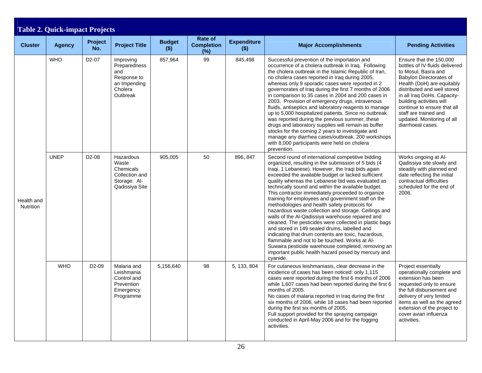<span id="page-25-0"></span>

| <b>Table 2. Quick-impact Projects</b> |               |                    |                                                                                        |                          |                                        |                               |                                                                                                                                                                                                                                                                                                                                                                                                                                                                                                                                                                                                                                                                                                                                                                                                                                                                                                                                                   |                                                                                                                                                                                                                                                                                                                                                |  |  |
|---------------------------------------|---------------|--------------------|----------------------------------------------------------------------------------------|--------------------------|----------------------------------------|-------------------------------|---------------------------------------------------------------------------------------------------------------------------------------------------------------------------------------------------------------------------------------------------------------------------------------------------------------------------------------------------------------------------------------------------------------------------------------------------------------------------------------------------------------------------------------------------------------------------------------------------------------------------------------------------------------------------------------------------------------------------------------------------------------------------------------------------------------------------------------------------------------------------------------------------------------------------------------------------|------------------------------------------------------------------------------------------------------------------------------------------------------------------------------------------------------------------------------------------------------------------------------------------------------------------------------------------------|--|--|
| <b>Cluster</b>                        | <b>Agency</b> | Project<br>No.     | <b>Project Title</b>                                                                   | <b>Budget</b><br>$($ \$) | Rate of<br><b>Completion</b><br>$(\%)$ | <b>Expenditure</b><br>$($ \$) | <b>Major Accomplishments</b>                                                                                                                                                                                                                                                                                                                                                                                                                                                                                                                                                                                                                                                                                                                                                                                                                                                                                                                      | <b>Pending Activities</b>                                                                                                                                                                                                                                                                                                                      |  |  |
| Health and<br>Nutrition               | <b>WHO</b>    | D <sub>2</sub> -07 | Improving<br>Preparedness<br>and<br>Response to<br>an Impending<br>Cholera<br>Outbreak | 857,964                  | 99                                     | 845,498                       | Successful prevention of the importation and<br>occurrence of a cholera outbreak in Iraq. Following<br>the cholera outbreak in the Islamic Republic of Iran,<br>no cholera cases reported in Iraq during 2005,<br>whereas only 9 sporadic cases were reported in 2<br>governorates of Iraq during the first 7 months of 2006<br>in comparison to 35 cases in 2004 and 200 cases in<br>2003. Provision of emergency drugs, intravenous<br>fluids, antiseptics and laboratory reagents to manage<br>up to 5,000 hospitalized patients. Since no outbreak<br>was reported during the previous summer, these<br>drugs and laboratory supplies will remain as buffer<br>stocks for the coming 2 years to investigate and<br>manage any diarrhea cases/outbreak. 200 workshops<br>with 8,000 participants were held on cholera<br>prevention.                                                                                                           | Ensure that the 150,000<br>bottles of IV fluids delivered<br>to Mosul, Basra and<br>Babylon Directorates of<br>Health (DoH) are equitably<br>distributed and well stored<br>in all Iraq DoHs. Capacity-<br>building activities will<br>continue to ensure that all<br>staff are trained and<br>updated. Monitoring of all<br>diarrhoeal cases. |  |  |
|                                       | <b>UNEP</b>   | D <sub>2</sub> -08 | Hazardous<br>Waste<br>Chemicals<br>Collection and<br>Storage: Al-<br>Qadissiya Site    | 905,005                  | 50                                     | 896, 847                      | Second round of international competitive bidding<br>organized, resulting in the submission of 5 bids (4<br>Iraqi, 1 Lebanese). However, the Iraqi bids again<br>exceeded the available budget or lacked sufficient<br>quality whereas the Lebanese bid was evaluated as<br>technically sound and within the available budget.<br>This contractor immediately proceeded to organize<br>training for employees and government staff on the<br>methodologies and health safety protocols for<br>hazardous waste collection and storage. Ceilings and<br>walls of the Al-Qadissiya warehouse repaired and<br>cleaned. The pesticides were collected in plastic bags<br>and stored in 149 sealed drums, labelled and<br>indicating that drum contents are toxic, hazardous,<br>flammable and not to be touched. Works at Al-<br>Suwaira pesticide warehouse completed, removing an<br>important public health hazard posed by mercury and<br>cyanide. | Works ongoing at Al-<br>Qadissiya site slowly and<br>steadily with planned end<br>date reflecting the initial<br>contractual difficulties<br>scheduled for the end of<br>2006.                                                                                                                                                                 |  |  |
|                                       | <b>WHO</b>    | D <sub>2</sub> -09 | Malaria and<br>Leishmania<br>Control and<br>Prevention<br>Emergency<br>Programme       | 5,156,640                | 98                                     | 5, 133, 804                   | For cutaneous leishmaniasis, clear decrease in the<br>incidence of cases has been noticed: only 1,115<br>cases were reported during the first 6 months of 2006<br>while 1,607 cases had been reported during the first 6<br>months of 2005.<br>No cases of malaria reported in Iraq during the first<br>six months of 2006, while 18 cases had been reported<br>during the first six months of 2005.<br>Full support provided for the spraying campaign<br>conducted in April-May 2006 and for the fogging<br>activities.                                                                                                                                                                                                                                                                                                                                                                                                                         | Project essentially<br>operationally complete and<br>extension has been<br>requested only to ensure<br>the full disbursement and<br>delivery of very limited<br>items as well as the agreed<br>extension of the project to<br>cover avian influenza<br>activities.                                                                             |  |  |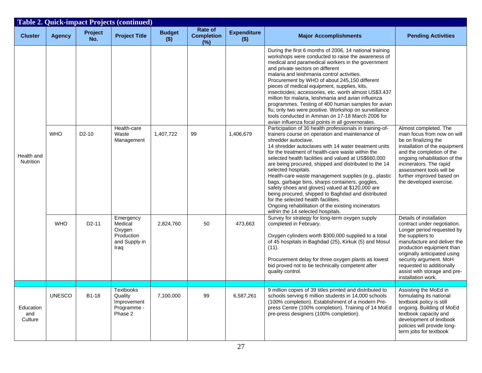|                                | <b>Table 2. Quick-impact Projects (continued)</b> |                    |                                                                       |                          |                                     |                               |                                                                                                                                                                                                                                                                                                                                                                                                                                                                                                                                                                                                                                                                                                                                                                                                                                                                                                                                                                                                                                                                                                                                                                                                                                                                                                                                                                                                                                                   |                                                                                                                                                                                                                                                                                                                   |  |
|--------------------------------|---------------------------------------------------|--------------------|-----------------------------------------------------------------------|--------------------------|-------------------------------------|-------------------------------|---------------------------------------------------------------------------------------------------------------------------------------------------------------------------------------------------------------------------------------------------------------------------------------------------------------------------------------------------------------------------------------------------------------------------------------------------------------------------------------------------------------------------------------------------------------------------------------------------------------------------------------------------------------------------------------------------------------------------------------------------------------------------------------------------------------------------------------------------------------------------------------------------------------------------------------------------------------------------------------------------------------------------------------------------------------------------------------------------------------------------------------------------------------------------------------------------------------------------------------------------------------------------------------------------------------------------------------------------------------------------------------------------------------------------------------------------|-------------------------------------------------------------------------------------------------------------------------------------------------------------------------------------------------------------------------------------------------------------------------------------------------------------------|--|
| <b>Cluster</b>                 | <b>Agency</b>                                     | Project<br>No.     | <b>Project Title</b>                                                  | <b>Budget</b><br>$($ \$) | Rate of<br><b>Completion</b><br>(%) | <b>Expenditure</b><br>$($ \$) | <b>Major Accomplishments</b>                                                                                                                                                                                                                                                                                                                                                                                                                                                                                                                                                                                                                                                                                                                                                                                                                                                                                                                                                                                                                                                                                                                                                                                                                                                                                                                                                                                                                      | <b>Pending Activities</b>                                                                                                                                                                                                                                                                                         |  |
| Health and<br><b>Nutrition</b> | <b>WHO</b>                                        | $D2-10$            | Health-care<br>Waste<br>Management                                    | 1,407,722                | 99                                  | 1,406,679                     | During the first 6 months of 2006, 14 national training<br>workshops were conducted to raise the awareness of<br>medical and paramedical workers in the government<br>and private sectors on different<br>malaria and leishmania control activities.<br>Procurement by WHO of about 245,150 different<br>pieces of medical equipment, supplies, kits,<br>insecticides; accessories, etc. worth almost US\$3.437<br>million for malaria, leishmania and avian influenza<br>programmes. Testing of 400 human samples for avian<br>flu; only two were positive. Workshop on surveillance<br>tools conducted in Amman on 17-18 March 2006 for<br>avian influenza focal points in all governorates.<br>Participation of 30 health professionals in training-of-<br>trainers course on operation and maintenance of<br>shredder autoclave.<br>14 shredder autoclaves with 14 water treatment units<br>for the treatment of health-care waste within the<br>selected health facilities and valued at US\$660,000<br>are being procured, shipped and distributed to the 14<br>selected hospitals.<br>Health-care waste management supplies (e.g., plastic<br>bags, garbage bins, sharps containers, goggles,<br>safety shoes and gloves) valued at \$120,000 are<br>being procured, shipped to Baghdad and distributed<br>for the selected health facilities.<br>Ongoing rehabilitation of the existing incinerators<br>within the 14 selected hospitals. | Almost completed. The<br>main focus from now on will<br>be on finalizing the<br>installation of the equipment<br>and the completion of the<br>ongoing rehabilitation of the<br>incinerators. The rapid<br>assessment tools will be<br>further improved based on<br>the developed exercise.                        |  |
|                                | <b>WHO</b>                                        | D <sub>2</sub> -11 | Emergency<br>Medical<br>Oxygen<br>Production<br>and Supply in<br>Iraq | 2,824,760                | 50                                  | 473,663                       | Survey for strategy for long-term oxygen supply<br>completed in February.<br>Oxygen cylinders worth \$300,000 supplied to a total<br>of 45 hospitals in Baghdad (25), Kirkuk (5) and Mosul<br>(11).<br>Procurement delay for three oxygen plants as lowest<br>bid proved not to be technically competent after<br>quality control.                                                                                                                                                                                                                                                                                                                                                                                                                                                                                                                                                                                                                                                                                                                                                                                                                                                                                                                                                                                                                                                                                                                | Details of installation<br>contract under negotiation.<br>Longer period requested by<br>the suppliers to<br>manufacture and deliver the<br>production equipment than<br>originally anticipated using<br>security argument. MoH<br>requested to additionally<br>assist with storage and pre-<br>installation work. |  |
|                                |                                                   |                    |                                                                       |                          |                                     |                               |                                                                                                                                                                                                                                                                                                                                                                                                                                                                                                                                                                                                                                                                                                                                                                                                                                                                                                                                                                                                                                                                                                                                                                                                                                                                                                                                                                                                                                                   |                                                                                                                                                                                                                                                                                                                   |  |
| Education<br>and<br>Culture    | <b>UNESCO</b>                                     | B1-18              | Textbooks<br>Quality<br>Improvement<br>Programme -<br>Phase 2         | 7,100,000                | 99                                  | 6,587,261                     | 9 million copies of 39 titles printed and distributed to<br>schools serving 6 million students in 14,000 schools<br>(100% completion). Establishment of a modern Pre-<br>press Centre (100% completion). Training of 14 MoEd<br>pre-press designers (100% completion).                                                                                                                                                                                                                                                                                                                                                                                                                                                                                                                                                                                                                                                                                                                                                                                                                                                                                                                                                                                                                                                                                                                                                                            | Assisting the MoEd in<br>formulating its national<br>textbook policy is still<br>ongoing. Building of MoEd<br>textbook capacity and<br>development of textbook<br>policies will provide long-<br>term jobs for textbook                                                                                           |  |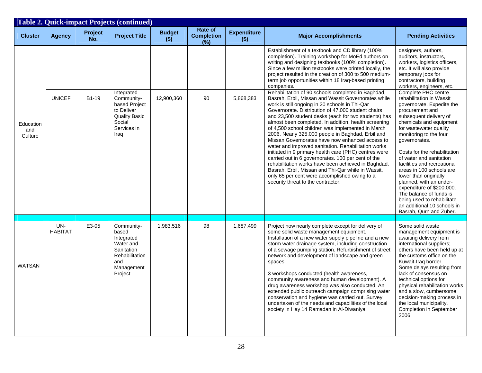| <b>Table 2. Quick-impact Projects (continued)</b> |                       |                |                                                                                                                       |                          |                                     |                               |                                                                                                                                                                                                                                                                                                                                                                                                                                                                                                                                                                                                                                                                                                                                                                                                                                                                          |                                                                                                                                                                                                                                                                                                                                                                                                                                                                                                                                                     |  |
|---------------------------------------------------|-----------------------|----------------|-----------------------------------------------------------------------------------------------------------------------|--------------------------|-------------------------------------|-------------------------------|--------------------------------------------------------------------------------------------------------------------------------------------------------------------------------------------------------------------------------------------------------------------------------------------------------------------------------------------------------------------------------------------------------------------------------------------------------------------------------------------------------------------------------------------------------------------------------------------------------------------------------------------------------------------------------------------------------------------------------------------------------------------------------------------------------------------------------------------------------------------------|-----------------------------------------------------------------------------------------------------------------------------------------------------------------------------------------------------------------------------------------------------------------------------------------------------------------------------------------------------------------------------------------------------------------------------------------------------------------------------------------------------------------------------------------------------|--|
| <b>Cluster</b>                                    | <b>Agency</b>         | Project<br>No. | <b>Project Title</b>                                                                                                  | <b>Budget</b><br>$($ \$) | Rate of<br><b>Completion</b><br>(%) | <b>Expenditure</b><br>$($ \$) | <b>Major Accomplishments</b>                                                                                                                                                                                                                                                                                                                                                                                                                                                                                                                                                                                                                                                                                                                                                                                                                                             | <b>Pending Activities</b>                                                                                                                                                                                                                                                                                                                                                                                                                                                                                                                           |  |
|                                                   |                       |                |                                                                                                                       |                          |                                     |                               | Establishment of a textbook and CD library (100%<br>completion). Training workshop for MoEd authors on<br>writing and designing textbooks (100% completion).<br>Since a few million textbooks were printed locally, the<br>project resulted in the creation of 300 to 500 medium-<br>term job opportunities within 18 Iraq-based printing<br>companies.                                                                                                                                                                                                                                                                                                                                                                                                                                                                                                                  | designers, authors,<br>auditors, instructors,<br>workers, logistics officers,<br>etc. It will also provide<br>temporary jobs for<br>contractors, building<br>workers, engineers, etc.                                                                                                                                                                                                                                                                                                                                                               |  |
| Education<br>and<br>Culture                       | <b>UNICEF</b>         | B1-19          | Integrated<br>Community-<br>based Project<br>to Deliver<br><b>Quality Basic</b><br>Social<br>Services in<br>Iraq      | 12,900,360               | 90                                  | 5,868,383                     | Rehabilitation of 90 schools completed in Baghdad,<br>Basrah, Erbil, Missan and Wassit Governorates while<br>work is still ongoing in 20 schools in Thi-Qar<br>Governorate. Distribution of 47,000 student chairs<br>and 23,500 student desks (each for two students) has<br>almost been completed. In addition, health screening<br>of 4,500 school children was implemented in March<br>2006. Nearly 325,000 people in Baghdad, Erbil and<br>Missan Governorates have now enhanced access to<br>water and improved sanitation. Rehabilitation works<br>initiated in 9 primary health care (PHC) centres were<br>carried out in 6 governorates. 100 per cent of the<br>rehabilitation works have been achieved in Baghdad,<br>Basrah, Erbil, Missan and Thi-Qar while in Wassit,<br>only 65 per cent were accomplished owing to a<br>security threat to the contractor. | Complete PHC centre<br>rehabilitation in Wassit<br>governorate. Expedite the<br>procurement and<br>subsequent delivery of<br>chemicals and equipment<br>for wastewater quality<br>monitoring to the four<br>governorates.<br>Costs for the rehabilitation<br>of water and sanitation<br>facilities and recreational<br>areas in 100 schools are<br>lower than originally<br>planned, with an under-<br>expenditure of \$200,000.<br>The balance of funds is<br>being used to rehabilitate<br>an additional 10 schools in<br>Basrah, Qurn and Zuber. |  |
|                                                   |                       |                |                                                                                                                       |                          |                                     |                               |                                                                                                                                                                                                                                                                                                                                                                                                                                                                                                                                                                                                                                                                                                                                                                                                                                                                          |                                                                                                                                                                                                                                                                                                                                                                                                                                                                                                                                                     |  |
| <b>WATSAN</b>                                     | UN-<br><b>HABITAT</b> | E3-05          | Community-<br>based<br>Integrated<br>Water and<br>Sanitation<br><b>Rehabilitation</b><br>and<br>Management<br>Project | 1,983,516                | 98                                  | 1,687,499                     | Project now nearly complete except for delivery of<br>some solid waste management equipment.<br>Installation of a new water supply pipeline and a new<br>storm water drainage system, including construction<br>of a sewage pumping station. Refurbishment of street<br>network and development of landscape and green<br>spaces.<br>3 workshops conducted (health awareness,<br>community awareness and human development). A<br>drug awareness workshop was also conducted. An<br>extended public outreach campaign comprising water<br>conservation and hygiene was carried out. Survey<br>undertaken of the needs and capabilities of the local<br>society in Hay 14 Ramadan in Al-Diwaniya.                                                                                                                                                                         | Some solid waste<br>management equipment is<br>awaiting delivery from<br>international suppliers;<br>others have been held up at<br>the customs office on the<br>Kuwait-Iraq border.<br>Some delays resulting from<br>lack of consensus on<br>technical options for<br>physical rehabilitation works<br>and a slow, cumbersome<br>decision-making process in<br>the local municipality.<br>Completion in September<br>2006.                                                                                                                         |  |
|                                                   |                       |                |                                                                                                                       |                          |                                     |                               |                                                                                                                                                                                                                                                                                                                                                                                                                                                                                                                                                                                                                                                                                                                                                                                                                                                                          |                                                                                                                                                                                                                                                                                                                                                                                                                                                                                                                                                     |  |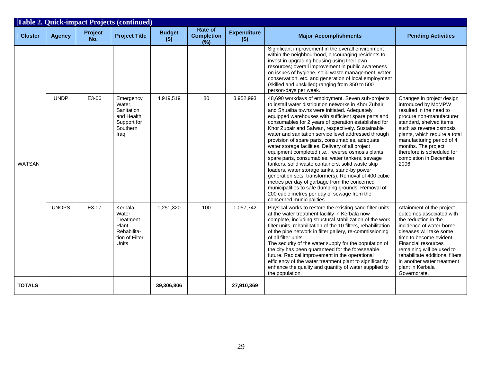|                | <b>Table 2. Quick-impact Projects (continued)</b> |                |                                                                                      |                        |                                         |                               |                                                                                                                                                                                                                                                                                                                                                                                                                                                                                                                                                                                                                                                                                                                                                                                                                                                                                                                                                        |                                                                                                                                                                                                                                                                                                                                 |  |
|----------------|---------------------------------------------------|----------------|--------------------------------------------------------------------------------------|------------------------|-----------------------------------------|-------------------------------|--------------------------------------------------------------------------------------------------------------------------------------------------------------------------------------------------------------------------------------------------------------------------------------------------------------------------------------------------------------------------------------------------------------------------------------------------------------------------------------------------------------------------------------------------------------------------------------------------------------------------------------------------------------------------------------------------------------------------------------------------------------------------------------------------------------------------------------------------------------------------------------------------------------------------------------------------------|---------------------------------------------------------------------------------------------------------------------------------------------------------------------------------------------------------------------------------------------------------------------------------------------------------------------------------|--|
| <b>Cluster</b> | <b>Agency</b>                                     | Project<br>No. | <b>Project Title</b>                                                                 | <b>Budget</b><br>$($)$ | Rate of<br><b>Completion</b><br>$(y_0)$ | <b>Expenditure</b><br>$($ \$) | <b>Major Accomplishments</b>                                                                                                                                                                                                                                                                                                                                                                                                                                                                                                                                                                                                                                                                                                                                                                                                                                                                                                                           | <b>Pending Activities</b>                                                                                                                                                                                                                                                                                                       |  |
| <b>WATSAN</b>  |                                                   |                |                                                                                      |                        |                                         |                               | Significant improvement in the overall environment<br>within the neighbourhood, encouraging residents to<br>invest in upgrading housing using their own<br>resources; overall improvement in public awareness<br>on issues of hygiene, solid waste management, water<br>conservation, etc. and generation of local employment<br>(skilled and unskilled) ranging from 350 to 500<br>person-days per week.                                                                                                                                                                                                                                                                                                                                                                                                                                                                                                                                              |                                                                                                                                                                                                                                                                                                                                 |  |
|                | <b>UNDP</b>                                       | E3-06          | Emergency<br>Water,<br>Sanitation<br>and Health<br>Support for<br>Southern<br>Iraq   | 4,919,519              | 80                                      | 3,952,993                     | 48,690 workdays of employment. Seven sub-projects<br>to install water distribution networks in Khor Zubair<br>and Shuaiba towns were initiated. Adequately<br>equipped warehouses with sufficient spare parts and<br>consumables for 2 years of operation established for<br>Khor Zubair and Safwan, respectively. Sustainable<br>water and sanitation service level addressed through<br>provision of spare parts, consumables, adequate<br>water storage facilities. Delivery of all project<br>equipment completed (i.e., reverse osmosis plants,<br>spare parts, consumables, water tankers, sewage<br>tankers, solid waste containers, solid waste skip<br>loaders, water storage tanks, stand-by power<br>generation sets, transformers). Removal of 400 cubic<br>metres per day of garbage from the concerned<br>municipalities to safe dumping grounds. Removal of<br>200 cubic metres per day of sewage from the<br>concerned municipalities. | Changes in project design<br>introduced by MoMPW<br>resulted in the need to<br>procure non-manufacturer<br>standard, shelved items<br>such as reverse osmosis<br>plants, which require a total<br>manufacturing period of 4<br>months. The project<br>therefore is scheduled for<br>completion in December<br>2006.             |  |
|                | <b>UNOPS</b>                                      | E3-07          | Kerbala<br>Water<br>Treatment<br>$Plant -$<br>Rehabilita-<br>tion of Filter<br>Units | 1,251,320              | 100                                     | 1,057,742                     | Physical works to restore the existing sand filter units<br>at the water treatment facility in Kerbala now<br>complete, including structural stabilization of the work<br>filter units, rehabilitation of the 10 filters, rehabilitation<br>of the pipe network in filter gallery, re-commissioning<br>of all filter units.<br>The security of the water supply for the population of<br>the city has been guaranteed for the foreseeable<br>future. Radical improvement in the operational<br>efficiency of the water treatment plant to significantly<br>enhance the quality and quantity of water supplied to<br>the population.                                                                                                                                                                                                                                                                                                                    | Attainment of the project<br>outcomes associated with<br>the reduction in the<br>incidence of water-borne<br>diseases will take some<br>time to become evident.<br><b>Financial resources</b><br>remaining will be used to<br>rehabilitate additional filters<br>in another water treatment<br>plant in Kerbala<br>Governorate. |  |
| <b>TOTALS</b>  |                                                   |                |                                                                                      | 39,306,806             |                                         | 27,910,369                    |                                                                                                                                                                                                                                                                                                                                                                                                                                                                                                                                                                                                                                                                                                                                                                                                                                                                                                                                                        |                                                                                                                                                                                                                                                                                                                                 |  |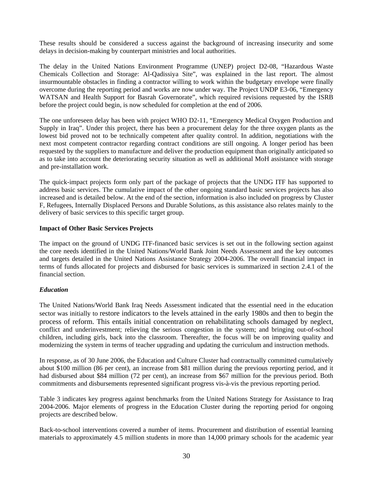These results should be considered a success against the background of increasing insecurity and some delays in decision-making by counterpart ministries and local authorities.

The delay in the United Nations Environment Programme (UNEP) project D2-08, "Hazardous Waste Chemicals Collection and Storage: Al-Qadissiya Site", was explained in the last report. The almost insurmountable obstacles in finding a contractor willing to work within the budgetary envelope were finally overcome during the reporting period and works are now under way. The Project UNDP E3-06, "Emergency WATSAN and Health Support for Basrah Governorate", which required revisions requested by the ISRB before the project could begin, is now scheduled for completion at the end of 2006.

The one unforeseen delay has been with project WHO D2-11, "Emergency Medical Oxygen Production and Supply in Iraq". Under this project, there has been a procurement delay for the three oxygen plants as the lowest bid proved not to be technically competent after quality control. In addition, negotiations with the next most competent contractor regarding contract conditions are still ongoing. A longer period has been requested by the suppliers to manufacture and deliver the production equipment than originally anticipated so as to take into account the deteriorating security situation as well as additional MoH assistance with storage and pre-installation work.

The quick-impact projects form only part of the package of projects that the UNDG ITF has supported to address basic services. The cumulative impact of the other ongoing standard basic services projects has also increased and is detailed below. At the end of the section, information is also included on progress by Cluster F, Refugees, Internally Displaced Persons and Durable Solutions, as this assistance also relates mainly to the delivery of basic services to this specific target group.

#### **Impact of Other Basic Services Projects**

The impact on the ground of UNDG ITF-financed basic services is set out in the following section against the core needs identified in the United Nations/World Bank Joint Needs Assessment and the key outcomes and targets detailed in the United Nations Assistance Strategy 2004-2006. The overall financial impact in terms of funds allocated for projects and disbursed for basic services is summarized in section 2.4.1 of the financial section.

## *Education*

The United Nations/World Bank Iraq Needs Assessment indicated that the essential need in the education sector was initially to restore indicators to the levels attained in the early 1980s and then to begin the process of reform. This entails initial concentration on rehabilitating schools damaged by neglect, conflict and underinvestment; relieving the serious congestion in the system; and bringing out-of-school children, including girls, back into the classroom. Thereafter, the focus will be on improving quality and modernizing the system in terms of teacher upgrading and updating the curriculum and instruction methods.

In response, as of 30 June 2006, the Education and Culture Cluster had contractually committed cumulatively about \$100 million (86 per cent), an increase from \$81 million during the previous reporting period, and it had disbursed about \$84 million (72 per cent), an increase from \$67 million for the previous period. Both commitments and disbursements represented significant progress vis-à-vis the previous reporting period.

Table 3 indicates key progress against benchmarks from the United Nations Strategy for Assistance to Iraq 2004-2006. Major elements of progress in the Education Cluster during the reporting period for ongoing projects are described below.

Back-to-school interventions covered a number of items. Procurement and distribution of essential learning materials to approximately 4.5 million students in more than 14,000 primary schools for the academic year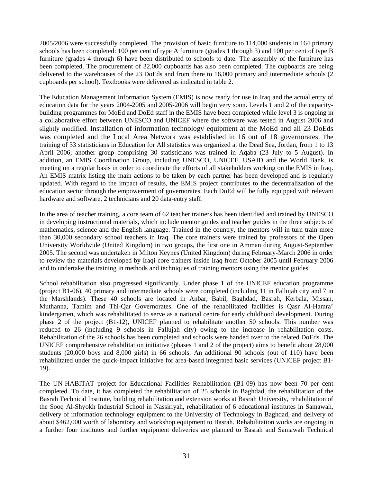2005/2006 were successfully completed. The provision of basic furniture to 114,000 students in 164 primary schools has been completed: 100 per cent of type A furniture (grades 1 through 3) and 100 per cent of type B furniture (grades 4 through 6) have been distributed to schools to date. The assembly of the furniture has been completed. The procurement of 32,000 cupboards has also been completed. The cupboards are being delivered to the warehouses of the 23 DoEds and from there to 16,000 primary and intermediate schools (2) cupboards per school). Textbooks were delivered as indicated in table 2.

The Education Management Information System (EMIS) is now ready for use in Iraq and the actual entry of education data for the years 2004-2005 and 2005-2006 will begin very soon. Levels 1 and 2 of the capacitybuilding programmes for MoEd and DoEd staff in the EMIS have been completed while level 3 is ongoing in a collaborative effort between UNESCO and UNICEF where the software was tested in August 2006 and slightly modified. Installation of information technology equipment at the MoEd and all 23 DoEds was completed and the Local Area Network was established in 16 out of 18 governorates. The training of 33 statisticians in Education for All statistics was organized at the Dead Sea, Jordan, from 1 to 13 April 2006; another group comprising 30 statisticians was trained in Aqaba (23 July to 5 August). In addition, an EMIS Coordination Group, including UNESCO, UNICEF, USAID and the World Bank, is meeting on a regular basis in order to coordinate the efforts of all stakeholders working on the EMIS in Iraq. An EMIS matrix listing the main actions to be taken by each partner has been developed and is regularly updated. With regard to the impact of results, the EMIS project contributes to the decentralization of the education sector through the empowerment of governorates. Each DoEd will be fully equipped with relevant hardware and software, 2 technicians and 20 data-entry staff.

In the area of teacher training, a core team of 62 teacher trainers has been identified and trained by UNESCO in developing instructional materials, which include mentor guides and teacher guides in the three subjects of mathematics, science and the English language. Trained in the country, the mentors will in turn train more than 30,000 secondary school teachers in Iraq. The core trainers were trained by professors of the Open University Worldwide (United Kingdom) in two groups, the first one in Amman during August-September 2005. The second was undertaken in Milton Keynes (United Kingdom) during February-March 2006 in order to review the materials developed by Iraqi core trainers inside Iraq from October 2005 until February 2006 and to undertake the training in methods and techniques of training mentors using the mentor guides.

School rehabilitation also progressed significantly. Under phase 1 of the UNICEF education programme (project B1-06), 40 primary and intermediate schools were completed (including 11 in Fallujah city and 7 in the Marshlands). These 40 schools are located in Anbar, Babil, Baghdad, Basrah, Kerbala, Missan, Muthanna, Tamim and Thi-Qar Governorates. One of the rehabilitated facilities is Qasr Al-Hamra' kindergarten, which was rehabilitated to serve as a national centre for early childhood development. During phase 2 of the project (B1-12), UNICEF planned to rehabilitate another 50 schools. This number was reduced to 26 (including 9 schools in Fallujah city) owing to the increase in rehabilitation costs. Rehabilitation of the 26 schools has been completed and schools were handed over to the related DoEds. The UNICEF comprehensive rehabilitation initiative (phases 1 and 2 of the project) aims to benefit about 28,000 students (20,000 boys and 8,000 girls) in 66 schools. An additional 90 schools (out of 110) have been rehabilitated under the quick-impact initiative for area-based integrated basic services (UNICEF project B1- 19).

The UN-HABITAT project for Educational Facilities Rehabilitation (B1-09) has now been 70 per cent completed. To date, it has completed the rehabilitation of 25 schools in Baghdad, the rehabilitation of the Basrah Technical Institute, building rehabilitation and extension works at Basrah University, rehabilitation of the Sooq Al-Shyokh Industrial School in Nassiriyah, rehabilitation of 6 educational institutes in Samawah, delivery of information technology equipment to the University of Technology in Baghdad, and delivery of about \$462,000 worth of laboratory and workshop equipment to Basrah. Rehabilitation works are ongoing in a further four institutes and further equipment deliveries are planned to Basrah and Samawah Technical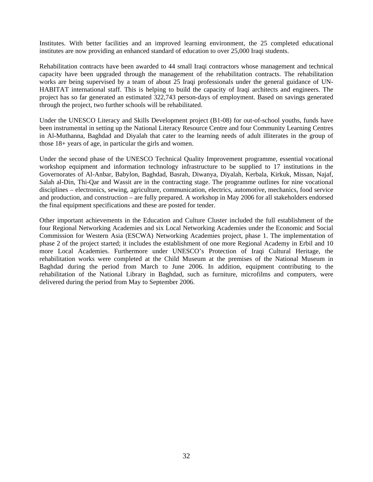Institutes. With better facilities and an improved learning environment, the 25 completed educational institutes are now providing an enhanced standard of education to over 25,000 Iraqi students.

Rehabilitation contracts have been awarded to 44 small Iraqi contractors whose management and technical capacity have been upgraded through the management of the rehabilitation contracts. The rehabilitation works are being supervised by a team of about 25 Iraqi professionals under the general guidance of UN-HABITAT international staff. This is helping to build the capacity of Iraqi architects and engineers. The project has so far generated an estimated 322,743 person-days of employment. Based on savings generated through the project, two further schools will be rehabilitated.

Under the UNESCO Literacy and Skills Development project (B1-08) for out-of-school youths, funds have been instrumental in setting up the National Literacy Resource Centre and four Community Learning Centres in Al-Muthanna, Baghdad and Diyalah that cater to the learning needs of adult illiterates in the group of those 18+ years of age, in particular the girls and women.

Under the second phase of the UNESCO Technical Quality Improvement programme, essential vocational workshop equipment and information technology infrastructure to be supplied to 17 institutions in the Governorates of Al-Anbar, Babylon, Baghdad, Basrah, Diwanya, Diyalah, Kerbala, Kirkuk, Missan, Najaf, Salah al-Din, Thi-Qar and Wassit are in the contracting stage. The programme outlines for nine vocational disciplines – electronics, sewing, agriculture, communication, electrics, automotive, mechanics, food service and production, and construction – are fully prepared. A workshop in May 2006 for all stakeholders endorsed the final equipment specifications and these are posted for tender.

Other important achievements in the Education and Culture Cluster included the full establishment of the four Regional Networking Academies and six Local Networking Academies under the Economic and Social Commission for Western Asia (ESCWA) Networking Academies project, phase 1. The implementation of phase 2 of the project started; it includes the establishment of one more Regional Academy in Erbil and 10 more Local Academies. Furthermore under UNESCO's Protection of Iraqi Cultural Heritage, the rehabilitation works were completed at the Child Museum at the premises of the National Museum in Baghdad during the period from March to June 2006. In addition, equipment contributing to the rehabilitation of the National Library in Baghdad, such as furniture, microfilms and computers, were delivered during the period from May to September 2006.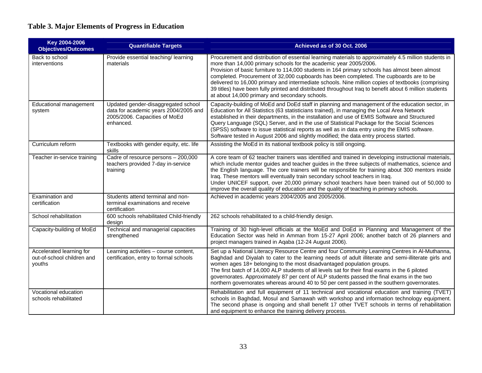# **Table 3. Major Elements of Progress in Education**

<span id="page-32-0"></span>

| Key 2004-2006<br><b>Objectives/Outcomes</b>                      | <b>Quantifiable Targets</b>                                                                                                | Achieved as of 30 Oct. 2006                                                                                                                                                                                                                                                                                                                                                                                                                                                                                                                                                                                                              |
|------------------------------------------------------------------|----------------------------------------------------------------------------------------------------------------------------|------------------------------------------------------------------------------------------------------------------------------------------------------------------------------------------------------------------------------------------------------------------------------------------------------------------------------------------------------------------------------------------------------------------------------------------------------------------------------------------------------------------------------------------------------------------------------------------------------------------------------------------|
| Back to school<br>interventions                                  | Provide essential teaching/learning<br>materials                                                                           | Procurement and distribution of essential learning materials to approximately 4.5 million students in<br>more than 14,000 primary schools for the academic year 2005/2006.<br>Provision of basic furniture to 114,000 students in 164 primary schools has almost been almost<br>completed. Procurement of 32,000 cupboards has been completed. The cupboards are to be<br>delivered to 16,000 primary and intermediate schools. Nine million copies of textbooks (comprising<br>39 titles) have been fully printed and distributed throughout Iraq to benefit about 6 million students<br>at about 14,000 primary and secondary schools. |
| Educational management<br>system                                 | Updated gender-disaggregated school<br>data for academic years 2004/2005 and<br>2005/2006. Capacities of MoEd<br>enhanced. | Capacity-building of MoEd and DoEd staff in planning and management of the education sector, in<br>Education for All Statistics (63 statisticians trained), in managing the Local Area Network<br>established in their departments, in the installation and use of EMIS Software and Structured<br>Query Language (SQL) Server, and in the use of Statistical Package for the Social Sciences<br>(SPSS) software to issue statistical reports as well as in data entry using the EMIS software.<br>Software tested in August 2006 and slightly modified; the data entry process started.                                                 |
| Curriculum reform                                                | Textbooks with gender equity, etc. life<br>skills                                                                          | Assisting the MoEd in its national textbook policy is still ongoing.                                                                                                                                                                                                                                                                                                                                                                                                                                                                                                                                                                     |
| Teacher in-service training                                      | Cadre of resource persons - 200,000<br>teachers provided 7-day in-service<br>training                                      | A core team of 62 teacher trainers was identified and trained in developing instructional materials,<br>which include mentor guides and teacher guides in the three subjects of mathematics, science and<br>the English language. The core trainers will be responsible for training about 300 mentors inside<br>Iraq. These mentors will eventually train secondary school teachers in Iraq.<br>Under UNICEF support, over 20,000 primary school teachers have been trained out of 50,000 to<br>improve the overall quality of education and the quality of teaching in primary schools.                                                |
| Examination and<br>certification                                 | Students attend terminal and non-<br>terminal examinations and receive<br>certification                                    | Achieved in academic years 2004/2005 and 2005/2006.                                                                                                                                                                                                                                                                                                                                                                                                                                                                                                                                                                                      |
| School rehabilitation                                            | 600 schools rehabilitated Child-friendly<br>design                                                                         | 262 schools rehabilitated to a child-friendly design.                                                                                                                                                                                                                                                                                                                                                                                                                                                                                                                                                                                    |
| Capacity-building of MoEd                                        | Technical and managerial capacities<br>strengthened                                                                        | Training of 30 high-level officials at the MoEd and DoEd in Planning and Management of the<br>Education Sector was held in Amman from 15-27 April 2006; another batch of 26 planners and<br>project managers trained in Aqaba (12-24 August 2006).                                                                                                                                                                                                                                                                                                                                                                                       |
| Accelerated learning for<br>out-of-school children and<br>youths | Learning activities - course content,<br>certification, entry to formal schools                                            | Set up a National Literacy Resource Centre and four Community Learning Centres in Al-Muthanna,<br>Baghdad and Diyalah to cater to the learning needs of adult illiterate and semi-illiterate girls and<br>women ages 18+ belonging to the most disadvantaged population groups.<br>The first batch of 14,000 ALP students of all levels sat for their final exams in the 6 piloted<br>governorates. Approximately 87 per cent of ALP students passed the final exams in the two<br>northern governorates whereas around 40 to 50 per cent passed in the southern governorates.                                                           |
| Vocational education<br>schools rehabilitated                    |                                                                                                                            | Rehabilitation and full equipment of 11 technical and vocational education and training (TVET)<br>schools in Baghdad, Mosul and Samawah with workshop and information technology equipment.<br>The second phase is ongoing and shall benefit 17 other TVET schools in terms of rehabilitation<br>and equipment to enhance the training delivery process.                                                                                                                                                                                                                                                                                 |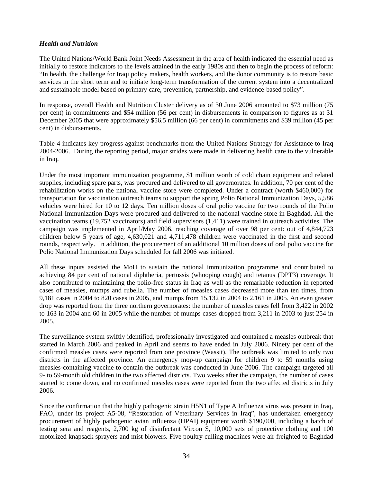## *Health and Nutrition*

The United Nations/World Bank Joint Needs Assessment in the area of health indicated the essential need as initially to restore indicators to the levels attained in the early 1980s and then to begin the process of reform: "In health, the challenge for Iraqi policy makers, health workers, and the donor community is to restore basic services in the short term and to initiate long-term transformation of the current system into a decentralized and sustainable model based on primary care, prevention, partnership, and evidence-based policy".

In response, overall Health and Nutrition Cluster delivery as of 30 June 2006 amounted to \$73 million (75 per cent) in commitments and \$54 million (56 per cent) in disbursements in comparison to figures as at 31 December 2005 that were approximately \$56.5 million (66 per cent) in commitments and \$39 million (45 per cent) in disbursements.

Table 4 indicates key progress against benchmarks from the United Nations Strategy for Assistance to Iraq 2004-2006. During the reporting period, major strides were made in delivering health care to the vulnerable in Iraq.

Under the most important immunization programme, \$1 million worth of cold chain equipment and related supplies, including spare parts, was procured and delivered to all governorates. In addition, 70 per cent of the rehabilitation works on the national vaccine store were completed. Under a contract (worth \$460,000) for transportation for vaccination outreach teams to support the spring Polio National Immunization Days, 5,586 vehicles were hired for 10 to 12 days. Ten million doses of oral polio vaccine for two rounds of the Polio National Immunization Days were procured and delivered to the national vaccine store in Baghdad. All the vaccination teams (19,752 vaccinators) and field supervisors (1,411) were trained in outreach activities. The campaign was implemented in April/May 2006, reaching coverage of over 98 per cent: out of 4,844,723 children below 5 years of age, 4,630,021 and 4,711,478 children were vaccinated in the first and second rounds, respectively. In addition, the procurement of an additional 10 million doses of oral polio vaccine for Polio National Immunization Days scheduled for fall 2006 was initiated.

All these inputs assisted the MoH to sustain the national immunization programme and contributed to achieving 84 per cent of national diphtheria, pertussis (whooping cough) and tetanus (DPT3) coverage. It also contributed to maintaining the polio-free status in Iraq as well as the remarkable reduction in reported cases of measles, mumps and rubella. The number of measles cases decreased more than ten times, from 9,181 cases in 2004 to 820 cases in 2005, and mumps from 15,132 in 2004 to 2,161 in 2005. An even greater drop was reported from the three northern governorates: the number of measles cases fell from 3,422 in 2002 to 163 in 2004 and 60 in 2005 while the number of mumps cases dropped from 3,211 in 2003 to just 254 in 2005.

The surveillance system swiftly identified, professionally investigated and contained a measles outbreak that started in March 2006 and peaked in April and seems to have ended in July 2006. Ninety per cent of the confirmed measles cases were reported from one province (Wassit). The outbreak was limited to only two districts in the affected province. An emergency mop-up campaign for children 9 to 59 months using measles-containing vaccine to contain the outbreak was conducted in June 2006. The campaign targeted all 9- to 59-month old children in the two affected districts. Two weeks after the campaign, the number of cases started to come down, and no confirmed measles cases were reported from the two affected districts in July 2006.

Since the confirmation that the highly pathogenic strain H5N1 of Type A Influenza virus was present in Iraq, FAO, under its project A5-08, "Restoration of Veterinary Services in Iraq", has undertaken emergency procurement of highly pathogenic avian influenza (HPAI) equipment worth \$190,000, including a batch of testing sera and reagents, 2,700 kg of disinfectant Vircon S, 10,000 sets of protective clothing and 100 motorized knapsack sprayers and mist blowers. Five poultry culling machines were air freighted to Baghdad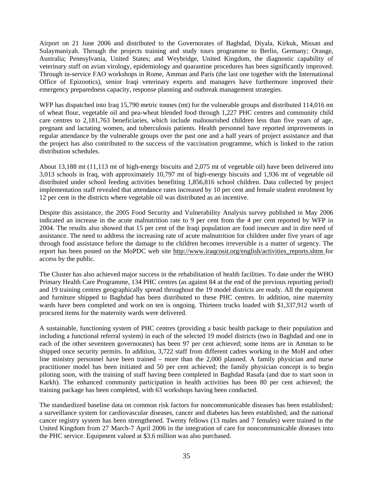Airport on 21 June 2006 and distributed to the Governorates of Baghdad, Diyala, Kirkuk, Missan and Sulaymaniyah. Through the projects training and study tours programme to Berlin, Germany; Orange, Australia; Pennsylvania, United States; and Weybridge, United Kingdom, the diagnostic capability of veterinary staff on avian virology, epidemiology and quarantine procedures has been significantly improved. Through in-service FAO workshops in Rome, Amman and Paris (the last one together with the International Office of Epizootics), senior Iraqi veterinary experts and managers have furthermore improved their emergency preparedness capacity, response planning and outbreak management strategies.

WFP has dispatched into Iraq 15,790 metric tonnes (mt) for the vulnerable groups and distributed 114,016 mt of wheat flour, vegetable oil and pea-wheat blended food through 1,227 PHC centres and community child care centres to 2,181,763 beneficiaries, which include malnourished children less than five years of age, pregnant and lactating women, and tuberculosis patients. Health personnel have reported improvements in regular attendance by the vulnerable groups over the past one and a half years of project assistance and that the project has also contributed to the success of the vaccination programme, which is linked to the ration distribution schedules.

About 13,188 mt (11,113 mt of high-energy biscuits and 2,075 mt of vegetable oil) have been delivered into 3,013 schools in Iraq, with approximately 10,797 mt of high-energy biscuits and 1,936 mt of vegetable oil distributed under school feeding activities benefiting 1,856,816 school children. Data collected by project implementation staff revealed that attendance rates increased by 10 per cent and female student enrolment by 12 per cent in the districts where vegetable oil was distributed as an incentive.

Despite this assistance, the 2005 Food Security and Vulnerability Analysis survey published in May 2006 indicated an increase in the acute malnutrition rate to 9 per cent from the 4 per cent reported by WFP in 2004. The results also showed that 15 per cent of the Iraqi population are food insecure and in dire need of assistance. The need to address the increasing rate of acute malnutrition for children under five years of age through food assistance before the damage to the children becomes irreversible is a matter of urgency. The report has been posted on the MoPDC web site http://www.iraqcosit.org/english/activities reports.shtm for access by the public.

The Cluster has also achieved major success in the rehabilitation of health facilities. To date under the WHO Primary Health Care Programme, 134 PHC centres (as against 84 at the end of the previous reporting period) and 19 training centres geographically spread throughout the 19 model districts are ready. All the equipment and furniture shipped to Baghdad has been distributed to these PHC centres. In addition, nine maternity wards have been completed and work on ten is ongoing. Thirteen trucks loaded with \$1,337,912 worth of procured items for the maternity wards were delivered.

A sustainable, functioning system of PHC centres (providing a basic health package to their population and including a functional referral system) in each of the selected 19 model districts (two in Baghdad and one in each of the other seventeen governorates) has been 97 per cent achieved; some items are in Amman to be shipped once security permits. In addition, 3,722 staff from different cadres working in the MoH and other line ministry personnel have been trained – more than the 2,000 planned. A family physician and nurse practitioner model has been initiated and 50 per cent achieved; the family physician concept is to begin piloting soon, with the training of staff having been completed in Baghdad Rasafa (and due to start soon in Karkh). The enhanced community participation in health activities has been 80 per cent achieved; the training package has been completed, with 63 workshops having been conducted.

The standardized baseline data on common risk factors for noncommunicable diseases has been established; a surveillance system for cardiovascular diseases, cancer and diabetes has been established; and the national cancer registry system has been strengthened. Twenty fellows (13 males and 7 females) were trained in the United Kingdom from 27 March-7 April 2006 in the integration of care for noncommunicable diseases into the PHC service. Equipment valued at \$3.6 million was also purchased.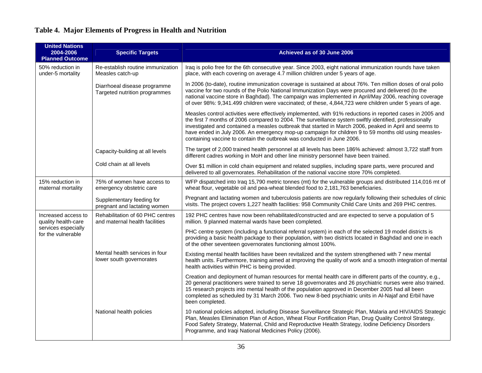|  |  |  |  |  | Table 4. Major Elements of Progress in Health and Nutrition |
|--|--|--|--|--|-------------------------------------------------------------|
|--|--|--|--|--|-------------------------------------------------------------|

<span id="page-35-0"></span>

| <b>United Nations</b><br>2004-2006<br><b>Planned Outcome</b> | <b>Specific Targets</b>                                            | Achieved as of 30 June 2006                                                                                                                                                                                                                                                                                                                                                                                                                                                                                       |  |  |  |
|--------------------------------------------------------------|--------------------------------------------------------------------|-------------------------------------------------------------------------------------------------------------------------------------------------------------------------------------------------------------------------------------------------------------------------------------------------------------------------------------------------------------------------------------------------------------------------------------------------------------------------------------------------------------------|--|--|--|
| 50% reduction in<br>under-5 mortality                        | Re-establish routine immunization<br>Measles catch-up              | Iraq is polio free for the 6th consecutive year. Since 2003, eight national immunization rounds have taken<br>place, with each covering on average 4.7 million children under 5 years of age.                                                                                                                                                                                                                                                                                                                     |  |  |  |
|                                                              | Diarrhoeal disease programme<br>Targeted nutrition programmes      | In 2006 (to-date), routine immunization coverage is sustained at about 76%. Ten million doses of oral polio<br>vaccine for two rounds of the Polio National Immunization Days were procured and delivered (to the<br>national vaccine store in Baghdad). The campaign was implemented in April/May 2006, reaching coverage<br>of over 98%: 9,341.499 children were vaccinated; of these, 4,844,723 were children under 5 years of age.                                                                            |  |  |  |
|                                                              |                                                                    | Measles control activities were effectively implemented, with 91% reductions in reported cases in 2005 and<br>the first 7 months of 2006 compared to 2004. The surveillance system swiftly identified, professionally<br>investigated and contained a measles outbreak that started in March 2006, peaked in April and seems to<br>have ended in July 2006. An emergency mop-up campaign for children 9 to 59 months old using measles-<br>containing vaccine to contain the outbreak was conducted in June 2006. |  |  |  |
|                                                              | Capacity-building at all levels                                    | The target of 2,000 trained health personnel at all levels has been 186% achieved: almost 3,722 staff from<br>different cadres working in MoH and other line ministry personnel have been trained.                                                                                                                                                                                                                                                                                                                |  |  |  |
|                                                              | Cold chain at all levels                                           | Over \$1 million in cold chain equipment and related supplies, including spare parts, were procured and<br>delivered to all governorates. Rehabilitation of the national vaccine store 70% completed.                                                                                                                                                                                                                                                                                                             |  |  |  |
| 15% reduction in<br>maternal mortality                       | 75% of women have access to<br>emergency obstetric care            | WFP dispatched into Iraq 15,790 metric tonnes (mt) for the vulnerable groups and distributed 114,016 mt of<br>wheat flour, vegetable oil and pea-wheat blended food to 2,181,763 beneficiaries.                                                                                                                                                                                                                                                                                                                   |  |  |  |
|                                                              | Supplementary feeding for<br>pregnant and lactating women          | Pregnant and lactating women and tuberculosis patients are now regularly following their schedules of clinic<br>visits. The project covers 1,227 health facilities: 958 Community Child Care Units and 269 PHC centres.                                                                                                                                                                                                                                                                                           |  |  |  |
| Increased access to<br>quality health-care                   | Rehabilitation of 60 PHC centres<br>and maternal health facilities | 192 PHC centres have now been rehabilitated/constructed and are expected to serve a population of 5<br>million. 9 planned maternal wards have been completed.                                                                                                                                                                                                                                                                                                                                                     |  |  |  |
| services especially<br>for the vulnerable                    |                                                                    | PHC centre system (including a functional referral system) in each of the selected 19 model districts is<br>providing a basic health package to their population, with two districts located in Baghdad and one in each<br>of the other seventeen governorates functioning almost 100%.                                                                                                                                                                                                                           |  |  |  |
|                                                              | Mental health services in four<br>lower south governorates         | Existing mental health facilities have been revitalized and the system strengthened with 7 new mental<br>health units. Furthermore, training aimed at improving the quality of work and a smooth integration of mental<br>health activities within PHC is being provided.                                                                                                                                                                                                                                         |  |  |  |
|                                                              |                                                                    | Creation and deployment of human resources for mental health care in different parts of the country, e.g.,<br>20 general practitioners were trained to serve 18 governorates and 26 psychiatric nurses were also trained.<br>15 research projects into mental health of the population approved in December 2005 had all been<br>completed as scheduled by 31 March 2006. Two new 8-bed psychiatric units in Al-Najaf and Erbil have<br>been completed.                                                           |  |  |  |
|                                                              | National health policies                                           | 10 national policies adopted, including Disease Surveillance Strategic Plan, Malaria and HIV/AIDS Strategic<br>Plan, Measles Elimination Plan of Action, Wheat Flour Fortification Plan, Drug Quality Control Strategy,<br>Food Safety Strategy, Maternal, Child and Reproductive Health Strategy, Iodine Deficiency Disorders<br>Programme, and Iraqi National Medicines Policy (2006).                                                                                                                          |  |  |  |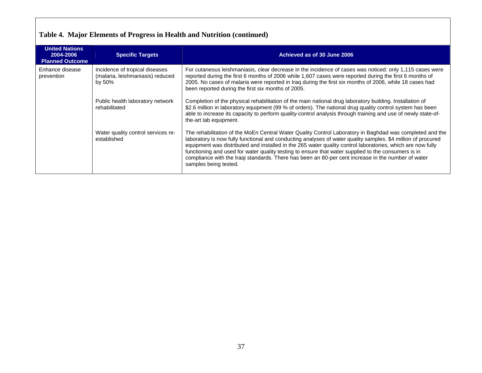# **Table 4. Major Elements of Progress in Health and Nutrition (continued)**

| <b>United Nations</b><br>2004-2006<br><b>Planned Outcome</b> | <b>Specific Targets</b>                                                      | Achieved as of 30 June 2006                                                                                                                                                                                                                                                                                                                                                                                                                                                                                                                                                  |
|--------------------------------------------------------------|------------------------------------------------------------------------------|------------------------------------------------------------------------------------------------------------------------------------------------------------------------------------------------------------------------------------------------------------------------------------------------------------------------------------------------------------------------------------------------------------------------------------------------------------------------------------------------------------------------------------------------------------------------------|
| Enhance disease<br>prevention                                | Incidence of tropical diseases<br>(malaria, leishmaniasis) reduced<br>by 50% | For cutaneous leishmaniasis, clear decrease in the incidence of cases was noticed: only 1,115 cases were<br>reported during the first 6 months of 2006 while 1,607 cases were reported during the first 6 months of<br>2005. No cases of malaria were reported in Iraq during the first six months of 2006, while 18 cases had<br>been reported during the first six months of 2005.                                                                                                                                                                                         |
|                                                              | Public health laboratory network<br>rehabilitated                            | Completion of the physical rehabilitation of the main national drug laboratory building. Installation of<br>\$2.6 million in laboratory equipment (99 % of orders). The national drug quality control system has been<br>able to increase its capacity to perform quality-control analysis through training and use of newly state-of-<br>the-art lab equipment.                                                                                                                                                                                                             |
|                                                              | Water quality control services re-<br>established                            | The rehabilitation of the MoEn Central Water Quality Control Laboratory in Baghdad was completed and the<br>laboratory is now fully functional and conducting analyses of water quality samples. \$4 million of procured<br>equipment was distributed and installed in the 265 water quality control laboratories, which are now fully<br>functioning and used for water quality testing to ensure that water supplied to the consumers is in<br>compliance with the Iraqi standards. There has been an 80-per cent increase in the number of water<br>samples being tested. |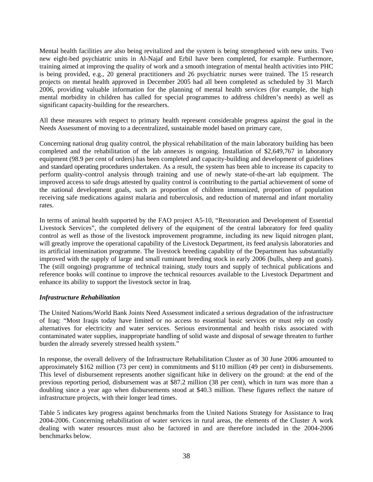Mental health facilities are also being revitalized and the system is being strengthened with new units. Two new eight-bed psychiatric units in Al-Najaf and Erbil have been completed, for example. Furthermore, training aimed at improving the quality of work and a smooth integration of mental health activities into PHC is being provided, e.g., 20 general practitioners and 26 psychiatric nurses were trained. The 15 research projects on mental health approved in December 2005 had all been completed as scheduled by 31 March 2006, providing valuable information for the planning of mental health services (for example, the high mental morbidity in children has called for special programmes to address children's needs) as well as significant capacity-building for the researchers.

All these measures with respect to primary health represent considerable progress against the goal in the Needs Assessment of moving to a decentralized, sustainable model based on primary care,

Concerning national drug quality control, the physical rehabilitation of the main laboratory building has been completed and the rehabilitation of the lab annexes is ongoing. Installation of \$2,649,767 in laboratory equipment (98.9 per cent of orders) has been completed and capacity-building and development of guidelines and standard operating procedures undertaken. As a result, the system has been able to increase its capacity to perform quality-control analysis through training and use of newly state-of-the-art lab equipment. The improved access to safe drugs attested by quality control is contributing to the partial achievement of some of the national development goals, such as proportion of children immunized, proportion of population receiving safe medications against malaria and tuberculosis, and reduction of maternal and infant mortality rates.

In terms of animal health supported by the FAO project A5-10, "Restoration and Development of Essential Livestock Services", the completed delivery of the equipment of the central laboratory for feed quality control as well as those of the livestock improvement programme, including its new liquid nitrogen plant, will greatly improve the operational capability of the Livestock Department, its feed analysis laboratories and its artificial insemination programme. The livestock breeding capability of the Department has substantially improved with the supply of large and small ruminant breeding stock in early 2006 (bulls, sheep and goats). The (still ongoing) programme of technical training, study tours and supply of technical publications and reference books will continue to improve the technical resources available to the Livestock Department and enhance its ability to support the livestock sector in Iraq.

#### *Infrastructure Rehabilitation*

The United Nations/World Bank Joints Need Assessment indicated a serious degradation of the infrastructure of Iraq: "Most Iraqis today have limited or no access to essential basic services or must rely on costly alternatives for electricity and water services. Serious environmental and health risks associated with contaminated water supplies, inappropriate handling of solid waste and disposal of sewage threaten to further burden the already severely stressed health system."

In response, the overall delivery of the Infrastructure Rehabilitation Cluster as of 30 June 2006 amounted to approximately \$162 million (73 per cent) in commitments and \$110 million (49 per cent) in disbursements. This level of disbursement represents another significant hike in delivery on the ground: at the end of the previous reporting period, disbursement was at \$87.2 million (38 per cent), which in turn was more than a doubling since a year ago when disbursements stood at \$40.3 million. These figures reflect the nature of infrastructure projects, with their longer lead times.

Table 5 indicates key progress against benchmarks from the United Nations Strategy for Assistance to Iraq 2004-2006. Concerning rehabilitation of water services in rural areas, the elements of the Cluster A work dealing with water resources must also be factored in and are therefore included in the 2004-2006 benchmarks below.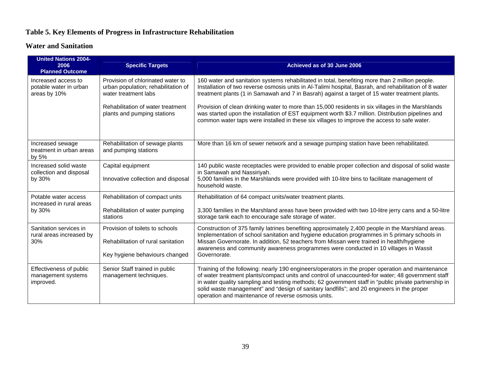## **Table 5. Key Elements of Progress in Infrastructure Rehabilitation**

## **Water and Sanitation**

| <b>United Nations 2004-</b><br>2006<br><b>Planned Outcome</b> | <b>Specific Targets</b>                                                                                                                                              | Achieved as of 30 June 2006                                                                                                                                                                                                                                                                                                                                                                                                                                                                                            |
|---------------------------------------------------------------|----------------------------------------------------------------------------------------------------------------------------------------------------------------------|------------------------------------------------------------------------------------------------------------------------------------------------------------------------------------------------------------------------------------------------------------------------------------------------------------------------------------------------------------------------------------------------------------------------------------------------------------------------------------------------------------------------|
| Increased access to<br>potable water in urban<br>areas by 10% | Provision of chlorinated water to<br>urban population; rehabilitation of<br>water treatment labs<br>Rehabilitation of water treatment<br>plants and pumping stations | 160 water and sanitation systems rehabilitated in total, benefiting more than 2 million people.<br>Installation of two reverse osmosis units in Al-Talimi hospital, Basrah, and rehabilitation of 8 water<br>treatment plants (1 in Samawah and 7 in Basrah) against a target of 15 water treatment plants.<br>Provision of clean drinking water to more than 15,000 residents in six villages in the Marshlands<br>was started upon the installation of EST equipment worth \$3.7 million. Distribution pipelines and |
| Increased sewage                                              | Rehabilitation of sewage plants                                                                                                                                      | common water taps were installed in these six villages to improve the access to safe water.<br>More than 16 km of sewer network and a sewage pumping station have been rehabilitated.                                                                                                                                                                                                                                                                                                                                  |
| treatment in urban areas<br>by 5%                             | and pumping stations                                                                                                                                                 |                                                                                                                                                                                                                                                                                                                                                                                                                                                                                                                        |
| Increased solid waste<br>collection and disposal<br>by 30%    | Capital equipment<br>Innovative collection and disposal                                                                                                              | 140 public waste receptacles were provided to enable proper collection and disposal of solid waste<br>in Samawah and Nassiriyah.<br>5,000 families in the Marshlands were provided with 10-litre bins to facilitate management of                                                                                                                                                                                                                                                                                      |
|                                                               |                                                                                                                                                                      | household waste.                                                                                                                                                                                                                                                                                                                                                                                                                                                                                                       |
| Potable water access<br>increased in rural areas              | Rehabilitation of compact units                                                                                                                                      | Rehabilitation of 64 compact units/water treatment plants.                                                                                                                                                                                                                                                                                                                                                                                                                                                             |
| by 30%                                                        | Rehabilitation of water pumping<br>stations                                                                                                                          | 3,300 families in the Marshland areas have been provided with two 10-litre jerry cans and a 50-litre<br>storage tank each to encourage safe storage of water.                                                                                                                                                                                                                                                                                                                                                          |
| Sanitation services in<br>rural areas increased by            | Provision of toilets to schools                                                                                                                                      | Construction of 375 family latrines benefiting approximately 2,400 people in the Marshland areas.<br>Implementation of school sanitation and hygiene education programmes in 5 primary schools in                                                                                                                                                                                                                                                                                                                      |
| 30%                                                           | Rehabilitation of rural sanitation                                                                                                                                   | Missan Governorate. In addition, 52 teachers from Missan were trained in health/hygiene<br>awareness and community awareness programmes were conducted in 10 villages in Wassit                                                                                                                                                                                                                                                                                                                                        |
|                                                               | Key hygiene behaviours changed                                                                                                                                       | Governorate.                                                                                                                                                                                                                                                                                                                                                                                                                                                                                                           |
| Effectiveness of public<br>management systems<br>improved.    | Senior Staff trained in public<br>management techniques.                                                                                                             | Training of the following: nearly 190 engineers/operators in the proper operation and maintenance<br>of water treatment plants/compact units and control of unaccounted-for water; 48 government staff<br>in water quality sampling and testing methods; 62 government staff in "public private partnership in<br>solid waste management" and "design of sanitary landfills"; and 20 engineers in the proper<br>operation and maintenance of reverse osmosis units.                                                    |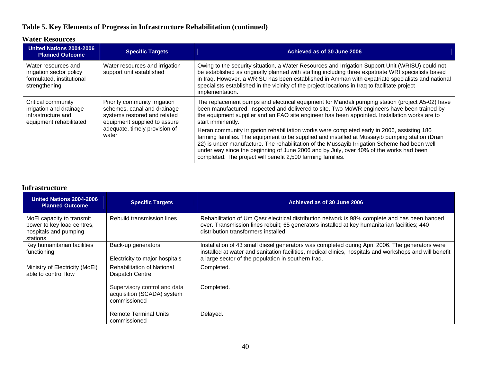## **Table 5. Key Elements of Progress in Infrastructure Rehabilitation (continued)**

#### **Water Resources**

| United Nations 2004-2006<br><b>Planned Outcome</b>                                             | <b>Specific Targets</b>                                                                                                                                                | Achieved as of 30 June 2006                                                                                                                                                                                                                                                                                                                                                                                                                             |
|------------------------------------------------------------------------------------------------|------------------------------------------------------------------------------------------------------------------------------------------------------------------------|---------------------------------------------------------------------------------------------------------------------------------------------------------------------------------------------------------------------------------------------------------------------------------------------------------------------------------------------------------------------------------------------------------------------------------------------------------|
| Water resources and<br>irrigation sector policy<br>formulated, institutional<br>strengthening  | Water resources and irrigation<br>support unit established                                                                                                             | Owing to the security situation, a Water Resources and Irrigation Support Unit (WRISU) could not<br>be established as originally planned with staffing including three expatriate WRI specialists based<br>in Iraq. However, a WRISU has been established in Amman with expatriate specialists and national<br>specialists established in the vicinity of the project locations in Iraq to facilitate project<br>implementation.                        |
| Critical community<br>irrigation and drainage<br>infrastructure and<br>equipment rehabilitated | Priority community irrigation<br>schemes, canal and drainage<br>systems restored and related<br>equipment supplied to assure<br>adequate, timely provision of<br>water | The replacement pumps and electrical equipment for Mandali pumping station (project A5-02) have<br>been manufactured, inspected and delivered to site. Two MoWR engineers have been trained by<br>the equipment supplier and an FAO site engineer has been appointed. Installation works are to<br>start imminently.                                                                                                                                    |
|                                                                                                |                                                                                                                                                                        | Heran community irrigation rehabilitation works were completed early in 2006, assisting 180<br>farming families. The equipment to be supplied and installed at Mussayib pumping station (Drain<br>22) is under manufacture. The rehabilitation of the Mussayib Irrigation Scheme had been well<br>under way since the beginning of June 2006 and by July, over 40% of the works had been<br>completed. The project will benefit 2,500 farming families. |

#### **Infrastructure**

| United Nations 2004-2006<br><b>Planned Outcome</b>                                           | <b>Specific Targets</b>                                                    | Achieved as of 30 June 2006                                                                                                                                                                                                                                      |
|----------------------------------------------------------------------------------------------|----------------------------------------------------------------------------|------------------------------------------------------------------------------------------------------------------------------------------------------------------------------------------------------------------------------------------------------------------|
| MoEl capacity to transmit<br>power to key load centres,<br>hospitals and pumping<br>stations | Rebuild transmission lines                                                 | Rehabilitation of Um Qasr electrical distribution network is 98% complete and has been handed<br>over. Transmission lines rebuilt; 65 generators installed at key humanitarian facilities; 440<br>distribution transformers installed.                           |
| Key humanitarian facilities<br>functioning                                                   | Back-up generators<br>Electricity to major hospitals                       | Installation of 43 small diesel generators was completed during April 2006. The generators were<br>installed at water and sanitation facilities, medical clinics, hospitals and workshops and will benefit<br>a large sector of the population in southern Iraq. |
| Ministry of Electricity (MoEl)<br>able to control flow                                       | <b>Rehabilitation of National</b><br>Dispatch Centre                       | Completed.                                                                                                                                                                                                                                                       |
|                                                                                              | Supervisory control and data<br>acquisition (SCADA) system<br>commissioned | Completed.                                                                                                                                                                                                                                                       |
|                                                                                              | <b>Remote Terminal Units</b><br>commissioned                               | Delayed.                                                                                                                                                                                                                                                         |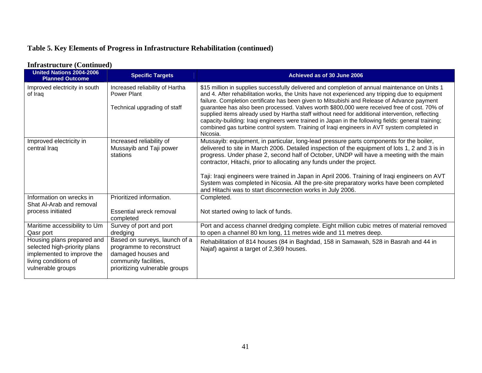## **Table 5. Key Elements of Progress in Infrastructure Rehabilitation (continued)**

#### **United Nations 2004-2006** red Nations 2004-2006<br>Planned Outcome **Achieved as of 30 June 2006** Improved electricity in south of Iraq Increased reliability of Hartha Power Plant Technical upgrading of staff \$15 million in supplies successfully delivered and completion of annual maintenance on Units 1 and 4. After rehabilitation works, the Units have not experienced any tripping due to equipment failure. Completion certificate has been given to Mitsubishi and Release of Advance payment guarantee has also been processed. Valves worth \$800,000 were received free of cost. 70% of supplied items already used by Hartha staff without need for additional intervention, reflecting capacity-building: Iraqi engineers were trained in Japan in the following fields: general training; combined gas turbine control system. Training of Iraqi engineers in AVT system completed in Nicosia. Improved electricity in central Iraq Increased reliability of Mussayib and Taji power stations Mussayib: equipment, in particular, long-lead pressure parts components for the boiler, delivered to site in March 2006. Detailed inspection of the equipment of lots 1, 2 and 3 is in progress. Under phase 2, second half of October, UNDP will have a meeting with the main contractor, Hitachi, prior to allocating any funds under the project. Taji: Iraqi engineers were trained in Japan in April 2006. Training of Iraqi engineers on AVT System was completed in Nicosia. All the pre-site preparatory works have been completed and Hitachi was to start disconnection works in July 2006. Information on wrecks in Shat Al-Arab and removal process initiated Prioritized information. Essential wreck removal completed Completed. Not started owing to lack of funds. Maritime accessibility to Um Qasr port Survey of port and port dredging Port and access channel dredging complete. Eight million cubic metres of material removed to open a channel 80 km long, 11 metres wide and 11 metres deep. Housing plans prepared and selected high-priority plans implemented to improve the living conditions of vulnerable groups Based on surveys, launch of a programme to reconstruct damaged houses and community facilities, prioritizing vulnerable groups Rehabilitation of 814 houses (84 in Baghdad, 158 in Samawah, 528 in Basrah and 44 in Najaf) against a target of 2,369 houses.

#### **Infrastructure (Continued)**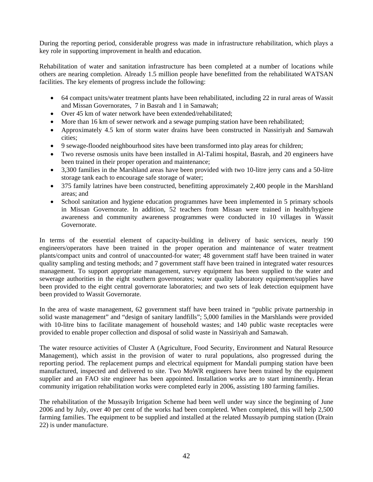During the reporting period, considerable progress was made in infrastructure rehabilitation, which plays a key role in supporting improvement in health and education.

Rehabilitation of water and sanitation infrastructure has been completed at a number of locations while others are nearing completion. Already 1.5 million people have benefitted from the rehabilitated WATSAN facilities. The key elements of progress include the following:

- 64 compact units/water treatment plants have been rehabilitated, including 22 in rural areas of Wassit and Missan Governorates, 7 in Basrah and 1 in Samawah;
- Over 45 km of water network have been extended/rehabilitated:
- More than 16 km of sewer network and a sewage pumping station have been rehabilitated;
- Approximately 4.5 km of storm water drains have been constructed in Nassiriyah and Samawah cities;
- 9 sewage-flooded neighbourhood sites have been transformed into play areas for children;
- Two reverse osmosis units have been installed in Al-Talimi hospital, Basrah, and 20 engineers have been trained in their proper operation and maintenance;
- 3,300 families in the Marshland areas have been provided with two 10-litre jerry cans and a 50-litre storage tank each to encourage safe storage of water;
- 375 family latrines have been constructed, benefitting approximately 2,400 people in the Marshland areas; and
- School sanitation and hygiene education programmes have been implemented in 5 primary schools in Missan Governorate. In addition, 52 teachers from Missan were trained in health/hygiene awareness and community awareness programmes were conducted in 10 villages in Wassit Governorate.

In terms of the essential element of capacity-building in delivery of basic services, nearly 190 engineers/operators have been trained in the proper operation and maintenance of water treatment plants/compact units and control of unaccounted-for water; 48 government staff have been trained in water quality sampling and testing methods; and 7 government staff have been trained in integrated water resources management. To support appropriate management, survey equipment has been supplied to the water and sewerage authorities in the eight southern governorates; water quality laboratory equipment/supplies have been provided to the eight central governorate laboratories; and two sets of leak detection equipment have been provided to Wassit Governorate.

In the area of waste management, 62 government staff have been trained in "public private partnership in solid waste management" and "design of sanitary landfills"; 5,000 families in the Marshlands were provided with 10-litre bins to facilitate management of household wastes; and 140 public waste receptacles were provided to enable proper collection and disposal of solid waste in Nassiriyah and Samawah.

The water resource activities of Cluster A (Agriculture, Food Security, Environment and Natural Resource Management), which assist in the provision of water to rural populations, also progressed during the reporting period. The replacement pumps and electrical equipment for Mandali pumping station have been manufactured, inspected and delivered to site. Two MoWR engineers have been trained by the equipment supplier and an FAO site engineer has been appointed. Installation works are to start imminently**.** Heran community irrigation rehabilitation works were completed early in 2006, assisting 180 farming families.

The rehabilitation of the Mussayib Irrigation Scheme had been well under way since the beginning of June 2006 and by July, over 40 per cent of the works had been completed. When completed, this will help 2,500 farming families. The equipment to be supplied and installed at the related Mussayib pumping station (Drain 22) is under manufacture.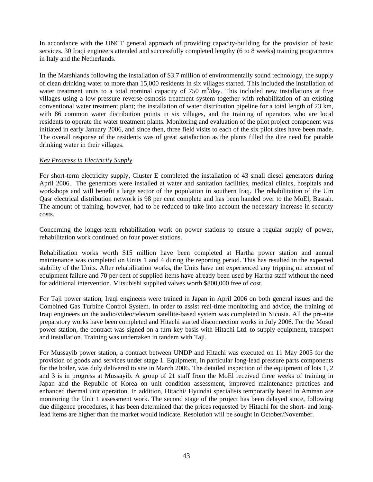In accordance with the UNCT general approach of providing capacity-building for the provision of basic services, 30 Iraqi engineers attended and successfully completed lengthy (6 to 8 weeks) training programmes in Italy and the Netherlands.

In the Marshlands following the installation of \$3.7 million of environmentally sound technology, the supply of clean drinking water to more than 15,000 residents in six villages started. This included the installation of water treatment units to a total nominal capacity of  $750 \text{ m}^3/\text{day}$ . This included new installations at five villages using a low-pressure reverse-osmosis treatment system together with rehabilitation of an existing conventional water treatment plant; the installation of water distribution pipeline for a total length of 23 km, with 86 common water distribution points in six villages, and the training of operators who are local residents to operate the water treatment plants. Monitoring and evaluation of the pilot project component was initiated in early January 2006, and since then, three field visits to each of the six pilot sites have been made. The overall response of the residents was of great satisfaction as the plants filled the dire need for potable drinking water in their villages.

#### *Key Progress in Electricity Supply*

For short-term electricity supply, Cluster E completed the installation of 43 small diesel generators during April 2006. The generators were installed at water and sanitation facilities, medical clinics, hospitals and workshops and will benefit a large sector of the population in southern Iraq. The rehabilitation of the Um Qasr electrical distribution network is 98 per cent complete and has been handed over to the MoEl, Basrah. The amount of training, however, had to be reduced to take into account the necessary increase in security costs.

Concerning the longer-term rehabilitation work on power stations to ensure a regular supply of power, rehabilitation work continued on four power stations.

Rehabilitation works worth \$15 million have been completed at Hartha power station and annual maintenance was completed on Units 1 and 4 during the reporting period. This has resulted in the expected stability of the Units. After rehabilitation works, the Units have not experienced any tripping on account of equipment failure and 70 per cent of supplied items have already been used by Hartha staff without the need for additional intervention. Mitsubishi supplied valves worth \$800,000 free of cost.

For Taji power station, Iraqi engineers were trained in Japan in April 2006 on both general issues and the Combined Gas Turbine Control System. In order to assist real-time monitoring and advice, the training of Iraqi engineers on the audio/video/telecom satellite-based system was completed in Nicosia. All the pre-site preparatory works have been completed and Hitachi started disconnection works in July 2006. For the Mosul power station, the contract was signed on a turn-key basis with Hitachi Ltd. to supply equipment, transport and installation. Training was undertaken in tandem with Taji.

For Mussayib power station, a contract between UNDP and Hitachi was executed on 11 May 2005 for the provision of goods and services under stage 1. Equipment, in particular long-lead pressure parts components for the boiler, was duly delivered to site in March 2006. The detailed inspection of the equipment of lots 1, 2 and 3 is in progress at Mussayib. A group of 21 staff from the MoEl received three weeks of training in Japan and the Republic of Korea on unit condition assessment, improved maintenance practices and enhanced thermal unit operation. In addition, Hitachi/ Hyundai specialists temporarily based in Amman are monitoring the Unit 1 assessment work. The second stage of the project has been delayed since, following due diligence procedures, it has been determined that the prices requested by Hitachi for the short- and longlead items are higher than the market would indicate. Resolution will be sought in October/November.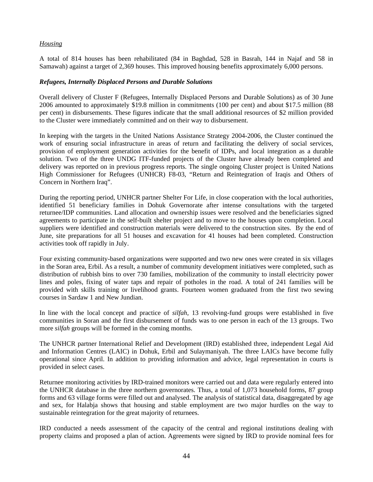#### *Housing*

A total of 814 houses has been rehabilitated (84 in Baghdad, 528 in Basrah, 144 in Najaf and 58 in Samawah) against a target of 2,369 houses. This improved housing benefits approximately 6,000 persons.

#### *Refugees, Internally Displaced Persons and Durable Solutions*

Overall delivery of Cluster F (Refugees, Internally Displaced Persons and Durable Solutions) as of 30 June 2006 amounted to approximately \$19.8 million in commitments (100 per cent) and about \$17.5 million (88 per cent) in disbursements. These figures indicate that the small additional resources of \$2 million provided to the Cluster were immediately committed and on their way to disbursement.

In keeping with the targets in the United Nations Assistance Strategy 2004-2006, the Cluster continued the work of ensuring social infrastructure in areas of return and facilitating the delivery of social services, provision of employment generation activities for the benefit of IDPs, and local integration as a durable solution. Two of the three UNDG ITF-funded projects of the Cluster have already been completed and delivery was reported on in previous progress reports. The single ongoing Cluster project is United Nations High Commissioner for Refugees (UNHCR) F8-03, "Return and Reintegration of Iraqis and Others of Concern in Northern Iraq".

During the reporting period, UNHCR partner Shelter For Life, in close cooperation with the local authorities, identified 51 beneficiary families in Dohuk Governorate after intense consultations with the targeted returnee/IDP communities. Land allocation and ownership issues were resolved and the beneficiaries signed agreements to participate in the self-built shelter project and to move to the houses upon completion. Local suppliers were identified and construction materials were delivered to the construction sites. By the end of June, site preparations for all 51 houses and excavation for 41 houses had been completed. Construction activities took off rapidly in July.

Four existing community-based organizations were supported and two new ones were created in six villages in the Soran area, Erbil. As a result, a number of community development initiatives were completed, such as distribution of rubbish bins to over 730 families, mobilization of the community to install electricity power lines and poles, fixing of water taps and repair of potholes in the road. A total of 241 families will be provided with skills training or livelihood grants. Fourteen women graduated from the first two sewing courses in Sardaw 1 and New Jundian.

In line with the local concept and practice of *silfah*, 13 revolving-fund groups were established in five communities in Soran and the first disbursement of funds was to one person in each of the 13 groups. Two more *silfah* groups will be formed in the coming months.

The UNHCR partner International Relief and Development (IRD) established three, independent Legal Aid and Information Centres (LAIC) in Dohuk, Erbil and Sulaymaniyah. The three LAICs have become fully operational since April. In addition to providing information and advice, legal representation in courts is provided in select cases.

Returnee monitoring activities by IRD-trained monitors were carried out and data were regularly entered into the UNHCR database in the three northern governorates. Thus, a total of 1,073 household forms, 87 group forms and 63 village forms were filled out and analysed. The analysis of statistical data, disaggregated by age and sex, for Halabja shows that housing and stable employment are two major hurdles on the way to sustainable reintegration for the great majority of returnees.

IRD conducted a needs assessment of the capacity of the central and regional institutions dealing with property claims and proposed a plan of action. Agreements were signed by IRD to provide nominal fees for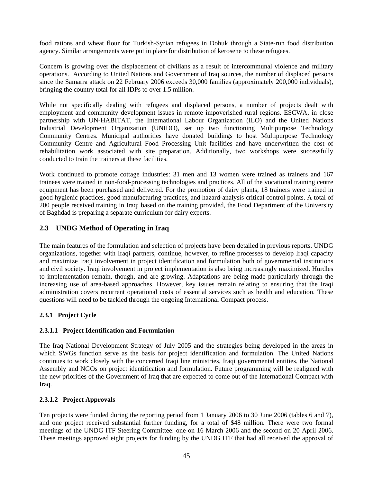food rations and wheat flour for Turkish-Syrian refugees in Dohuk through a State-run food distribution agency. Similar arrangements were put in place for distribution of kerosene to these refugees.

Concern is growing over the displacement of civilians as a result of intercommunal violence and military operations. According to United Nations and Government of Iraq sources, the number of displaced persons since the Samarra attack on 22 February 2006 exceeds 30,000 families (approximately 200,000 individuals), bringing the country total for all IDPs to over 1.5 million.

While not specifically dealing with refugees and displaced persons, a number of projects dealt with employment and community development issues in remote impoverished rural regions. ESCWA, in close partnership with UN-HABITAT, the International Labour Organization (ILO) and the United Nations Industrial Development Organization (UNIDO), set up two functioning Multipurpose Technology Community Centres. Municipal authorities have donated buildings to host Multipurpose Technology Community Centre and Agricultural Food Processing Unit facilities and have underwritten the cost of rehabilitation work associated with site preparation. Additionally, two workshops were successfully conducted to train the trainers at these facilities.

Work continued to promote cottage industries: 31 men and 13 women were trained as trainers and 167 trainees were trained in non-food-processing technologies and practices. All of the vocational training centre equipment has been purchased and delivered. For the promotion of dairy plants, 18 trainers were trained in good hygienic practices, good manufacturing practices, and hazard-analysis critical control points. A total of 200 people received training in Iraq; based on the training provided, the Food Department of the University of Baghdad is preparing a separate curriculum for dairy experts.

## **2.3 UNDG Method of Operating in Iraq**

The main features of the formulation and selection of projects have been detailed in previous reports. UNDG organizations, together with Iraqi partners, continue, however, to refine processes to develop Iraqi capacity and maximize Iraqi involvement in project identification and formulation both of governmental institutions and civil society. Iraqi involvement in project implementation is also being increasingly maximized. Hurdles to implementation remain, though, and are growing. Adaptations are being made particularly through the increasing use of area-based approaches. However, key issues remain relating to ensuring that the Iraqi administration covers recurrent operational costs of essential services such as health and education. These questions will need to be tackled through the ongoing International Compact process.

## **2.3.1 Project Cycle**

### **2.3.1.1 Project Identification and Formulation**

The Iraq National Development Strategy of July 2005 and the strategies being developed in the areas in which SWGs function serve as the basis for project identification and formulation. The United Nations continues to work closely with the concerned Iraqi line ministries, Iraqi governmental entities, the National Assembly and NGOs on project identification and formulation. Future programming will be realigned with the new priorities of the Government of Iraq that are expected to come out of the International Compact with Iraq.

### **2.3.1.2 Project Approvals**

Ten projects were funded during the reporting period from 1 January 2006 to 30 June 2006 (tables 6 and 7), and one project received substantial further funding, for a total of \$48 million. There were two formal meetings of the UNDG ITF Steering Committee: one on 16 March 2006 and the second on 20 April 2006. These meetings approved eight projects for funding by the UNDG ITF that had all received the approval of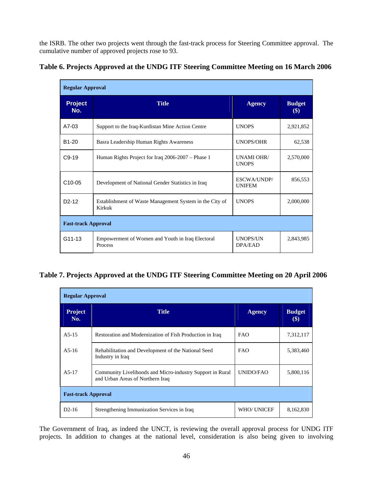the ISRB. The other two projects went through the fast-track process for Steering Committee approval. The cumulative number of approved projects rose to 93.

|  | Table 6. Projects Approved at the UNDG ITF Steering Committee Meeting on 16 March 2006 |  |
|--|----------------------------------------------------------------------------------------|--|
|  |                                                                                        |  |

| <b>Regular Approval</b>    |                                                                                                |                              |                                            |  |  |  |  |  |
|----------------------------|------------------------------------------------------------------------------------------------|------------------------------|--------------------------------------------|--|--|--|--|--|
| <b>Project</b><br>No.      | <b>Title</b>                                                                                   | <b>Agency</b>                | <b>Budget</b><br>$\left( \text{\$}\right)$ |  |  |  |  |  |
| $A7-03$                    | Support to the Iraq-Kurdistan Mine Action Centre                                               | <b>UNOPS</b>                 | 2,921,852                                  |  |  |  |  |  |
| B <sub>1</sub> -20         | Basra Leadership Human Rights Awareness                                                        | <b>UNOPS/OHR</b>             | 62,538                                     |  |  |  |  |  |
| $C9-19$                    | Human Rights Project for Iraq 2006-2007 – Phase 1                                              | UNAMI OHR/<br><b>UNOPS</b>   | 2,570,000                                  |  |  |  |  |  |
| C <sub>10</sub> -05        | Development of National Gender Statistics in Iraq                                              | ESCWA/UNDP/<br><b>UNIFEM</b> | 856,553                                    |  |  |  |  |  |
| $D2-12$                    | <b>UNOPS</b><br>Establishment of Waste Management System in the City of<br>2,000,000<br>Kirkuk |                              |                                            |  |  |  |  |  |
| <b>Fast-track Approval</b> |                                                                                                |                              |                                            |  |  |  |  |  |
| G11-13                     | Empowerment of Women and Youth in Iraq Electoral<br>Process                                    | <b>UNOPS/UN</b><br>DPA/EAD   | 2,843,985                                  |  |  |  |  |  |

## **Table 7. Projects Approved at the UNDG ITF Steering Committee Meeting on 20 April 2006**

| <b>Regular Approval</b>    |                                                                                                            |               |                      |  |  |  |  |
|----------------------------|------------------------------------------------------------------------------------------------------------|---------------|----------------------|--|--|--|--|
| <b>Project</b><br>No.      | <b>Title</b>                                                                                               | <b>Agency</b> | <b>Budget</b><br>\$) |  |  |  |  |
| $A5-15$                    | Restoration and Modernization of Fish Production in Iraq                                                   | <b>FAO</b>    | 7,312,117            |  |  |  |  |
| $A5-16$                    | Rehabilitation and Development of the National Seed<br>Industry in Iraq                                    | <b>FAO</b>    | 5,383,460            |  |  |  |  |
| $A5-17$                    | UNIDO/FAO<br>Community Livelihoods and Micro-industry Support in Rural<br>and Urban Areas of Northern Iraq |               |                      |  |  |  |  |
| <b>Fast-track Approval</b> |                                                                                                            |               |                      |  |  |  |  |
| $D2-16$                    | Strengthening Immunization Services in Iraq                                                                | WHO/ UNICEF   | 8,162,830            |  |  |  |  |

The Government of Iraq, as indeed the UNCT, is reviewing the overall approval process for UNDG ITF projects. In addition to changes at the national level, consideration is also being given to involving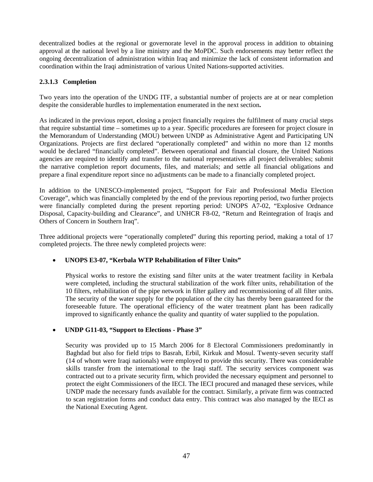decentralized bodies at the regional or governorate level in the approval process in addition to obtaining approval at the national level by a line ministry and the MoPDC. Such endorsements may better reflect the ongoing decentralization of administration within Iraq and minimize the lack of consistent information and coordination within the Iraqi administration of various United Nations-supported activities.

#### **2.3.1.3 Completion**

Two years into the operation of the UNDG ITF, a substantial number of projects are at or near completion despite the considerable hurdles to implementation enumerated in the next section**.** 

As indicated in the previous report, **c**losing a project financially requires the fulfilment of many crucial steps that require substantial time – sometimes up to a year. Specific procedures are foreseen for project closure in the Memorandum of Understanding (MOU) between UNDP as Administrative Agent and Participating UN Organizations. Projects are first declared "operationally completed" and within no more than 12 months would be declared "financially completed". Between operational and financial closure, the United Nations agencies are required to identify and transfer to the national representatives all project deliverables; submit the narrative completion report documents, files, and materials; and settle all financial obligations and prepare a final expenditure report since no adjustments can be made to a financially completed project.

In addition to the UNESCO-implemented project, "Support for Fair and Professional Media Election Coverage", which was financially completed by the end of the previous reporting period, two further projects were financially completed during the present reporting period: UNOPS A7-02, "Explosive Ordnance Disposal, Capacity-building and Clearance", and UNHCR F8-02, "Return and Reintegration of Iraqis and Others of Concern in Southern Iraq".

Three additional projects were "operationally completed" during this reporting period, making a total of 17 completed projects. The three newly completed projects were:

#### • **UNOPS E3-07, "Kerbala WTP Rehabilitation of Filter Units"**

Physical works to restore the existing sand filter units at the water treatment facility in Kerbala were completed, including the structural stabilization of the work filter units, rehabilitation of the 10 filters, rehabilitation of the pipe network in filter gallery and recommissioning of all filter units. The security of the water supply for the population of the city has thereby been guaranteed for the foreseeable future. The operational efficiency of the water treatment plant has been radically improved to significantly enhance the quality and quantity of water supplied to the population.

#### • **UNDP G11-03, "Support to Elections - Phase 3"**

Security was provided up to 15 March 2006 for 8 Electoral Commissioners predominantly in Baghdad but also for field trips to Basrah, Erbil, Kirkuk and Mosul. Twenty-seven security staff (14 of whom were Iraqi nationals) were employed to provide this security. There was considerable skills transfer from the international to the Iraqi staff. The security services component was contracted out to a private security firm, which provided the necessary equipment and personnel to protect the eight Commissioners of the IECI. The IECI procured and managed these services, while UNDP made the necessary funds available for the contract. Similarly, a private firm was contracted to scan registration forms and conduct data entry. This contract was also managed by the IECI as the National Executing Agent.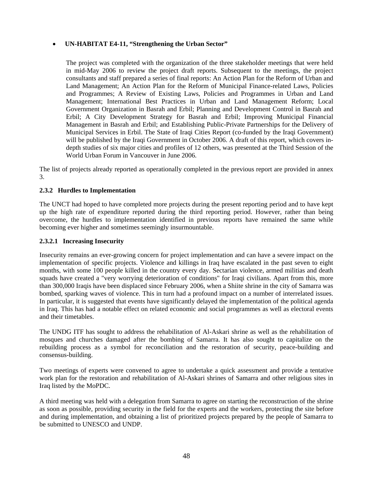### • **UN-HABITAT E4-11, "Strengthening the Urban Sector"**

The project was completed with the organization of the three stakeholder meetings that were held in mid-May 2006 to review the project draft reports. Subsequent to the meetings, the project consultants and staff prepared a series of final reports: An Action Plan for the Reform of Urban and Land Management; An Action Plan for the Reform of Municipal Finance-related Laws, Policies and Programmes; A Review of Existing Laws, Policies and Programmes in Urban and Land Management; International Best Practices in Urban and Land Management Reform; Local Government Organization in Basrah and Erbil; Planning and Development Control in Basrah and Erbil; A City Development Strategy for Basrah and Erbil; Improving Municipal Financial Management in Basrah and Erbil; and Establishing Public-Private Partnerships for the Delivery of Municipal Services in Erbil. The State of Iraqi Cities Report (co-funded by the Iraqi Government) will be published by the Iraqi Government in October 2006. A draft of this report, which covers indepth studies of six major cities and profiles of 12 others, was presented at the Third Session of the World Urban Forum in Vancouver in June 2006.

The list of projects already reported as operationally completed in the previous report are provided in annex 3.

#### **2.3.2 Hurdles to Implementation**

The UNCT had hoped to have completed more projects during the present reporting period and to have kept up the high rate of expenditure reported during the third reporting period. However, rather than being overcome, the hurdles to implementation identified in previous reports have remained the same while becoming ever higher and sometimes seemingly insurmountable.

#### **2.3.2.1 Increasing Insecurity**

Insecurity remains an ever-growing concern for project implementation and can have a severe impact on the implementation of specific projects. Violence and killings in Iraq have escalated in the past seven to eight months, with some 100 people killed in the country every day. Sectarian violence, armed militias and death squads have created a "very worrying deterioration of conditions" for Iraqi civilians. Apart from this, more than 300,000 Iraqis have been displaced since February 2006, when a Shiite shrine in the city of Samarra was bombed, sparking waves of violence. This in turn had a profound impact on a number of interrelated issues. In particular, it is suggested that events have significantly delayed the implementation of the political agenda in Iraq. This has had a notable effect on related economic and social programmes as well as electoral events and their timetables.

The UNDG ITF has sought to address the rehabilitation of Al-Askari shrine as well as the rehabilitation of mosques and churches damaged after the bombing of Samarra. It has also sought to capitalize on the rebuilding process as a symbol for reconciliation and the restoration of security, peace-building and consensus-building.

Two meetings of experts were convened to agree to undertake a quick assessment and provide a tentative work plan for the restoration and rehabilitation of Al-Askari shrines of Samarra and other religious sites in Iraq listed by the MoPDC.

A third meeting was held with a delegation from Samarra to agree on starting the reconstruction of the shrine as soon as possible, providing security in the field for the experts and the workers, protecting the site before and during implementation, and obtaining a list of prioritized projects prepared by the people of Samarra to be submitted to UNESCO and UNDP.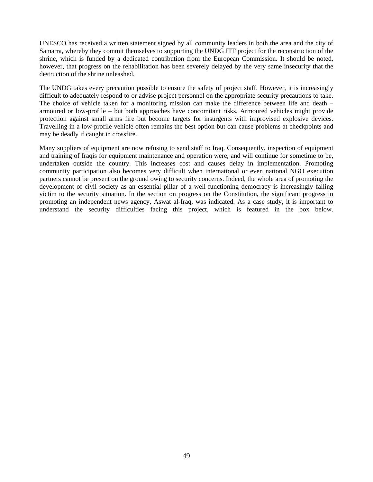UNESCO has received a written statement signed by all community leaders in both the area and the city of Samarra, whereby they commit themselves to supporting the UNDG ITF project for the reconstruction of the shrine, which is funded by a dedicated contribution from the European Commission. It should be noted, however, that progress on the rehabilitation has been severely delayed by the very same insecurity that the destruction of the shrine unleashed.

The UNDG takes every precaution possible to ensure the safety of project staff. However, it is increasingly difficult to adequately respond to or advise project personnel on the appropriate security precautions to take. The choice of vehicle taken for a monitoring mission can make the difference between life and death – armoured or low-profile – but both approaches have concomitant risks. Armoured vehicles might provide protection against small arms fire but become targets for insurgents with improvised explosive devices. Travelling in a low-profile vehicle often remains the best option but can cause problems at checkpoints and may be deadly if caught in crossfire.

Many suppliers of equipment are now refusing to send staff to Iraq. Consequently, inspection of equipment and training of Iraqis for equipment maintenance and operation were, and will continue for sometime to be, undertaken outside the country. This increases cost and causes delay in implementation. Promoting community participation also becomes very difficult when international or even national NGO execution partners cannot be present on the ground owing to security concerns. Indeed, the whole area of promoting the development of civil society as an essential pillar of a well-functioning democracy is increasingly falling victim to the security situation. In the section on progress on the Constitution, the significant progress in promoting an independent news agency, Aswat al-Iraq, was indicated. As a case study, it is important to understand the security difficulties facing this project, which is featured in the box below.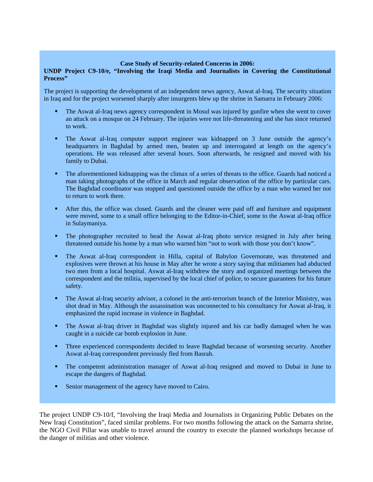#### **Case Study of Security-related Concerns in 2006:**

#### **UNDP Project C9-10/e, "Involving the Iraqi Media and Journalists in Covering the Constitutional Process"**

The project is supporting the development of an independent news agency, Aswat al-Iraq. The security situation in Iraq and for the project worsened sharply after insurgents blew up the shrine in Samarra in February 2006:

- The Aswat al-Iraq news agency correspondent in Mosul was injured by gunfire when she went to cover an attack on a mosque on 24 February. The injuries were not life-threatening and she has since returned to work.
- The Aswat al-Iraq computer support engineer was kidnapped on 3 June outside the agency's headquarters in Baghdad by armed men, beaten up and interrogated at length on the agency's operations. He was released after several hours. Soon afterwards, he resigned and moved with his family to Dubai.
- The aforementioned kidnapping was the climax of a series of threats to the office. Guards had noticed a man taking photographs of the office in March and regular observation of the office by particular cars. The Baghdad coordinator was stopped and questioned outside the office by a man who warned her not to return to work there.
- After this, the office was closed. Guards and the cleaner were paid off and furniture and equipment were moved, some to a small office belonging to the Editor-in-Chief, some to the Aswat al-Iraq office in Sulaymaniya.
- The photographer recruited to head the Aswat al-Iraq photo service resigned in July after being threatened outside his home by a man who warned him "not to work with those you don't know".
- The Aswat al-Iraq correspondent in Hilla, capital of Babylon Governorate, was threatened and explosives were thrown at his house in May after he wrote a story saying that militiamen had abducted two men from a local hospital. Aswat al-Iraq withdrew the story and organized meetings between the correspondent and the militia, supervised by the local chief of police, to secure guarantees for his future safety.
- The Aswat al-Iraq security advisor, a colonel in the anti-terrorism branch of the Interior Ministry, was shot dead in May. Although the assassination was unconnected to his consultancy for Aswat al-Iraq, it emphasized the rapid increase in violence in Baghdad.
- The Aswat al-Iraq driver in Baghdad was slightly injured and his car badly damaged when he was caught in a suicide car bomb explosion in June.
- Three experienced correspondents decided to leave Baghdad because of worsening security. Another Aswat al-Iraq correspondent previously fled from Basrah.
- The competent administration manager of Aswat al-Iraq resigned and moved to Dubai in June to escape the dangers of Baghdad.
- Senior management of the agency have moved to Cairo.

The project UNDP C9-10/f, "Involving the Iraqi Media and Journalists in Organizing Public Debates on the New Iraqi Constitution", faced similar problems. For two months following the attack on the Samarra shrine, the NGO Civil Pillar was unable to travel around the country to execute the planned workshops because of the danger of militias and other violence.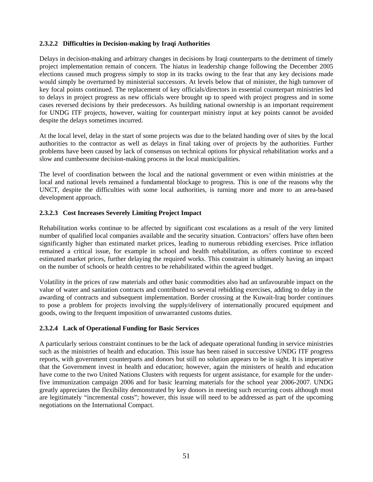### **2.3.2.2 Difficulties in Decision-making by Iraqi Authorities**

Delays in decision-making and arbitrary changes in decisions by Iraqi counterparts to the detriment of timely project implementation remain of concern. The hiatus in leadership change following the December 2005 elections caused much progress simply to stop in its tracks owing to the fear that any key decisions made would simply be overturned by ministerial successors. At levels below that of minister, the high turnover of key focal points continued. The replacement of key officials/directors in essential counterpart ministries led to delays in project progress as new officials were brought up to speed with project progress and in some cases reversed decisions by their predecessors. As building national ownership is an important requirement for UNDG ITF projects, however, waiting for counterpart ministry input at key points cannot be avoided despite the delays sometimes incurred.

At the local level, delay in the start of some projects was due to the belated handing over of sites by the local authorities to the contractor as well as delays in final taking over of projects by the authorities. Further problems have been caused by lack of consensus on technical options for physical rehabilitation works and a slow and cumbersome decision-making process in the local municipalities.

The level of coordination between the local and the national government or even within ministries at the local and national levels remained a fundamental blockage to progress. This is one of the reasons why the UNCT, despite the difficulties with some local authorities, is turning more and more to an area-based development approach.

#### **2.3.2.3 Cost Increases Severely Limiting Project Impact**

Rehabilitation works continue to be affected by significant cost escalations as a result of the very limited number of qualified local companies available and the security situation. Contractors' offers have often been significantly higher than estimated market prices, leading to numerous rebidding exercises. Price inflation remained a critical issue, for example in school and health rehabilitation, as offers continue to exceed estimated market prices, further delaying the required works. This constraint is ultimately having an impact on the number of schools or health centres to be rehabilitated within the agreed budget.

Volatility in the prices of raw materials and other basic commodities also had an unfavourable impact on the value of water and sanitation contracts and contributed to several rebidding exercises, adding to delay in the awarding of contracts and subsequent implementation. Border crossing at the Kuwait-Iraq border continues to pose a problem for projects involving the supply/delivery of internationally procured equipment and goods, owing to the frequent imposition of unwarranted customs duties.

### **2.3.2.4 Lack of Operational Funding for Basic Services**

A particularly serious constraint continues to be the lack of adequate operational funding in service ministries such as the ministries of health and education. This issue has been raised in successive UNDG ITF progress reports, with government counterparts and donors but still no solution appears to be in sight. It is imperative that the Government invest in health and education; however, again the ministers of health and education have come to the two United Nations Clusters with requests for urgent assistance, for example for the underfive immunization campaign 2006 and for basic learning materials for the school year 2006-2007. UNDG greatly appreciates the flexibility demonstrated by key donors in meeting such recurring costs although most are legitimately "incremental costs"; however, this issue will need to be addressed as part of the upcoming negotiations on the International Compact.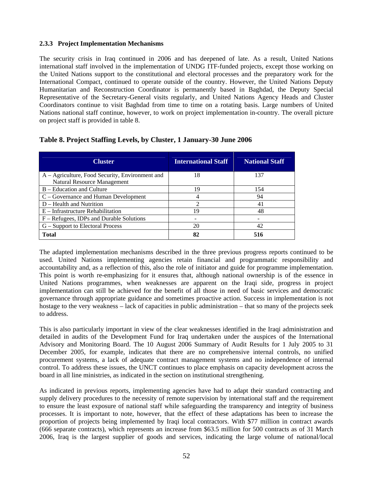### **2.3.3 Project Implementation Mechanisms**

The security crisis in Iraq continued in 2006 and has deepened of late. As a result, United Nations international staff involved in the implementation of UNDG ITF-funded projects, except those working on the United Nations support to the constitutional and electoral processes and the preparatory work for the International Compact, continued to operate outside of the country. However, the United Nations Deputy Humanitarian and Reconstruction Coordinator is permanently based in Baghdad, the Deputy Special Representative of the Secretary-General visits regularly, and United Nations Agency Heads and Cluster Coordinators continue to visit Baghdad from time to time on a rotating basis. Large numbers of United Nations national staff continue, however, to work on project implementation in-country. The overall picture on project staff is provided in table 8.

| <b>Cluster</b>                                  | <b>International Staff</b> | <b>National Staff</b> |
|-------------------------------------------------|----------------------------|-----------------------|
| A – Agriculture, Food Security, Environment and | 18                         | 137                   |
| Natural Resource Management                     |                            |                       |
| B – Education and Culture                       | 19                         | 154                   |
| $C - Governance$ and Human Development          | 4                          | 94                    |
| $D - Health$ and Nutrition                      | $\mathfrak{D}$             | 41                    |
| $E$ – Infrastructure Rehabilitation             | 19                         | 48                    |
| F – Refugees, IDPs and Durable Solutions        |                            |                       |
| G – Support to Electoral Process                | 20                         | 42                    |
| <b>Total</b>                                    | 82                         | 516                   |

### **Table 8. Project Staffing Levels, by Cluster, 1 January-30 June 2006**

The adapted implementation mechanisms described in the three previous progress reports continued to be used. United Nations implementing agencies retain financial and programmatic responsibility and accountability and, as a reflection of this, also the role of initiator and guide for programme implementation. This point is worth re-emphasizing for it ensures that, although national ownership is of the essence in United Nations programmes, when weaknesses are apparent on the Iraqi side, progress in project implementation can still be achieved for the benefit of all those in need of basic services and democratic governance through appropriate guidance and sometimes proactive action. Success in implementation is not hostage to the very weakness – lack of capacities in public administration – that so many of the projects seek to address.

This is also particularly important in view of the clear weaknesses identified in the Iraqi administration and detailed in audits of the Development Fund for Iraq undertaken under the auspices of the International Advisory and Monitoring Board. The 10 August 2006 Summary of Audit Results for 1 July 2005 to 31 December 2005, for example, indicates that there are no comprehensive internal controls, no unified procurement systems, a lack of adequate contract management systems and no independence of internal control. To address these issues, the UNCT continues to place emphasis on capacity development across the board in all line ministries, as indicated in the section on institutional strengthening.

As indicated in previous reports, implementing agencies have had to adapt their standard contracting and supply delivery procedures to the necessity of remote supervision by international staff and the requirement to ensure the least exposure of national staff while safeguarding the transparency and integrity of business processes. It is important to note, however, that the effect of these adaptations has been to increase the proportion of projects being implemented by Iraqi local contractors. With \$77 million in contract awards (666 separate contracts), which represents an increase from \$63.5 million for 500 contracts as of 31 March 2006, Iraq is the largest supplier of goods and services, indicating the large volume of national/local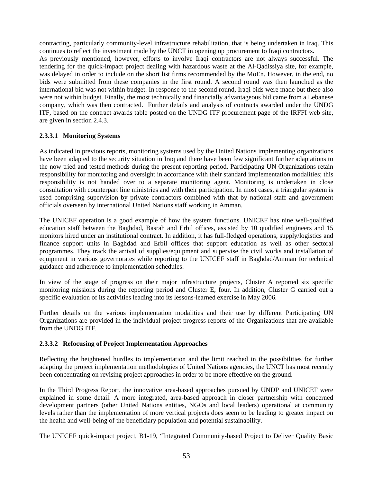contracting, particularly community-level infrastructure rehabilitation, that is being undertaken in Iraq. This continues to reflect the investment made by the UNCT in opening up procurement to Iraqi contractors. As previously mentioned, however, efforts to involve Iraqi contractors are not always successful. The tendering for the quick-impact project dealing with hazardous waste at the Al-Qadissiya site, for example, was delayed in order to include on the short list firms recommended by the MoEn. However, in the end, no bids were submitted from these companies in the first round. A second round was then launched as the international bid was not within budget. In response to the second round, Iraqi bids were made but these also were not within budget. Finally, the most technically and financially advantageous bid came from a Lebanese company, which was then contracted. Further details and analysis of contracts awarded under the UNDG ITF, based on the contract awards table posted on the UNDG ITF procurement page of the IRFFI web site, are given in section 2.4.3.

### **2.3.3.1 Monitoring Systems**

As indicated in previous reports, monitoring systems used by the United Nations implementing organizations have been adapted to the security situation in Iraq and there have been few significant further adaptations to the now tried and tested methods during the present reporting period. Participating UN Organizations retain responsibility for monitoring and oversight in accordance with their standard implementation modalities; this responsibility is not handed over to a separate monitoring agent. Monitoring is undertaken in close consultation with counterpart line ministries and with their participation. In most cases, a triangular system is used comprising supervision by private contractors combined with that by national staff and government officials overseen by international United Nations staff working in Amman.

The UNICEF operation is a good example of how the system functions. UNICEF has nine well-qualified education staff between the Baghdad, Basrah and Erbil offices, assisted by 10 qualified engineers and 15 monitors hired under an institutional contract. In addition, it has full-fledged operations, supply/logistics and finance support units in Baghdad and Erbil offices that support education as well as other sectoral programmes. They track the arrival of supplies/equipment and supervise the civil works and installation of equipment in various governorates while reporting to the UNICEF staff in Baghdad/Amman for technical guidance and adherence to implementation schedules.

In view of the stage of progress on their major infrastructure projects, Cluster A reported six specific monitoring missions during the reporting period and Cluster E, four. In addition, Cluster G carried out a specific evaluation of its activities leading into its lessons-learned exercise in May 2006.

Further details on the various implementation modalities and their use by different Participating UN Organizations are provided in the individual project progress reports of the Organizations that are available from the UNDG ITF.

#### **2.3.3.2 Refocusing of Project Implementation Approaches**

Reflecting the heightened hurdles to implementation and the limit reached in the possibilities for further adapting the project implementation methodologies of United Nations agencies, the UNCT has most recently been concentrating on revising project approaches in order to be more effective on the ground.

In the Third Progress Report, the innovative area-based approaches pursued by UNDP and UNICEF were explained in some detail. A more integrated, area-based approach in closer partnership with concerned development partners (other United Nations entities, NGOs and local leaders) operational at community levels rather than the implementation of more vertical projects does seem to be leading to greater impact on the health and well-being of the beneficiary population and potential sustainability.

The UNICEF quick-impact project, B1-19, "Integrated Community-based Project to Deliver Quality Basic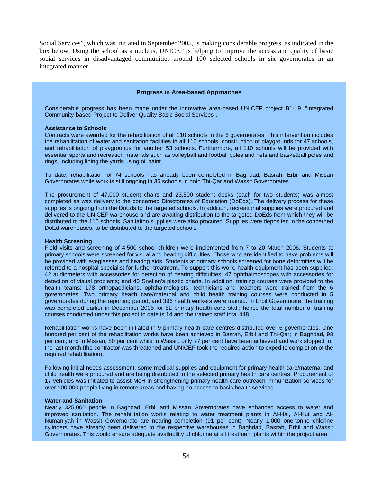Social Services", which was initiated in September 2005, is making considerable progress, as indicated in the box below. Using the school as a nucleus, UNICEF is helping to improve the access and quality of basic social services in disadvantaged communities around 100 selected schools in six governorates in an integrated manner.

#### **Progress in Area-based Approaches**

Considerable progress has been made under the innovative area-based UNICEF project B1-19, "Integrated Community-based Project to Deliver Quality Basic Social Services".

#### **Assistance to Schools**

Contracts were awarded for the rehabilitation of all 110 schools in the 6 governorates. This intervention includes the rehabilitation of water and sanitation facilities in all 110 schools, construction of playgrounds for 47 schools, and rehabilitation of playgrounds for another 53 schools. Furthermore, all 110 schools will be provided with essential sports and recreation materials such as volleyball and football poles and nets and basketball poles and rings, including lining the yards using oil paint.

To date, rehabilitation of 74 schools has already been completed in Baghdad, Basrah, Erbil and Missan Governorates while work is still ongoing in 36 schools in both Thi-Qar and Wassit Governorates.

The procurement of 47,000 student chairs and 23,500 student desks (each for two students) was almost completed as was delivery to the concerned Directorates of Education (DoEds). The delivery process for these supplies is ongoing from the DoEds to the targeted schools. In addition, recreational supplies were procured and delivered to the UNICEF warehouse and are awaiting distribution to the targeted DoEds from which they will be distributed to the 110 schools. Sanitation supplies were also procured. Supplies were deposited in the concerned DoEd warehouses, to be distributed to the targeted schools.

#### **Health Screening**

Field visits and screening of 4,500 school children were implemented from 7 to 20 March 2006. Students at primary schools were screened for visual and hearing difficulties. Those who are identified to have problems will be provided with eyeglasses and hearing aids. Students at primary schools screened for bone deformities will be referred to a hospital specialist for further treatment. To support this work, health equipment has been supplied: 42 audiometers with accessories for detection of hearing difficulties; 47 ophthalmoscopes with accessories for detection of visual problems; and 40 Snellen's plastic charts. In addition, training courses were provided to the health teams: 178 orthopaedicians, ophthalmologists, technicians and teachers were trained from the 6 governorates. Two primary health care/maternal and child health training courses were conducted in 5 governorates during the reporting period, and 396 health workers were trained. In Erbil Governorate, the training was completed earlier in December 2005 for 52 primary health care staff; hence the total number of training courses conducted under this project to date is 14 and the trained staff total 448.

Rehabilitation works have been initiated in 9 primary health care centres distributed over 6 governorates. One hundred per cent of the rehabilitation works have been achieved in Basrah, Erbil and Thi-Qar; in Baghdad, 98 per cent; and in Missan, 80 per cent while in Wassit, only 77 per cent have been achieved and work stopped for the last month (the contractor was threatened and UNICEF took the required action to expedite completion of the required rehabilitation).

Following initial needs assessment, some medical supplies and equipment for primary health care/maternal and child health were procured and are being distributed to the selected primary health care centres. Procurement of 17 vehicles was initiated to assist MoH in strengthening primary health care outreach immunization services for over 100,000 people living in remote areas and having no access to basic health services.

#### **Water and Sanitation**

Nearly 325,000 people in Baghdad, Erbil and Missan Governorates have enhanced access to water and improved sanitation. The rehabilitation works relating to water treatment plants in Al-Hai, Al-Kut and Al-Numaniyah in Wassit Governorate are nearing completion (91 per cent). Nearly 1,000 one-tonne chlorine cylinders have already been delivered to the respective warehouses in Baghdad, Basrah, Erbil and Wassit Governorates. This would ensure adequate availability of chlorine at all treatment plants within the project area.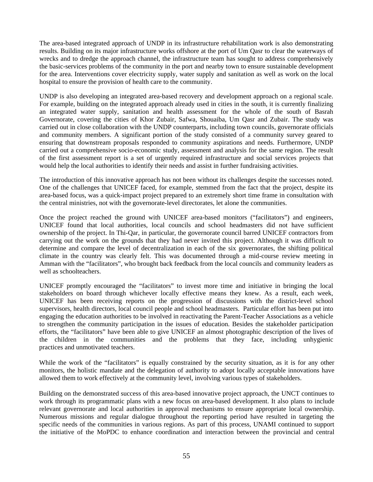The area-based integrated approach of UNDP in its infrastructure rehabilitation work is also demonstrating results. Building on its major infrastructure works offshore at the port of Um Qasr to clear the waterways of wrecks and to dredge the approach channel, the infrastructure team has sought to address comprehensively the basic-services problems of the community in the port and nearby town to ensure sustainable development for the area. Interventions cover electricity supply, water supply and sanitation as well as work on the local hospital to ensure the provision of health care to the community.

UNDP is also developing an integrated area-based recovery and development approach on a regional scale. For example, building on the integrated approach already used in cities in the south, it is currently finalizing an integrated water supply, sanitation and health assessment for the whole of the south of Basrah Governorate, covering the cities of Khor Zubair, Safwa, Shouaiba, Um Qasr and Zubair. The study was carried out in close collaboration with the UNDP counterparts, including town councils, governorate officials and community members. A significant portion of the study consisted of a community survey geared to ensuring that downstream proposals responded to community aspirations and needs. Furthermore, UNDP carried out a comprehensive socio-economic study, assessment and analysis for the same region. The result of the first assessment report is a set of urgently required infrastructure and social services projects that would help the local authorities to identify their needs and assist in further fundraising activities.

The introduction of this innovative approach has not been without its challenges despite the successes noted. One of the challenges that UNICEF faced, for example, stemmed from the fact that the project, despite its area-based focus, was a quick-impact project prepared to an extremely short time frame in consultation with the central ministries, not with the governorate-level directorates, let alone the communities.

Once the project reached the ground with UNICEF area-based monitors ("facilitators") and engineers, UNICEF found that local authorities, local councils and school headmasters did not have sufficient ownership of the project. In Thi-Qar, in particular, the governorate council barred UNICEF contractors from carrying out the work on the grounds that they had never invited this project. Although it was difficult to determine and compare the level of decentralization in each of the six governorates, the shifting political climate in the country was clearly felt. This was documented through a mid-course review meeting in Amman with the "facilitators", who brought back feedback from the local councils and community leaders as well as schoolteachers.

UNICEF promptly encouraged the "facilitators" to invest more time and initiative in bringing the local stakeholders on board through whichever locally effective means they knew. As a result, each week, UNICEF has been receiving reports on the progression of discussions with the district-level school supervisors, health directors, local council people and school headmasters. Particular effort has been put into engaging the education authorities to be involved in reactivating the Parent-Teacher Associations as a vehicle to strengthen the community participation in the issues of education. Besides the stakeholder participation efforts, the "facilitators" have been able to give UNICEF an almost photographic description of the lives of the children in the communities and the problems that they face, including unhygienic practices and unmotivated teachers.

While the work of the "facilitators" is equally constrained by the security situation, as it is for any other monitors, the holistic mandate and the delegation of authority to adopt locally acceptable innovations have allowed them to work effectively at the community level, involving various types of stakeholders.

Building on the demonstrated success of this area-based innovative project approach, the UNCT continues to work through its programmatic plans with a new focus on area-based development. It also plans to include relevant governorate and local authorities in approval mechanisms to ensure appropriate local ownership. Numerous missions and regular dialogue throughout the reporting period have resulted in targeting the specific needs of the communities in various regions. As part of this process, UNAMI continued to support the initiative of the MoPDC to enhance coordination and interaction between the provincial and central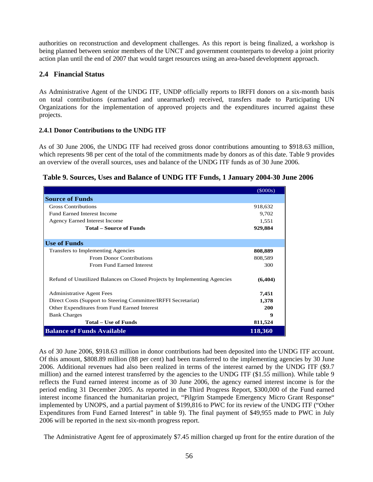authorities on reconstruction and development challenges. As this report is being finalized, a workshop is being planned between senior members of the UNCT and government counterparts to develop a joint priority action plan until the end of 2007 that would target resources using an area-based development approach.

## **2.4 Financial Status**

As Administrative Agent of the UNDG ITF, UNDP officially reports to IRFFI donors on a six-month basis on total contributions (earmarked and unearmarked) received, transfers made to Participating UN Organizations for the implementation of approved projects and the expenditures incurred against these projects.

### **2.4.1 Donor Contributions to the UNDG ITF**

As of 30 June 2006, the UNDG ITF had received gross donor contributions amounting to \$918.63 million, which represents 98 per cent of the total of the commitments made by donors as of this date. Table 9 provides an overview of the overall sources, uses and balance of the UNDG ITF funds as of 30 June 2006.

|  | Table 9. Sources, Uses and Balance of UNDG ITF Funds, 1 January 2004-30 June 2006 |  |
|--|-----------------------------------------------------------------------------------|--|
|  |                                                                                   |  |

|                                                                           | (5000s)  |
|---------------------------------------------------------------------------|----------|
| <b>Source of Funds</b>                                                    |          |
| <b>Gross Contributions</b>                                                | 918,632  |
| <b>Fund Earned Interest Income</b>                                        | 9,702    |
| <b>Agency Earned Interest Income</b>                                      | 1,551    |
| <b>Total – Source of Funds</b>                                            | 929,884  |
|                                                                           |          |
| <b>Use of Funds</b>                                                       |          |
| Transfers to Implementing Agencies                                        | 808,889  |
| <b>From Donor Contributions</b>                                           | 808,589  |
| From Fund Earned Interest                                                 | 300      |
| Refund of Unutilized Balances on Closed Projects by Implementing Agencies | (6, 404) |
| <b>Administrative Agent Fees</b>                                          | 7,451    |
| Direct Costs (Support to Steering Committee/IRFFI Secretariat)            | 1,378    |
| Other Expenditures from Fund Earned Interest                              | 200      |
| <b>Bank Charges</b>                                                       | 9        |
| <b>Total – Use of Funds</b>                                               | 811,524  |
| <b>Balance of Funds Available</b>                                         | 118,360  |

As of 30 June 2006, \$918.63 million in donor contributions had been deposited into the UNDG ITF account. Of this amount, \$808.89 million (88 per cent) had been transferred to the implementing agencies by 30 June 2006. Additional revenues had also been realized in terms of the interest earned by the UNDG ITF (\$9.7 million) and the earned interest transferred by the agencies to the UNDG ITF (\$1.55 million). While table 9 reflects the Fund earned interest income as of 30 June 2006, the agency earned interest income is for the period ending 31 December 2005. As reported in the Third Progress Report, \$300,000 of the Fund earned interest income financed the humanitarian project, "Pilgrim Stampede Emergency Micro Grant Response" implemented by UNOPS, and a partial payment of \$199,816 to PWC for its review of the UNDG ITF ("Other Expenditures from Fund Earned Interest" in table 9). The final payment of \$49,955 made to PWC in July 2006 will be reported in the next six-month progress report.

The Administrative Agent fee of approximately \$7.45 million charged up front for the entire duration of the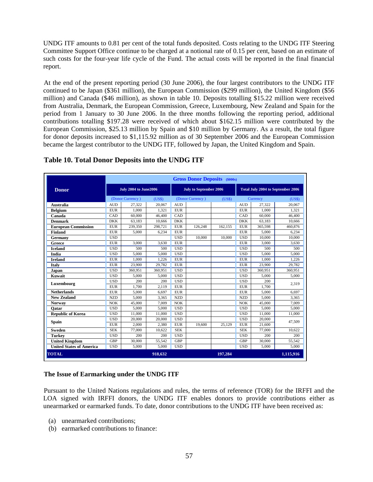UNDG ITF amounts to 0.81 per cent of the total funds deposited. Costs relating to the UNDG ITF Steering Committee Support Office continue to be charged at a notional rate of 0.15 per cent, based on an estimate of such costs for the four-year life cycle of the Fund. The actual costs will be reported in the final financial report.

At the end of the present reporting period (30 June 2006), the four largest contributors to the UNDG ITF continued to be Japan (\$361 million), the European Commission (\$299 million), the United Kingdom (\$56 million) and Canada (\$46 million), as shown in table 10. Deposits totalling \$15.22 million were received from Australia, Denmark, the European Commission, Greece, Luxembourg, New Zealand and Spain for the period from 1 January to 30 June 2006. In the three months following the reporting period, additional contributions totalling \$197.28 were received of which about \$162.15 million were contributed by the European Commission, \$25.13 million by Spain and \$10 million by Germany. As a result, the total figure for donor deposits increased to \$1,115.92 million as of 30 September 2006 and the European Commission became the largest contributor to the UNDG ITF, followed by Japan, the United Kingdom and Spain.

|                                 |                       |                  |                               |            | <b>Gross Donor Deposits</b> (\$000s)     |         |            |          |           |
|---------------------------------|-----------------------|------------------|-------------------------------|------------|------------------------------------------|---------|------------|----------|-----------|
| <b>Donor</b>                    | July 2004 to June2006 |                  | <b>July to September 2006</b> |            | <b>Total July 2004 to September 2006</b> |         |            |          |           |
|                                 |                       | (Donor Currency) | (US\$)                        |            | (Donor Currency)                         | (US\$)  |            | Currency | (US\$)    |
| Australia                       | <b>AUD</b>            | 27,322           | 20,067                        | <b>AUD</b> |                                          |         | <b>AUD</b> | 27,322   | 20,067    |
| <b>Belgium</b>                  | <b>EUR</b>            | 1.000            | 1.321                         | <b>EUR</b> |                                          |         | <b>EUR</b> | 1.000    | 1.321     |
| Canada                          | CAD                   | 60,000           | 46,400                        | CAD        |                                          |         | CAD        | 60,000   | 46.400    |
| <b>Denmark</b>                  | <b>DKK</b>            | 63,183           | 10,666                        | <b>DKK</b> |                                          |         | <b>DKK</b> | 63,183   | 10,666    |
| <b>European Commission</b>      | <b>EUR</b>            | 239,350          | 298,721                       | <b>EUR</b> | 126,248                                  | 162,155 | <b>EUR</b> | 365,598  | 460,876   |
| <b>Finland</b>                  | <b>EUR</b>            | 5.000            | 6.234                         | <b>EUR</b> |                                          |         | <b>EUR</b> | 5,000    | 6,234     |
| Germany                         | <b>USD</b>            |                  |                               | <b>USD</b> | 10,000                                   | 10.000  | <b>USD</b> | 10,000   | 10.000    |
| Greece                          | <b>EUR</b>            | 3,000            | 3.630                         | <b>EUR</b> |                                          |         | <b>EUR</b> | 3,000    | 3.630     |
| <b>Iceland</b>                  | <b>USD</b>            | 500              | 500                           | <b>USD</b> |                                          |         | <b>USD</b> | 500      | 500       |
| India                           | <b>USD</b>            | 5,000            | 5,000                         | <b>USD</b> |                                          |         | <b>USD</b> | 5,000    | 5,000     |
| <b>Ireland</b>                  | <b>EUR</b>            | 1.000            | 1.226                         | <b>EUR</b> |                                          |         | <b>EUR</b> | 1.000    | 1.226     |
| Italy                           | <b>EUR</b>            | 23,900           | 29.782                        | <b>EUR</b> |                                          |         | <b>EUR</b> | 23,900   | 29.782    |
| Japan                           | <b>USD</b>            | 360,951          | 360,951                       | <b>USD</b> |                                          |         | <b>USD</b> | 360,951  | 360.951   |
| Kuwait                          | <b>USD</b>            | 5,000            | 5,000                         | <b>USD</b> |                                          |         | <b>USD</b> | 5,000    | 5,000     |
| Luxembourg                      | <b>USD</b>            | 200              | 200                           | <b>USD</b> |                                          |         | <b>USD</b> | 200      | 2,319     |
|                                 | <b>EUR</b>            | 1,700            | 2.119                         | <b>EUR</b> |                                          |         | <b>EUR</b> | 1.700    |           |
| <b>Netherlands</b>              | <b>EUR</b>            | 5,000            | 6.697                         | <b>EUR</b> |                                          |         | <b>EUR</b> | 5,000    | 6.697     |
| <b>New Zealand</b>              | <b>NZD</b>            | 5.000            | 3,365                         | <b>NZD</b> |                                          |         | <b>NZD</b> | 5,000    | 3,365     |
| <b>Norway</b>                   | <b>NOK</b>            | 45,000           | 7.009                         | <b>NOK</b> |                                          |         | <b>NOK</b> | 45,000   | 7.009     |
| Oatar                           | <b>USD</b>            | 5,000            | 5,000                         | <b>USD</b> |                                          |         | <b>USD</b> | 5,000    | 5,000     |
| <b>Republic of Korea</b>        | <b>USD</b>            | 11.000           | 11,000                        | <b>USD</b> |                                          |         | <b>USD</b> | 11,000   | 11.000    |
| <b>Spain</b>                    | <b>USD</b>            | 20,000           | 20,000                        | <b>USD</b> |                                          |         | <b>USD</b> | 20,000   | 47,509    |
|                                 | <b>EUR</b>            | 2,000            | 2,380                         | <b>EUR</b> | 19,600                                   | 25,129  | <b>EUR</b> | 21,600   |           |
| <b>Sweden</b>                   | <b>SEK</b>            | 77,000           | 10,622                        | <b>SEK</b> |                                          |         | <b>SEK</b> | 77,000   | 10.622    |
| <b>Turkey</b>                   | <b>USD</b>            | 200              | 200                           | <b>USD</b> |                                          |         | <b>USD</b> | 200      | 200       |
| <b>United Kingdom</b>           | <b>GBP</b>            | 30,000           | 55.542                        | <b>GBP</b> |                                          |         | <b>GBP</b> | 30,000   | 55.542    |
| <b>United States of America</b> | <b>USD</b>            | 5,000            | 5,000                         | <b>USD</b> |                                          |         | <b>USD</b> | 5,000    | 5,000     |
| <b>TOTAL</b>                    |                       |                  | 918,632                       |            |                                          | 197,284 |            |          | 1,115,916 |

## **Table 10. Total Donor Deposits into the UNDG ITF**

#### **The Issue of Earmarking under the UNDG ITF**

Pursuant to the United Nations regulations and rules, the terms of reference (TOR) for the IRFFI and the LOA signed with IRFFI donors, the UNDG ITF enables donors to provide contributions either as unearmarked or earmarked funds. To date, donor contributions to the UNDG ITF have been received as:

- (a) unearmarked contributions;
- (b) earmarked contributions to finance: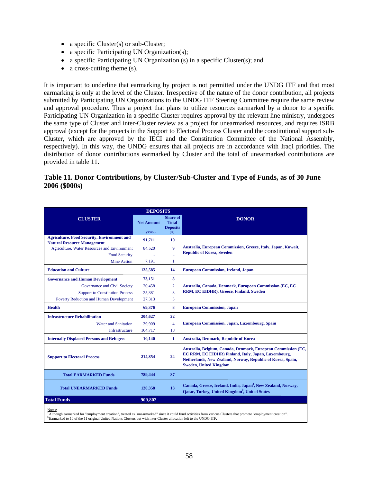- a specific Cluster(s) or sub-Cluster;
- a specific Participating UN Organization(s);
- a specific Participating UN Organization (s) in a specific Cluster(s); and
- a cross-cutting theme (s).

It is important to underline that earmarking by project is not permitted under the UNDG ITF and that most earmarking is only at the level of the Cluster. Irrespective of the nature of the donor contribution, all projects submitted by Participating UN Organizations to the UNDG ITF Steering Committee require the same review and approval procedure. Thus a project that plans to utilize resources earmarked by a donor to a specific Participating UN Organization in a specific Cluster requires approval by the relevant line ministry, undergoes the same type of Cluster and inter-Cluster review as a project for unearmarked resources, and requires ISRB approval (except for the projects in the Support to Electoral Process Cluster and the constitutional support sub-Cluster, which are approved by the IECI and the Constitution Committee of the National Assembly, respectively). In this way, the UNDG ensures that all projects are in accordance with Iraqi priorities. The distribution of donor contributions earmarked by Cluster and the total of unearmarked contributions are provided in table 11.

### **Table 11. Donor Contributions, by Cluster/Sub-Cluster and Type of Funds, as of 30 June 2006 (\$000s)**

|                                                                                                                                           | <b>DEPOSITS</b>   |                                                    |                                                                                                                                                                                                                       |
|-------------------------------------------------------------------------------------------------------------------------------------------|-------------------|----------------------------------------------------|-----------------------------------------------------------------------------------------------------------------------------------------------------------------------------------------------------------------------|
| <b>CLUSTER</b>                                                                                                                            | <b>Net Amount</b> | <b>Share of</b><br><b>Total</b><br><b>Deposits</b> | <b>DONOR</b>                                                                                                                                                                                                          |
|                                                                                                                                           | (S000s)           | (96)                                               |                                                                                                                                                                                                                       |
| <b>Agriculture, Food Security, Environment and</b><br><b>Natural Resource Management</b>                                                  | 91,711            | 10                                                 |                                                                                                                                                                                                                       |
| <b>Agriculture, Water Resources and Environment</b>                                                                                       | 84.520            | $\overline{Q}$                                     | Australia, European Commission, Greece, Italy, Japan, Kuwait,                                                                                                                                                         |
| <b>Food Security</b>                                                                                                                      |                   |                                                    | <b>Republic of Korea, Sweden</b>                                                                                                                                                                                      |
| <b>Mine Action</b>                                                                                                                        | 7.191             | 1                                                  |                                                                                                                                                                                                                       |
| <b>Education and Culture</b>                                                                                                              | 125,585           | 14                                                 | <b>European Commission, Ireland, Japan</b>                                                                                                                                                                            |
| <b>Governance and Human Development</b>                                                                                                   | 73,151            | 8                                                  |                                                                                                                                                                                                                       |
| Governance and Civil Society                                                                                                              | 20.458            | $\overline{2}$                                     | Australia, Canada, Denmark, European Commission (EC, EC                                                                                                                                                               |
| <b>Support to Constitution Process</b>                                                                                                    | 25,381            | 3                                                  | RRM, EC EIDHR), Greece, Finland, Sweden                                                                                                                                                                               |
| <b>Poverty Reduction and Human Development</b>                                                                                            | 27.313            | 3                                                  |                                                                                                                                                                                                                       |
| <b>Health</b>                                                                                                                             | 69,376            | 8                                                  | <b>European Commission, Japan</b>                                                                                                                                                                                     |
| <b>Infrastructure Rehabilitation</b>                                                                                                      | 204,627           | 22                                                 |                                                                                                                                                                                                                       |
| <b>Water and Sanitation</b>                                                                                                               | 39,909            | $\overline{4}$                                     | <b>European Commission, Japan, Luxembourg, Spain</b>                                                                                                                                                                  |
| Infrastructure                                                                                                                            | 164,717           | 18                                                 |                                                                                                                                                                                                                       |
| <b>Internally Displaced Persons and Refugees</b>                                                                                          | 10,140            | 1                                                  | <b>Australia, Denmark, Republic of Korea</b>                                                                                                                                                                          |
| <b>Support to Electoral Process</b>                                                                                                       | 214,854           | 24                                                 | Australia, Belgium, Canada, Denmark, European Commission (EC,<br>EC RRM, EC EIDHR) Finland, Italy, Japan, Luxembourg,<br>Netherlands, New Zealand, Norway, Republic of Korea, Spain,<br><b>Sweden, United Kingdom</b> |
| <b>Total EARMARKED Funds</b>                                                                                                              | 789,444           | 87                                                 |                                                                                                                                                                                                                       |
| <b>Total UNEARMARKED Funds</b>                                                                                                            | 120,358           | 13                                                 | Canada, Greece, Iceland, India, Japan <sup>a</sup> , New Zealand, Norway,<br>Oatar, Turkey, United Kingdom <sup>b</sup> , United States                                                                               |
| <b>Total Funds</b>                                                                                                                        | 909.802           |                                                    |                                                                                                                                                                                                                       |
| Notes:<br><sup>b</sup> Earmarked to 10 of the 11 original United Nations Clusters but with inter-Cluster allocation left to the UNDG ITF. |                   |                                                    | a Although earmarked for "employment creation", treated as "unearmarked" since it could fund activities from various Clusters that promote "employment creation".                                                     |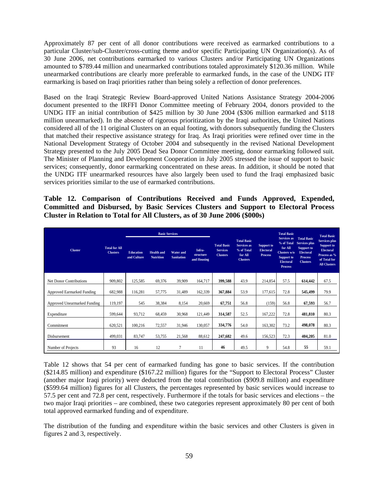Approximately 87 per cent of all donor contributions were received as earmarked contributions to a particular Cluster/sub-Cluster/cross-cutting theme and/or specific Participating UN Organization(s). As of 30 June 2006, net contributions earmarked to various Clusters and/or Participating UN Organizations amounted to \$789.44 million and unearmarked contributions totaled approximately \$120.36 million. While unearmarked contributions are clearly more preferable to earmarked funds, in the case of the UNDG ITF earmarking is based on Iraqi priorities rather than being solely a reflection of donor preferences.

Based on the Iraqi Strategic Review Board-approved United Nations Assistance Strategy 2004-2006 document presented to the IRFFI Donor Committee meeting of February 2004, donors provided to the UNDG ITF an initial contribution of \$425 million by 30 June 2004 (\$306 million earmarked and \$118 million unearmarked). In the absence of rigorous prioritization by the Iraqi authorities, the United Nations considered all of the 11 original Clusters on an equal footing, with donors subsequently funding the Clusters that matched their respective assistance strategy for Iraq. As Iraqi priorities were refined over time in the National Development Strategy of October 2004 and subsequently in the revised National Development Strategy presented to the July 2005 Dead Sea Donor Committee meeting, donor earmarking followed suit. The Minister of Planning and Development Cooperation in July 2005 stressed the issue of support to basic services; consequently, donor earmarking concentrated on these areas. In addition, it should be noted that the UNDG ITF unearmarked resources have also largely been used to fund the Iraqi emphasized basic services priorities similar to the use of earmarked contributions.

**Table 12. Comparison of Contributions Received and Funds Approved, Expended, Committed and Disbursed, by Basic Services Clusters and Support to Electoral Process Cluster in Relation to Total for All Clusters, as of 30 June 2006 (\$000s)** 

|                              |                                         |                                 | <b>Basic Services</b>                 |                                       |                                    |                                                          |                                                                               |                                                         | <b>Total Basic</b>                                                                                       |                                                                                                            | <b>Total Basic</b>                                                                                            |
|------------------------------|-----------------------------------------|---------------------------------|---------------------------------------|---------------------------------------|------------------------------------|----------------------------------------------------------|-------------------------------------------------------------------------------|---------------------------------------------------------|----------------------------------------------------------------------------------------------------------|------------------------------------------------------------------------------------------------------------|---------------------------------------------------------------------------------------------------------------|
| <b>Cluster</b>               | <b>Total for All</b><br><b>Clusters</b> | <b>Education</b><br>and Culture | <b>Health and</b><br><b>Nutrition</b> | <b>Water and</b><br><b>Sanitation</b> | Infra-<br>structure<br>and Housing | <b>Total Basic</b><br><b>Services</b><br><b>Clusters</b> | <b>Total Basic</b><br>Services as<br>% of Total<br>for All<br><b>Clusters</b> | <b>Support to</b><br><b>Electoral</b><br><b>Process</b> | Services as<br>% of Total<br>for All<br>Clusters w/o<br>Support to<br><b>Electoral</b><br><b>Process</b> | <b>Total Basic</b><br>Services plus<br>Support to<br><b>Electoral</b><br><b>Process</b><br><b>Clusters</b> | Services plus<br><b>Support to</b><br><b>Electoral</b><br>Process as %<br>of Total for<br><b>All Clusters</b> |
| Net Donor Contributions      | 909,802                                 | 125,585                         | 69,376                                | 39,909                                | 164,717                            | 399,588                                                  | 43.9                                                                          | 214,854                                                 | 57.5                                                                                                     | 614,442                                                                                                    | 67.5                                                                                                          |
| Approved Earmarked Funding   | 682,988                                 | 116,281                         | 57,775                                | 31,489                                | 162,339                            | 367,884                                                  | 53.9                                                                          | 177,615                                                 | 72.8                                                                                                     | 545,499                                                                                                    | 79.9                                                                                                          |
| Approved Unearmarked Funding | 119,197                                 | 545                             | 38,384                                | 8,154                                 | 20,669                             | 67,751                                                   | 56.8                                                                          | (159)                                                   | 56.8                                                                                                     | 67,593                                                                                                     | 56.7                                                                                                          |
| Expenditure                  | 599,644                                 | 93,712                          | 68,459                                | 30,968                                | 121,449                            | 314,587                                                  | 52.5                                                                          | 167,222                                                 | 72.8                                                                                                     | 481,810                                                                                                    | 80.3                                                                                                          |
| Commitment                   | 620,521                                 | 100,216                         | 72,557                                | 31,946                                | 130,057                            | 334,776                                                  | 54.0                                                                          | 163,302                                                 | 73.2                                                                                                     | 498,078                                                                                                    | 80.3                                                                                                          |
| Disbursement                 | 499,031                                 | 83,747                          | 53,755                                | 21,568                                | 88,612                             | 247,682                                                  | 49.6                                                                          | 156,523                                                 | 72.3                                                                                                     | 404,205                                                                                                    | 81.0                                                                                                          |
| Number of Projects           | 93                                      | 16                              | 12                                    | 7                                     | 11                                 | 46                                                       | 49.5                                                                          | 9                                                       | 54.8                                                                                                     | 55                                                                                                         | 59.1                                                                                                          |

Table 12 shows that 54 per cent of earmarked funding has gone to basic services. If the contribution (\$214.85 million) and expenditure (\$167.22 million) figures for the "Support to Electoral Process" Cluster (another major Iraqi priority) were deducted from the total contribution (\$909.8 million) and expenditure (\$599.64 million) figures for all Clusters, the percentages represented by basic services would increase to 57.5 per cent and 72.8 per cent, respectively. Furthermore if the totals for basic services and elections – the two major Iraqi priorities – are combined, these two categories represent approximately 80 per cent of both total approved earmarked funding and of expenditure.

The distribution of the funding and expenditure within the basic services and other Clusters is given in figures 2 and 3, respectively.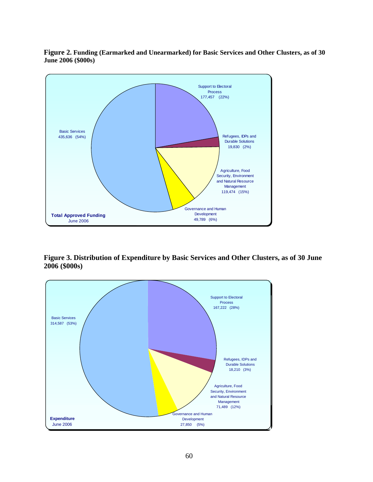**Figure 2. Funding (Earmarked and Unearmarked) for Basic Services and Other Clusters, as of 30 June 2006 (\$000s)** 



**Figure 3. Distribution of Expenditure by Basic Services and Other Clusters, as of 30 June 2006 (\$000s)** 

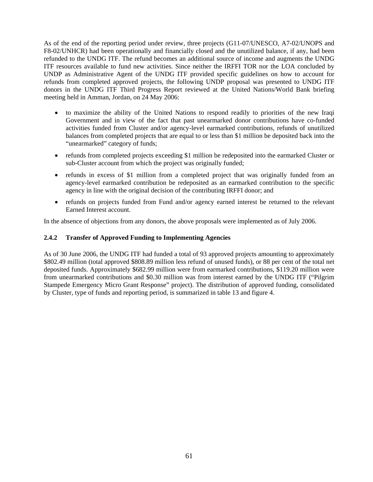As of the end of the reporting period under review, three projects (G11-07/UNESCO, A7-02/UNOPS and F8-02/UNHCR) had been operationally and financially closed and the unutilized balance, if any, had been refunded to the UNDG ITF. The refund becomes an additional source of income and augments the UNDG ITF resources available to fund new activities. Since neither the IRFFI TOR nor the LOA concluded by UNDP as Administrative Agent of the UNDG ITF provided specific guidelines on how to account for refunds from completed approved projects, the following UNDP proposal was presented to UNDG ITF donors in the UNDG ITF Third Progress Report reviewed at the United Nations/World Bank briefing meeting held in Amman, Jordan, on 24 May 2006:

- to maximize the ability of the United Nations to respond readily to priorities of the new Iraqi Government and in view of the fact that past unearmarked donor contributions have co-funded activities funded from Cluster and/or agency-level earmarked contributions, refunds of unutilized balances from completed projects that are equal to or less than \$1 million be deposited back into the "unearmarked" category of funds;
- refunds from completed projects exceeding \$1 million be redeposited into the earmarked Cluster or sub-Cluster account from which the project was originally funded;
- refunds in excess of \$1 million from a completed project that was originally funded from an agency-level earmarked contribution be redeposited as an earmarked contribution to the specific agency in line with the original decision of the contributing IRFFI donor; and
- refunds on projects funded from Fund and/or agency earned interest be returned to the relevant Earned Interest account.

In the absence of objections from any donors, the above proposals were implemented as of July 2006.

#### **2.4.2 Transfer of Approved Funding to Implementing Agencies**

As of 30 June 2006, the UNDG ITF had funded a total of 93 approved projects amounting to approximately \$802.49 million (total approved \$808.89 million less refund of unused funds), or 88 per cent of the total net deposited funds. Approximately \$682.99 million were from earmarked contributions, \$119.20 million were from unearmarked contributions and \$0.30 million was from interest earned by the UNDG ITF ("Pilgrim Stampede Emergency Micro Grant Response" project). The distribution of approved funding, consolidated by Cluster, type of funds and reporting period, is summarized in table 13 and figure 4.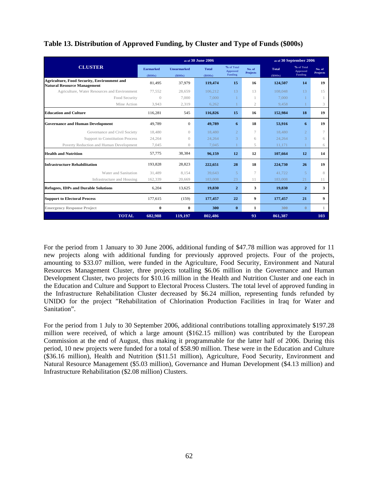| Table 13. Distribution of Approved Funding, by Cluster and Type of Funds (\$000s) |  |  |
|-----------------------------------------------------------------------------------|--|--|
|                                                                                   |  |  |
|                                                                                   |  |  |

|                                                                                          |                      |                               | as of 30 June 2006      |                                   |                           | as of 30 September 2006 |                                   |                    |  |  |
|------------------------------------------------------------------------------------------|----------------------|-------------------------------|-------------------------|-----------------------------------|---------------------------|-------------------------|-----------------------------------|--------------------|--|--|
| <b>CLUSTER</b>                                                                           | Earmarked<br>(S000s) | <b>Unearmarked</b><br>(S000s) | <b>Total</b><br>(S000s) | % of Total<br>Approved<br>Funding | No. of<br><b>Projects</b> | <b>Total</b><br>(S000s) | % of Total<br>Approved<br>Funding | No. of<br>Projects |  |  |
| <b>Agriculture, Food Security, Environment and</b><br><b>Natural Resource Management</b> | 81,495               | 37,979                        | 119,474                 | 15                                | 16                        | 124,507                 | 14                                | 19                 |  |  |
| Agriculture, Water Resources and Environment                                             | 77.552               | 28,659                        | 106.212                 | 13                                | 13                        | 108,048                 | 13                                | 15                 |  |  |
| Food Security                                                                            | $\left( \right)$     | 7.000                         | 7.000                   | $\mathbf{1}$                      |                           | 7.000                   | $\mathbf{1}$                      |                    |  |  |
| Mine Action                                                                              | 3,943                | 2,319                         | 6,262                   |                                   | $\mathfrak{2}$            | 9.458                   |                                   | 3                  |  |  |
| <b>Education and Culture</b>                                                             | 116,281              | 545                           | 116,826                 | 15                                | 16                        | 152,984                 | 18                                | 19                 |  |  |
| <b>Governance and Human Development</b>                                                  | 49.789               | $\overline{0}$                | 49.789                  | 6                                 | 18                        | 53,916                  | 6                                 | 19                 |  |  |
| Governance and Civil Society                                                             | 18.480               | $\theta$                      | 18,480                  | $\overline{2}$                    | $\tau$                    | 18,480                  | $\overline{2}$                    | 7                  |  |  |
| <b>Support to Constitution Process</b>                                                   | 24,264               | $\left( \right)$              | 24,264                  | 3                                 | 6                         | 24,264                  | 3                                 | 6                  |  |  |
| Poverty Reduction and Human Development                                                  | 7.045                | $\theta$                      | 7.045                   |                                   | 5                         | 11.171                  |                                   | 6                  |  |  |
| <b>Health and Nutrition</b>                                                              | 57,775               | 38,384                        | 96.159                  | 12                                | 12                        | 107.664                 | 12                                | 14                 |  |  |
| <b>Infrastructure Rehabilitation</b>                                                     | 193,828              | 28,823                        | 222,651                 | 28                                | 18                        | 224,730                 | 26                                | 19                 |  |  |
| Water and Sanitation                                                                     | 31.489               | 8.154                         | 39.643                  | $\overline{5}$                    | $\tau$                    | 41,722                  | $\overline{5}$                    | 8                  |  |  |
| Infrastructure and Housing                                                               | 162,339              | 20,669                        | 183,008                 | 23                                | 11                        | 183,008                 | 21                                | 11                 |  |  |
| <b>Refugees, IDPs and Durable Solutions</b>                                              | 6,204                | 13,625                        | 19.830                  | $\overline{2}$                    | 3                         | 19.830                  | $\overline{2}$                    | 3                  |  |  |
| <b>Support to Electoral Process</b>                                                      | 177,615              | (159)                         | 177,457                 | 22                                | 9                         | 177,457                 | 21                                | $\boldsymbol{9}$   |  |  |
| <b>Emergency Response Project</b>                                                        | $\bf{0}$             | $\bf{0}$                      | 300                     | $\bf{0}$                          | 1                         | 300                     | $\mathbf{0}$                      | 1                  |  |  |
| <b>TOTAL</b>                                                                             | 682,988              | 119,197                       | 802,486                 |                                   | 93                        | 861,387                 |                                   | 103                |  |  |

For the period from 1 January to 30 June 2006, additional funding of \$47.78 million was approved for 11 new projects along with additional funding for previously approved projects. Four of the projects, amounting to \$33.07 million, were funded in the Agriculture, Food Security, Environment and Natural Resources Management Cluster, three projects totalling \$6.06 million in the Governance and Human Development Cluster, two projects for \$10.16 million in the Health and Nutrition Cluster and one each in the Education and Culture and Support to Electoral Process Clusters. The total level of approved funding in the Infrastructure Rehabilitation Cluster decreased by \$6.24 million, representing funds refunded by UNIDO for the project "Rehabilitation of Chlorination Production Facilities in Iraq for Water and Sanitation".

For the period from 1 July to 30 September 2006, additional contributions totalling approximately \$197.28 million were received, of which a large amount (\$162.15 million) was contributed by the European Commission at the end of August, thus making it programmable for the latter half of 2006. During this period, 10 new projects were funded for a total of \$58.90 million. These were in the Education and Culture (\$36.16 million), Health and Nutrition (\$11.51 million), Agriculture, Food Security, Environment and Natural Resource Management (\$5.03 million), Governance and Human Development (\$4.13 million) and Infrastructure Rehabilitation (\$2.08 million) Clusters.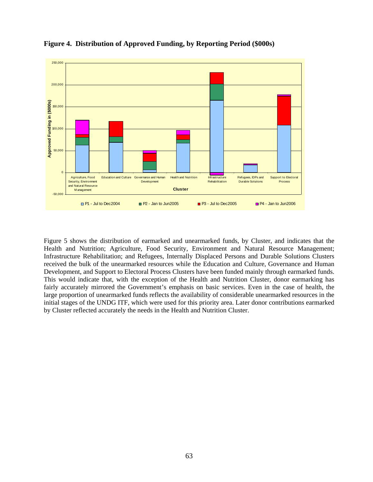

### **Figure 4. Distribution of Approved Funding, by Reporting Period (\$000s)**

Figure 5 shows the distribution of earmarked and unearmarked funds, by Cluster, and indicates that the Health and Nutrition; Agriculture, Food Security, Environment and Natural Resource Management; Infrastructure Rehabilitation; and Refugees, Internally Displaced Persons and Durable Solutions Clusters received the bulk of the unearmarked resources while the Education and Culture, Governance and Human Development, and Support to Electoral Process Clusters have been funded mainly through earmarked funds. This would indicate that, with the exception of the Health and Nutrition Cluster, donor earmarking has fairly accurately mirrored the Government's emphasis on basic services. Even in the case of health, the large proportion of unearmarked funds reflects the availability of considerable unearmarked resources in the initial stages of the UNDG ITF, which were used for this priority area. Later donor contributions earmarked by Cluster reflected accurately the needs in the Health and Nutrition Cluster.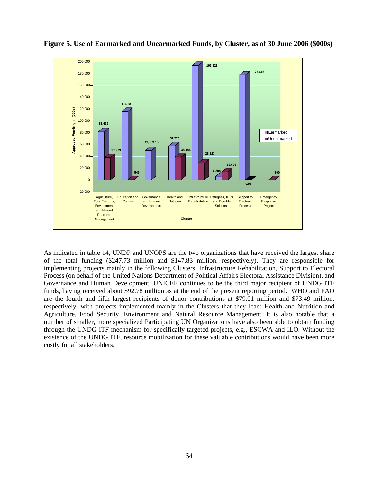

**Figure 5. Use of Earmarked and Unearmarked Funds, by Cluster, as of 30 June 2006 (\$000s)** 

As indicated in table 14, UNDP and UNOPS are the two organizations that have received the largest share of the total funding (\$247.73 million and \$147.83 million, respectively). They are responsible for implementing projects mainly in the following Clusters: Infrastructure Rehabilitation, Support to Electoral Process (on behalf of the United Nations Department of Political Affairs Electoral Assistance Division), and Governance and Human Development. UNICEF continues to be the third major recipient of UNDG ITF funds, having received about \$92.78 million as at the end of the present reporting period. WHO and FAO are the fourth and fifth largest recipients of donor contributions at \$79.01 million and \$73.49 million, respectively, with projects implemented mainly in the Clusters that they lead: Health and Nutrition and Agriculture, Food Security, Environment and Natural Resource Management. It is also notable that a number of smaller, more specialized Participating UN Organizations have also been able to obtain funding through the UNDG ITF mechanism for specifically targeted projects, e.g., ESCWA and ILO. Without the existence of the UNDG ITF, resource mobilization for these valuable contributions would have been more costly for all stakeholders.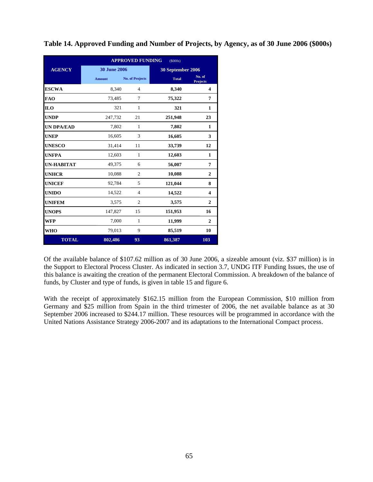|                   |                     | <b>APPROVED FUNDING</b><br>(5000s) |                   |                           |  |  |  |  |  |  |  |
|-------------------|---------------------|------------------------------------|-------------------|---------------------------|--|--|--|--|--|--|--|
| <b>AGENCY</b>     | <b>30 June 2006</b> |                                    | 30 September 2006 |                           |  |  |  |  |  |  |  |
|                   | <b>Amount</b>       | <b>No. of Projects</b>             | <b>Total</b>      | No. of<br><b>Projects</b> |  |  |  |  |  |  |  |
| <b>ESCWA</b>      | 8,340               | 4                                  | 8,340             | 4                         |  |  |  |  |  |  |  |
| <b>FAO</b>        | 73,485              | 7                                  | 75,322            | 7                         |  |  |  |  |  |  |  |
| <b>ILO</b>        | 321                 | 1                                  | 321               | 1                         |  |  |  |  |  |  |  |
| <b>UNDP</b>       | 247,732             | 21                                 | 251,948           | 23                        |  |  |  |  |  |  |  |
| <b>UN DPA/EAD</b> | 7,802               | 1                                  | 7,802             | 1                         |  |  |  |  |  |  |  |
| <b>UNEP</b>       | 16,605              | 3                                  | 16,605            | 3                         |  |  |  |  |  |  |  |
| <b>UNESCO</b>     | 31,414              | 11                                 | 33,739            | 12                        |  |  |  |  |  |  |  |
| <b>UNFPA</b>      | 12,603              | 1                                  | 12,603            | 1                         |  |  |  |  |  |  |  |
| <b>UN-HABITAT</b> | 49,375              | 6                                  | 56,007            | 7                         |  |  |  |  |  |  |  |
| <b>UNHCR</b>      | 10,088              | $\overline{c}$                     | 10,088            | $\mathbf{2}$              |  |  |  |  |  |  |  |
| <b>UNICEF</b>     | 92,784              | 5                                  | 121,044           | 8                         |  |  |  |  |  |  |  |
| <b>UNIDO</b>      | 14,522              | $\overline{4}$                     | 14,522            | $\overline{\mathbf{4}}$   |  |  |  |  |  |  |  |
| <b>UNIFEM</b>     | 3,575               | $\overline{c}$                     | 3,575             | $\mathbf{2}$              |  |  |  |  |  |  |  |
| <b>UNOPS</b>      | 147,827             | 15                                 | 151,953           | 16                        |  |  |  |  |  |  |  |
| <b>WFP</b>        | 7,000               | 1                                  | 11,999            | $\mathbf{2}$              |  |  |  |  |  |  |  |
| <b>WHO</b>        | 79,013              | 9                                  | 85,519            | 10                        |  |  |  |  |  |  |  |
| <b>TOTAL</b>      | 802,486             | 93                                 | 861,387           | 103                       |  |  |  |  |  |  |  |

**Table 14. Approved Funding and Number of Projects, by Agency, as of 30 June 2006 (\$000s)** 

Of the available balance of \$107.62 million as of 30 June 2006, a sizeable amount (viz. \$37 million) is in the Support to Electoral Process Cluster. As indicated in section 3.7, UNDG ITF Funding Issues, the use of this balance is awaiting the creation of the permanent Electoral Commission. A breakdown of the balance of funds, by Cluster and type of funds, is given in table 15 and figure 6.

With the receipt of approximately \$162.15 million from the European Commission, \$10 million from Germany and \$25 million from Spain in the third trimester of 2006, the net available balance as at 30 September 2006 increased to \$244.17 million. These resources will be programmed in accordance with the United Nations Assistance Strategy 2006-2007 and its adaptations to the International Compact process.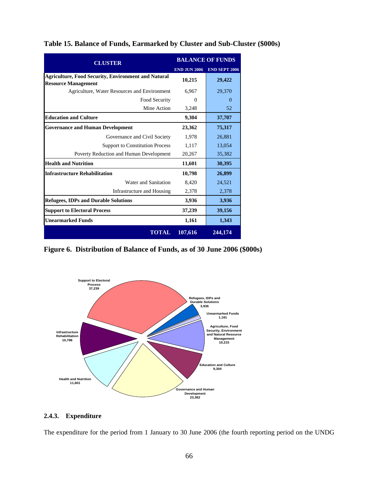| <b>CLUSTER</b>                                                                           |                     | <b>BALANCE OF FUNDS</b> |
|------------------------------------------------------------------------------------------|---------------------|-------------------------|
|                                                                                          | <b>END JUN 2006</b> | <b>END SEPT 2006</b>    |
| <b>Agriculture, Food Security, Environment and Natural</b><br><b>Resource Management</b> | 10,215              | 29,422                  |
| Agriculture, Water Resources and Environment                                             | 6,967               | 29,370                  |
| Food Security                                                                            | 0                   | $\Omega$                |
| Mine Action                                                                              | 3,248               | 52                      |
| <b>Education and Culture</b>                                                             | 9,304               | 37,707                  |
| <b>Governance and Human Development</b>                                                  | 23,362              | 75,317                  |
| Governance and Civil Society                                                             | 1,978               | 26,881                  |
| <b>Support to Constitution Process</b>                                                   | 1,117               | 13,054                  |
| Poverty Reduction and Human Development                                                  | 20,267              | 35,382                  |
| <b>Health and Nutrition</b>                                                              | 11,601              | 30,395                  |
| <b>Infrastructure Rehabilitation</b>                                                     | 10,798              | 26,899                  |
| Water and Sanitation                                                                     | 8,420               | 24,521                  |
| Infrastructure and Housing                                                               | 2,378               | 2,378                   |
| <b>Refugees, IDPs and Durable Solutions</b>                                              | 3,936               | 3,936                   |
| <b>Support to Electoral Process</b>                                                      | 37,239              | 39,156                  |
| <b>Unearmarked Funds</b>                                                                 | 1,161               | 1,343                   |
| <b>TOTAL</b>                                                                             | 107,616             | 244, 174                |

**Table 15. Balance of Funds, Earmarked by Cluster and Sub-Cluster (\$000s)**

**Figure 6. Distribution of Balance of Funds, as of 30 June 2006 (\$000s)** 



#### **2.4.3. Expenditure**

The expenditure for the period from 1 January to 30 June 2006 (the fourth reporting period on the UNDG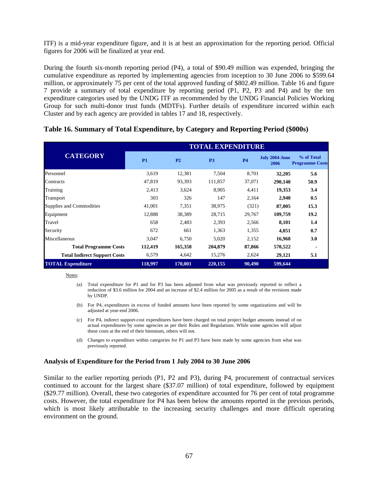ITF) is a mid-year expenditure figure, and it is at best an approximation for the reporting period. Official figures for 2006 will be finalized at year end.

During the fourth six-month reporting period (P4), a total of \$90.49 million was expended, bringing the cumulative expenditure as reported by implementing agencies from inception to 30 June 2006 to \$599.64 million, or approximately 75 per cent of the total approved funding of \$802.49 million. Table 16 and figure 7 provide a summary of total expenditure by reporting period (P1, P2, P3 and P4) and by the ten expenditure categories used by the UNDG ITF as recommended by the UNDG Financial Policies Working Group for such multi-donor trust funds (MDTFs). Further details of expenditure incurred within each Cluster and by each agency are provided in tables 17 and 18, respectively.

|                                     |           |                | <b>TOTAL EXPENDITURE</b> |           |                        |                                      |
|-------------------------------------|-----------|----------------|--------------------------|-----------|------------------------|--------------------------------------|
| <b>CATEGORY</b>                     | <b>P1</b> | P <sub>2</sub> | P <sub>3</sub>           | <b>P4</b> | July 2004-June<br>2006 | % of Total<br><b>Programme Costs</b> |
| Personnel                           | 3,619     | 12,381         | 7,504                    | 8,701     | 32,205                 | 5.6                                  |
| Contracts                           | 47,819    | 93,393         | 111,857                  | 37,071    | 290,140                | 50.9                                 |
| Training                            | 2,413     | 3,624          | 8,905                    | 4,411     | 19,353                 | 3.4                                  |
| Transport                           | 303       | 326            | 147                      | 2,164     | 2,940                  | 0.5                                  |
| Supplies and Commodities            | 41,001    | 7,351          | 38,975                   | (321)     | 87,005                 | 15.3                                 |
| Equipment                           | 12,888    | 38,389         | 28,715                   | 29,767    | 109,759                | 19.2                                 |
| Travel                              | 658       | 2,483          | 2,393                    | 2,566     | 8,101                  | 1.4                                  |
| Security                            | 672       | 661            | 1,363                    | 1,355     | 4,051                  | 0.7                                  |
| Miscellaneous                       | 3,047     | 6,750          | 5,020                    | 2,152     | 16,968                 | 3.0                                  |
| <b>Total Programme Costs</b>        | 112,419   | 165,358        | 204.879                  | 87,866    | 570,522                |                                      |
| <b>Total Indirect Support Costs</b> | 6,579     | 4,642          | 15,276                   | 2,624     | 29,121                 | 5.1                                  |
| <b>TOTAL Expenditure</b>            | 118,997   | 170,001        | 220,155                  | 90,490    | 599,644                |                                      |

#### **Table 16. Summary of Total Expenditure, by Category and Reporting Period (\$000s)**

#### Notes:

- (a) Total expenditure for P1 and for P3 has been adjusted from what was previously reported to reflect a reduction of \$3.6 million for 2004 and an increase of \$2.4 million for 2005 as a result of the revisions made by UNDP.
- (b) For P4, expenditures in excess of funded amounts have been reported by some organizations and will be adjusted at year-end 2006.
- (c) For P4, indirect support-cost expenditures have been charged on total project budget amounts instead of on actual expenditures by some agencies as per their Rules and Regulations. While some agencies will adjust these costs at the end of their biennium, others will not.
- (d) Changes to expenditure within categories for P1 and P3 have been made by some agencies from what was previously reported.

#### **Analysis of Expenditure for the Period from 1 July 2004 to 30 June 2006**

Similar to the earlier reporting periods (P1, P2 and P3), during P4, procurement of contractual services continued to account for the largest share (\$37.07 million) of total expenditure, followed by equipment (\$29.77 million). Overall, these two categories of expenditure accounted for 76 per cent of total programme costs. However, the total expenditure for P4 has been below the amounts reported in the previous periods, which is most likely attributable to the increasing security challenges and more difficult operating environment on the ground.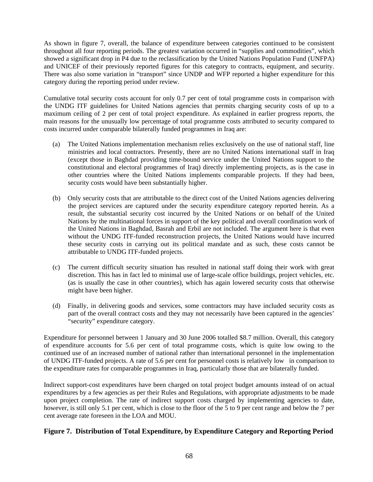As shown in figure 7, overall, the balance of expenditure between categories continued to be consistent throughout all four reporting periods. The greatest variation occurred in "supplies and commodities", which showed a significant drop in P4 due to the reclassification by the United Nations Population Fund (UNFPA) and UNICEF of their previously reported figures for this category to contracts, equipment, and security. There was also some variation in "transport" since UNDP and WFP reported a higher expenditure for this category during the reporting period under review.

Cumulative total security costs account for only 0.7 per cent of total programme costs in comparison with the UNDG ITF guidelines for United Nations agencies that permits charging security costs of up to a maximum ceiling of 2 per cent of total project expenditure. As explained in earlier progress reports, the main reasons for the unusually low percentage of total programme costs attributed to security compared to costs incurred under comparable bilaterally funded programmes in Iraq are:

- (a) The United Nations implementation mechanism relies exclusively on the use of national staff, line ministries and local contractors. Presently, there are no United Nations international staff in Iraq (except those in Baghdad providing time-bound service under the United Nations support to the constitutional and electoral programmes of Iraq) directly implementing projects, as is the case in other countries where the United Nations implements comparable projects. If they had been, security costs would have been substantially higher.
- (b) Only security costs that are attributable to the direct cost of the United Nations agencies delivering the project services are captured under the security expenditure category reported herein. As a result, the substantial security cost incurred by the United Nations or on behalf of the United Nations by the multinational forces in support of the key political and overall coordination work of the United Nations in Baghdad, Basrah and Erbil are not included. The argument here is that even without the UNDG ITF-funded reconstruction projects, the United Nations would have incurred these security costs in carrying out its political mandate and as such, these costs cannot be attributable to UNDG ITF-funded projects.
- (c) The current difficult security situation has resulted in national staff doing their work with great discretion. This has in fact led to minimal use of large-scale office buildings, project vehicles, etc. (as is usually the case in other countries), which has again lowered security costs that otherwise might have been higher.
- (d) Finally, in delivering goods and services, some contractors may have included security costs as part of the overall contract costs and they may not necessarily have been captured in the agencies' "security" expenditure category.

Expenditure for personnel between 1 January and 30 June 2006 totalled \$8.7 million. Overall, this category of expenditure accounts for 5.6 per cent of total programme costs, which is quite low owing to the continued use of an increased number of national rather than international personnel in the implementation of UNDG ITF-funded projects. A rate of 5.6 per cent for personnel costs is relatively low in comparison to the expenditure rates for comparable programmes in Iraq, particularly those that are bilaterally funded.

Indirect support-cost expenditures have been charged on total project budget amounts instead of on actual expenditures by a few agencies as per their Rules and Regulations, with appropriate adjustments to be made upon project completion. The rate of indirect support costs charged by implementing agencies to date, however, is still only 5.1 per cent, which is close to the floor of the 5 to 9 per cent range and below the 7 per cent average rate foreseen in the LOA and MOU.

## **Figure 7. Distribution of Total Expenditure, by Expenditure Category and Reporting Period**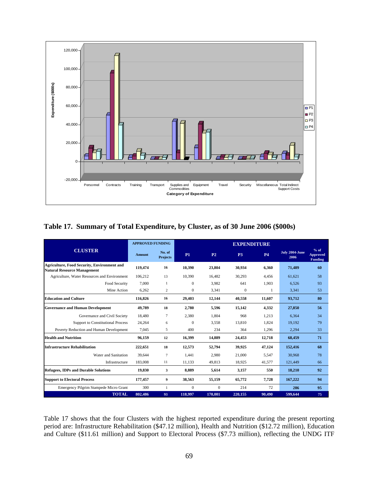

**Table 17. Summary of Total Expenditure, by Cluster, as of 30 June 2006 (\$000s)** 

|                                                                                          | <b>APPROVED FUNDING</b>                                         |                           |                |                | <b>EXPENDITURE</b> |           |                        |                                             |
|------------------------------------------------------------------------------------------|-----------------------------------------------------------------|---------------------------|----------------|----------------|--------------------|-----------|------------------------|---------------------------------------------|
| <b>CLUSTER</b>                                                                           | <b>Amount</b>                                                   | No. of<br><b>Projects</b> | <b>P1</b>      | P <sub>2</sub> | P <sub>3</sub>     | <b>P4</b> | July 2004-June<br>2006 | $%$ of<br><b>Approved</b><br><b>Funding</b> |
| <b>Agriculture, Food Security, Environment and</b><br><b>Natural Resource Management</b> | 119,474                                                         | 16                        | 10,390         | 23,804         | 30,934             | 6,360     | 71,489                 | 60                                          |
| Agriculture, Water Resources and Environment                                             | 106.212                                                         | 13                        | 10.390         | 16.482         | 30,293             | 4.456     | 61,621                 | 58                                          |
| Food Security                                                                            | 7,000                                                           | -1                        | $\theta$       | 3.982          | 641                | 1,903     | 6,526                  | 93                                          |
| Mine Action                                                                              | 6,262                                                           | $\mathfrak{2}$            | $\mathbf{0}$   | 3,341          | $\mathbf{0}$       |           | 3,341                  | 53                                          |
| <b>Education and Culture</b>                                                             | 116,826<br>29,403<br>12,144<br>40,558<br>11,607<br>93,712<br>16 |                           |                | 80             |                    |           |                        |                                             |
| <b>Governance and Human Development</b>                                                  | 49.789                                                          | 18                        | 2.780          | 5,596          | 15.142             | 4.332     | 27.850                 | 56                                          |
| Governance and Civil Society                                                             | 18.480                                                          | $\overline{7}$            | 2.380          | 1.804          | 968                | 1.213     | 6.364                  | 34                                          |
| <b>Support to Constitutional Process</b>                                                 | 24.264                                                          | 6                         | $\overline{0}$ | 3.558          | 13,810             | 1.824     | 19,192                 | 79                                          |
| Poverty Reduction and Human Development                                                  | 7.045                                                           | 5                         | 400            | 234            | 364                | 1.296     | 2,294                  | 33                                          |
| <b>Health and Nutrition</b>                                                              | 96.159                                                          | 12                        | 16,399         | 14.889         | 24,453             | 12,718    | 68.459                 | 71                                          |
| <b>Infrastructure Rehabilitation</b>                                                     | 222,651                                                         | 18                        | 12,573         | 52,794         | 39.925             | 47,124    | 152,416                | 68                                          |
| Water and Sanitation                                                                     | 39.644                                                          | $\overline{7}$            | 1.441          | 2.980          | 21,000             | 5.547     | 30.968                 | 78                                          |
| Infrastructure                                                                           | 183,008                                                         | 11                        | 11,133         | 49,813         | 18,925             | 41,577    | 121,449                | 66                                          |
| <b>Refugees, IDPs and Durable Solutions</b>                                              | 19,830                                                          | 3                         | 8,889          | 5,614          | 3,157              | 550       | 18,210                 | 92                                          |
| <b>Support to Electoral Process</b>                                                      | 177,457                                                         | 9                         | 38,563         | 55,159         | 65,772             | 7,728     | 167,222                | 94                                          |
| Emergency Pilgrim Stampede Micro Grant                                                   | 300                                                             | $\mathbf{1}$              | $\mathbf{0}$   | $\Omega$       | 214                | 72        | 286                    | 95                                          |
| <b>TOTAL</b>                                                                             | 802.486                                                         | 93                        | 118,997        | 170,001        | 220,155            | 90,490    | 599,644                | 75                                          |

Table 17 shows that the four Clusters with the highest reported expenditure during the present reporting period are: Infrastructure Rehabilitation (\$47.12 million), Health and Nutrition (\$12.72 million), Education and Culture (\$11.61 million) and Support to Electoral Process (\$7.73 million), reflecting the UNDG ITF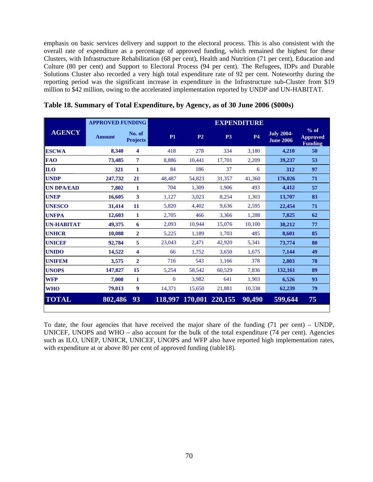emphasis on basic services delivery and support to the electoral process. This is also consistent with the overall rate of expenditure as a percentage of approved funding, which remained the highest for these Clusters, with Infrastructure Rehabilitation (68 per cent), Health and Nutrition (71 per cent), Education and Culture (80 per cent) and Support to Electoral Process (94 per cent). The Refugees, IDPs and Durable Solutions Cluster also recorded a very high total expenditure rate of 92 per cent. Noteworthy during the reporting period was the significant increase in expenditure in the Infrastructure sub-Cluster from \$19 million to \$42 million, owing to the accelerated implementation reported by UNDP and UN-HABITAT.

|                   | <b>APPROVED FUNDING</b> |                           |          |                |                         | <b>EXPENDITURE</b> |                                       |                                             |
|-------------------|-------------------------|---------------------------|----------|----------------|-------------------------|--------------------|---------------------------------------|---------------------------------------------|
| <b>AGENCY</b>     | <b>Amount</b>           | No. of<br><b>Projects</b> | P1       | P <sub>2</sub> | P <sub>3</sub>          | <b>P4</b>          | <b>July 2004-</b><br><b>June 2006</b> | $%$ of<br><b>Approved</b><br><b>Funding</b> |
| <b>ESCWA</b>      | 8.340                   | $\overline{\mathbf{4}}$   | 418      | 278            | 334                     | 3,180              | 4.210                                 | 50                                          |
| <b>FAO</b>        | 73,485                  | 7                         | 8,886    | 10,441         | 17,701                  | 2,209              | 39,237                                | 53                                          |
| <b>ILO</b>        | 321                     | 1                         | 84       | 186            | 37                      | 6                  | 312                                   | 97                                          |
| <b>UNDP</b>       | 247,732                 | 21                        | 48,487   | 54,823         | 31,357                  | 41,360             | 176,026                               | 71                                          |
| <b>UN DPA/EAD</b> | 7,802                   | 1                         | 704      | 1.309          | 1.906                   | 493                | 4,412                                 | 57                                          |
| <b>UNEP</b>       | 16,605                  | 3                         | 1,127    | 3,023          | 8,254                   | 1,303              | 13,707                                | 83                                          |
| <b>UNESCO</b>     | 31,414                  | 11                        | 5.820    | 4.402          | 9.636                   | 2,595              | 22,454                                | 71                                          |
| <b>UNFPA</b>      | 12,603                  | 1                         | 2,705    | 466            | 3,366                   | 1,288              | 7,825                                 | 62                                          |
| <b>UN-HABITAT</b> | 49,375                  | 6                         | 2,093    | 10,944         | 15,076                  | 10,100             | 38,212                                | 77                                          |
| <b>UNHCR</b>      | 10,088                  | $\overline{2}$            | 5,225    | 1,189          | 1,703                   | 485                | 8,601                                 | 85                                          |
| <b>UNICEF</b>     | 92,784                  | 5                         | 23,043   | 2,471          | 42,920                  | 5,341              | 73,774                                | 80                                          |
| <b>UNIDO</b>      | 14,522                  | 4                         | 66       | 1,752          | 3,650                   | 1,675              | 7.144                                 | 49                                          |
| <b>UNIFEM</b>     | 3,575                   | $\overline{2}$            | 716      | 543            | 1,166                   | 378                | 2,803                                 | 78                                          |
| <b>UNOPS</b>      | 147,827                 | 15                        | 5,254    | 58,542         | 60,529                  | 7,836              | 132,161                               | 89                                          |
| <b>WFP</b>        | 7,000                   | 1                         | $\Omega$ | 3,982          | 641                     | 1,903              | 6.526                                 | 93                                          |
| <b>WHO</b>        | 79,013                  | 9                         | 14,371   | 15,650         | 21,881                  | 10,338             | 62,239                                | 79                                          |
| <b>TOTAL</b>      | 802,486                 | 93                        |          |                | 118,997 170,001 220,155 | 90,490             | 599,644                               | 75                                          |

**Table 18. Summary of Total Expenditure, by Agency, as of 30 June 2006 (\$000s)** 

To date, the four agencies that have received the major share of the funding (71 per cent) – UNDP, UNICEF, UNOPS and WHO – also account for the bulk of the total expenditure (74 per cent). Agencies such as ILO, UNEP, UNHCR, UNICEF, UNOPS and WFP also have reported high implementation rates, with expenditure at or above 80 per cent of approved funding (table18).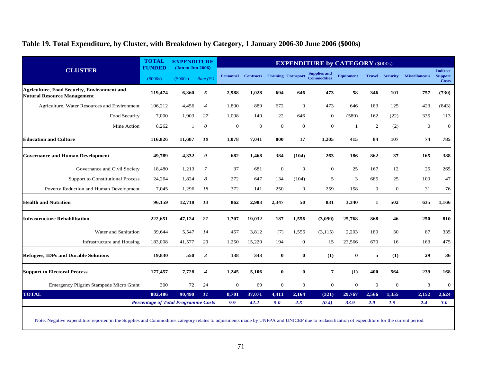## **Table 19. Total Expenditure, by Cluster, with Breakdown by Category, 1 January 2006-30 June 2006 (\$000s)**

|                                                                                          | <b>TOTAL</b>                               | <b>EXPENDITURE</b>            |                  |                  |                                     |                |                | <b>EXPENDITURE by CATEGORY (\$000s)</b>   |              |              |                        |                      |                                                   |
|------------------------------------------------------------------------------------------|--------------------------------------------|-------------------------------|------------------|------------------|-------------------------------------|----------------|----------------|-------------------------------------------|--------------|--------------|------------------------|----------------------|---------------------------------------------------|
| <b>CLUSTER</b>                                                                           | <b>FUNDED</b><br>(\$000s)                  | (Jan to Jun 2006)<br>(\$000s) | Rate $(%$        | <b>Personnel</b> | <b>Contracts</b> Training Transport |                |                | <b>Supplies and</b><br><b>Commodities</b> | Equipment    |              | <b>Travel Security</b> | <b>Miscellaneous</b> | <b>Indirect</b><br><b>Support</b><br><b>Costs</b> |
| <b>Agriculture, Food Security, Environment and</b><br><b>Natural Resource Management</b> | 119,474                                    | 6,360                         | 5                | 2,988            | 1,028                               | 694            | 646            | 473                                       | 58           | 346          | 101                    | 757                  | (730)                                             |
| Agriculture, Water Resources and Environment                                             | 106,212                                    | 4,456                         | $\overline{4}$   | 1.890            | 889                                 | 672            | $\Omega$       | 473                                       | 646          | 183          | 125                    | 423                  | (843)                                             |
| Food Security                                                                            | 7.000                                      | 1.903                         | 27               | 1,098            | 140                                 | 22             | 646            | $\mathbf{0}$                              | (589)        | 162          | (22)                   | 335                  | 113                                               |
| Mine Action                                                                              | 6,262                                      | 1                             | $\boldsymbol{o}$ | $\mathbf{0}$     | $\mathbf{0}$                        | $\overline{0}$ | $\overline{0}$ | $\mathbf{0}$                              | 1            | 2            | (2)                    | $\mathbf{0}$         | $\mathbf{0}$                                      |
| <b>Education and Culture</b>                                                             | 116,826                                    | 11,607                        | 10               | 1,078            | 7,041                               | 800            | 17             | 1,205                                     | 415          | 84           | 107                    | 74                   | 785                                               |
| <b>Governance and Human Development</b>                                                  | 49,789                                     | 4,332                         | 9                | 682              | 1,468                               | 384            | (104)          | 263                                       | 186          | 862          | 37                     | 165                  | 388                                               |
| Governance and Civil Society                                                             | 18,480                                     | 1,213                         | $\overline{7}$   | 37               | 681                                 | $\mathbf{0}$   | $\overline{0}$ | $\mathbf{0}$                              | 25           | 167          | 12                     | 25                   | 265                                               |
| <b>Support to Constitutional Process</b>                                                 | 24,264                                     | 1.824                         | 8                | 272              | 647                                 | 134            | (104)          | 5                                         | 3            | 685          | 25                     | 109                  | 47                                                |
| Poverty Reduction and Human Development                                                  | 7,045                                      | 1,296                         | 18               | 372              | 141                                 | 250            | $\overline{0}$ | 259                                       | 158          | 9            | $\mathbf{0}$           | 31                   | 76                                                |
| <b>Health and Nutrition</b>                                                              | 96,159                                     | 12,718                        | 13               | 862              | 2,983                               | 2,347          | 50             | 831                                       | 3,340        | 1            | 502                    | 635                  | 1,166                                             |
| <b>Infrastructure Rehabilitation</b>                                                     | 222,651                                    | 47,124                        | 21               | 1,707            | 19,032                              | 187            | 1,556          | (3,099)                                   | 25,768       | 868          | 46                     | 250                  | 810                                               |
| Water and Sanitation                                                                     | 39,644                                     | 5,547                         | 14               | 457              | 3,812                               | (7)            | 1,556          | (3, 115)                                  | 2,203        | 189          | 30                     | 87                   | 335                                               |
| Infrastructure and Housing                                                               | 183,008                                    | 41,577                        | 23               | 1,250            | 15,220                              | 194            | $\mathbf{0}$   | 15                                        | 23,566       | 679          | 16                     | 163                  | 475                                               |
| <b>Refugees, IDPs and Durable Solutions</b>                                              | 19,830                                     | 550                           | 3                | 138              | 343                                 | $\mathbf{0}$   | $\bf{0}$       | (1)                                       | $\bf{0}$     | 5            | (1)                    | 29                   | 36                                                |
| <b>Support to Electoral Process</b>                                                      | 177,457                                    | 7,728                         | $\overline{4}$   | 1,245            | 5,106                               | $\bf{0}$       | $\bf{0}$       | $\overline{7}$                            | (1)          | 400          | 564                    | 239                  | 168                                               |
| Emergency Pilgrim Stampede Micro Grant                                                   | 300                                        | 72                            | 24               | $\mathbf{0}$     | 69                                  | $\mathbf{0}$   | $\overline{0}$ | $\mathbf{0}$                              | $\mathbf{0}$ | $\mathbf{0}$ | $\mathbf{0}$           | 3                    | $\mathbf{0}$                                      |
| <b>TOTAL</b>                                                                             | 802.486                                    | 90.490                        | II               | 8,701            | 37,071                              | 4,411          | 2,164          | (321)                                     | 29,767       | 2,566        | 1,355                  | 2,152                | 2,624                                             |
|                                                                                          | <b>Percentage of Total Programme Costs</b> |                               |                  | 9.9              | 42.2                                | 5.0            | 2.5            | (0.4)                                     | 33.9         | 2.9          | 1.5                    | 2.4                  | 3.0                                               |

Note: Negative expenditure reported in the Supplies and Commodities category relates to adjustments made by UNFPA and UNICEF due to reclassification of expenditure for the current period.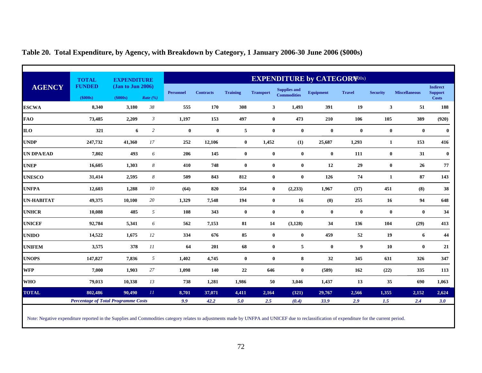|                   | <b>TOTAL</b>                               | <b>EXPENDITURE</b> |                   | <b>EXPENDITURE by CATEGOR SPOOS)</b> |                  |                  |                  |                     |                  |               |                 |                      |                                   |  |  |
|-------------------|--------------------------------------------|--------------------|-------------------|--------------------------------------|------------------|------------------|------------------|---------------------|------------------|---------------|-----------------|----------------------|-----------------------------------|--|--|
| <b>AGENCY</b>     | <b>FUNDED</b>                              |                    | (Jan to Jun 2006) |                                      | <b>Contracts</b> | <b>Training</b>  | <b>Transport</b> | <b>Supplies and</b> | <b>Equipment</b> | <b>Travel</b> | <b>Security</b> | <b>Miscellaneous</b> | <b>Indirect</b><br><b>Support</b> |  |  |
|                   | (\$000s)                                   | (\$000s)           | Rate $(\%)$       | <b>Personnel</b>                     |                  |                  |                  | <b>Commodities</b>  |                  |               |                 |                      | <b>Costs</b>                      |  |  |
| <b>ESCWA</b>      | 8,340                                      | 3,180              | $38\,$            | 555                                  | 170              | 308              | $\mathbf{3}$     | 1,493               | 391              | 19            | $\mathbf{3}$    | 51                   | 188                               |  |  |
| <b>FAO</b>        | 73,485                                     | 2,209              | $\mathfrak{Z}$    | 1,197                                | 153              | 497              | $\bf{0}$         | 473                 | 210              | 106           | 105             | 389                  | (920)                             |  |  |
| <b>ILO</b>        | 321                                        | 6                  | $\overline{c}$    | $\bf{0}$                             | $\bf{0}$         | $\sqrt{5}$       | $\bf{0}$         | $\pmb{0}$           | $\bf{0}$         | $\bf{0}$      | $\bf{0}$        | $\mathbf{0}$         | $\bf{0}$                          |  |  |
| <b>UNDP</b>       | 247,732                                    | 41,360             | 17                | 252                                  | 12,106           | $\bf{0}$         | 1,452            | (1)                 | 25,687           | 1,293         | $\mathbf{1}$    | 153                  | 416                               |  |  |
| <b>UN DPA/EAD</b> | 7,802                                      | 493                | 6                 | 206                                  | 145              | $\boldsymbol{0}$ | $\bf{0}$         | $\bf{0}$            | $\bf{0}$         | 111           | $\bf{0}$        | 31                   | $\bf{0}$                          |  |  |
| <b>UNEP</b>       | 16,605                                     | 1,303              | 8                 | 410                                  | 748              | $\boldsymbol{0}$ | $\bf{0}$         | $\bf{0}$            | 12               | 29            | $\bf{0}$        | 26                   | 77                                |  |  |
| <b>UNESCO</b>     | 31,414                                     | 2,595              | 8                 | 509                                  | 843              | 812              | $\bf{0}$         | $\bf{0}$            | 126              | 74            | $\mathbf{1}$    | 87                   | 143                               |  |  |
| <b>UNFPA</b>      | 12,603                                     | 1,288              | $10\,$            | (64)                                 | 820              | 354              | $\bf{0}$         | (2, 233)            | 1,967            | (37)          | 451             | (8)                  | 38                                |  |  |
| <b>UN-HABITAT</b> | 49,375                                     | 10,100             | 20                | 1,329                                | 7,548            | 194              | $\bf{0}$         | 16                  | (0)              | 255           | 16              | 94                   | 648                               |  |  |
| <b>UNHCR</b>      | 10,088                                     | 485                | $\sqrt{5}$        | 108                                  | 343              | $\boldsymbol{0}$ | $\bf{0}$         | $\bf{0}$            | $\bf{0}$         | $\bf{0}$      | $\bf{0}$        | $\bf{0}$             | 34                                |  |  |
| <b>UNICEF</b>     | 92,784                                     | 5,341              | 6                 | 562                                  | 7,153            | 81               | 14               | (3, 128)            | 34               | 136           | 104             | (29)                 | 413                               |  |  |
| <b>UNIDO</b>      | 14,522                                     | 1,675              | 12                | 334                                  | 676              | 85               | $\bf{0}$         | $\bf{0}$            | 459              | 52            | 19              | 6                    | 44                                |  |  |
| <b>UNIFEM</b>     | 3,575                                      | 378                | 11                | 64                                   | 201              | 68               | $\bf{0}$         | $5\phantom{.0}$     | $\bf{0}$         | 9             | 10              | $\bf{0}$             | 21                                |  |  |
| <b>UNOPS</b>      | 147,827                                    | 7,836              | 5                 | 1,402                                | 4,745            | $\bf{0}$         | $\bf{0}$         | 8                   | 32               | 345           | 631             | 326                  | 347                               |  |  |
| <b>WFP</b>        | 7,000                                      | 1,903              | 27                | 1,098                                | 140              | 22               | 646              | $\bf{0}$            | (589)            | 162           | (22)            | 335                  | 113                               |  |  |
| <b>WHO</b>        | 79,013                                     | 10,338             | 13                | 738                                  | 1,281            | 1,986            | 50               | 3,046               | 1,437            | 13            | 35              | 690                  | 1,063                             |  |  |
| <b>TOTAL</b>      | 802,486                                    | 90,490             | $\,II\,$          | 8,701                                | 37,071           | 4,411            | 2,164            | (321)               | 29,767           | 2,566         | 1,355           | 2,152                | 2,624                             |  |  |
|                   | <b>Percentage of Total Programme Costs</b> |                    |                   | 9.9                                  | 42.2             | 5.0              | 2.5              | (0.4)               | 33.9             | 2.9           | 1.5             | 2.4                  | 3.0                               |  |  |

# **Table 20. Total Expenditure, by Agency, with Breakdown by Category, 1 January 2006-30 June 2006 (\$000s)**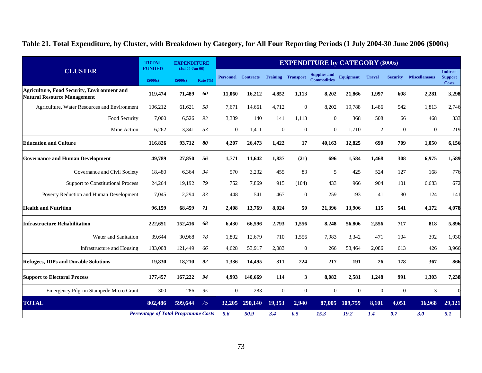**Table 21. Total Expenditure, by Cluster, with Breakdown by Category, for All Four Reporting Periods (1 July 2004-30 June 2006 (\$000s)** 

|                                                                                          | <b>TOTAL</b>                               | <b>EXPENDITURE</b>                                       |              |                            |                |                           |                  | <b>EXPENDITURE by CATEGORY (\$000s)</b>   |                  |               |                 |                      |                                                   |
|------------------------------------------------------------------------------------------|--------------------------------------------|----------------------------------------------------------|--------------|----------------------------|----------------|---------------------------|------------------|-------------------------------------------|------------------|---------------|-----------------|----------------------|---------------------------------------------------|
| <b>CLUSTER</b>                                                                           | <b>FUNDED</b><br>(\$000s)                  | $(\mathrm{Jul}\ 04\text{-}\mathrm{Jun}\ 06)$<br>(\$000s) | Rate $(\% )$ | <b>Personnel Contracts</b> |                | <b>Training Transport</b> |                  | <b>Supplies and</b><br><b>Commodities</b> | <b>Equipment</b> | <b>Travel</b> | <b>Security</b> | <b>Miscellaneous</b> | <b>Indirect</b><br><b>Support</b><br><b>Costs</b> |
| <b>Agriculture, Food Security, Environment and</b><br><b>Natural Resource Management</b> | 119,474                                    | 71,489                                                   | 60           | 11,060                     | 16,212         | 4,852                     | 1,113            | 8,202                                     | 21,866           | 1,997         | 608             | 2,281                | 3,298                                             |
| Agriculture, Water Resources and Environment                                             | 106,212                                    | 61,621                                                   | 58           | 7.671                      | 14.661         | 4,712                     | $\overline{0}$   | 8,202                                     | 19,788           | 1.486         | 542             | 1.813                | 2,746                                             |
| Food Security                                                                            | 7,000                                      | 6,526                                                    | 93           | 3,389                      | 140            | 141                       | 1,113            | $\overline{0}$                            | 368              | 508           | 66              | 468                  | 333                                               |
| Mine Action                                                                              | 6,262                                      | 3,341                                                    | 53           | $\overline{0}$             | 1,411          | $\boldsymbol{0}$          | $\boldsymbol{0}$ | $\Omega$                                  | 1,710            | 2             | $\overline{0}$  | $\mathbf{0}$         | 219                                               |
| <b>Education and Culture</b>                                                             | 116,826                                    | 93,712                                                   | 80           | 4,207                      | 26,473         | 1,422                     | 17               | 40,163                                    | 12,825           | 690           | 709             | 1,050                | 6,156                                             |
| <b>Governance and Human Development</b>                                                  | 49,789                                     | 27,850                                                   | 56           | 1,771                      | 11,642         | 1,837                     | (21)             | 696                                       | 1,584            | 1,468         | 308             | 6,975                | 1,589                                             |
| Governance and Civil Society                                                             | 18,480                                     | 6,364                                                    | 34           | 570                        | 3,232          | 455                       | 83               | 5                                         | 425              | 524           | 127             | 168                  | 776                                               |
| <b>Support to Constitutional Process</b>                                                 | 24,264                                     | 19,192                                                   | 79           | 752                        | 7,869          | 915                       | (104)            | 433                                       | 966              | 904           | 101             | 6,683                | 672                                               |
| Poverty Reduction and Human Development                                                  | 7,045                                      | 2,294                                                    | 33           | 448                        | 541            | 467                       | $\boldsymbol{0}$ | 259                                       | 193              | 41            | 80              | 124                  | 141                                               |
| <b>Health and Nutrition</b>                                                              | 96,159                                     | 68,459                                                   | 71           | 2,408                      | 13,769         | 8,024                     | 50               | 21,396                                    | 13,906           | 115           | 541             | 4,172                | 4,078                                             |
| <b>Infrastructure Rehabilitation</b>                                                     | 222,651                                    | 152,416                                                  | 68           | 6,430                      | 66,596         | 2,793                     | 1,556            | 8,248                                     | 56,806           | 2,556         | 717             | 818                  | 5,896                                             |
| Water and Sanitation                                                                     | 39,644                                     | 30,968                                                   | 78           | 1,802                      | 12,679         | 710                       | 1,556            | 7,983                                     | 3,342            | 471           | 104             | 392                  | 1,930                                             |
| Infrastructure and Housing                                                               | 183,008                                    | 121,449                                                  | 66           | 4,628                      | 53,917         | 2,083                     | $\overline{0}$   | 266                                       | 53,464           | 2,086         | 613             | 426                  | 3,966                                             |
| <b>Refugees, IDPs and Durable Solutions</b>                                              | 19,830                                     | 18,210                                                   | 92           | 1,336                      | 14,495         | 311                       | 224              | 217                                       | 191              | 26            | 178             | 367                  | 866                                               |
| <b>Support to Electoral Process</b>                                                      | 177,457                                    | 167,222                                                  | 94           | 4.993                      | 140,669        | 114                       | 3                | 8,082                                     | 2,581            | 1,248         | 991             | 1,303                | 7,238                                             |
| Emergency Pilgrim Stampede Micro Grant                                                   | 300                                        | 286                                                      | 95           | $\mathbf{0}$               | 283            | $\overline{0}$            | $\overline{0}$   | $\theta$                                  | $\Omega$         | $\Omega$      | $\overline{0}$  | 3                    |                                                   |
| <b>TOTAL</b>                                                                             | 802,486                                    | 599,644                                                  | 75           |                            | 32,205 290,140 | 19,353                    | 2,940            | 87,005                                    | 109,759          | 8,101         | 4,051           | 16,968               | 29,121                                            |
|                                                                                          | <b>Percentage of Total Programme Costs</b> |                                                          |              | 5.6                        | 50.9           | 3.4                       | 0.5              | 15.3                                      | 19.2             | 1.4           | 0.7             | 3.0                  | 5.1                                               |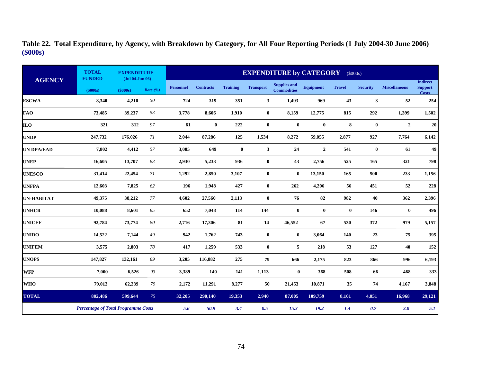|                   | <b>TOTAL</b><br><b>FUNDED</b>              | <b>EXPENDITURE</b><br>$(Jul 04-Jun 06)$ |             |                  |                  |                 |                  | <b>EXPENDITURE by CATEGORY</b>            |                  |               | (\$000s)        |                      |                                                   |
|-------------------|--------------------------------------------|-----------------------------------------|-------------|------------------|------------------|-----------------|------------------|-------------------------------------------|------------------|---------------|-----------------|----------------------|---------------------------------------------------|
| <b>AGENCY</b>     | (\$000s)                                   | (\$000s)                                | Rate $(\%)$ | <b>Personnel</b> | <b>Contracts</b> | <b>Training</b> | <b>Transport</b> | <b>Supplies and</b><br><b>Commodities</b> | <b>Equipment</b> | <b>Travel</b> | <b>Security</b> | <b>Miscellaneous</b> | <b>Indirect</b><br><b>Support</b><br><b>Costs</b> |
| <b>ESCWA</b>      | 8,340                                      | 4,210                                   | 50          | 724              | 319              | 351             | $\mathbf{3}$     | 1,493                                     | 969              | 43            | 3               | 52                   | 254                                               |
| <b>FAO</b>        | 73,485                                     | 39,237                                  | 53          | 3,778            | 8,606            | 1,910           | $\bf{0}$         | 8,159                                     | 12,775           | 815           | 292             | 1,399                | 1,502                                             |
| <b>ILO</b>        | 321                                        | 312                                     | 97          | 61               | $\bf{0}$         | 222             | $\bf{0}$         | $\bf{0}$                                  | $\bf{0}$         | 8             | $\bf{0}$        | $\overline{2}$       | 20                                                |
| <b>UNDP</b>       | 247,732                                    | 176,026                                 | 71          | 2,044            | 87,286           | 125             | 1,534            | 8,272                                     | 59,055           | 2,877         | 927             | 7,764                | 6,142                                             |
| <b>UN DPA/EAD</b> | 7,802                                      | 4,412                                   | 57          | 3,085            | 649              | $\bf{0}$        | 3                | 24                                        | $\overline{2}$   | 541           | $\bf{0}$        | 61                   | 49                                                |
| <b>UNEP</b>       | 16,605                                     | 13,707                                  | 83          | 2,930            | 5,233            | 936             | $\bf{0}$         | 43                                        | 2,756            | 525           | 165             | 321                  | 798                                               |
| <b>UNESCO</b>     | 31,414                                     | 22,454                                  | 71          | 1,292            | 2,850            | 3,107           | $\bf{0}$         | $\bf{0}$                                  | 13,150           | 165           | 500             | 233                  | 1,156                                             |
| <b>UNFPA</b>      | 12,603                                     | 7,825                                   | 62          | 196              | 1,948            | 427             | $\bf{0}$         | 262                                       | 4,206            | 56            | 451             | 52                   | 228                                               |
| <b>UN-HABITAT</b> | 49,375                                     | 38,212                                  | 77          | 4,602            | 27,560           | 2,113           | $\bf{0}$         | 76                                        | 82               | 982           | 40              | 362                  | 2,396                                             |
| <b>UNHCR</b>      | 10,088                                     | 8,601                                   | 85          | 652              | 7,048            | 114             | 144              | $\bf{0}$                                  | $\bf{0}$         | $\bf{0}$      | 146             | $\bf{0}$             | 496                                               |
| <b>UNICEF</b>     | 92,784                                     | 73,774                                  | 80          | 2,716            | 17,306           | 81              | 14               | 46,552                                    | 67               | 530           | 372             | 979                  | 5,157                                             |
| <b>UNIDO</b>      | 14,522                                     | 7,144                                   | 49          | 942              | 1,762            | 743             | $\bf{0}$         | $\bf{0}$                                  | 3,064            | 140           | 23              | 75                   | 395                                               |
| <b>UNIFEM</b>     | 3,575                                      | 2,803                                   | 78          | 417              | 1,259            | 533             | $\bf{0}$         | 5                                         | 218              | 53            | 127             | 40                   | 152                                               |
| <b>UNOPS</b>      | 147,827                                    | 132,161                                 | 89          | 3,205            | 116,882          | 275             | 79               | 666                                       | 2,175            | 823           | 866             | 996                  | 6,193                                             |
| <b>WFP</b>        | 7,000                                      | 6,526                                   | 93          | 3,389            | 140              | 141             | 1,113            | $\bf{0}$                                  | 368              | 508           | 66              | 468                  | 333                                               |
| <b>WHO</b>        | 79,013                                     | 62,239                                  | 79          | 2,172            | 11,291           | 8,277           | 50               | 21,453                                    | 10,871           | 35            | 74              | 4,167                | 3,848                                             |
| <b>TOTAL</b>      | 802,486                                    | 599,644                                 | 75          | 32,205           | 290,140          | 19,353          | 2,940            | 87,005                                    | 109,759          | 8,101         | 4,051           | 16,968               | 29,121                                            |
|                   | <b>Percentage of Total Programme Costs</b> |                                         |             | 5.6              | 50.9             | 3.4             | 0.5              | 15.3                                      | 19.2             | 1.4           | 0.7             | 3.0                  | 5.1                                               |

**Table 22. Total Expenditure, by Agency, with Breakdown by Category, for All Four Reporting Periods (1 July 2004-30 June 2006) (\$000s)**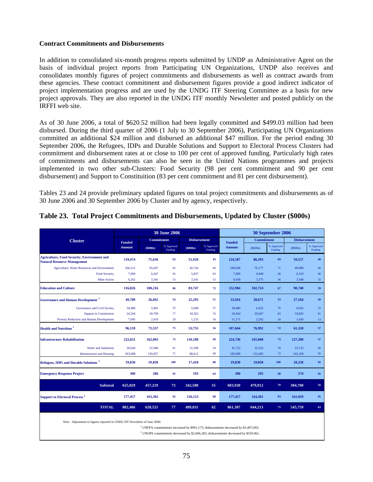#### **Contract Commitments and Disbursements**

In addition to consolidated six-month progress reports submitted by UNDP as Administrative Agent on the basis of individual project reports from Participating UN Organizations, UNDP also receives and consolidates monthly figures of project commitments and disbursements as well as contract awards from these agencies. These contract commitment and disbursement figures provide a good indirect indicator of project implementation progress and are used by the UNDG ITF Steering Committee as a basis for new project approvals. They are also reported in the UNDG ITF monthly Newsletter and posted publicly on the IRFFI web site.

As of 30 June 2006, a total of \$620.52 million had been legally committed and \$499.03 million had been disbursed. During the third quarter of 2006 (1 July to 30 September 2006), Participating UN Organizations committed an additional \$24 million and disbursed an additional \$47 million. For the period ending 30 September 2006, the Refugees, IDPs and Durable Solutions and Support to Electoral Process Clusters had commitment and disbursement rates at or close to 100 per cent of approved funding. Particularly high rates of commitments and disbursements can also be seen in the United Nations programmes and projects implemented in two other sub-Clusters: Food Security (98 per cent commitment and 90 per cent disbursement) and Support to Constituition (83 per cent commitment and 81 per cent disbursement).

Tables 23 and 24 provide preliminary updated figures on total project commitments and disbursements as of 30 June 2006 and 30 September 2006 by Cluster and by agency, respectively.

|                                                                                          |                                                                                                                                                                                                                                                                       |            | <b>30 June 2006</b>   |                     |                       | 30 September 2006              |                   |                       |                     |                       |  |  |  |
|------------------------------------------------------------------------------------------|-----------------------------------------------------------------------------------------------------------------------------------------------------------------------------------------------------------------------------------------------------------------------|------------|-----------------------|---------------------|-----------------------|--------------------------------|-------------------|-----------------------|---------------------|-----------------------|--|--|--|
| <b>Cluster</b>                                                                           |                                                                                                                                                                                                                                                                       | Commitment |                       | <b>Disbursement</b> |                       |                                | <b>Commitment</b> |                       | <b>Disbursement</b> |                       |  |  |  |
|                                                                                          | <b>Funded</b><br><b>Amount</b>                                                                                                                                                                                                                                        | (\$000s)   | % Approved<br>Funding | $($ \$000s $)$      | % Approved<br>Funding | <b>Funded</b><br><b>Amount</b> | (S000s)           | % Approved<br>Funding | (5000s)             | % Approved<br>Funding |  |  |  |
| <b>Agriculture, Food Security, Environment and</b><br><b>Natural Resource Management</b> | 119,474                                                                                                                                                                                                                                                               | 75,636     | 63                    | 51.920              | 43                    | 124,507                        | 86,393            | 69                    | 59,557              | 48                    |  |  |  |
| Agriculture, Water Resources and Environment                                             | 106,212                                                                                                                                                                                                                                                               | 65,647     | 62                    | 42,742              | 40                    | 108,048                        | 76,177            | 71                    | 49,898              | 46                    |  |  |  |
| <b>Food Security</b>                                                                     | 7,000                                                                                                                                                                                                                                                                 | 6,647      | 95                    | 5,837               | 83                    | 7,000                          | 6,840             | 98                    | 6,310               | 90                    |  |  |  |
| Mine Action                                                                              | 6,262                                                                                                                                                                                                                                                                 | 3,341      | 53                    | 3,341               | 53                    | 9,458                          | 3,375             | 36                    | 3,348               | 35                    |  |  |  |
| <b>Education and Culture</b>                                                             | 116,826                                                                                                                                                                                                                                                               | 100,216    | 86                    | 83,747              | 72                    | 152,984                        | 102,724           | 67                    | 90,748              | 59                    |  |  |  |
| <b>Governance and Human Development</b> <sup>2</sup>                                     | 49,789                                                                                                                                                                                                                                                                | 26,692     | 54                    | 25,295              | 51                    | 53,916                         | 28,671            | 53                    | 27,164              | 50                    |  |  |  |
| Governance and Civil Society                                                             | 18,480                                                                                                                                                                                                                                                                | 5,965      | 32                    | 5,698               | 31                    | 18,480                         | 6,422             | 35                    | 6,042               | 33                    |  |  |  |
| <b>Support to Constitution</b>                                                           | 24,264                                                                                                                                                                                                                                                                | 18,709     | 77                    | 18,362              | 76                    | 24,264                         | 20,047            | 83                    | 19.692              | 81                    |  |  |  |
| Poverty Reduction and Human Development                                                  | 7,045                                                                                                                                                                                                                                                                 | 2,019      | 29                    | 1,235               | 18                    | 11,171                         | 2,202             | 20                    | 1,430               | 13                    |  |  |  |
| <b>Health and Nutrition</b>                                                              | 96,159                                                                                                                                                                                                                                                                | 72,557     | 75                    | 53,755              | 56                    | 107,664                        | 76,992            | 72                    | 61,318              | 57                    |  |  |  |
| <b>Infrastructure Rehabilitation</b>                                                     | 222,651                                                                                                                                                                                                                                                               | 162,003    | 73                    | 110.180             | 49                    | 224,730                        | 165,008           | 73                    | 127.390             | 57                    |  |  |  |
| <b>Water and Sanitation</b>                                                              | 39,644                                                                                                                                                                                                                                                                | 31,946     | 81                    | 21,568              | 54                    | 41,722                         | 32,516            | 78                    | 25,132              | 60                    |  |  |  |
| <b>Infrastructure and Housing</b>                                                        | 183,008                                                                                                                                                                                                                                                               | 130,057    | 71                    | 88,612              | 48                    | 183,008                        | 132,492           | 72                    | 102,258             | 56                    |  |  |  |
| Refugees, IDPs and Durable Solutions <sup>2</sup>                                        | 19,830                                                                                                                                                                                                                                                                | 19,830     | 100                   | 17,418              | 88                    | 19,830                         | 19,830            | 100                   | 18.250              | 92                    |  |  |  |
| <b>Emergency Response Project</b>                                                        | 300                                                                                                                                                                                                                                                                   | 286        | 95                    | 193                 | 64                    | 300                            | 295               | 98                    | 274                 | 91                    |  |  |  |
| <b>Subtotal</b>                                                                          | 625,029                                                                                                                                                                                                                                                               | 457,219    | 73                    | 342,508             | 55                    | 683,930                        | 479,912           | 70                    | 384,700             | 56                    |  |  |  |
| <b>Support to Electoral Process<sup>2</sup></b>                                          | 177,457                                                                                                                                                                                                                                                               | 163,302    | 92                    | 156,523             | 88                    | 177,457                        | 164,301           | 93                    | 161,059             | 91                    |  |  |  |
| <b>TOTAL</b>                                                                             | 802,486                                                                                                                                                                                                                                                               | 620,521    | 77                    | 499,031             | 62                    | 861,387                        | 644,213           | 75                    | 545,759             | 63                    |  |  |  |
|                                                                                          | Note - Adjustment to figures reported in UNDG ITF Newsletter of June 2006:<br><sup>1</sup> UNFPA commitments increased by \$991,173; disbursements decreased by \$3,497,093;<br>$2$ UNOPS commitments decreased by \$2,066,283; disbursements decreased by \$559,961. |            |                       |                     |                       |                                |                   |                       |                     |                       |  |  |  |

### **Table 23. Total Project Commitments and Disbursements, Updated by Cluster (\$000s)**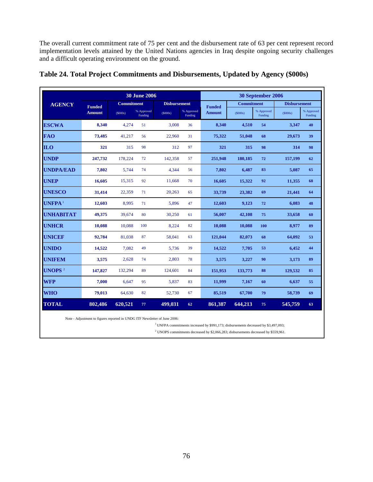The overall current commitment rate of 75 per cent and the disbursement rate of 63 per cent represent record implementation levels attained by the United Nations agencies in Iraq despite ongoing security challenges and a difficult operating environment on the ground.

|                  |               |                   | <b>30 June 2006</b>   |                     |                       | 30 September 2006 |            |                       |                     |                       |  |  |
|------------------|---------------|-------------------|-----------------------|---------------------|-----------------------|-------------------|------------|-----------------------|---------------------|-----------------------|--|--|
| <b>AGENCY</b>    | <b>Funded</b> | <b>Commitment</b> |                       | <b>Disbursement</b> |                       | <b>Funded</b>     | Commitment |                       | <b>Disbursement</b> |                       |  |  |
|                  | <b>Amount</b> | (S000s)           | % Approved<br>Funding | (S000s)             | % Approved<br>Funding | <b>Amount</b>     | (S000s)    | % Approved<br>Funding | (S000s)             | % Approved<br>Funding |  |  |
| <b>ESCWA</b>     | 8,340         | 4,274             | 51                    | 3.008               | 36                    | 8,340             | 4,510      | 54                    | 3,347               | 40                    |  |  |
| <b>FAO</b>       | 73,485        | 41,217            | 56                    | 22,960              | 31                    | 75,322            | 51,048     | 68                    | 29,673              | 39                    |  |  |
| <b>ILO</b>       | 321           | 315               | 98                    | 312                 | 97                    | 321               | 315        | 98                    | 314                 | 98                    |  |  |
| <b>UNDP</b>      | 247,732       | 178,224           | 72                    | 142,358             | 57                    | 251,948           | 180,185    | 72                    | 157,199             | 62                    |  |  |
| <b>UNDPA/EAD</b> | 7,802         | 5,744             | 74                    | 4,344               | 56                    | 7,802             | 6,487      | 83                    | 5,087               | 65                    |  |  |
| UNEP             | 16.605        | 15,315            | 92                    | 11,668              | 70                    | 16.605            | 15,322     | 92                    | 11,355              | 68                    |  |  |
| <b>UNESCO</b>    | 31,414        | 22,359            | 71                    | 20,263              | 65                    | 33,739            | 23,382     | 69                    | 21,441              | 64                    |  |  |
| UNFPA $^{\rm 1}$ | 12,603        | 8,995             | 71                    | 5,896               | 47                    | 12,603            | 9,123      | 72                    | 6,083               | 48                    |  |  |
| <b>UNHABITAT</b> | 49,375        | 39,674            | 80                    | 30,250              | 61                    | 56,007            | 42,108     | 75                    | 33,658              | 60                    |  |  |
| <b>UNHCR</b>     | 10,088        | 10,088            | 100                   | 8,224               | 82                    | 10,088            | 10,088     | 100                   | 8,977               | 89                    |  |  |
| UNICEF           | 92,784        | 81,038            | 87                    | 58,041              | 63                    | 121,044           | 82,073     | 68                    | 64,092              | 53                    |  |  |
| <b>UNIDO</b>     | 14.522        | 7.082             | 49                    | 5.736               | 39                    | 14.522            | 7,705      | 53                    | 6.452               | 44                    |  |  |
| <b>UNIFEM</b>    | 3.575         | 2.628             | 74                    | 2.803               | 78                    | 3.575             | 3,227      | 90                    | 3.173               | 89                    |  |  |
| UNOPS $^2$       | 147,827       | 132,294           | 89                    | 124,601             | 84                    | 151.953           | 133,773    | 88                    | 129.532             | 85                    |  |  |
| <b>WFP</b>       | 7,000         | 6.647             | 95                    | 5,837               | 83                    | 11,999            | 7,167      | 60                    | 6,637               | 55                    |  |  |
| <b>WHO</b>       | 79,013        | 64.630            | 82                    | 52,730              | 67                    | 85,519            | 67,700     | 79                    | 58,739              | 69                    |  |  |
| <b>TOTAL</b>     | 802,486       | 620,521           | 77                    | 499,031             | 62                    | 861,387           | 644.213    | 75                    | 545,759             | 63                    |  |  |

| Table 24. Total Project Commitments and Disbursements, Updated by Agency (\$000s) |  |  |  |  |  |
|-----------------------------------------------------------------------------------|--|--|--|--|--|
|-----------------------------------------------------------------------------------|--|--|--|--|--|

Note - Adjustment to figures reported in UNDG ITF Newsletter of June 2006:

 $^{\rm 1}$  UNFPA commitments increased by \$991,173; disbursements decreased by \$3,497,093;

 $^2$  UNOPS commitments decreased by \$2,066,283; disbursements decreased by \$559,961.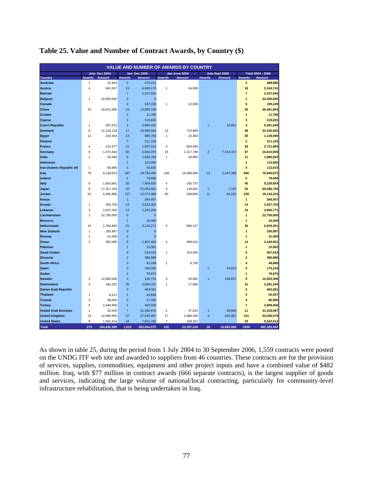|                             |                |               |                         |                     |                | <b>VALUE AND NUMBER OF AWARDS BY COUNTRY</b> |                         |                |                         |                   |
|-----------------------------|----------------|---------------|-------------------------|---------------------|----------------|----------------------------------------------|-------------------------|----------------|-------------------------|-------------------|
|                             |                | July-Dec 2004 |                         | <b>Jan-Dec 2005</b> |                | Jan-June 2006                                |                         | July-Sept 2006 |                         | Total 2004 - 2006 |
| <b>Country</b>              | <b>Awards</b>  | <b>Amount</b> | <b>Awards</b>           | <b>Amount</b>       | <b>Awards</b>  | <b>Amount</b>                                | <b>Awards</b>           | <b>Amount</b>  | <b>Awards</b>           | <b>Amount</b>     |
| <b>Australia</b>            | 1              | 15.664        | $\overline{2}$          | 473.222             |                |                                              |                         |                | 3                       | 488.886           |
| <b>Austria</b>              | $\overline{4}$ | 641,557       | 13                      | 4,469,176           | $\overline{1}$ | 54,008                                       |                         |                | 18                      | 5,164,741         |
| <b>Bahrain</b>              |                |               | $\overline{7}$          | 2,337,656           |                |                                              |                         |                | $\overline{7}$          | 2,337,656         |
| <b>Belgium</b>              | $\overline{1}$ | 22,500,000    | $\mathbf 0$             | $\overline{0}$      |                |                                              |                         |                | 1                       | 22,500,000        |
| Canada                      |                |               | $\overline{\mathbf{4}}$ | 187,228             | 1              | 12,000                                       |                         |                | 5                       | 199,228           |
| China                       | 20             | 34,872,695    | 10                      | 13,509,109          |                |                                              |                         |                | 30                      | 48,381,804        |
| Croatia                     |                |               | $\overline{1}$          | 11,780              |                |                                              |                         |                | $\overline{1}$          | 11,780            |
| <b>Cyprus</b>               |                |               | 3                       | 219,835             |                |                                              |                         |                | 3                       | 219,835           |
| <b>Czech Republic</b>       | $\overline{1}$ | 287,522       | $\overline{2}$          | 5,980,425           |                |                                              | 1                       | 23,681         | 4                       | 6,291,628         |
| <b>Denmark</b>              | 8              | 11,118,139    | 17                      | 20,588,584          | 13             | 723,869                                      |                         |                | 38                      | 32,430,592        |
| Egypt                       | 11             | 210,364       | 23                      | 895,763             | $\mathbf{1}$   | 22,463                                       |                         |                | 35                      | 1,128,590         |
| <b>Finland</b>              |                |               | $\overline{2}$          | 211,154             |                |                                              |                         |                | $\overline{\mathbf{2}}$ | 211,154           |
| <b>France</b>               | $\overline{4}$ | 210,377       | 21                      | 1,857,513           | 3              | 654,094                                      |                         |                | 28                      | 2,721,984         |
| Germany                     | 9              | 1,473,443     | 60                      | 6,504,379           | 16             | 1,317,780                                    | $\overline{2}$          | 7,314,457      | 87                      | 16,610,059        |
| India                       | $\mathbf{1}$   | 26.496        | 9                       | 1,830,768           | $\mathbf{1}$   | 28,660                                       |                         |                | 11                      | 1,885,924         |
| Indonesia                   |                |               | $\overline{1}$          | 112,000             |                |                                              |                         |                | $\overline{1}$          | 112,000           |
| Iran (Islamic Republic of)  | $\mathbf{1}$   | 56,980        | 3                       | 55,635              |                |                                              |                         |                | 4                       | 112,615           |
| Iraq                        | 78             | 8,128,524     | 467                     | 49,784,490          | 108            | 16,486,460                                   | 13                      | 2,447,398      | 666                     | 76,846,872        |
| <b>Ireland</b>              |                |               | $\overline{2}$          | 79,696              |                |                                              |                         |                | $\overline{\mathbf{2}}$ | 79,696            |
| Italy                       | 6              | 1,603,691     | 30                      | 7,459,626           | $\overline{4}$ | 165,737                                      |                         |                | 40                      | 9,229,054         |
| Japan                       | 8              | 17,317,159    | 20                      | 52,053,602          | 3              | 118,802                                      | $\overline{1}$          | 7,197          | 32                      | 69,496,760        |
| Jordan                      | 51             | 6,295,890     | 127                     | 12,574,368          | 50             | 208,860                                      | 11                      | 64,192         | 239                     | 19,143,310        |
| Kenya                       |                |               | $\overline{1}$          | 284,457             |                |                                              |                         |                | $\mathbf{1}$            | 284,457           |
| <b>Kuwait</b>               | $\overline{1}$ | 304,750       | 13                      | 3,623,003           |                |                                              |                         |                | 14                      | 3,927,753         |
| Lebanon                     | 3              | 2,637,565     | 13                      | 2,263,206           |                |                                              |                         |                | 16                      | 4,900,771         |
| Liechtenstein               | $\mathbf{1}$   | 22,700,000    | $\mathbf{0}$            | $\overline{0}$      |                |                                              |                         |                | 1                       | 22,700,000        |
| <b>Morocco</b>              |                |               | $\overline{1}$          | 16,400              |                |                                              |                         |                | $\overline{1}$          | 16,400            |
| <b>Netherlands</b>          | 10             | 1,784,903     | 22                      | 4,125,271           | 4              | 966,127                                      |                         |                | 36                      | 6,876,301         |
| <b>New Zealand</b>          | $\overline{1}$ | 160,997       | $\mathbf{0}$            | $\Omega$            |                |                                              |                         |                | 1                       | 160,997           |
| <b>Norway</b>               | $\overline{1}$ | 41,000        | $\overline{0}$          | $\overline{0}$      |                |                                              |                         |                | $\overline{1}$          | 41,000            |
| Oman                        | $\overline{4}$ | 493,485       | 6                       | 1,457,456           | 4              | 489,610                                      |                         |                | 14                      | 2,440,551         |
| <b>Pakistan</b>             |                |               | $\overline{1}$          | 15,062              |                |                                              |                         |                | 1                       | 15,062            |
| Saudi Arabia                |                |               | 4                       | 314,019             | $\mathbf{1}$   | 153,000                                      |                         |                | 5                       | 467,019           |
| <b>Slovenia</b>             |                |               | $\overline{2}$          | 380.980             |                |                                              |                         |                | $\overline{2}$          | 380,980           |
| <b>South Africa</b>         |                |               | 3                       | 42,188              | 1              | 6,700                                        |                         |                | 4                       | 48,888            |
| Spain                       |                |               | $\overline{2}$          | 150,595             |                |                                              | 1                       | 24,623         | 3                       | 175,218           |
| Sudan                       |                |               | 1                       | 78,975              |                |                                              |                         |                | 1                       | 78,975            |
| <b>Sweden</b>               | $\overline{2}$ | 12,680,046    | 3                       | 106,731             | 3              | 56,892                                       | 1                       | 109,637        | 9                       | 12,953,306        |
| <b>Switzerland</b>          | 5              | 184,332       | 25                      | 2,069,252           | $\overline{1}$ | 27,660                                       |                         |                | 31                      | 2,281,244         |
| <b>Syrian Arab Republic</b> |                |               | 3                       | 463,061             |                |                                              |                         |                | 3                       | 463,061           |
| <b>Thailand</b>             | 1              | 8,221         | $\overline{1}$          | 43,836              |                |                                              |                         |                | $\overline{a}$          | 52,057            |
| <b>Tunisia</b>              | $\overline{2}$ | 38,650        | $\overline{2}$          | 47,340              |                |                                              |                         |                | 4                       | 85,990            |
| <b>Turkey</b>               | 6              | 2,446,956     | $\overline{1}$          | 452,500             |                |                                              |                         |                | $\overline{7}$          | 2,899,456         |
| <b>United Arab Emirates</b> | $\overline{1}$ | 32,500        | $\overline{7}$          | 41,390,975          | $\overline{c}$ | 47,822                                       | $\overline{1}$          | 46,800         | 11                      | 41,518,097        |
| <b>United Kingdom</b>       | 23             | 14,596,065    | 57                      | 37,540,997          | 17             | 1,488,435                                    | $\overline{\mathbf{4}}$ | 644,081        | 101                     | 54,269,578        |
| <b>United States</b>        | 8              | 1,562,414     | 18                      | 7,821,762           | $\overline{7}$ | 158,437                                      |                         |                | 33                      | 9,542,613         |
| <b>Total</b>                | 273            | 164,430,385   | 1,010                   | 283,884,075         | 241            | 23, 187, 416                                 | 35                      | 10,682,066     | 1559                    | 482,183,942       |

### **Table 25. Value and Number of Contract Awards, by Country (\$)**

As shown in table 25, during the period from 1 July 2004 to 30 September 2006, 1,559 contracts were posted on the UNDG ITF web site and awarded to suppliers from 46 countries. These contracts are for the provision of services, supplies, commodities, equipment and other project inputs and have a combined value of \$482 million. Iraq, with \$77 million in contract awards (666 separate contracts), is the largest supplier of goods and services, indicating the large volume of national/local contracting, particularly for community-level infrastructure rehabilitation, that is being undertaken in Iraq.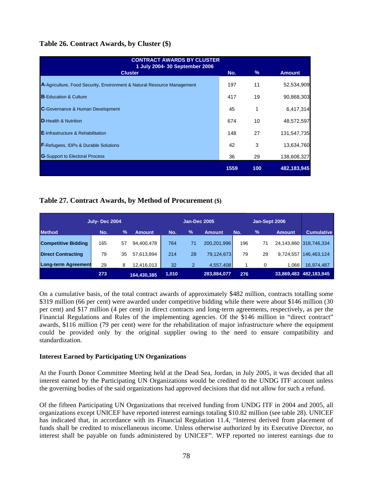# **Table 26. Contract Awards, by Cluster (\$)**

| <b>CONTRACT AWARDS BY CLUSTER</b><br>1 July 2004- 30 September 2006     |      |     |               |
|-------------------------------------------------------------------------|------|-----|---------------|
| <b>Cluster</b>                                                          | No.  | %   | <b>Amount</b> |
| A-Agriculture, Food Security, Environment & Natural Resource Management | 197  | 11  | 52,534,909    |
| <b>B-Education &amp; Culture</b>                                        | 417  | 19  | 90,868,303    |
| <b>C</b> -Governance & Human Development                                | 45   |     | 6,417,314     |
| <b>D</b> -Health & Nutrition                                            | 674  | 10  | 48,572,597    |
| <b>E-Infrastructure &amp; Rehabilitation</b>                            | 148  | 27  | 131,547,735   |
| <b>F-Refugees, IDPs &amp; Durable Solutions</b>                         | 42   | 3   | 13,634,760    |
| <b>G</b> -Support to Electoral Process                                  | 36   | 29  | 138,608,327   |
|                                                                         | 1559 | 100 | 482,183,945   |

# **Table 27. Contract Awards, by Method of Procurement (\$)**

|                            | <b>July-Dec 2004</b> |               |             |       |                | Jan-Sept 2006<br><b>Jan-Dec 2005</b> |     |               |               |                        |  |  |
|----------------------------|----------------------|---------------|-------------|-------|----------------|--------------------------------------|-----|---------------|---------------|------------------------|--|--|
| <b>Method</b>              | No.                  | $\frac{9}{6}$ | Amount      | No.   | $\frac{9}{6}$  | <b>Amount</b>                        | No. | $\frac{9}{6}$ | <b>Amount</b> | <b>Cumulative</b>      |  |  |
| <b>Competitive Bidding</b> | 165                  | 57            | 94,400,478  | 764   | 71             | 200,201,996                          | 196 | 71            |               | 24.143.860 318.746.334 |  |  |
| <b>Direct Contracting</b>  | 79                   | 35            | 57,613,894  | 214   | 28             | 79,124,673                           | 79  | 29            | 9,724,557     | 146.463.124            |  |  |
| Long-term Agreement        | 29                   | 8             | 12.416.013  | 32    | $\overline{2}$ | 4.557.408                            |     |               | 1.066         | 16,974,487             |  |  |
|                            | 273                  |               | 164,430,385 | 1.010 |                | 283,884,077                          | 276 |               |               | 33,869,483 482,183,945 |  |  |

On a cumulative basis, of the total contract awards of approximately \$482 million, contracts totalling some \$319 million (66 per cent) were awarded under competitive bidding while there were about \$146 million (30 per cent) and \$17 million (4 per cent) in direct contracts and long-term agreements, respectively, as per the Financial Regulations and Rules of the implementing agencies. Of the \$146 million in "direct contract" awards, \$116 million (79 per cent) were for the rehabilitation of major infrastructure where the equipment could be provided only by the original supplier owing to the need to ensure compatibility and standardization.

## **Interest Earned by Participating UN Organizations**

At the Fourth Donor Committee Meeting held at the Dead Sea, Jordan, in July 2005, it was decided that all interest earned by the Participating UN Organizations would be credited to the UNDG ITF account unless the governing bodies of the said organizations had approved decisions that did not allow for such a refund.

Of the fifteen Participating UN Organizations that received funding from UNDG ITF in 2004 and 2005, all organizations except UNICEF have reported interest earnings totaling \$10.82 million (see table 28). UNICEF has indicated that, in accordance with its Financial Regulation 11.4, "Interest derived from placement of funds shall be credited to miscellaneous income. Unless otherwise authorized by its Executive Director, no interest shall be payable on funds administered by UNICEF". WFP reported no interest earnings due to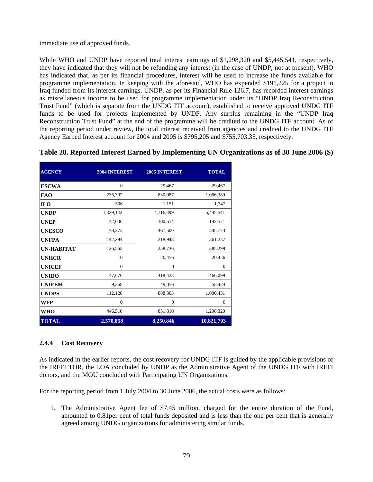immediate use of approved funds.

While WHO and UNDP have reported total interest earnings of \$1,298,320 and \$5,445,541, respectively, they have indicated that they will not be refunding any interest (in the case of UNDP, not at present). WHO has indicated that, as per its financial procedures, interest will be used to increase the funds available for programme implementation. In keeping with the aforesaid, WHO has expended \$191,225 for a project in Iraq funded from its interest earnings. UNDP, as per its Financial Rule 126.7, has recorded interest earnings as miscellaneous income to be used for programme implementation under its "UNDP Iraq Reconstruction Trust Fund" (which is separate from the UNDG ITF account), established to receive approved UNDG ITF funds to be used for projects implemented by UNDP. Any surplus remaining in the "UNDP Iraq Reconstruction Trust Fund" at the end of the programme will be credited to the UNDG ITF account. As of the reporting period under review, the total interest received from agencies and credited to the UNDG ITF Agency Earned Interest account for 2004 and 2005 is \$795,205 and \$755,703.35, respectively.

| <b>AGENCY</b>     | 2004 INTEREST  | <b>2005 INTEREST</b> | <b>TOTAL</b> |
|-------------------|----------------|----------------------|--------------|
| <b>ESCWA</b>      | $\overline{0}$ | 29,467               | 29,467       |
| <b>FAO</b>        | 236,302        | 830,087              | 1,066,389    |
| <b>ILO</b>        | 596            | 1,151                | 1,747        |
| <b>UNDP</b>       | 1,329,142      | 4,116,399            | 5,445,541    |
| <b>UNEP</b>       | 42,006         | 100,514              | 142,521      |
| <b>UNESCO</b>     | 78,273         | 467,500              | 545,773      |
| <b>UNFPA</b>      | 142,294        | 218,943              | 361,237      |
| <b>UN-HABITAT</b> | 126,562        | 258,736              | 385,298      |
| <b>UNHCR</b>      | $\mathbf{0}$   | 20,456               | 20,456       |
| <b>UNICEF</b>     | $\overline{0}$ | $\mathbf{0}$         | $\mathbf{0}$ |
| <b>UNIDO</b>      | 47,676         | 418,423              | 466,099      |
| <b>UNIFEM</b>     | 9,368          | 49,056               | 58,424       |
| <b>UNOPS</b>      | 112,128        | 888,303              | 1,000,431    |
| WFP               | $\theta$       | $\overline{0}$       | $\Omega$     |
| WHO               | 446,510        | 851,810              | 1,298,320    |
| <b>TOTAL</b>      | 2,570,858      | 8,250,846            | 10,821,703   |

## **Table 28. Reported Interest Earned by Implementing UN Organizations as of 30 June 2006 (\$)**

## **2.4.4 Cost Recovery**

As indicated in the earlier reports, the cost recovery for UNDG ITF is guided by the applicable provisions of the IRFFI TOR, the LOA concluded by UNDP as the Administrative Agent of the UNDG ITF with IRFFI donors, and the MOU concluded with Participating UN Organizations.

For the reporting period from 1 July 2004 to 30 June 2006, the actual costs were as follows:

1. The Administrative Agent fee of \$7.45 million, charged for the entire duration of the Fund, amounted to 0.81per cent of total funds deposited and is less than the one per cent that is generally agreed among UNDG organizations for administering similar funds.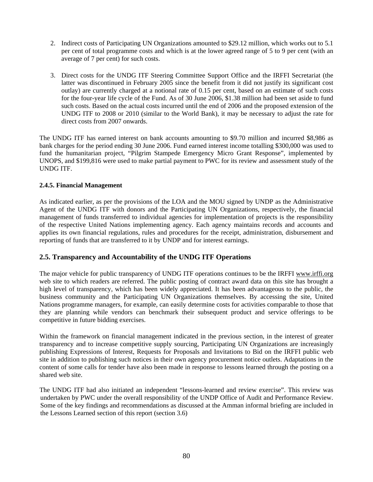- 2. Indirect costs of Participating UN Organizations amounted to \$29.12 million, which works out to 5.1 per cent of total programme costs and which is at the lower agreed range of 5 to 9 per cent (with an average of 7 per cent) for such costs.
- 3. Direct costs for the UNDG ITF Steering Committee Support Office and the IRFFI Secretariat (the latter was discontinued in February 2005 since the benefit from it did not justify its significant cost outlay) are currently charged at a notional rate of 0.15 per cent, based on an estimate of such costs for the four-year life cycle of the Fund. As of 30 June 2006, \$1.38 million had been set aside to fund such costs. Based on the actual costs incurred until the end of 2006 and the proposed extension of the UNDG ITF to 2008 or 2010 (similar to the World Bank), it may be necessary to adjust the rate for direct costs from 2007 onwards.

The UNDG ITF has earned interest on bank accounts amounting to \$9.70 million and incurred \$8,986 as bank charges for the period ending 30 June 2006. Fund earned interest income totalling \$300,000 was used to fund the humanitarian project, "Pilgrim Stampede Emergency Micro Grant Response", implemented by UNOPS, and \$199,816 were used to make partial payment to PWC for its review and assessment study of the UNDG ITF.

### **2.4.5. Financial Management**

As indicated earlier, as per the provisions of the LOA and the MOU signed by UNDP as the Administrative Agent of the UNDG ITF with donors and the Participating UN Organizations, respectively, the financial management of funds transferred to individual agencies for implementation of projects is the responsibility of the respective United Nations implementing agency. Each agency maintains records and accounts and applies its own financial regulations, rules and procedures for the receipt, administration, disbursement and reporting of funds that are transferred to it by UNDP and for interest earnings.

## **2.5. Transparency and Accountability of the UNDG ITF Operations**

The major vehicle for public transparency of UNDG ITF operations continues to be the IRFFI [www.irffi.org](http://www.irffi.org/) web site to which readers are referred. The public posting of contract award data on this site has brought a high level of transparency, which has been widely appreciated. It has been advantageous to the public, the business community and the Participating UN Organizations themselves. By accessing the site, United Nations programme managers, for example, can easily determine costs for activities comparable to those that they are planning while vendors can benchmark their subsequent product and service offerings to be competitive in future bidding exercises.

Within the framework on financial management indicated in the previous section, in the interest of greater transparency and to increase competitive supply sourcing, Participating UN Organizations are increasingly publishing Expressions of Interest, Requests for Proposals and Invitations to Bid on the IRFFI public web site in addition to publishing such notices in their own agency procurement notice outlets. Adaptations in the content of some calls for tender have also been made in response to lessons learned through the posting on a shared web site.

The UNDG ITF had also initiated an independent "lessons-learned and review exercise". This review was undertaken by PWC under the overall responsibility of the UNDP Office of Audit and Performance Review. Some of the key findings and recommendations as discussed at the Amman informal briefing are included in the Lessons Learned section of this report (section 3.6)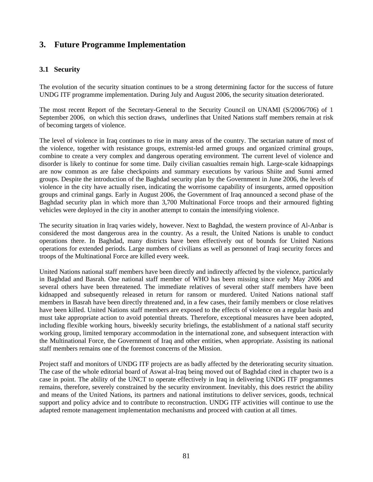# **3. Future Programme Implementation**

# **3.1 Security**

The evolution of the security situation continues to be a strong determining factor for the success of future UNDG ITF programme implementation. During July and August 2006, the security situation deteriorated.

The most recent Report of the Secretary-General to the Security Council on UNAMI (S/2006/706) of 1 September 2006, on which this section draws, underlines that United Nations staff members remain at risk of becoming targets of violence.

The level of violence in Iraq continues to rise in many areas of the country. The sectarian nature of most of the violence, together with resistance groups, extremist-led armed groups and organized criminal groups, combine to create a very complex and dangerous operating environment. The current level of violence and disorder is likely to continue for some time. Daily civilian casualties remain high. Large-scale kidnappings are now common as are false checkpoints and summary executions by various Shiite and Sunni armed groups. Despite the introduction of the Baghdad security plan by the Government in June 2006, the levels of violence in the city have actually risen, indicating the worrisome capability of insurgents, armed opposition groups and criminal gangs. Early in August 2006, the Government of Iraq announced a second phase of the Baghdad security plan in which more than 3,700 Multinational Force troops and their armoured fighting vehicles were deployed in the city in another attempt to contain the intensifying violence.

The security situation in Iraq varies widely, however. Next to Baghdad, the western province of Al-Anbar is considered the most dangerous area in the country. As a result, the United Nations is unable to conduct operations there. In Baghdad, many districts have been effectively out of bounds for United Nations operations for extended periods. Large numbers of civilians as well as personnel of Iraqi security forces and troops of the Multinational Force are killed every week.

United Nations national staff members have been directly and indirectly affected by the violence, particularly in Baghdad and Basrah. One national staff member of WHO has been missing since early May 2006 and several others have been threatened. The immediate relatives of several other staff members have been kidnapped and subsequently released in return for ransom or murdered. United Nations national staff members in Basrah have been directly threatened and, in a few cases, their family members or close relatives have been killed. United Nations staff members are exposed to the effects of violence on a regular basis and must take appropriate action to avoid potential threats. Therefore, exceptional measures have been adopted, including flexible working hours, biweekly security briefings, the establishment of a national staff security working group, limited temporary accommodation in the international zone, and subsequent interaction with the Multinational Force, the Government of Iraq and other entities, when appropriate. Assisting its national staff members remains one of the foremost concerns of the Mission.

Project staff and monitors of UNDG ITF projects are as badly affected by the deteriorating security situation. The case of the whole editorial board of Aswat al-Iraq being moved out of Baghdad cited in chapter two is a case in point. The ability of the UNCT to operate effectively in Iraq in delivering UNDG ITF programmes remains, therefore, severely constrained by the security environment. Inevitably, this does restrict the ability and means of the United Nations, its partners and national institutions to deliver services, goods, technical support and policy advice and to contribute to reconstruction. UNDG ITF activities will continue to use the adapted remote management implementation mechanisms and proceed with caution at all times.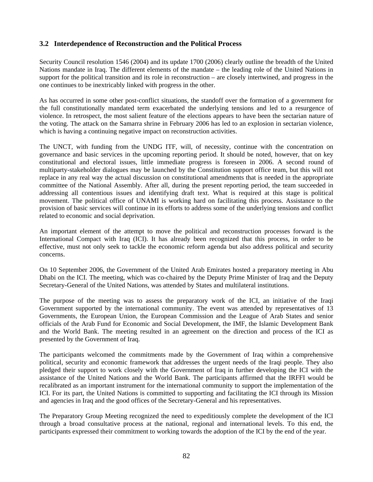# **3.2 Interdependence of Reconstruction and the Political Process**

Security Council resolution 1546 (2004) and its update 1700 (2006) clearly outline the breadth of the United Nations mandate in Iraq. The different elements of the mandate – the leading role of the United Nations in support for the political transition and its role in reconstruction – are closely intertwined, and progress in the one continues to be inextricably linked with progress in the other.

As has occurred in some other post-conflict situations, the standoff over the formation of a government for the full constitutionally mandated term exacerbated the underlying tensions and led to a resurgence of violence. In retrospect, the most salient feature of the elections appears to have been the sectarian nature of the voting. The attack on the Samarra shrine in February 2006 has led to an explosion in sectarian violence, which is having a continuing negative impact on reconstruction activities.

The UNCT, with funding from the UNDG ITF, will, of necessity, continue with the concentration on governance and basic services in the upcoming reporting period. It should be noted, however, that on key constitutional and electoral issues, little immediate progress is foreseen in 2006. A second round of multiparty-stakeholder dialogues may be launched by the Constitution support office team, but this will not replace in any real way the actual discussion on constitutional amendments that is needed in the appropriate committee of the National Assembly. After all, during the present reporting period, the team succeeded in addressing all contentious issues and identifying draft text. What is required at this stage is political movement. The political office of UNAMI is working hard on facilitating this process. Assistance to the provision of basic services will continue in its efforts to address some of the underlying tensions and conflict related to economic and social deprivation.

An important element of the attempt to move the political and reconstruction processes forward is the International Compact with Iraq (ICI). It has already been recognized that this process, in order to be effective, must not only seek to tackle the economic reform agenda but also address political and security concerns.

On 10 September 2006, the Government of the United Arab Emirates hosted a preparatory meeting in Abu Dhabi on the ICI. The meeting, which was co-chaired by the Deputy Prime Minister of Iraq and the Deputy Secretary-General of the United Nations, was attended by States and multilateral institutions.

The purpose of the meeting was to assess the preparatory work of the ICI, an initiative of the Iraqi Government supported by the international community. The event was attended by representatives of 13 Governments, the European Union, the European Commission and the League of Arab States and senior officials of the Arab Fund for Economic and Social Development, the IMF, the Islamic Development Bank and the World Bank. The meeting resulted in an agreement on the direction and process of the ICI as presented by the Government of Iraq.

The participants welcomed the commitments made by the Government of Iraq within a comprehensive political, security and economic framework that addresses the urgent needs of the Iraqi people. They also pledged their support to work closely with the Government of Iraq in further developing the ICI with the assistance of the United Nations and the World Bank. The participants affirmed that the IRFFI would be recalibrated as an important instrument for the international community to support the implementation of the ICI. For its part, the United Nations is committed to supporting and facilitating the ICI through its Mission and agencies in Iraq and the good offices of the Secretary-General and his representatives.

The Preparatory Group Meeting recognized the need to expeditiously complete the development of the ICI through a broad consultative process at the national, regional and international levels. To this end, the participants expressed their commitment to working towards the adoption of the ICI by the end of the year.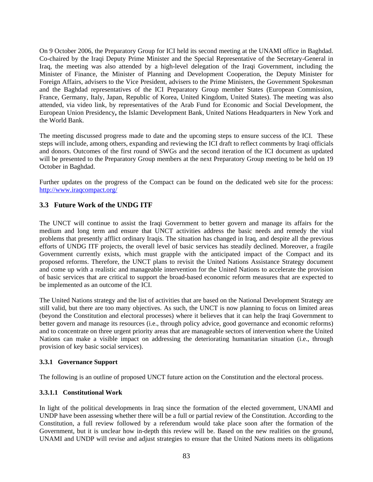On 9 October 2006, the Preparatory Group for ICI held its second meeting at the UNAMI office in Baghdad. Co-chaired by the Iraqi Deputy Prime Minister and the Special Representative of the Secretary-General in Iraq, the meeting was also attended by a high-level delegation of the Iraqi Government, including the Minister of Finance, the Minister of Planning and Development Cooperation, the Deputy Minister for Foreign Affairs, advisers to the Vice President, advisers to the Prime Ministers, the Government Spokesman and the Baghdad representatives of the ICI Preparatory Group member States (European Commission, France, Germany, Italy, Japan, Republic of Korea, United Kingdom, United States). The meeting was also attended, via video link, by representatives of the Arab Fund for Economic and Social Development, the European Union Presidency**,** the Islamic Development Bank, United Nations Headquarters in New York and the World Bank.

The meeting discussed progress made to date and the upcoming steps to ensure success of the ICI. These steps will include, among others, expanding and reviewing the ICI draft to reflect comments by Iraqi officials and donors. Outcomes of the first round of SWGs and the second iteration of the ICI document as updated will be presented to the Preparatory Group members at the next Preparatory Group meeting to be held on 19 October in Baghdad.

Further updates on the progress of the Compact can be found on the dedicated web site for the process: <http://www.iraqcompact.org/>

# **3.3 Future Work of the UNDG ITF**

The UNCT will continue to assist the Iraqi Government to better govern and manage its affairs for the medium and long term and ensure that UNCT activities address the basic needs and remedy the vital problems that presently afflict ordinary Iraqis. The situation has changed in Iraq, and despite all the previous efforts of UNDG ITF projects, the overall level of basic services has steadily declined. Moreover, a fragile Government currently exists, which must grapple with the anticipated impact of the Compact and its proposed reforms. Therefore, the UNCT plans to revisit the United Nations Assistance Strategy document and come up with a realistic and manageable intervention for the United Nations to accelerate the provision of basic services that are critical to support the broad-based economic reform measures that are expected to be implemented as an outcome of the ICI.

The United Nations strategy and the list of activities that are based on the National Development Strategy are still valid, but there are too many objectives. As such, the UNCT is now planning to focus on limited areas (beyond the Constitution and electoral processes) where it believes that it can help the Iraqi Government to better govern and manage its resources (i.e., through policy advice, good governance and economic reforms) and to concentrate on three urgent priority areas that are manageable sectors of intervention where the United Nations can make a visible impact on addressing the deteriorating humanitarian situation (i.e., through provision of key basic social services).

### **3.3.1 Governance Support**

The following is an outline of proposed UNCT future action on the Constitution and the electoral process.

### **3.3.1.1 Constitutional Work**

In light of the political developments in Iraq since the formation of the elected government, UNAMI and UNDP have been assessing whether there will be a full or partial review of the Constitution. According to the Constitution, a full review followed by a referendum would take place soon after the formation of the Government, but it is unclear how in-depth this review will be. Based on the new realities on the ground, UNAMI and UNDP will revise and adjust strategies to ensure that the United Nations meets its obligations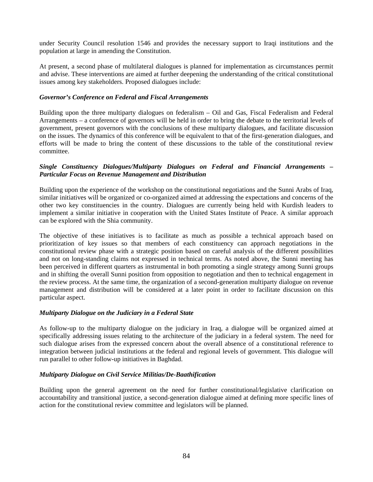under Security Council resolution 1546 and provides the necessary support to Iraqi institutions and the population at large in amending the Constitution.

At present, a second phase of multilateral dialogues is planned for implementation as circumstances permit and advise. These interventions are aimed at further deepening the understanding of the critical constitutional issues among key stakeholders. Proposed dialogues include:

#### *Governor's Conference on Federal and Fiscal Arrangements*

Building upon the three multiparty dialogues on federalism – Oil and Gas, Fiscal Federalism and Federal Arrangements – a conference of governors will be held in order to bring the debate to the territorial levels of government, present governors with the conclusions of these multiparty dialogues, and facilitate discussion on the issues. The dynamics of this conference will be equivalent to that of the first-generation dialogues, and efforts will be made to bring the content of these discussions to the table of the constitutional review committee.

### *Single Constituency Dialogues/Multiparty Dialogues on Federal and Financial Arrangements – Particular Focus on Revenue Management and Distribution*

Building upon the experience of the workshop on the constitutional negotiations and the Sunni Arabs of Iraq, similar initiatives will be organized or co-organized aimed at addressing the expectations and concerns of the other two key constituencies in the country. Dialogues are currently being held with Kurdish leaders to implement a similar initiative in cooperation with the United States Institute of Peace. A similar approach can be explored with the Shia community.

The objective of these initiatives is to facilitate as much as possible a technical approach based on prioritization of key issues so that members of each constituency can approach negotiations in the constitutional review phase with a strategic position based on careful analysis of the different possibilities and not on long-standing claims not expressed in technical terms. As noted above, the Sunni meeting has been perceived in different quarters as instrumental in both promoting a single strategy among Sunni groups and in shifting the overall Sunni position from opposition to negotiation and then to technical engagement in the review process. At the same time, the organization of a second-generation multiparty dialogue on revenue management and distribution will be considered at a later point in order to facilitate discussion on this particular aspect.

### *Multiparty Dialogue on the Judiciary in a Federal State*

As follow-up to the multiparty dialogue on the judiciary in Iraq, a dialogue will be organized aimed at specifically addressing issues relating to the architecture of the judiciary in a federal system. The need for such dialogue arises from the expressed concern about the overall absence of a constitutional reference to integration between judicial institutions at the federal and regional levels of government. This dialogue will run parallel to other follow-up initiatives in Baghdad.

#### *Multiparty Dialogue on Civil Service Militias/De-Baathification*

Building upon the general agreement on the need for further constitutional/legislative clarification on accountability and transitional justice, a second-generation dialogue aimed at defining more specific lines of action for the constitutional review committee and legislators will be planned.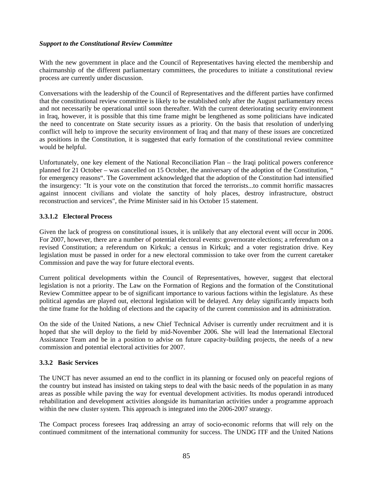### *Support to the Constitutional Review Committee*

With the new government in place and the Council of Representatives having elected the membership and chairmanship of the different parliamentary committees, the procedures to initiate a constitutional review process are currently under discussion.

Conversations with the leadership of the Council of Representatives and the different parties have confirmed that the constitutional review committee is likely to be established only after the August parliamentary recess and not necessarily be operational until soon thereafter. With the current deteriorating security environment in Iraq, however, it is possible that this time frame might be lengthened as some politicians have indicated the need to concentrate on State security issues as a priority. On the basis that resolution of underlying conflict will help to improve the security environment of Iraq and that many of these issues are concretized as positions in the Constitution, it is suggested that early formation of the constitutional review committee would be helpful.

Unfortunately, one key element of the National Reconciliation Plan – the Iraqi political powers conference planned for 21 October – was cancelled on 15 October, the anniversary of the adoption of the Constitution, " for emergency reasons". The Government acknowledged that the adoption of the Constitution had intensified the insurgency: "It is your vote on the constitution that forced the terrorists...to commit horrific massacres against innocent civilians and violate the sanctity of holy places, destroy infrastructure, obstruct reconstruction and services", the Prime Minister said in his October 15 statement.

### **3.3.1.2 Electoral Process**

Given the lack of progress on constitutional issues, it is unlikely that any electoral event will occur in 2006. For 2007, however, there are a number of potential electoral events: governorate elections; a referendum on a revised Constitution; a referendum on Kirkuk; a census in Kirkuk; and a voter registration drive. Key legislation must be passed in order for a new electoral commission to take over from the current caretaker Commission and pave the way for future electoral events.

Current political developments within the Council of Representatives, however, suggest that electoral legislation is not a priority. The Law on the Formation of Regions and the formation of the Constitutional Review Committee appear to be of significant importance to various factions within the legislature. As these political agendas are played out, electoral legislation will be delayed. Any delay significantly impacts both the time frame for the holding of elections and the capacity of the current commission and its administration.

On the side of the United Nations, a new Chief Technical Adviser is currently under recruitment and it is hoped that she will deploy to the field by mid-November 2006. She will lead the International Electoral Assistance Team and be in a position to advise on future capacity-building projects, the needs of a new commission and potential electoral activities for 2007.

### **3.3.2 Basic Services**

The UNCT has never assumed an end to the conflict in its planning or focused only on peaceful regions of the country but instead has insisted on taking steps to deal with the basic needs of the population in as many areas as possible while paving the way for eventual development activities. Its modus operandi introduced rehabilitation and development activities alongside its humanitarian activities under a programme approach within the new cluster system. This approach is integrated into the 2006-2007 strategy.

The Compact process foresees Iraq addressing an array of socio-economic reforms that will rely on the continued commitment of the international community for success. The UNDG ITF and the United Nations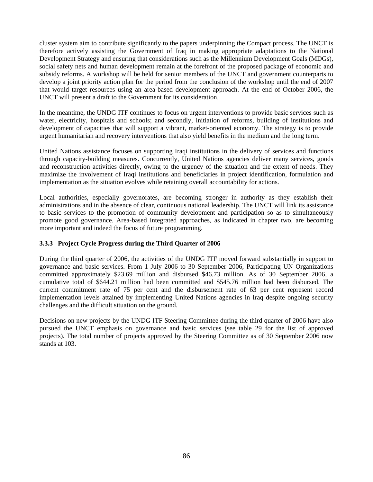cluster system aim to contribute significantly to the papers underpinning the Compact process. The UNCT is therefore actively assisting the Government of Iraq in making appropriate adaptations to the National Development Strategy and ensuring that considerations such as the Millennium Development Goals (MDGs), social safety nets and human development remain at the forefront of the proposed package of economic and subsidy reforms. A workshop will be held for senior members of the UNCT and government counterparts to develop a joint priority action plan for the period from the conclusion of the workshop until the end of 2007 that would target resources using an area-based development approach. At the end of October 2006, the UNCT will present a draft to the Government for its consideration.

In the meantime, the UNDG ITF continues to focus on urgent interventions to provide basic services such as water, electricity, hospitals and schools; and secondly, initiation of reforms, building of institutions and development of capacities that will support a vibrant, market-oriented economy. The strategy is to provide urgent humanitarian and recovery interventions that also yield benefits in the medium and the long term.

United Nations assistance focuses on supporting Iraqi institutions in the delivery of services and functions through capacity-building measures. Concurrently, United Nations agencies deliver many services, goods and reconstruction activities directly, owing to the urgency of the situation and the extent of needs. They maximize the involvement of Iraqi institutions and beneficiaries in project identification, formulation and implementation as the situation evolves while retaining overall accountability for actions.

Local authorities, especially governorates, are becoming stronger in authority as they establish their administrations and in the absence of clear, continuous national leadership. The UNCT will link its assistance to basic services to the promotion of community development and participation so as to simultaneously promote good governance. Area-based integrated approaches, as indicated in chapter two, are becoming more important and indeed the focus of future programming.

### **3.3.3 Project Cycle Progress during the Third Quarter of 2006**

During the third quarter of 2006, the activities of the UNDG ITF moved forward substantially in support to governance and basic services. From 1 July 2006 to 30 September 2006, Participating UN Organizations committed approximately \$23.69 million and disbursed \$46.73 million. As of 30 September 2006, a cumulative total of \$644.21 million had been committed and \$545.76 million had been disbursed. The current commitment rate of 75 per cent and the disbursement rate of 63 per cent represent record implementation levels attained by implementing United Nations agencies in Iraq despite ongoing security challenges and the difficult situation on the ground.

Decisions on new projects by the UNDG ITF Steering Committee during the third quarter of 2006 have also pursued the UNCT emphasis on governance and basic services (see table 29 for the list of approved projects). The total number of projects approved by the Steering Committee as of 30 September 2006 now stands at 103.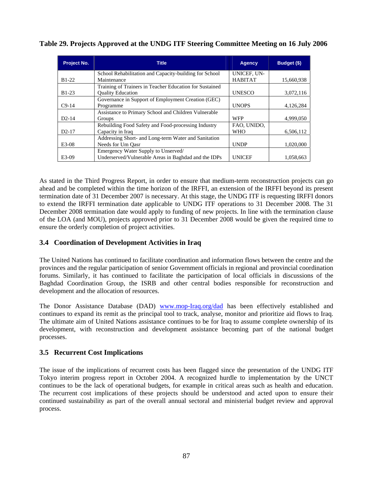| <b>Project No.</b> | <b>Title</b>                                            | <b>Agency</b>  | Budget (\$) |
|--------------------|---------------------------------------------------------|----------------|-------------|
|                    | School Rehabilitation and Capacity-building for School  | UNICEF, UN-    |             |
| $B1-22$            | Maintenance                                             | <b>HABITAT</b> | 15,660,938  |
|                    | Training of Trainers in Teacher Education for Sustained |                |             |
| $B1-23$            | <b>Ouality Education</b>                                | <b>UNESCO</b>  | 3,072,116   |
|                    | Governance in Support of Employment Creation (GEC)      |                |             |
| $C9-14$            | Programme                                               | <b>UNOPS</b>   | 4,126,284   |
|                    | Assistance to Primary School and Children Vulnerable    |                |             |
| $D2-14$            | Groups                                                  | <b>WFP</b>     | 4,999,050   |
|                    | Rebuilding Food Safety and Food-processing Industry     | FAO, UNIDO,    |             |
| $D2-17$            | Capacity in Iraq                                        | <b>WHO</b>     | 6,506,112   |
|                    | Addressing Short- and Long-term Water and Sanitation    |                |             |
| $E3-08$            | Needs for Um Oasr                                       | <b>UNDP</b>    | 1,020,000   |
|                    | Emergency Water Supply to Unserved/                     |                |             |
| E3-09              | Underserved/Vulnerable Areas in Baghdad and the IDPs    | <b>UNICEF</b>  | 1,058,663   |

**Table 29. Projects Approved at the UNDG ITF Steering Committee Meeting on 16 July 2006** 

As stated in the Third Progress Report, in order to ensure that medium-term reconstruction projects can go ahead and be completed within the time horizon of the IRFFI, an extension of the IRFFI beyond its present termination date of 31 December 2007 is necessary. At this stage, the UNDG ITF is requesting IRFFI donors to extend the IRFFI termination date applicable to UNDG ITF operations to 31 December 2008. The 31 December 2008 termination date would apply to funding of new projects. In line with the termination clause of the LOA (and MOU), projects approved prior to 31 December 2008 would be given the required time to ensure the orderly completion of project activities.

# **3.4 Coordination of Development Activities in Iraq**

The United Nations has continued to facilitate coordination and information flows between the centre and the provinces and the regular participation of senior Government officials in regional and provincial coordination forums. Similarly, it has continued to facilitate the participation of local officials in discussions of the Baghdad Coordination Group, the ISRB and other central bodies responsible for reconstruction and development and the allocation of resources.

The Donor Assistance Database (DAD) [www.mop-Iraq.org/dad](http://www.mop-iraq.org/dad) has been effectively established and continues to expand its remit as the principal tool to track, analyse, monitor and prioritize aid flows to Iraq. The ultimate aim of United Nations assistance continues to be for Iraq to assume complete ownership of its development, with reconstruction and development assistance becoming part of the national budget processes.

# **3.5 Recurrent Cost Implications**

The issue of the implications of recurrent costs has been flagged since the presentation of the UNDG ITF Tokyo interim progress report in October 2004. A recognized hurdle to implementation by the UNCT continues to be the lack of operational budgets, for example in critical areas such as health and education. The recurrent cost implications of these projects should be understood and acted upon to ensure their continued sustainability as part of the overall annual sectoral and ministerial budget review and approval process.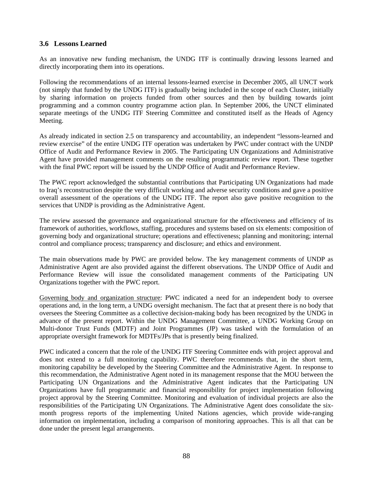### **3.6 Lessons Learned**

As an innovative new funding mechanism, the UNDG ITF is continually drawing lessons learned and directly incorporating them into its operations.

Following the recommendations of an internal lessons-learned exercise in December 2005, all UNCT work (not simply that funded by the UNDG ITF) is gradually being included in the scope of each Cluster, initially by sharing information on projects funded from other sources and then by building towards joint programming and a common country programme action plan. In September 2006, the UNCT eliminated separate meetings of the UNDG ITF Steering Committee and constituted itself as the Heads of Agency Meeting.

As already indicated in section 2.5 on transparency and accountability, an independent "lessons-learned and review exercise" of the entire UNDG ITF operation was undertaken by PWC under contract with the UNDP Office of Audit and Performance Review in 2005. The Participating UN Organizations and Administrative Agent have provided management comments on the resulting programmatic review report. These together with the final PWC report will be issued by the UNDP Office of Audit and Performance Review.

The PWC report acknowledged the substantial contributions that Participating UN Organizations had made to Iraq's reconstruction despite the very difficult working and adverse security conditions and gave a positive overall assessment of the operations of the UNDG ITF. The report also gave positive recognition to the services that UNDP is providing as the Administrative Agent.

The review assessed the governance and organizational structure for the effectiveness and efficiency of its framework of authorities, workflows, staffing, procedures and systems based on six elements: composition of governing body and organizational structure; operations and effectiveness; planning and monitoring; internal control and compliance process; transparency and disclosure; and ethics and environment.

The main observations made by PWC are provided below. The key management comments of UNDP as Administrative Agent are also provided against the different observations. The UNDP Office of Audit and Performance Review will issue the consolidated management comments of the Participating UN Organizations together with the PWC report.

Governing body and organization structure: PWC indicated a need for an independent body to oversee operations and, in the long term, a UNDG oversight mechanism. The fact that at present there is no body that oversees the Steering Committee as a collective decision-making body has been recognized by the UNDG in advance of the present report. Within the UNDG Management Committee, a UNDG Working Group on Multi-donor Trust Funds (MDTF) and Joint Programmes (JP) was tasked with the formulation of an appropriate oversight framework for MDTFs/JPs that is presently being finalized.

PWC indicated a concern that the role of the UNDG ITF Steering Committee ends with project approval and does not extend to a full monitoring capability. PWC therefore recommends that, in the short term, monitoring capability be developed by the Steering Committee and the Administrative Agent. In response to this recommendation, the Administrative Agent noted in its management response that the MOU between the Participating UN Organizations and the Administrative Agent indicates that the Participating UN Organizations have full programmatic and financial responsibility for project implementation following project approval by the Steering Committee. Monitoring and evaluation of individual projects are also the responsibilities of the Participating UN Organizations. The Administrative Agent does consolidate the sixmonth progress reports of the implementing United Nations agencies, which provide wide-ranging information on implementation, including a comparison of monitoring approaches. This is all that can be done under the present legal arrangements.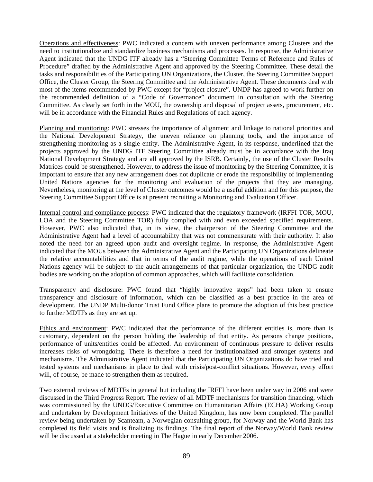Operations and effectiveness: PWC indicated a concern with uneven performance among Clusters and the need to institutionalize and standardize business mechanisms and processes. In response, the Administrative Agent indicated that the UNDG ITF already has a "Steering Committee Terms of Reference and Rules of Procedure" drafted by the Administrative Agent and approved by the Steering Committee. These detail the tasks and responsibilities of the Participating UN Organizations, the Cluster, the Steering Committee Support Office, the Cluster Group, the Steering Committee and the Administrative Agent. These documents deal with most of the items recommended by PWC except for "project closure". UNDP has agreed to work further on the recommended definition of a "Code of Governance" document in consultation with the Steering Committee. As clearly set forth in the MOU, the ownership and disposal of project assets, procurement, etc. will be in accordance with the Financial Rules and Regulations of each agency.

Planning and monitoring: PWC stresses the importance of alignment and linkage to national priorities and the National Development Strategy, the uneven reliance on planning tools, and the importance of strengthening monitoring as a single entity. The Administrative Agent, in its response, underlined that the projects approved by the UNDG ITF Steering Committee already must be in accordance with the Iraq National Development Strategy and are all approved by the ISRB. Certainly, the use of the Cluster Results Matrices could be strengthened. However, to address the issue of monitoring by the Steering Committee, it is important to ensure that any new arrangement does not duplicate or erode the responsibility of implementing United Nations agencies for the monitoring and evaluation of the projects that they are managing. Nevertheless, monitoring at the level of Cluster outcomes would be a useful addition and for this purpose, the Steering Committee Support Office is at present recruiting a Monitoring and Evaluation Officer.

Internal control and compliance process: PWC indicated that the regulatory framework (IRFFI TOR, MOU, LOA and the Steering Committee TOR) fully complied with and even exceeded specified requirements. However, PWC also indicated that, in its view, the chairperson of the Steering Committee and the Administrative Agent had a level of accountability that was not commensurate with their authority. It also noted the need for an agreed upon audit and oversight regime. In response, the Administrative Agent indicated that the MOUs between the Administrative Agent and the Participating UN Organizations delineate the relative accountabilities and that in terms of the audit regime, while the operations of each United Nations agency will be subject to the audit arrangements of that particular organization, the UNDG audit bodies are working on the adoption of common approaches, which will facilitate consolidation.

Transparency and disclosure: PWC found that "highly innovative steps" had been taken to ensure transparency and disclosure of information, which can be classified as a best practice in the area of development. The UNDP Multi-donor Trust Fund Office plans to promote the adoption of this best practice to further MDTFs as they are set up.

Ethics and environment: PWC indicated that the performance of the different entities is, more than is customary, dependent on the person holding the leadership of that entity. As persons change positions, performance of units/entities could be affected. An environment of continuous pressure to deliver results increases risks of wrongdoing. There is therefore a need for institutionalized and stronger systems and mechanisms. The Administrative Agent indicated that the Participating UN Organizations do have tried and tested systems and mechanisms in place to deal with crisis/post-conflict situations. However, every effort will, of course, be made to strengthen them as required.

Two external reviews of MDTFs in general but including the IRFFI have been under way in 2006 and were discussed in the Third Progress Report. The review of all MDTF mechanisms for transition financing, which was commissioned by the UNDG/Executive Committee on Humanitarian Affairs (ECHA) Working Group and undertaken by Development Initiatives of the United Kingdom, has now been completed. The parallel review being undertaken by Scanteam, a Norwegian consulting group, for Norway and the World Bank has completed its field visits and is finalizing its findings. The final report of the Norway/World Bank review will be discussed at a stakeholder meeting in The Hague in early December 2006.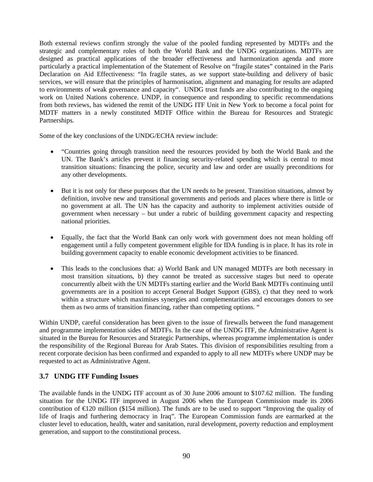Both external reviews confirm strongly the value of the pooled funding represented by MDTFs and the strategic and complementary roles of both the World Bank and the UNDG organizations. MDTFs are designed as practical applications of the broader effectiveness and harmonization agenda and more particularly a practical implementation of the Statement of Resolve on "fragile states" contained in the Paris Declaration on Aid Effectiveness: "In fragile states, as we support state-building and delivery of basic services, we will ensure that the principles of harmonisation, alignment and managing for results are adapted to environments of weak governance and capacity". UNDG trust funds are also contributing to the ongoing work on United Nations coherence. UNDP, in consequence and responding to specific recommendations from both reviews, has widened the remit of the UNDG ITF Unit in New York to become a focal point for MDTF matters in a newly constituted MDTF Office within the Bureau for Resources and Strategic Partnerships.

Some of the key conclusions of the UNDG/ECHA review include:

- "Countries going through transition need the resources provided by both the World Bank and the UN. The Bank's articles prevent it financing security-related spending which is central to most transition situations: financing the police, security and law and order are usually preconditions for any other developments.
- But it is not only for these purposes that the UN needs to be present. Transition situations, almost by definition, involve new and transitional governments and periods and places where there is little or no government at all. The UN has the capacity and authority to implement activities outside of government when necessary – but under a rubric of building government capacity and respecting national priorities.
- Equally, the fact that the World Bank can only work with government does not mean holding off engagement until a fully competent government eligible for IDA funding is in place. It has its role in building government capacity to enable economic development activities to be financed.
- This leads to the conclusions that: a) World Bank and UN managed MDTFs are both necessary in most transition situations, b) they cannot be treated as successive stages but need to operate concurrently albeit with the UN MDTFs starting earlier and the World Bank MDTFs continuing until governments are in a position to accept General Budget Support (GBS), c) that they need to work within a structure which maximises synergies and complementarities and encourages donors to see them as two arms of transition financing, rather than competing options. "

Within UNDP, careful consideration has been given to the issue of firewalls between the fund management and programme implementation sides of MDTFs. In the case of the UNDG ITF, the Administrative Agent is situated in the Bureau for Resources and Strategic Partnerships, whereas programme implementation is under the responsibility of the Regional Bureau for Arab States. This division of responsibilities resulting from a recent corporate decision has been confirmed and expanded to apply to all new MDTFs where UNDP may be requested to act as Administrative Agent.

# **3.7 UNDG ITF Funding Issues**

The available funds in the UNDG ITF account as of 30 June 2006 amount to \$107.62 million. The funding situation for the UNDG ITF improved in August 2006 when the European Commission made its 2006 contribution of  $\epsilon$ 120 million (\$154 million). The funds are to be used to support "Improving the quality of life of Iraqis and furthering democracy in Iraq". The European Commission funds are earmarked at the cluster level to education, health, water and sanitation, rural development, poverty reduction and employment generation, and support to the constitutional process.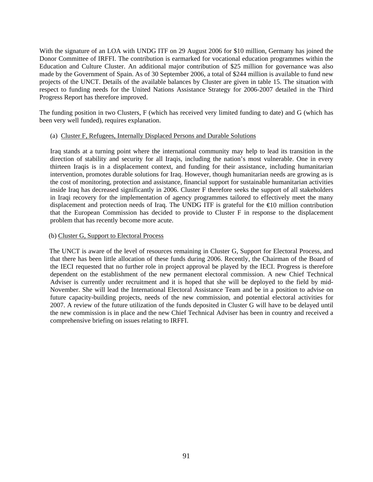With the signature of an LOA with UNDG ITF on 29 August 2006 for \$10 million, Germany has joined the Donor Committee of IRFFI. The contribution is earmarked for vocational education programmes within the Education and Culture Cluster. An additional major contribution of \$25 million for governance was also made by the Government of Spain. As of 30 September 2006, a total of \$244 million is available to fund new projects of the UNCT. Details of the available balances by Cluster are given in table 15. The situation with respect to funding needs for the United Nations Assistance Strategy for 2006-2007 detailed in the Third Progress Report has therefore improved.

The funding position in two Clusters, F (which has received very limited funding to date) and G (which has been very well funded), requires explanation.

#### (a) Cluster F, Refugees, Internally Displaced Persons and Durable Solutions

Iraq stands at a turning point where the international community may help to lead its transition in the direction of stability and security for all Iraqis, including the nation's most vulnerable. One in every thirteen Iraqis is in a displacement context, and funding for their assistance, including humanitarian intervention, promotes durable solutions for Iraq. However, though humanitarian needs are growing as is the cost of monitoring, protection and assistance, financial support for sustainable humanitarian activities inside Iraq has decreased significantly in 2006. Cluster F therefore seeks the support of all stakeholders in Iraqi recovery for the implementation of agency programmes tailored to effectively meet the many displacement and protection needs of Iraq. The UNDG ITF is grateful for the €10 million contribution that the European Commission has decided to provide to Cluster F in response to the displacement problem that has recently become more acute.

#### (b) Cluster G, Support to Electoral Process

The UNCT is aware of the level of resources remaining in Cluster G, Support for Electoral Process, and that there has been little allocation of these funds during 2006. Recently, the Chairman of the Board of the IECI requested that no further role in project approval be played by the IECI. Progress is therefore dependent on the establishment of the new permanent electoral commission. A new Chief Technical Adviser is currently under recruitment and it is hoped that she will be deployed to the field by mid-November. She will lead the International Electoral Assistance Team and be in a position to advise on future capacity-building projects, needs of the new commission, and potential electoral activities for 2007. A review of the future utilization of the funds deposited in Cluster G will have to be delayed until the new commission is in place and the new Chief Technical Adviser has been in country and received a comprehensive briefing on issues relating to IRFFI.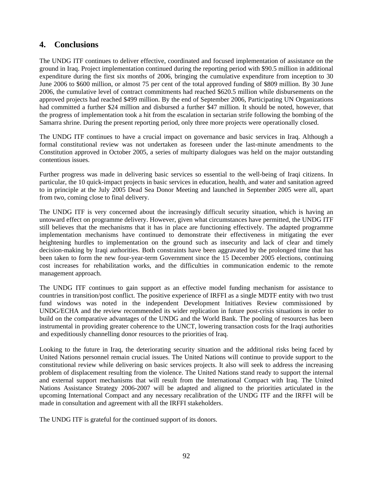# **4. Conclusions**

The UNDG ITF continues to deliver effective, coordinated and focused implementation of assistance on the ground in Iraq. Project implementation continued during the reporting period with \$90.5 million in additional expenditure during the first six months of 2006, bringing the cumulative expenditure from inception to 30 June 2006 to \$600 million, or almost 75 per cent of the total approved funding of \$809 million. By 30 June 2006, the cumulative level of contract commitments had reached \$620.5 million while disbursements on the approved projects had reached \$499 million. By the end of September 2006, Participating UN Organizations had committed a further \$24 million and disbursed a further \$47 million. It should be noted, however, that the progress of implementation took a hit from the escalation in sectarian strife following the bombing of the Samarra shrine. During the present reporting period, only three more projects were operationally closed.

The UNDG ITF continues to have a crucial impact on governance and basic services in Iraq. Although a formal constitutional review was not undertaken as foreseen under the last-minute amendments to the Constitution approved in October 2005, a series of multiparty dialogues was held on the major outstanding contentious issues.

Further progress was made in delivering basic services so essential to the well-being of Iraqi citizens. In particular, the 10 quick-impact projects in basic services in education, health, and water and sanitation agreed to in principle at the July 2005 Dead Sea Donor Meeting and launched in September 2005 were all, apart from two, coming close to final delivery.

The UNDG ITF is very concerned about the increasingly difficult security situation, which is having an untoward effect on programme delivery. However, given what circumstances have permitted, the UNDG ITF still believes that the mechanisms that it has in place are functioning effectively. The adapted programme implementation mechanisms have continued to demonstrate their effectiveness in mitigating the ever heightening hurdles to implementation on the ground such as insecurity and lack of clear and timely decision-making by Iraqi authorities. Both constraints have been aggravated by the prolonged time that has been taken to form the new four-year-term Government since the 15 December 2005 elections, continuing cost increases for rehabilitation works, and the difficulties in communication endemic to the remote management approach.

The UNDG ITF continues to gain support as an effective model funding mechanism for assistance to countries in transition/post conflict. The positive experience of IRFFI as a single MDTF entity with two trust fund windows was noted in the independent Development Initiatives Review commissioned by UNDG/ECHA and the review recommended its wider replication in future post-crisis situations in order to build on the comparative advantages of the UNDG and the World Bank. The pooling of resources has been instrumental in providing greater coherence to the UNCT, lowering transaction costs for the Iraqi authorities and expeditiously channelling donor resources to the priorities of Iraq.

Looking to the future in Iraq, the deteriorating security situation and the additional risks being faced by United Nations personnel remain crucial issues. The United Nations will continue to provide support to the constitutional review while delivering on basic services projects. It also will seek to address the increasing problem of displacement resulting from the violence. The United Nations stand ready to support the internal and external support mechanisms that will result from the International Compact with Iraq. The United Nations Assistance Strategy 2006-2007 will be adapted and aligned to the priorities articulated in the upcoming International Compact and any necessary recalibration of the UNDG ITF and the IRFFI will be made in consultation and agreement with all the IRFFI stakeholders.

The UNDG ITF is grateful for the continued support of its donors.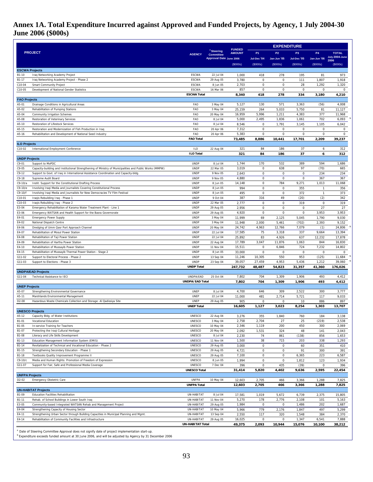# **Annex 1A. Total Expenditure Incurred against Approved and Funded Projects, by Agency, 1 July 2004-30 June 2006 (\$000s)**

|                                |                                                                                                                  |                                    |                                           |                                | <b>EXPENDITURE</b>     |                            |                       |                      |                        |
|--------------------------------|------------------------------------------------------------------------------------------------------------------|------------------------------------|-------------------------------------------|--------------------------------|------------------------|----------------------------|-----------------------|----------------------|------------------------|
|                                | <b>PROJECT</b>                                                                                                   | <b>AGENCY</b>                      | <sup>a</sup> Steering<br><b>Committee</b> | <b>FUNDED</b><br><b>AMOUNT</b> | P <sub>1</sub>         | <b>P2</b>                  | P <sub>3</sub>        | <b>P4</b>            | <b>TOTAL</b>           |
|                                |                                                                                                                  |                                    | <b>Approval Date June 2006</b>            |                                | Jul-Dec '04            | Jan-Jun '05                | Jul-Dec '05           | Jan-Jun '06          | July 2004-June<br>2006 |
|                                |                                                                                                                  |                                    |                                           | (S000s)                        | (S000s)                | (\$000s)                   | (\$000s)              | (\$000s)             | (S000s)                |
| <b>ESCWA Projects</b><br>B1-10 | Iraq Networking Academy Project                                                                                  | <b>ESCWA</b>                       | 22 Jul 04                                 | 1,000                          | 418                    | 278                        | 195                   | 81                   | 973                    |
| B1-17                          | Iraq Networking Academy Project - Phase 2                                                                        | <b>ESCWA</b>                       | 29 Aug 05                                 | 3,780                          | 0                      | $\mathbf 0$                | 111                   | 1,807                | 1,918                  |
| C10-04                         | Smart Community Project                                                                                          | <b>ESCWA</b>                       | 8 Jun 05                                  | 2,703                          | $\Omega$               | $\mathbf 0$                | 28                    | 1,292                | 1,320                  |
| C10-05                         | Development of National Gender Statistics                                                                        | <b>ESCWA</b><br><b>ESCWA Total</b> | 16 Mar 06                                 | 857<br>8,340                   | $\mathbf 0$<br>418     | $\mathsf 0$<br>278         | 0<br>334              | $\mathbf 0$<br>3,180 | 0<br>4,210             |
| <b>FAO Projects</b>            |                                                                                                                  |                                    |                                           |                                |                        |                            |                       |                      |                        |
| A5-01                          | Drainage Conditions in Agricultural Areas                                                                        | FAO                                | 3 May 04                                  | 5,127                          | 130                    | 571                        | 3,363                 | (56)                 | 4,008                  |
| A5-02                          | Rehabilitation of Pumping Stations                                                                               | FAO                                | 3 May 04                                  | 25,159                         | 264                    | 5,033                      | 5,750                 | 81                   | 11,127                 |
| A5-04<br>A5-08                 | Community Irrigation Schemes<br>Restoration of Veterinary Services                                               | FAO<br>FAO                         | 20 May 04<br>8 Jul 04                     | 16,959<br>5,000                | 5,996<br>2,495         | 1,211<br>1,836             | 4,383<br>1,061        | 377<br>702           | 11,968<br>6,093        |
| A5-10                          | Restoration of Lifestock Services                                                                                | FAO                                | 8 Jul 04                                  | 8,546                          | $\bf 0$                | 1,791                      | 3,145                 | 1,105                | 6,042                  |
| A5-15                          | Restoration and Modernization of Fish Production in Iraq                                                         | FAO                                | 20 Apr 06                                 | 7,312                          | 0                      | 0                          | 0                     | $\mathbf 0$          | 0                      |
| A5-16                          | Rehabilitation and Development of National Seed Industry                                                         | FAO<br><b>FAO Total</b>            | 20 Apr 06                                 | 5,383<br>73,485                | $\mathbf 0$<br>8,886   | $\mathbf 0$<br>10,441      | $\mathbf 0$<br>17,701 | $\mathbf 0$<br>2,209 | $\mathsf 0$<br>39,237  |
| <b>ILO Projects</b>            |                                                                                                                  |                                    |                                           |                                |                        |                            |                       |                      |                        |
| C10-02                         | International Employment Conference                                                                              | <b>ILO</b>                         | 22 Aug 04                                 | 321                            | 84                     | 186                        | 37                    | 6                    | 312                    |
| <b>UNDP Projects</b>           |                                                                                                                  | <b>ILO Total</b>                   |                                           | 321                            | 84                     | 186                        | 37                    | 6                    | 312                    |
| C9-01                          | Support to MoPDC                                                                                                 | UNDP                               | 8 Jul 04                                  | 1,744                          | 170                    | 532                        | 389                   | 594                  | 1,686                  |
| $C9 - 05$                      | Capacity-building and Institutional Strengthening of Ministry of Municipalities and Public Works (MMPW)          | <b>UNDP</b>                        | 22 Mar 05                                 | 3,019                          | $\mathbf 0$            | 638                        | 97                    | (70)                 | 665                    |
| $C9-12$                        | Support to Govt. of Iraq in International Assistance Coordination and Capacity-bldg.                             | <b>UNDP</b><br><b>UNDP</b>         | 9 Nov 05                                  | 2,643                          | $\mathsf 0$<br>0       | $\mathbf 0$<br>$\mathsf 0$ | $\mathbf 0$<br>0      | 234<br>367           | 234                    |
| $C9-18$<br>$C9-10/a$           | Supreme Audit Board<br>Instit. Support for the Constitutional Drafting Process                                   | <b>UNDP</b>                        | 9 Nov 05<br>8 Jun 05                      | 4,880<br>14,148                | $\mathbf 0$            | 784                        | 9,271                 | 1,013                | 367<br>11,068          |
| C9-10/e                        | Involving Iraqi Media and Journalists Covering Constitutional Process                                            | <b>UNDP</b>                        | 8 Jun 05                                  | 994                            | $\bf 0$                | $\mathbf 0$                | 355                   | $\overline{1}$       | 356                    |
| C9-10/f                        | Involving Iraqi Media and Journalists for New Democracies TV Film Festival                                       | <b>UNDP</b>                        | 8 Jun 05                                  | 495                            | 0                      | $\mathsf 0$                | 372                   | $\mathbf{1}$         | 373                    |
| C10-01                         | Iraqis Rebuilding Iraq - Phase 1<br>Iraqis Rebuilding Iraq - Phase 2                                             | <b>UNDP</b>                        | 9 Oct 04                                  | 387<br>2,777                   | 316<br>0               | 49<br>$\mathsf 0$          | (20)<br>319           | (2)<br>$\mathbf 0$   | 342<br>319             |
| C10-03<br>E3-04                | Emergency Rehabilitation of Karama Water Treatment Plant - Line 1                                                | <b>UNDP</b><br><b>UNDP</b>         | 22 Mar 05<br>29 Aug 05                    | 2,956                          | $\mathbf 0$            | $\mathbf 0$                | $\mathbf 0$           | 27                   | 27                     |
| E3-06                          | Emergency WATSAN and Health Support for the Basra Governorate                                                    | <b>UNDP</b>                        | 29 Aug 05                                 | 4,920                          | $\bf 0$                | 0                          | $\mathsf{O}\xspace$   | 3,953                | 3,953                  |
| E4-01                          | <b>Emergency Power Supply</b>                                                                                    | <b>UNDP</b>                        | 3 May 04                                  | 11,999                         | 69                     | 2,125                      | 5,045                 | 1,790                | 9,030                  |
| E4-02<br>E4-06                 | National Dispatch Centre<br>Dredging of Umm Qasr Port Approach Channel                                           | <b>UNDP</b><br><b>UNDP</b>         | 3 May 04<br>20 May 04                     | 11,948<br>24,742               | 2,000<br>4,963         | 5,461<br>12,766            | (702)<br>7,079        | 2,393<br>(1)         | 9,152<br>24,806        |
| E4-07                          | Rehabilitation of Mosul Power Station                                                                            | <b>UNDP</b>                        | 22 Jul 04                                 | 17,585                         | 75                     | 3,318                      | 337                   | 9,664                | 13,394                 |
| E4-08                          | Rehabilitation of Taji Power Station                                                                             | <b>UNDP</b>                        | 22 Jul 04                                 | 25,892                         | 83                     | 4,926                      | 637                   | 12,232               | 17,878                 |
| E4-09                          | Rehabilitation of Hartha Power Station                                                                           | <b>UNDP</b>                        | 22 Aug 04                                 | 17,789                         | 3,047                  | 11,876                     | 1,063                 | 844                  | 16,830                 |
| E4-10<br>E4-15                 | Rehabilitation of Mussayib Power Station<br>Rehabilitation of Mussayib Thermal Power Station - Stage 2           | <b>UNDP</b><br><b>UNDP</b>         | 11 Nov 04<br>8 Jun 05                     | 15,511<br>33,000               | $\mathbf 0$<br>$\bf 0$ | 6,846<br>$\mathbf 0$       | 724<br>0              | 7,232<br>$\mathbf 0$ | 14,802<br>0            |
| G11-02                         | Support to Electoral Process - Phase 2                                                                           | <b>UNDP</b>                        | 13 Sep 04                                 | 11,246                         | 10,305                 | 550                        | 953                   | (125)                | 11,684                 |
| G11-03                         | Support to Elections - Phase 3                                                                                   | <b>UNDP</b>                        | 23 Sep 04                                 | 39,057                         | 27,459                 | 4,953                      | 5,436                 | 1,212                | 39,060                 |
|                                | <b>UNDPA/EAD Projects</b>                                                                                        | <b>UNDP Total</b>                  |                                           | 247,732                        | 48,487                 | 54,823                     | 31,357                | 41,360               | 176,026                |
| G11-04                         | Technical Assistance to IECI                                                                                     | UNDPA/EAD                          | 25 Oct 04                                 | 7,802                          | 704                    | 1,309                      | 1,906                 | 493                  | 4,412                  |
|                                |                                                                                                                  | <b>UNDPA/EAD Total</b>             |                                           | 7,802                          | 704                    | 1,309                      | 1,906                 | 493                  | 4,412                  |
| <b>UNEP Projects</b>           |                                                                                                                  |                                    |                                           |                                |                        |                            |                       |                      |                        |
| A5-07<br>A5-11                 | Strengthening Environmental Governance<br>Marshlands Environmental Management                                    | <b>UNEP</b><br><b>UNEP</b>         | 8 Jul 04<br>22 Jul 04                     | 4,700<br>11,000                | 646<br>481             | 309<br>2,714               | 2,522<br>5,721        | 300<br>117           | 3,777<br>9,033         |
| D <sub>2</sub> -08             | Hazardous Waste Chemicals Collection and Storage: Al Qadissiya Site                                              | <b>UNEP</b>                        | 29 Aug 05                                 | 905                            | $\bf 0$                | 0                          | 10                    | 886                  | 897                    |
|                                |                                                                                                                  | <b>UNEP Total</b>                  |                                           | 16,605                         | 1,127                  | 3,023                      | 8,254                 | 1,303                | 13,707                 |
| A5-12                          | <b>UNESCO Projects</b><br>Capacity Bldg. of Water Institutions                                                   | UNESCO                             | 22 Aug 04                                 | 3,276                          | 355                    | 1,840                      | 760                   | 184                  | 3,138                  |
| B1-01                          | Vocational Education                                                                                             | UNESCO                             | 3 May 04                                  | 2,758                          | 2,704                  | 27                         | 25                    | (219)                | 2,538                  |
| B1-05                          | In-service Training for Teachers                                                                                 | <b>UNESCO</b>                      | 10 May 04                                 | 2,346                          | 1,119                  | 200                        | 450                   | 300                  | 2,069                  |
| B1-07                          | Protecting the Iraqi Cultural Heritage                                                                           | <b>UNESCO</b>                      | 20 May 04                                 | 2,092                          | 1,531                  | 324                        | 48                    | 141                  | 2,043                  |
| B1-08<br>B1-13                 | Literacy and Life Skills Development<br>Education Management Information System (EMIS)                           | <b>UNESCO</b><br>UNESCO            | 8 Jul 04<br>11 Nov 04                     | 2,230<br>1,500                 | 74<br>38               | 861<br>715                 | (138)<br>203          | 856<br>338           | 1,653<br>1,293         |
| B1-14                          | Revitalization of Technical and Vocational Education - Phase 2                                                   | UNESCO                             | 29 Aug 05                                 | 3,000                          | $\mathbf 0$            | $\mathsf 0$                | 60                    | 351                  | 410                    |
| B1-15                          | Strengthening Secondary Education - Phase 1                                                                      | UNESCO                             | 29 Aug 05                                 | 4,721                          | $\mathsf 0$            | $\mathbf 0$                | 91                    | 300                  | 391                    |
| B1-18<br>$C9-10/c$             | Textbooks Quality Improvement Programme II<br>Media and Human Rights: Promotion of Freedom of Expression         | UNESCO<br><b>UNESCO</b>            | 29 Aug 05<br>8 Jun 05                     | 7,100<br>1,994                 | 0<br>0                 | 0<br>0                     | 6,365                 | 223                  | 6,587                  |
| G11-07                         | Support for Fair, Safe and Professional Media Coverage                                                           | UNESCO                             | 7 Dec 04                                  | 396                            | $\bf 0$                | 435                        | 1,812<br>(39)         | 123<br>$\mathbf 0$   | 1,934<br>396           |
|                                |                                                                                                                  | <b>UNESCO Total</b>                |                                           | 31,414                         | 5,820                  | 4,402                      | 9,636                 | 2,595                | 22,454                 |
| <b>UNFPA Projects</b>          |                                                                                                                  |                                    |                                           |                                |                        |                            |                       |                      |                        |
| D <sub>2</sub> -02             | <b>Emergency Obstetric Care</b>                                                                                  | <b>UNFPA</b><br><b>UNFPA Total</b> | 10 May 04                                 | 12,603<br>12,603               | 2,705<br>2,705         | 466<br>466                 | 3,366<br>3,366        | 1,288<br>1,288       | 7,825<br>7,825         |
|                                | <b>UN-HABITAT Projects</b>                                                                                       |                                    |                                           |                                |                        |                            |                       |                      |                        |
| B1-09                          | <b>Education Facilities Rehabilitation</b>                                                                       | UN-HABITAT                         | 8 Jul 04                                  | 17,581                         | 1,019                  | 5,672                      | 6,739                 | 2,375                | 15,805                 |
| B1-11<br>E3-05                 | Rehab. of School Buildings in Lower South Iraq<br>Community-based Integrated WATSAN Rehab and Management Project | UN-HABITAT<br>UN-HABITAT           | 11 Nov 04                                 | 5,270<br>1,984                 | 178<br>0               | 2,776<br>$\mathbf 0$       | 2,108                 | 101<br>202           | 5,163                  |
| E4-04                          | Strengthening Capacity of Housing Sector                                                                         | UN-HABITAT                         | 29 Aug 05<br>10 May 04                    | 5,966                          | 779                    | 2,176                      | 1,486<br>1,847        | 497                  | 1,687<br>5,299         |
| E4-11                          | Strengthening Urban Sector through Building Capacities in Municipal Planning and Mgmt.                           | UN-HABITAT                         | 13 Sep 04                                 | 2,550                          | 117                    | 320                        | 1,548                 | 384                  | 2,370                  |
| E4-14                          | Rehabilitation of Community Facilities and Infrastructure                                                        | UN-HABITAT                         | 29 Aug 05                                 | 16,025                         | 0                      | $\mathbf 0$                | 1,347                 | 6,541                | 7,888                  |
|                                |                                                                                                                  | <b>UN-HABITAT Total</b>            |                                           | 49,375                         | 2,093                  | 10,944                     | 15,076                | 10,100               | 38,212                 |

Date of Steering Committee Approval does not signify date of project implementation start-up.

<sup>b</sup> Expenditure exceeds funded amount at 30 June 2006, and will be adjusted by Agency by 31 December 2006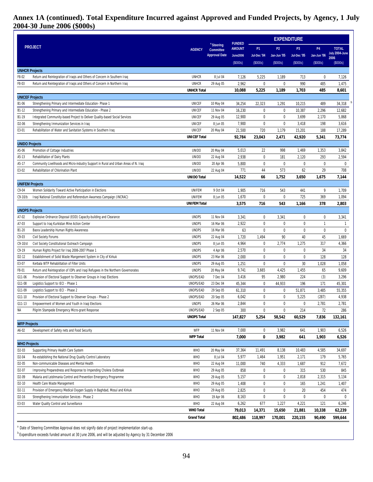# **Annex 1A (continued). Total Expenditure Incurred against Approved and Funded Projects, by Agency, 1 July 2004-30 June 2006 (\$000s)**

|                        |                                                                                                    |                        |                                           |                                | <b>EXPENDITURE</b> |                  |                 |                |                 |
|------------------------|----------------------------------------------------------------------------------------------------|------------------------|-------------------------------------------|--------------------------------|--------------------|------------------|-----------------|----------------|-----------------|
|                        | <b>PROJECT</b>                                                                                     | <b>AGENCY</b>          | <sup>a</sup> Steering<br><b>Committee</b> | <b>FUNDED</b><br><b>AMOUNT</b> | P <sub>1</sub>     | P <sub>2</sub>   | P <sub>3</sub>  | <b>P4</b>      | <b>TOTAL</b>    |
|                        |                                                                                                    |                        | <b>Approval Date</b>                      | <b>June2006</b>                | Jul-Dec '04        | Jan-Jun '05      | Jul-Dec '05     | Jan-Jun '06    | July 2004-June  |
|                        |                                                                                                    |                        |                                           | (S000s)                        | (S000s)            | (S000s)          | (S000s)         | (S000s)        | 2006<br>(S000s) |
| <b>UNHCR Projects</b>  |                                                                                                    |                        |                                           |                                |                    |                  |                 |                |                 |
| F8-02                  | Return and Reintegration of Iraqis and Others of Concern in Southern Iraq                          | <b>UNHCR</b>           | 8 Jul 04                                  | 7,126                          | 5,225              | 1,189            | 713             | $\mathbf 0$    | 7,126           |
| F8-03                  | Return and Reintegration of Iraqis and Others of Concern in Northern Iraq                          | <b>UNHCR</b>           | 29 Aug 05                                 | 2,962                          | $\mathbf 0$        | $\mathbf{0}$     | 990             | 485            | 1,475           |
|                        |                                                                                                    | <b>UNHCR Total</b>     |                                           | 10,088                         | 5,225              | 1,189            | 1,703           | 485            | 8,601           |
| <b>UNICEF Projects</b> |                                                                                                    |                        |                                           |                                |                    |                  |                 |                |                 |
| B1-06                  | Strengthening Primary and Intermediate Education-Phase 1                                           | UNICEF                 | 10 May 04                                 | 34,254                         | 22,323             | 1,291            | 10,215          | 489            | 34,318          |
| B1-12                  | Strengthening Primary and Intermediate Education - Phase 2                                         | <b>UNICEF</b>          | 11 Nov 04                                 | 16,230                         | 0                  | 0                | 10,387          | 2,296          | 12,682          |
| B1-19                  | Integrated Community-based Project to Deliver Quality-based Social Services                        | <b>UNICEF</b>          | 29 Aug 05                                 | 12,900                         | $\mathbf 0$        | $\mathbf{0}$     | 3,699           | 2,170          | 5,868           |
| D <sub>2</sub> -06     | Strengthening Immunization Services in Iraq                                                        | <b>UNICEF</b>          | 8 Jun 05                                  | 7,900                          | 0                  | 0                | 3,418           | 198            | 3,616           |
| E3-01                  | Rehabilitation of Water and Sanitation Systems in Southern Iraq                                    | <b>UNICEF</b>          | 20 May 04                                 | 21,500                         | 720                | 1,179            | 15,201          | 188            | 17,289          |
|                        |                                                                                                    | <b>UNICEF Total</b>    |                                           | 92,784                         | 23,043             | 2,471            | 42,920          | 5,341          | 73,774          |
| <b>UNIDO Projects</b>  |                                                                                                    | <b>UNIDO</b>           |                                           |                                | 22                 | 998              | 1,469           | 1,353          |                 |
| A5-06<br>A5-13         | Promotion of Cottage Industries<br>Rehabilitation of Dairy Plants                                  | <b>UNIDO</b>           | 20 May 04<br>22 Aug 04                    | 5,013<br>2,938                 | $\pmb{0}$          | 181              | 2,120           | 293            | 3,842<br>2,594  |
| A5-17                  | Community Livelihoods and Micro-industry Support in Rural and Urban Areas of N. Iraq               | <b>UNIDO</b>           | 20 Apr 06                                 | 5,800                          | 0                  | 0                | 0               | $\mathbf 0$    | 0               |
| E3-02                  | Rehabilitation of Chlorination Plant                                                               | <b>UNIDO</b>           | 22 Aug 04                                 | 771                            | 44                 | 573              | 62              | 29             | 708             |
|                        |                                                                                                    | <b>UNIDO Total</b>     |                                           | 14,522                         | 66                 | 1,752            | 3,650           | 1,675          | 7,144           |
| <b>UNIFEM Projects</b> |                                                                                                    |                        |                                           |                                |                    |                  |                 |                |                 |
| $C9-04$                | Women Solidarity Toward Active Participation in Elections                                          | UNIFEM                 | 9 Oct 04                                  | 1,905                          | 716                | 543              | 441             | 9              | 1,709           |
| $C9-10/b$              | Iraqi National Constitution and Referendum Awarness Campaign (INCRAC)                              | UNIFEM                 | 8 Jun 05                                  | 1,670                          | $\mathbf 0$        | 0                | 725             | 369            | 1,094           |
|                        |                                                                                                    | <b>UNIFEM Total</b>    |                                           | 3,575                          | 716                | 543              | 1,166           | 378            | 2,803           |
| <b>UNOPS Projects</b>  |                                                                                                    |                        |                                           |                                |                    |                  |                 |                |                 |
| A7-02                  | Explosive Ordnance Disposal (EOD) Capacity-building and Clearance                                  | <b>UNOPS</b>           | 11 Nov 04                                 | 3,341                          | 0                  | 3,341            | 0               | 0              | 3,341           |
| A7-03                  | Support to Iraq Kurkistan Mine Action Center                                                       | <b>UNOPS</b>           | 16 Mar 06                                 | 2,922                          | $\pmb{0}$          | 0                | $\pmb{0}$       | $\mathbf{1}$   | $\mathbf{1}$    |
| B1-20                  | Basra Leadership Human Rights Awareness                                                            | <b>UNOPS</b>           | 16 Mar 06                                 | 63                             | $\pmb{0}$          | $\mathbf{0}$     | $\pmb{0}$       | $\pmb{0}$      | 0               |
| $C9-03$                | Civil Society Forums                                                                               | <b>UNOPS</b>           | 22 Aug 04                                 | 1,720                          | 1,494              | 90               | 40              | 45             | 1,669           |
| $C9-10/d$              | Civil Society Constitutional Outreach Campaign                                                     | <b>UNOPS</b>           | 8 Jun 05                                  | 4,964                          | 0                  | 2,774            | 1,275           | 317            | 4,366           |
| $C9-19$                | Human Rights Project for Iraq 2006-2007 Phase 1                                                    | <b>UNOPS</b>           | 4 Apr 06                                  | 2,570                          | 0                  | 0                | 0               | 34             | 34              |
| D <sub>2</sub> -12     | Establishment of Solid Waste Mangement System in City of Kirkuk                                    | <b>UNOPS</b>           | 23 Mar 06                                 | 2,000                          | 0                  | 0                | 0               | 128            | 128             |
| E3-07                  | Kerbala WTP Rehabilitation of Filter Units                                                         | <b>UNOPS</b>           | 29 Aug 05                                 | 1,251                          | $\pmb{0}$          | $\mathbf 0$      | 30              | 1,028          | 1,058           |
| F8-01                  | Return and Reintegration of IDPs and Iraqi Refugees in the Northern Governorates                   | <b>UNOPS</b>           | 20 May 04                                 | 9,741                          | 3,665              | 4,425            | 1,455           | 65             | 9,609           |
| G11-06                 | Provision of Electoral Support to Observer Groups in Iraqi Elections                               | UNOPS/EAD              | 7 Dec 04                                  | 3,416                          | 95                 | 2,980            | 224             | (3)            | 3,296           |
| G11-08                 | Logistics Support to IECI - Phase 1                                                                | UNOPS/EAD              | 23 Dec 04                                 | 45,344                         | 0                  | 44,933           | 196             | 171            | 45,301          |
| G11-09<br>G11-10       | Logistics Support to IECI - Phase 2<br>Provision of Electoral Support to Observer Groups - Phase 2 | UNOPS/EAD<br>UNOPS/EAD | 29 Sep 05<br>20 Sep 05                    | 61,310<br>6,042                | 0<br>$\pmb{0}$     | 0<br>$\mathbf 0$ | 51,871<br>5,225 | 3,485<br>(287) | 55,355<br>4,938 |
| G11-13                 | Empowerment of Women and Youth in Iraqi Elections                                                  | <b>UNOPS</b>           | 26 Mar 06                                 | 2,844                          | $\pmb{0}$          | $\pmb{0}$        | 0               | 2,781          | 2,781           |
| ΝA                     | Pilgrim Stampede Emergency Micro-grant Response                                                    | UNOPS/EAD              | 2 Sep 05                                  | 300                            | 0                  | $\mathbf 0$      | 214             | 72             | 286             |
|                        |                                                                                                    | <b>UNOPS Total</b>     |                                           | 147,827                        | 5,254              | 58,542           | 60,529          | 7,836          | 132,161         |
| <b>WFP Projects</b>    |                                                                                                    |                        |                                           |                                |                    |                  |                 |                |                 |
| A6-02                  | Development of Safety nets and Food Security                                                       | WFP                    | 11 Nov 04                                 | 7,000                          | 0                  | 3,982            | 641             | 1,903          | 6,526           |
|                        |                                                                                                    | <b>WFP Total</b>       |                                           | 7,000                          | 0                  | 3,982            | 641             | 1,903          | 6,526           |
| <b>WHO Projects</b>    |                                                                                                    |                        |                                           |                                |                    |                  |                 |                |                 |
| D <sub>2</sub> -03     | Supporting Primary Health Care System                                                              | <b>WHO</b>             | 20 May 04                                 | 37,364                         | 11,491             | 8,138            | 10,483          | 4,585          | 34,697          |
| D <sub>2</sub> -04     | Re-establishing the National Drug Quality Control Laboratory                                       | <b>WHO</b>             | 8 Jul 04                                  | 5,977                          | 1,464              | 1,951            | 2,171           | 179            | 5,765           |
| D <sub>2</sub> -05     | Non-communicable Diseases and Mental Health                                                        | <b>WHO</b>             | 22 Aug 04                                 | 11,000                         | 740                | 4,333            | 1,687           | 912            | 7,672           |
| D <sub>2</sub> -07     | Improving Preparedness and Response to Impending Cholera Outbreak                                  | <b>WHO</b>             | 29 Aug 05                                 | 858                            | 0                  | 0                | 315             | 530            | 845             |
| D <sub>2</sub> -09     | Malaria and Leishmania Control and Prevention Emergency Programme                                  | <b>WHO</b>             | 29 Aug 05                                 | 5,157                          | 0                  | 0                | 2,818           | 2,315          | 5,134           |
| D <sub>2</sub> -10     | Health Care Waste Management                                                                       | <b>WHO</b>             | 29 Aug 05                                 | 1,408                          | 0                  | 0                | 165             | 1,241          | 1,407           |
| D <sub>2</sub> -11     | Provision of Emergency Medical Oxygen Supply in Baghdad, Mosul and Kirkuk                          | <b>WHO</b>             | 29 Aug 05                                 | 2,825                          | 0                  | 0                | 20              | 454            | 474             |
| D <sub>2</sub> -16     | Strengthening Immunization Services - Phase 2                                                      | <b>WHO</b>             | 19 Apr 06                                 | 8,163                          | 0                  | $\boldsymbol{0}$ | 0               | $\mathbf 0$    | 0               |
| E3-03                  | Water Quality Control and Surveillance                                                             | <b>WHO</b>             | 22 Aug 04                                 | 6,262                          | 677                | 1,227            | 4,221           | 121            | 6,246           |
|                        |                                                                                                    | <b>WHO Total</b>       |                                           | 79,013                         | 14,371             | 15,650           | 21,881          | 10,338         | 62,239          |
|                        |                                                                                                    | <b>Grand Total</b>     |                                           | 802,486                        | 118,997            | 170,001          | 220,155         | 90,490         | 599,644         |
|                        |                                                                                                    |                        |                                           |                                |                    |                  |                 |                |                 |

Date of Steering Committee Approval does not signify date of project implementation start-up.

 $^{b}$  Expenditure exceeds funded amount at 30 June 2006, and will be adjusted by Agency by 31 December 2006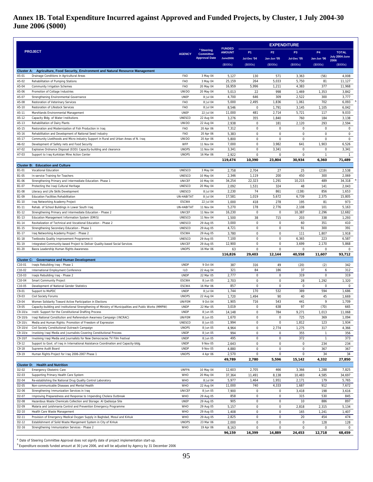# **Annex 1B. Total Expenditure Incurred against Approved and Funded Projects, by Cluster, 1 July 2004-30 June 2006 (\$000)**

|                                          |                                                                                                                                                                    |                                |                                           |                                | <b>EXPENDITURE</b>       |                                            |                    |                              |                        |  |  |  |  |  |
|------------------------------------------|--------------------------------------------------------------------------------------------------------------------------------------------------------------------|--------------------------------|-------------------------------------------|--------------------------------|--------------------------|--------------------------------------------|--------------------|------------------------------|------------------------|--|--|--|--|--|
|                                          | <b>PROJECT</b>                                                                                                                                                     | <b>AGENCY</b>                  | <sup>a</sup> Steering<br><b>Committee</b> | <b>FUNDED</b><br><b>AMOUNT</b> | P <sub>1</sub>           | P <sub>2</sub>                             | P <sub>3</sub>     | <b>P4</b>                    | <b>TOTAL</b>           |  |  |  |  |  |
|                                          |                                                                                                                                                                    |                                | <b>Approval Date</b>                      | <b>June2006</b>                | Jul-Dec '04              | Jan-Jun '05                                | Jul-Dec '05        | Jan-Jun '06                  | July 2004-June<br>2006 |  |  |  |  |  |
|                                          |                                                                                                                                                                    |                                |                                           | (S000s)                        | (S000s)                  | (S000s)                                    | (\$000s)           | (\$000s)                     | (\$000s)               |  |  |  |  |  |
| A5-01                                    | Cluster A: Agriculture, Food Security, Environment and Natural Resource Management<br>Drainage Conditions in Agricultural Areas                                    | FAO                            | 3 May 04                                  | 5,127                          | 130                      | 571                                        | 3,363              | (56)                         | 4,008                  |  |  |  |  |  |
| A5-02                                    | Rehabilitation of Pumping Stations                                                                                                                                 | FAO                            | 3 May 04                                  | 25,159                         | 264                      | 5,033                                      | 5,750              | 81                           | 11,127                 |  |  |  |  |  |
| A5-04                                    | <b>Community Irrigation Schemes</b>                                                                                                                                | FAO                            | 20 May 04                                 | 16,959                         | 5,996                    | 1,211                                      | 4,383              | 377                          | 11,968                 |  |  |  |  |  |
| A5-06<br>A5-07                           | Promotion of Cottage Industries<br>Strengthening Environmental Governance                                                                                          | <b>UNIDO</b><br><b>UNEP</b>    | 20 May 04<br>8 Jul 04                     | 5,013<br>4,700                 | 22<br>646                | 998<br>309                                 | 1,469<br>2,522     | 1,353<br>300                 | 3,842<br>3,777         |  |  |  |  |  |
| A5-08                                    | <b>Restoration of Veterinary Services</b>                                                                                                                          | FAO                            | 8 Jul 04                                  | 5,000                          | 2,495                    | 1,836                                      | 1,061              | 702                          | 6,093                  |  |  |  |  |  |
| A5-10                                    | Restoration of Lifestock Services                                                                                                                                  | FAO                            | 8 Jul 04                                  | 8,546                          | $\pmb{0}$                | 1,791                                      | 3,145              | 1,105                        | 6,042                  |  |  |  |  |  |
| A5-11<br>A5-12                           | Marshlands Environmental Management<br>Capacity Bldg. of Water Institutions                                                                                        | <b>UNEP</b><br><b>UNESCO</b>   | 22 Jul 04<br>22 Aug 04                    | 11,000<br>3,276                | 481<br>355               | 2,714<br>1,840                             | 5,721<br>760       | 117<br>184                   | 9,033<br>3,138         |  |  |  |  |  |
| A5-13                                    | Rehabilitation of Dairy Plants                                                                                                                                     | <b>UNIDO</b>                   | 22 Aug 04                                 | 2,938                          | $\pmb{0}$                | 181                                        | 2,120              | 293                          | 2,594                  |  |  |  |  |  |
| A5-15                                    | Restoration and Modernization of Fish Production in Iraq                                                                                                           | FAO                            | 20 Apr 06                                 | 7,312                          | $\mathbf 0$              | $\mathsf 0$                                | $\mathbf 0$        | $\mathsf 0$                  | $\mathsf 0$            |  |  |  |  |  |
| A5-16                                    | Rehabilitation and Development of National Seed Industry                                                                                                           | FAO                            | 20 Apr 06                                 | 5,383                          | $\pmb{0}$                | $\mathsf 0$                                | $\mathbf 0$        | $\mathsf 0$                  | $\mathsf 0$            |  |  |  |  |  |
| A5-17<br>A6-02                           | Community Livelihoods and Micro-industry Support in Rural and Urban Areas of N. Iraq<br>Development of Safety nets and Food Security                               | <b>UNIDO</b><br>WFP            | 20 Apr 06<br>11 Nov 04                    | 5,800<br>7,000                 | $\pmb{0}$<br>$\mathbf 0$ | $\mathsf 0$<br>3,982                       | $\mathbf 0$<br>641 | $\mathsf 0$<br>1,903         | $\mathbf 0$<br>6,526   |  |  |  |  |  |
| A7-02                                    | Explosive Ordnance Disposal (EOD) Capacity-building and clearance                                                                                                  | <b>UNOPS</b>                   | 11 Nov 04                                 | 3,341                          | $\mathbf 0$              | 3,341                                      | $\mathbf 0$        | $\mathbf 0$                  | 3,341                  |  |  |  |  |  |
| A7-03                                    | Support to Iraq Kurkistan Mine Action Center                                                                                                                       | <b>UNOPS</b>                   | 16 Mar 06                                 | 2,922                          | $\pmb{0}$                | 0                                          | 0                  | $\mathbf{1}$                 | $\mathbf{1}$           |  |  |  |  |  |
|                                          |                                                                                                                                                                    |                                |                                           | 119.474                        | 10,390                   | 23,804                                     | 30,934             | 6,360                        | 71,489                 |  |  |  |  |  |
| B1-01                                    | <b>Cluster B: Education and Culture</b><br><b>Vocational Education</b>                                                                                             | <b>UNESCO</b>                  | 3 May 04                                  | 2,758                          | 2,704                    | 27                                         | 25                 | (219)                        | 2,538                  |  |  |  |  |  |
| B1-05                                    | In-service Training for Teachers                                                                                                                                   | <b>UNESCO</b>                  | 10 May 04                                 | 2,346                          | 1,119                    | 200                                        | 450                | 300                          | 2,069                  |  |  |  |  |  |
| B1-06                                    | Strengthening Primary and Intermediate Education- Phase 1                                                                                                          | <b>UNICEF</b>                  | 10 May 04                                 | 34,254                         | 22,323                   | 1,291                                      | 10,215             | 489                          | 34,318                 |  |  |  |  |  |
| B1-07<br>B1-08                           | Protecting the Iragi Cultural Heritage<br>Literacy and Life Skills Development                                                                                     | <b>UNESCO</b><br><b>UNESCO</b> | 20 May 04<br>8 Jul 04                     | 2,092<br>2,230                 | 1,531<br>74              | 324<br>861                                 | 48<br>(138)        | 141<br>856                   | 2,043<br>1,653         |  |  |  |  |  |
| B1-09                                    | <b>Education Facilities Rehabilitation</b>                                                                                                                         | UN-HABITAT                     | 8 Jul 04                                  | 17,581                         | 1,019                    | 5,672                                      | 6,739              | 2,375                        | 15,805                 |  |  |  |  |  |
| B1-10                                    | Iraq Networking Academy Project                                                                                                                                    | <b>ESCWA</b>                   | 22 Jul 04                                 | 1,000                          | 418                      | 278                                        | 195                | 81                           | 973                    |  |  |  |  |  |
| B1-11                                    | Rehab. of School Buildings in Lower South Iraq                                                                                                                     | UN-HABITAT                     | 11 Nov 04                                 | 5,270                          | 178                      | 2,776                                      | 2,108              | 101                          | 5,163                  |  |  |  |  |  |
| B1-12<br>B1-13                           | Strengthening Primary and Intermediate Education - Phase 2<br>Education Management Information System (EMIS)                                                       | <b>UNICEF</b><br><b>UNESCO</b> | 11 Nov 04<br>11 Nov 04                    | 16,230<br>1,500                | $\pmb{0}$<br>38          | $\pmb{0}$<br>715                           | 10,387<br>203      | 2,296<br>338                 | 12,682<br>1,293        |  |  |  |  |  |
| B1-14                                    | Revitalization of Technical and Vocational Education - Phase 2                                                                                                     | <b>UNESCO</b>                  | 29 Aug 05                                 | 3,000                          | $\pmb{0}$                | $\mathsf 0$                                | 60                 | 351                          | 410                    |  |  |  |  |  |
| B1-15                                    | Strengthening Secondary Education - Phase 1                                                                                                                        | <b>UNESCO</b>                  | 29 Aug 05                                 | 4,721                          | $\mathbf 0$              | $\mathsf{O}\xspace$                        | 91                 | 300                          | 391                    |  |  |  |  |  |
| B1-17                                    | Iraq Networking Academy Project - Phase 2                                                                                                                          | <b>ESCWA</b>                   | 29 Aug 05                                 | 3,780                          | $\mathbf 0$              | $\mathbf 0$                                | 111                | 1,807                        | 1,918                  |  |  |  |  |  |
| B1-18<br>B1-19                           | Textbooks Quality Improvement Programme II<br>Integrated Community-based Project to Deliver Quality-based Social Services                                          | <b>UNESCO</b><br><b>UNICEF</b> | 29 Aug 05<br>29 Aug 05                    | 7,100<br>12,900                | $\pmb{0}$<br>$\pmb{0}$   | $\mathsf{O}\xspace$<br>$\mathsf 0$         | 6,365<br>3,699     | 223<br>2,170                 | 6,587<br>5,868         |  |  |  |  |  |
| B1-20                                    | Basra Leadership Human Rights Awareness                                                                                                                            | <b>UNOPS</b>                   | 16 Mar 06                                 | 63                             | $\pmb{0}$                | $\mathsf 0$                                | 0                  | $\mathbf 0$                  | $\mathsf{O}\xspace$    |  |  |  |  |  |
|                                          |                                                                                                                                                                    |                                |                                           | 116,826                        | 29,403                   | 12,144                                     | 40,558             | 11,607                       | 93,712                 |  |  |  |  |  |
| C10-01                                   | <b>Cluster C: Governance and Human Development</b><br>Iraqis Rebuilding Iraq - Phase 1                                                                             | <b>UNDP</b>                    | 9 Oct 04                                  | 387                            | 316                      | 49                                         | (20)               | (2)                          | 342                    |  |  |  |  |  |
| C10-02                                   | International Employment Conference                                                                                                                                | <b>ILO</b>                     | 22 Aug 04                                 | 321                            | 84                       | 186                                        | 37                 | 6                            | 312                    |  |  |  |  |  |
| C10-03                                   | Iraqis Rebuilding Iraq - Phase 2                                                                                                                                   | <b>UNDP</b>                    | 22 Mar 05                                 | 2,777                          | $\mathbf 0$              | 0                                          | 319                | $\mathbf 0$                  | 319                    |  |  |  |  |  |
| C10-04                                   | <b>Smart Community Project</b>                                                                                                                                     | <b>ESCWA</b>                   | 8 Jun 05                                  | 2,703                          | $\mathbf 0$              | $\mathsf 0$                                | 28                 | 1,292                        | 1,320                  |  |  |  |  |  |
| C10-05<br>$C9-01$                        | Development of National Gender Statistics<br>Support to MoPDC                                                                                                      | <b>ESCWA</b><br><b>UNDP</b>    | 16 Mar 06<br>8 Jul 04                     | 857<br>1,744                   | $\pmb{0}$<br>170         | $\mathsf 0$<br>532                         | $\mathbf 0$<br>389 | 0<br>594                     | $\mathsf 0$<br>1,686   |  |  |  |  |  |
| $C9-03$                                  | <b>Civil Society Forums</b>                                                                                                                                        | <b>UNOPS</b>                   | 22 Aug 04                                 | 1,720                          | 1,494                    | 90                                         | 40                 | 45                           | 1,669                  |  |  |  |  |  |
| C9-04                                    | Women Solidarity Toward Active Participation in Elections                                                                                                          | UNIFEM                         | 9 Oct 04                                  | 1,905                          | 716                      | 543                                        | 441                | 9                            | 1,709                  |  |  |  |  |  |
| $C9-05$<br>C9-10/a                       | Capacity-building and Institutional Strengthening of Ministry of Municipalities and Public Works (MMPW)<br>Instit. Support for the Constitutional Drafting Process | <b>UNDP</b><br><b>UNDP</b>     | 22 Mar 05<br>8 Jun 05                     | 3,019<br>14,148                | $\pmb{0}$<br>0           | 638<br>784                                 | 97<br>9,271        | (70)<br>1,013                | 665<br>11,068          |  |  |  |  |  |
| C9-10/b                                  | Iraqi National Constitution and Referendum Awarness Campaign (INCRAC)                                                                                              | UNIFEM                         | 8 Jun 05                                  | 1,670                          | 0                        | $\mathsf 0$                                | 725                | 369                          | 1,094                  |  |  |  |  |  |
| $C9-10/c$                                | Media and Human Rights: Promotion of Freedom of Expression                                                                                                         | <b>UNESCO</b>                  | 8 Jun 05                                  | 1,994                          | $\mathbf 0$              | $\mathsf 0$                                | 1,812              | 123                          | 1,934                  |  |  |  |  |  |
| C9-10/d                                  | Civil Society Constitutional Outreach Campaign                                                                                                                     | <b>UNOPS</b>                   | 8 Jun 05                                  | 4,964                          | $\pmb{0}$                | 2,774                                      | 1,275              | 317                          | 4,366                  |  |  |  |  |  |
| C9-10/e<br>C9-10/f                       | Involving Iraqi Media and Journalists Covering Constitutional Process<br>Involving Iraqi Media and Journalists for New Democracies TV Film Festival                | <b>UNDP</b><br><b>UNDP</b>     | 8 Jun 05<br>8 Jun 05                      | 994<br>495                     | $\pmb{0}$<br>$\pmb{0}$   | $\pmb{0}$<br>$\mathsf 0$                   | 355<br>372         | $\mathbf{1}$<br>$\mathbf{1}$ | 356<br>373             |  |  |  |  |  |
| $C9-12$                                  | Support to Govt. of Iraq in International Assistance Coordination and Capacity-bldg.                                                                               | <b>UNDP</b>                    | 9 Nov 05                                  | 2,643                          | $\mathbf 0$              | $\mathsf 0$                                | $\mathsf 0$        | 234                          | 234                    |  |  |  |  |  |
| $C9-18$                                  | Supreme Audit Board                                                                                                                                                | <b>UNDP</b>                    | 9 Nov 05                                  | 4,880                          | 0                        | $\mathsf{O}\xspace$                        | $\mathsf 0$        | 367                          | 367                    |  |  |  |  |  |
| $C9-19$                                  | Human Rights Project for Iraq 2006-2007 Phase 1                                                                                                                    | <b>UNOPS</b>                   | 4 Apr 06                                  | 2,570                          | 0                        | $\mathsf{O}\xspace$                        | $\mathsf 0$        | 34                           | 34                     |  |  |  |  |  |
|                                          | <b>Cluster D: Health and Nutrition</b>                                                                                                                             |                                |                                           | 49,789                         | 2,780                    | 5,596                                      | 15,142             | 4,332                        | 27,850                 |  |  |  |  |  |
| D2-02                                    | Emergency Obstetric Care                                                                                                                                           | <b>UNFPA</b>                   | 10 May 04                                 | 12,603                         | 2,705                    | 466                                        | 3,366              | 1,288                        | 7,825                  |  |  |  |  |  |
| D2-03                                    | Supporting Primary Health Care System                                                                                                                              | WHO                            | 20 May 04                                 | 37,364                         | 11,491                   | 8,138                                      | 10,483             | 4,585                        | 34,697                 |  |  |  |  |  |
| D <sub>2</sub> -04<br>D <sub>2</sub> -05 | Re-establishing the National Drug Quality Control Laboratory<br>Non-communicable Diseases and Mental Health                                                        | WHO<br><b>WHO</b>              | 8 Jul 04<br>22 Aug 04                     | 5,977<br>11,000                | 1,464<br>740             | 1,951<br>4,333                             | 2,171<br>1,687     | 179<br>912                   | 5,765<br>7,672         |  |  |  |  |  |
| D <sub>2</sub> -06                       | Strengthening Immunization Services in Iraq                                                                                                                        | <b>UNICEF</b>                  | 8 Jun 05                                  | 7,900                          | $\pmb{0}$                | 0                                          | 3,418              | 198                          | 3,616                  |  |  |  |  |  |
| D <sub>2</sub> -07                       | Improving Preparedness and Response to Impending Cholera Outbreak                                                                                                  | WHO                            | 29 Aug 05                                 | 858                            | $\pmb{0}$                | $\mathsf{O}\xspace$                        | 315                | 530                          | 845                    |  |  |  |  |  |
| D <sub>2</sub> -08                       | Hazardous Waste Chemicals Collection and Storage: Al Qadissiya Site                                                                                                | <b>UNEP</b>                    | 29 Aug 05                                 | 905                            | $\pmb{0}$                | $\mathsf 0$                                | 10                 | 886                          | 897                    |  |  |  |  |  |
| D <sub>2</sub> -09<br>D <sub>2</sub> -10 | Malaria and Leishmania Control and Prevention Emergency Programme<br>Health Care Waste Management                                                                  | <b>WHO</b><br>WHO              | 29 Aug 05<br>29 Aug 05                    | 5,157<br>1,408                 | $\pmb{0}$<br>$\pmb{0}$   | $\mathsf{O}\xspace$<br>$\mathsf{O}\xspace$ | 2,818<br>165       | 2,315                        | 5,134<br>1,407         |  |  |  |  |  |
| D2-11                                    | Provision of Emergency Medical Oxygen Supply in Baghdad, Mosul and Kirkuk                                                                                          | WHO                            | 29 Aug 05                                 | 2,825                          | $\mathbf 0$              | $\pmb{0}$                                  | 20                 | 1,241<br>454                 | 474                    |  |  |  |  |  |
| D <sub>2</sub> -12                       | Establishment of Solid Waste Mangement System in City of Kirkuk                                                                                                    | <b>UNOPS</b>                   | 23 Mar 06                                 | 2,000                          | 0                        | $\mathsf 0$                                | $\mathbf 0$        | 128                          | 128                    |  |  |  |  |  |
| D <sub>2</sub> -16                       | Strengthening Immunization Services - Phase 2                                                                                                                      | <b>WHO</b>                     | 19 Apr 06                                 | 8,163                          | 0                        | $\mathsf{O}\xspace$                        | $\mathsf 0$        | $\mathsf 0$                  | $\mathbf 0$            |  |  |  |  |  |
|                                          |                                                                                                                                                                    |                                |                                           | 96,159                         | 16,399                   | 14,889                                     | 24,453             | 12,718                       | 68,459                 |  |  |  |  |  |

<sup>a</sup> Date of Steering Committee Approval does not signify date of project implementation start-up.

<sup>b</sup> Expenditure exceeds funded amount at 30 June 2006, and will be adjusted by Agency by 31 December 2006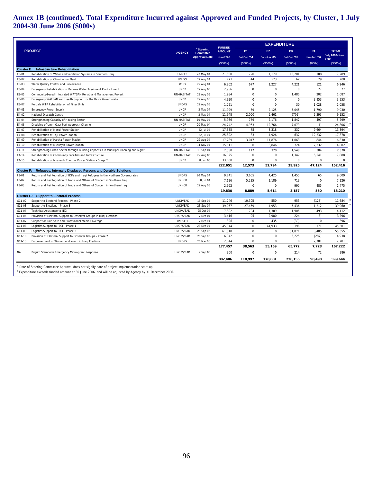# **Annex 1B (continued). Total Expenditure Incurred against Approved and Funded Projects, by Cluster, 1 July 2004-30 June 2006 (\$000s)**

|           |                                                                                        |               |                                           | <b>FUNDED</b>   | <b>EXPENDITURE</b>     |             |                |             |                        |  |  |  |
|-----------|----------------------------------------------------------------------------------------|---------------|-------------------------------------------|-----------------|------------------------|-------------|----------------|-------------|------------------------|--|--|--|
|           | <b>PROJECT</b>                                                                         | <b>AGENCY</b> | <sup>a</sup> Steering<br><b>Committee</b> | <b>AMOUNT</b>   | <b>P1</b>              | <b>P2</b>   | P <sub>3</sub> | <b>P4</b>   | <b>TOTAL</b>           |  |  |  |
|           |                                                                                        |               | <b>Approval Date</b>                      | <b>June2006</b> | Jul-Dec <sup>'04</sup> | Jan-Jun '05 | Jul-Dec '05    | Jan-Jun '06 | July 2004-June<br>2006 |  |  |  |
|           |                                                                                        |               |                                           | (S000s)         | (S000s)                | (\$000s)    | (S000s)        | (S000s)     | (S000s)                |  |  |  |
|           | <b>Cluster E: Infrastructure Rehabilitation</b>                                        |               |                                           |                 |                        |             |                |             |                        |  |  |  |
| E3-01     | Rehabilitation of Water and Sanitation Systems in Southern Iraq                        | <b>UNICEF</b> | 20 May 04                                 | 21,500          | 720                    | 1,179       | 15,201         | 188         | 17,289                 |  |  |  |
| E3-02     | Rehabilitation of Chlorination Plant                                                   | <b>UNIDO</b>  | 22 Aug 04                                 | 771             | 44                     | 573         | 62             | 29          | 708                    |  |  |  |
| E3-03     | Water Quality Control and Surveillance                                                 | WHO           | 22 Aug 04                                 | 6,262           | 677                    | 1,227       | 4,221          | 121         | 6,246                  |  |  |  |
| E3-04     | Emergency Rehabilitation of Karama Water Treatment Plant - Line 1                      | <b>UNDP</b>   | 29 Aug 05                                 | 2,956           | $\mathbf 0$            | $\mathbf 0$ | $\mathbf 0$    | 27          | 27                     |  |  |  |
| E3-05     | Community-based Integrated WATSAN Rehab and Management Project                         | UN-HABITAT    | 29 Aug 05                                 | 1,984           | $\mathbf 0$            | $\mathbf 0$ | 1,486          | 202         | 1,687                  |  |  |  |
| E3-06     | Emergency WATSAN and Health Support for the Basra Governorate                          | <b>UNDP</b>   | 29 Aug 05                                 | 4,920           | $\mathbf 0$            | $\mathbf 0$ | $\mathbf 0$    | 3,953       | 3,953                  |  |  |  |
| E3-07     | Kerbala WTP Rehabilitation of Filter Units                                             | <b>UNOPS</b>  | 29 Aug 05                                 | 1,251           | $\mathbf 0$            | $\Omega$    | 30             | 1,028       | 1,058                  |  |  |  |
| E4-01     | <b>Emergency Power Supply</b>                                                          | <b>UNDP</b>   | 3 May 04                                  | 11,999          | 69                     | 2,125       | 5,045          | 1,790       | 9,030                  |  |  |  |
| E4-02     | National Dispatch Centre                                                               | <b>UNDP</b>   | 3 May 04                                  | 11,948          | 2,000                  | 5,461       | (702)          | 2,393       | 9,152                  |  |  |  |
| E4-04     | Strengthening Capacity of Housing Sector                                               | UN-HABITAT    | 10 May 04                                 | 5.966           | 779                    | 2.176       | 1,847          | 497         | 5,299                  |  |  |  |
| E4-06     | Dredging of Umm Qasr Port Approach Channel                                             | <b>UNDP</b>   | 20 May 04                                 | 24,742          | 4,963                  | 12,766      | 7,079          | (1)         | 24,806                 |  |  |  |
| E4-07     | Rehabilitation of Mosul Power Station                                                  | <b>UNDP</b>   | 22 Jul 04                                 | 17,585          | 75                     | 3,318       | 337            | 9.664       | 13,394                 |  |  |  |
| E4-08     | Rehabilitation of Taji Power Station                                                   | <b>UNDP</b>   | 22 Jul 04                                 | 25.892          | 83                     | 4.926       | 637            | 12.232      | 17,878                 |  |  |  |
| E4-09     | Rehabilitation of Hartha Power Station                                                 | <b>UNDP</b>   | 22 Aug 04                                 | 17,789          | 3,047                  | 11,876      | 1,063          | 844         | 16,830                 |  |  |  |
| E4-10     | Rehabilitation of Mussayib Power Station                                               | <b>UNDP</b>   | 11 Nov 04                                 | 15,511          | $\mathbf 0$            | 6,846       | 724            | 7,232       | 14,802                 |  |  |  |
| E4-11     | Strengthening Urban Sector through Building Capacities in Municipal Planning and Mgmt. | UN-HABITAT    | 13 Sep 04                                 | 2,550           | 117                    | 320         | 1,548          | 384         | 2,370                  |  |  |  |
| E4-14     | Rehabilitation of Community Facilities and Infrastructure                              | UN-HABITAT    | 29 Aug 05                                 | 16.025          | $\mathbf 0$            | $\mathbf 0$ | 1,347          | 6.541       | 7,888                  |  |  |  |
| E4-15     | Rehabilitation of Mussayib Thermal Power Station - Stage 2                             | <b>UNDP</b>   | 8 Jun 05                                  | 33,000          | $\mathbf 0$            | 0           | $\mathbf 0$    | $\mathbf 0$ | $\mathbf 0$            |  |  |  |
|           |                                                                                        |               |                                           | 222,651         | 12,573                 | 52,794      | 39,925         | 47,124      | 152,416                |  |  |  |
|           | <b>Cluster F: Refugees, Internally Displaced Persons and Durable Solutions</b>         |               |                                           |                 |                        |             |                |             |                        |  |  |  |
| F8-01     | Return and Reintegration of IDPs and Iraqi Refugees in the Northern Governorates       | <b>UNOPS</b>  | 20 May 04                                 | 9,741           | 3,665                  | 4,425       | 1,455          | 65          | 9,609                  |  |  |  |
| F8-02     | Return and Reintegration of Iraqis and Others of Concern in Southern Iraq              | <b>UNHCR</b>  | 8 Jul 04                                  | 7,126           | 5,225                  | 1,189       | 713            | $\mathbf 0$ | 7,126                  |  |  |  |
| F8-03     | Return and Reintegration of Iraqis and Others of Concern in Northern Iraq              | <b>UNHCR</b>  | 29 Aug 05                                 | 2,962           | $\mathbf 0$            | 0           | 990            | 485         | 1,475                  |  |  |  |
|           |                                                                                        |               |                                           | 19.830          | 8.889                  | 5,614       | 3,157          | 550         | 18,210                 |  |  |  |
|           | <b>Cluster G: Support to Electoral Process</b>                                         |               |                                           |                 |                        |             |                |             |                        |  |  |  |
| G11-02    | Support to Electoral Process - Phase 2                                                 | UNDP/EAD      | 13 Sep 04                                 | 11,246          | 10,305                 | 550         | 953            | (125)       | 11,684                 |  |  |  |
| G11-03    | Support to Elections - Phase 3                                                         | UNDP/EAD      | 23 Sep 04                                 | 39,057          | 27,459                 | 4,953       | 5,436          | 1,212       | 39,060                 |  |  |  |
| G11-04    | <b>Technical Assistance to IECI</b>                                                    | UNDPA/EAD     | 25 Oct 04                                 | 7.802           | 704                    | 1.309       | 1,906          | 493         | 4,412                  |  |  |  |
| G11-06    | Provision of Electoral Support to Observer Groups in Iraqi Elections                   | UNOPS/EAD     | 7 Dec 04                                  | 3,416           | 95                     | 2,980       | 224            | (3)         | 3,296                  |  |  |  |
| G11-07    | Support for Fair, Safe and Professional Media Coverage                                 | <b>UNESCO</b> | 7 Dec 04                                  | 396             | $\mathbf 0$            | 435         | (39)           | $\mathbf 0$ | 396                    |  |  |  |
| G11-08    | Logistics Support to IECI - Phase 1                                                    | UNOPS/EAD     | 23 Dec 04                                 | 45,344          | $\mathbf 0$            | 44,933      | 196            | 171         | 45,301                 |  |  |  |
| G11-09    | Logistics Support to IECI - Phase 2                                                    | UNOPS/EAD     | 29 Sep 05                                 | 61,310          | $\mathbf 0$            | 0           | 51,871         | 3,485       | 55,355                 |  |  |  |
| G11-10    | Provision of Electoral Support to Observer Groups - Phase 2                            | UNOPS/EAD     | 20 Sep 05                                 | 6,042           | $\mathbf 0$            | $\mathbf 0$ | 5,225          | (287)       | 4,938                  |  |  |  |
| G11-13    | Empowerment of Women and Youth in Iraqi Elections                                      | <b>UNOPS</b>  | 26 Mar 06                                 | 2,844           | $\mathbf 0$            | 0           | 0              | 2,781       | 2,781                  |  |  |  |
|           |                                                                                        |               |                                           | 177,457         | 38,563                 | 55,159      | 65,772         | 7,728       | 167,222                |  |  |  |
| <b>NA</b> | Pilgrim Stampede Emergency Micro-grant Response                                        | UNOPS/EAD     | 2 Sep 05                                  | 300             | $\Omega$               | $\mathbf 0$ | 214            | 72          | 286                    |  |  |  |
|           |                                                                                        |               |                                           | 802.486         | 118.997                | 170.001     | 220.155        | 90.490      | 599.644                |  |  |  |

<sup>a</sup> Date of Steering Committee Approval does not signify date of project implementation start-up.<br><sup>b</sup> Expenditure exceeds funded amount at 30 June 2006, and will be adjusted by Agency by 31 December 2006.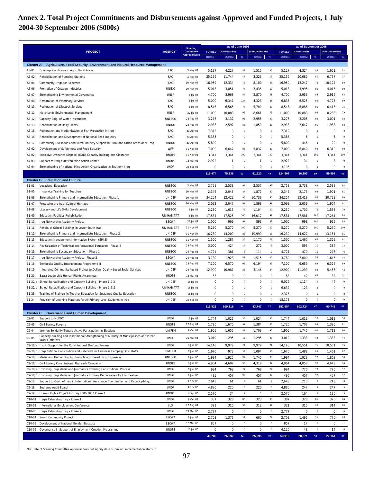# **Annex 2. Total Project Commitments and Disbursements against Approved and Funded Projects, 1 July 2004-30 September 2006 (\$000s)**

|                                                                                                                                                                      |                         | <b>Steering</b>                          |                  | as of June 2006   |                |                     |                   |                  | as of September 2006 |                |                     |                   |
|----------------------------------------------------------------------------------------------------------------------------------------------------------------------|-------------------------|------------------------------------------|------------------|-------------------|----------------|---------------------|-------------------|------------------|----------------------|----------------|---------------------|-------------------|
| <b>PROJECT</b>                                                                                                                                                       | <b>AGENCY</b>           | <b>Committee</b><br><b>Approval Date</b> | <b>FUNDED</b>    | <b>COMMITMENT</b> |                | <b>DISBURSEMENT</b> |                   | <b>FUNDED</b>    | <b>COMMITMENT</b>    |                | <b>DISBURSEMENT</b> |                   |
|                                                                                                                                                                      |                         |                                          | (\$000s)         | (5000s)           | %              | (5000s)             | $\%$              | (5000s)          | (S000s)              | %              | (5000s)             | %                 |
| Agriculture, Food Security, Environment and Natural Resource Management<br><b>Cluster A:</b>                                                                         |                         |                                          |                  |                   |                |                     |                   |                  |                      |                |                     |                   |
| A5-01<br>Drainage Conditions in Agricultural Areas                                                                                                                   | FAO                     | 3 May 04                                 | 5,127            | 4,227             | 82             | 1,515               | 30                | 5,127            | 4,324                | 84             | 1,651               | 32                |
| A5-02<br>Rehabilitation of Pumping Stations<br>A5-04                                                                                                                 | <b>FAO</b><br>FAO       | 3 May 04<br>20 May 04                    | 25,159<br>16,959 | 11,744<br>12,334  | 47<br>73       | 3,323<br>8,100      | 13<br>48          | 25,159<br>16,959 | 20,060<br>13,247     | 80<br>78       | 6,757<br>10,124     | 27<br>60          |
| Community Irrigation Schemes<br>A5-06<br>Promotion of Cottage Industries                                                                                             | <b>UNIDO</b>            | 20 May 04                                | 5,013            | 3,851             | 77             | 3,435               | 69                | 5,013            | 3,995                | 80             | 4,016               | 80                |
| A5-07<br>Strengthening Environmental Governance                                                                                                                      | <b>UNEP</b>             | 8 Jul 04                                 | 4,700            | 3,968             | 84             | 2,870               | 61                | 4,700            | 3,953                | 84             | 2,916               | 62                |
| A5-08<br>Restoration of Veterinary Services                                                                                                                          | FAO                     | 8 Jul 04                                 | 5,000            | 6,347             | 127            | 4,323               | 86                | 6,837            | 6,525                | 95             | 4,723               | 69                |
| A5-10<br>Restoration of Lifestock Services                                                                                                                           | FAO                     | 8 Jul 04                                 | 8,546            | 6,565             | 77             | 5,700               | 67                | 8,546            | 6,886                | 81             | 6,416               | 75                |
| A5-11<br>Marshlands Environmental Management                                                                                                                         | <b>UNEP</b>             | 22 Jul 04                                | 11,000           | 10,883            | 99             | 8,661               | 79                | 11,000           | 10,883               | 99             | 8,283               | 79                |
| A5-12<br>Capacity Bldg. of Water Institutions                                                                                                                        | <b>UNESCO</b>           | 22 Aug 04                                | 3,276            | 3,132             | 96             | 2,955               | 90                | 3,276            | 3,205                | 98             | 3,001               | 92                |
| A5-13<br>Rehabilitation of Dairy Plants                                                                                                                              | <b>UNIDO</b>            | 22 Aug 04                                | 2,938            | 2,597             | 88             | 1,859               | 63                | 2,938            | 2,647                | 90             | 1,988               | 68                |
| Restoration and Modernization of Fish Production in Iraq<br>A5-15                                                                                                    | FAO                     | 20 Apr 06                                | 7,312            | 0                 | $\,0\,$        | 0                   | $\bf{0}$          | 7,312            | 0                    | $\mathbf 0$    | 0                   | $\bf 0$           |
| A5-16<br>Rehabilitation and Development of National Seed Industry                                                                                                    | FAO                     | 20 Apr 06                                | 5,383            | 0                 | $\circ$        | 0                   | $\circ$           | 5,383            | 6                    | $\mathbf 0$    | 3                   | $\mathbb O$       |
| A5-17<br>Community Livelihoods and Micro-industry Support in Rural and Urban Areas of N. Iraq                                                                        | <b>UNIDO</b>            | 20 Apr 06                                | 5,800            | 0                 | $\,0\,$        | 0                   | $\bf{0}$          | 5,800            | 446                  | 8              | 22                  | $\,0\,$           |
| A6-02<br>Development of Safety nets and Food Security                                                                                                                | WFP                     | 11 Nov 04                                | 7,000            | 6,647             | 95             | 5,837               | 83                | 7,000            | 6,840                | 98             | 6,310               | 90                |
| A7-02<br>Explosive Ordnance Disposal (EOD) Capacity-building and Clearance                                                                                           | <b>UNOPS</b>            | 11 Nov 04                                | 3,341            | 3,341             | 100            | 3,341               | 100               | 3,341            | 3,341                | 100            | 3,341               | 100               |
| A7-03<br>Support to Iraq Kurkistan Mine Action Center                                                                                                                | <b>UNOPS</b>            | 16 Mar 06                                | 2,922            | 1                 | $\circ$        | $\mathbf{1}$        | $\bf{0}$          | 2,922            | 34                   | $\mathbf{1}$   | 8                   | $\,0\,$           |
| A7-04<br>Strengthening of National Mine Action Organization In Southern Iraq                                                                                         | <b>UNDP</b>             | 28 Sep 06                                | 0                | $\mathbf 0$       | $\circ$        | $\mathbf 0$         | $\bf 0$           | 3,196            | $\mathbf 0$          | $\mathbf 0$    | $\mathbf 0$         | $\mathbf 0$       |
|                                                                                                                                                                      |                         |                                          | 119,474          | 75,636            | 63             | 51,920              | 43                | 124,507          | 86,393               | 69             | 59,557              | 48                |
| <b>Cluster B: Education and Culture</b>                                                                                                                              |                         |                                          |                  |                   |                |                     |                   |                  |                      |                |                     |                   |
| B1-01<br>Vocational Education                                                                                                                                        | <b>UNESCO</b>           | 3 May 04                                 | 2,758            | 2,538             | 92             | 2,537               | 92                | 2,758            | 2,738                | 99             | 2,538               | 92                |
| B1-05<br>In-service Training for Teachers                                                                                                                            | <b>UNESCO</b>           | 10 May 04                                | 2,346            | 2,045             | 87             | 1,877               | 80                | 2,346            | 2,173                | 93             | 1,901               | 81                |
| B1-06<br>Strengthening Primary and Intermediate Education- Phase 1                                                                                                   | UNICEF<br><b>UNESCO</b> | 10 May 04                                | 34,254           | 32,422            | 95<br>98       | 30,739              | 90<br>91          | 34,254           | 32,419               | 95<br>98       | 30,722              | 90                |
| B1-07<br>Protecting the Iraqi Cultural Heritage<br>B1-08                                                                                                             | <b>UNESCO</b>           | 20 May 04<br>8 Jul 04                    | 2,092<br>2,230   | 2,047<br>1,613    | 72             | 1,898<br>1,104      | 50                | 2,092<br>2,230   | 2,059<br>1,700       | 76             | 1,904<br>1,553      | 91<br>70          |
| Literacy and Life Skills Development<br>B1-09<br><b>Education Facilities Rehabilitation</b>                                                                          | UN-HABITAT              | 8 Jul 04                                 | 17,581           | 17,525            | 100            | 16,017              | 91                | 17,581           | 17,581               | 100            | 17,261              | 98                |
| B1-10<br>Iraq Networking Academy Project                                                                                                                             | <b>ESCWA</b>            | 22 Jul 04                                | 1,000            | 969               | 97             | 893                 | 89                | 1,000            | 998                  | 100            | 926                 | 93                |
| B1-11<br>Rehab. of School Buildings in Lower South Iraq                                                                                                              | UN-HABITAT              | 11 Nov 04                                | 5,270            | 5,270             | 100            | 5,270               | 100               | 5,270            | 5,270                | 100            | 5,270               | 100               |
| B1-12<br>Strengthening Primary and Intermediate Education - Phase 2                                                                                                  | UNICEF                  | 11 Nov 04                                | 16,230           | 14,209            | 88             | 10,999              | 68                | 16,230           | 14,027               | 86             | 13,151              | 81                |
| B1-13<br>Education Management Information System (EMIS)                                                                                                              | <b>UNESCO</b>           | 11 Nov 04                                | 1,500            | 1,287             | 86             | 1,170               | 78                | 1,500            | 1,460                | 97             | 1,359               | 91                |
| B1-14<br>Revitalization of Technical and Vocational Education - Phase 2                                                                                              | <b>UNESCO</b>           | 29 Aug 05                                | 3,000            | 424               | 14             | 272                 | 9                 | 3,000            | 593                  | 20             | 384                 | 13                |
| B1-15<br>Strengthening Secondary Education - Phase 1                                                                                                                 | <b>UNESCO</b>           | 29 Aug 05                                | 4,721            | 381               | 8              | 114                 | $\overline{2}$    | 4,721            | 470                  | 10             | 276                 | $\boldsymbol{6}$  |
| B1-17<br>Iraq Networking Academy Project - Phase 2                                                                                                                   | <b>ESCWA</b>            | 29 Aug 05                                | 3,780            | 1,928             | 51             | 1,515               | 40                | 3,780            | 2,000                | 53             | 1,645               | 44                |
| B1-18<br>Textbooks Quality Improvement Programme II                                                                                                                  | <b>UNESCO</b>           | 29 Aug 05                                | 7,100            | 6,570             | 93             | 6,194               | 87                | 7,100            | 6,659                | 94             | 6,326               | 89                |
| B1-19<br>Integrated Community-based Project to Deliver Quality-based Social Services                                                                                 | UNICEF                  | 29 Aug 05                                | 12,900           | 10,987            | 85             | 3,146               | 24                | 12,900           | 11,299               | 88             | 5,456               | 42                |
| B1-20<br>Basra Leadership Human Rights Awareness                                                                                                                     | <b>UNOPS</b>            | 16 Mar 06                                | 63               | 0                 | $\circ$        | 0                   | $\bf{0}$          | 63               | 42                   | 67             | 32                  | 51                |
| B1-22/a School Rehabilitation and Capacity Building - Phase 1 & 2                                                                                                    | UNICEF                  | 16 Jul 06                                | $\mathbf 0$      | $\Omega$          | $\mathbf 0$    | 0                   | $\mathbf 0$       | 9,029            | 1,114                | 12             | 44                  | $\,0\,$           |
| B1-22/b School Rehabilitation and Capacity Building - Phase 1 & 2                                                                                                    | UN-HABITAT              | 16 Jul 06                                | 0                | 0                 | $\theta$       | 0                   | $\mathbf 0$       | 6,632            | 123                  | $\overline{2}$ | 0                   | $\mathbf 0$       |
| B1-23<br>Training of Trainers in Teacher Education for Sustained Quality Education                                                                                   | <b>UNESCO</b>           | 16 Jul 06                                | 0                | 0                 | $\,0\,$        | 0                   | $\bf{0}$          | 2,325            | 0                    | 0              | 0                   | $\mathbf 0$       |
| B1-24<br>Provision of Learning Materials for All Primary Level Students in Iraq                                                                                      | UNICEF                  | 28 Sep 06                                | 0                | 0                 | $\Omega$       | 0                   | $\,0\,$           | 18,173           | 0                    | $\mathbf 0$    | 0                   | $\,0\,$           |
|                                                                                                                                                                      |                         |                                          | 116,826          | 100,216           | 86             | 83,747              | $\mathbf{72}$     | 152,984          | 102,724              | 67             | 90,748              | 59                |
| <b>Cluster C: Governance and Human Development</b>                                                                                                                   |                         |                                          |                  |                   |                |                     |                   |                  |                      |                |                     |                   |
| $C9-01$<br>Support to MoPDC                                                                                                                                          | <b>UNDP</b>             | 8 Jul 04                                 | 1,744            | 1,025             | 59             | 1,024               | 59                | 1,744            | 1,013                | 58             | 1,012               | 58                |
| $C9-03$<br>Civil Society Forums                                                                                                                                      | <b>UNOPS</b>            | 22 Aug 04                                | 1,720            | 1,675             | 97             | 1,384               | 80                | 1,720            | 1,707                | 99             | 1,395               | 81                |
| Women Solidarity Toward Active Participation in Elections<br>$C9 - 04$<br>Capacity-building and Institutional Strengthening of Ministry of Municipalities and Public | <b>UNIFEM</b>           | 9 Oct 04                                 | 1,905            | 1,655             | 87             | 1,709               | 90                | 1,905            | 1,745                | 92             | 1,712               | 90                |
| $C9-05$<br>Works (MMPW)                                                                                                                                              | <b>UNDP</b>             | 22 Mar 05                                | 3,019            | 1,295             | 43             | 1,295               | 43                | 3,019            | 1,333                | 44             | 1,333               | 44                |
| C9-10/a Instit. Support for the Constitutional Drafting Process                                                                                                      | <b>UNDP</b>             | 8 Jun 05                                 | 14,148           | 9,979             | 71             | 9,979               | 71                | 14,148           | 10,551               | 75             | 10,551              | 75                |
| C9-10/b Iraqi National Constitution and Referendum Awarness Campaign (INCRAC)                                                                                        | UNIFEM                  | 8 Jun 05                                 | 1,670            | 973               | 58             | 1,094               | 66                | 1,670            | 1,482                | 89             | 1,461               | 87                |
| C9-10/c Media and Human Rights: Promotion of Freedom of Expression                                                                                                   | <b>UNESCO</b>           | 8 Jun 05                                 | 1,994            | 1,925             | 97             | 1,745               | 88                | 1,994            | 1,929                | 97             | 1,803               | 90                |
| C9-10/d Civil Society Constitutional Outreach Campaign                                                                                                               | <b>UNOPS</b>            | 8 Jun 05                                 | 4,964            | 4,607             | 93             | 4,319               | 87                | 4,964            | 4,858                | 98             | 4,649               | 94                |
| C9-10/e Involving Iraqi Media and Journalists Covering Constitutional Process                                                                                        | <b>UNDP</b>             | 8 Jun 05                                 | 994              | 768               | 77             | 768                 | 77                | 994              | 770                  | 77             | 770                 | 77                |
| Involving Iraqi Media and Journalists for New Democracies TV Film Festival<br>C9-10/f                                                                                | <b>UNDP</b>             | 8 Jun 05                                 | 495              | 457               | 92             | 457                 | 92                | 495              | 457                  | 92             | 457                 | 92                |
| $C9-12$<br>Support to Govt. of Iraq in International Assistance Coordination and Capacity-bldg.                                                                      | <b>UNDP</b>             | 9 Nov 05                                 | 2,643            | 61                | $\overline{2}$ | 61                  | $\overline{2}$    | 2,643            | 213                  | 8              | 213                 | $_{\rm 8}$        |
| $C9-18$<br>Supreme Audit Board                                                                                                                                       | <b>UNDP</b>             | 9 Nov 05                                 | 4,880            | 220               | 5              | 220                 | 5                 | 4,880            | 247                  | 5              | 247                 | 5                 |
| $C9-19$<br>Human Rights Project for Iraq 2006-2007 Phase 1                                                                                                           | <b>UNOPS</b>            | 4 Apr 06                                 | 2,570            | 34                | $\mathbf{1}$   | 4                   | $\,0\,$           | 2,570            | 164                  | 6              | 130                 | 5                 |
| C10-01<br>Iraqis Rebuilding Iraq - Phase 1                                                                                                                           | <b>UNDP</b>             | 9 Oct 04                                 | 387              | 328               | 85<br>98       | 323                 | 83                | 387              | 328                  | 85<br>98       | 326                 | 84                |
| C10-02<br>International Employment Conference                                                                                                                        | ILO<br><b>UNDP</b>      | 22 Aug 04<br>22 Mar 05                   | 321<br>2,777     | 315<br>0          | $\circ$        | 312<br>0            | 97                | 321              | 315<br>0             | $\mathbf 0$    | 314<br>0            | 98                |
| C10-03<br>Iraqis Rebuilding Iraq - Phase 2<br>C10-04<br><b>Smart Community Project</b>                                                                               | <b>ESCWA</b>            | 8 Jun 05                                 | 2,703            | 1,376             | 51             | 600                 | $\mathbf 0$<br>22 | 2,777            | 1,495                | 55             | 770                 | $\mathbf 0$<br>28 |
| C10-05<br>Development of National Gender Statistics                                                                                                                  | <b>ESCWA</b>            | 16 Mar 06                                | 857              | 0                 | $\,0\,$        | 0                   | $\,0\,$           | 2,703<br>857     | 17                   | $\overline{2}$ | 6                   | $\overline{1}$    |
| C10-06<br>Governance in Support of Employment Creation Programme                                                                                                     | <b>UNOPS</b>            | 16 Jul 06                                | 0                | $\mathsf 0$       | $\,0\,$        | $\mathsf 0$         | $\mathbf 0$       | 4,126            | 48                   | $\mathbf{1}$   | 14                  | $\mathbb O$       |
|                                                                                                                                                                      |                         |                                          | 49,789           | 26,692            | 54             | 25,295              | 51                | 53,916           | 28,671               | 53             | 27,164              | 50                |
|                                                                                                                                                                      |                         |                                          |                  |                   |                |                     |                   |                  |                      |                |                     |                   |

NB: Date of Steering Committee Approval does not signify date of project implementation start-up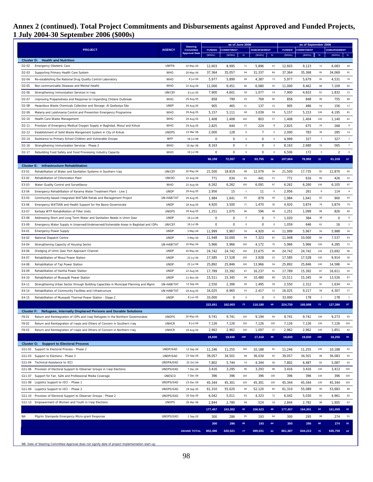# **Annex 2 (continued). Total Project Commitments and Disbursements against Approved and Funded Projects, 1 July 2004-30 September 2006 (\$000s)**

|                            | <b>PROJECT</b>                                                                                          |               | <b>Steering</b>                          |               | as of June 2006   |              |                     |             |               | as of September 2006 |                         |                     |                |
|----------------------------|---------------------------------------------------------------------------------------------------------|---------------|------------------------------------------|---------------|-------------------|--------------|---------------------|-------------|---------------|----------------------|-------------------------|---------------------|----------------|
|                            |                                                                                                         |               | <b>Committee</b><br><b>Approval Date</b> | <b>FUNDED</b> | <b>COMMITMENT</b> |              | <b>DISBURSEMENT</b> |             | <b>FUNDED</b> | <b>COMMITMENT</b>    |                         | <b>DISBURSEMENT</b> |                |
|                            | <b>Cluster D: Health and Nutrition</b>                                                                  |               |                                          | (\$000s)      | $($ \$000s $)$    | $\%$         | $($ \$000s $)$      | $\%$        | (S000s)       | (S000s)              | $\%$                    | (5000s)             | $\%$           |
| D <sub>2</sub> -02         | Emergency Obstetric Care                                                                                | <b>UNFPA</b>  | 10 May 04                                | 12,603        | 8,995             | 71           | 5,896               | 47          | 12,603        | 9,123                | 72                      | 6,083               | 48             |
| D <sub>2</sub> -03         | Supporting Primary Health Care System                                                                   | <b>WHO</b>    | 20 May 04                                | 37,364        | 35,057            | 94           | 31,337              | 84          | 37,364        | 35,368               | 95                      | 34,069              | 91             |
| D <sub>2</sub> -04         | Re-establishing the National Drug Quality Control Laboratory                                            | <b>WHO</b>    | 8 Jul 04                                 | 5,977         | 5,899             | 99           | 4,387               | 73          | 5,977         | 5,679                | 95                      | 4,531               | 76             |
| D <sub>2</sub> -05         | Non-communicable Diseases and Mental Health                                                             | <b>WHO</b>    | 22 Aug 04                                | 11,000        | 9,451             | 86           | 6,080               | 55          | 11,000        | 9,462                | 86                      | 7,109               | 65             |
| D <sub>2</sub> -06         | Strengthening Immunization Services in Iraq                                                             | UNICEF        | 8 Jun 05                                 | 7,900         | 4,601             | 58           | 1,077               | 14          | 7,900         | 4,833                | 61                      | 1,832               | 23             |
| D <sub>2</sub> -07         | Improving Preparedness and Response to Impending Cholera Outbreak                                       | <b>WHO</b>    | 29 Aug 05                                | 858           | 799               | 93           | 769                 | 90          | 858           | 848                  | 99                      | 755                 | 88             |
| D <sub>2</sub> -08         | Hazardous Waste Chemicals Collection and Storage: Al Qadissiya Site                                     | <b>UNEP</b>   | 29 Aug 05                                | 905           | 465               | 51           | 137                 | 15          | 905           | 486                  | 54                      | 156                 | 17             |
| D <sub>2</sub> -09         | Malaria and Leishmania Control and Prevention Emergency Programme                                       | <b>WHO</b>    | 29 Aug 05                                | 5,157         | 5,111             | 99           | 3,039               | 59          | 5,157         | 5,153                | 100                     | 4,195               | 81             |
| D <sub>2</sub> -10         | Health Care Waste Management                                                                            | <b>WHO</b>    | 29 Aug 05                                | 1,408         | 1,408             | 100          | 803                 | 57          | 1,408         | 1,404                | 100                     | 1,140               | 81             |
| D <sub>2</sub> -11         | Provision of Emergency Medical Oxygen Supply in Baghdad, Mosul and Kirkuk                               | <b>WHO</b>    | 29 Aug 05                                | 2,825         | 644               | 23           | 224                 | 8           | 2,825         | 675                  | 24                      | 268                 | 9              |
| D <sub>2</sub> -12         | Establishment of Solid Waste Mangement System in City of Kirkuk                                         | <b>UNOPS</b>  | 23 Mar 06                                | 2,000         | 128               | 6            | $\overline{7}$      | $\,0\,$     | 2,000         | 783                  | 39                      | 285                 | 14             |
| D <sub>2</sub> -14         | Assistance to Primary School Children and Vulnerable Groups                                             | WFP           | 16 Jul 06                                | 0             | 0                 | $\circ$      | 0                   | $\mathbf 0$ | 4,999         | 327                  | $\overline{7}$          | 327                 | $\overline{7}$ |
| D <sub>2</sub> -16         | Strengthening Immunization Services - Phase 2                                                           | <b>WHO</b>    | 19 Apr 06                                | 8,163         | 0                 | $\circ$      | 0                   | $\,0\,$     | 8,163         | 2,680                | 33                      | 565                 | $\overline{7}$ |
| D <sub>2</sub> -17         | Rebuilding Food Safety and Food Processing Industry Capacity                                            | <b>WHO</b>    | 16 Jul 06                                | 0             | 0                 | $\mathbf 0$  | 0                   | $\,0\,$     | 6,506         | 172                  | $\overline{\mathbf{3}}$ | 2                   | $\,0\,$        |
|                            |                                                                                                         |               |                                          |               |                   |              |                     |             |               |                      |                         |                     |                |
|                            |                                                                                                         |               |                                          | 96,159        | 72,557            | 75           | 53,755              | 56          | 107,664       | 76,992               | 72                      | 61,318              | $57\,$         |
| <b>Cluster E:</b><br>E3-01 | <b>Infrastructure Rehabilitation</b><br>Rehabilitation of Water and Sanitation Systems in Southern Iraq | UNICEF        | 20 May 04                                | 21,500        | 18,819            | 88           | 12,079              | 56          | 21,500        | 17,735               | 82                      | 12,870              | 60             |
| E3-02                      | Rehabilitation of Chlorination Plant                                                                    | <b>UNIDO</b>  |                                          | 771           | 634               | 82           | 441                 | 57          | 771           | 616                  | 80                      | 426                 | 55             |
|                            |                                                                                                         | WHO           | 22 Aug 04                                |               |                   | 100          |                     | 97          |               |                      | 100                     |                     | 97             |
| E3-03                      | Water Quality Control and Surveillance                                                                  | <b>UNDP</b>   | 22 Aug 04                                | 6,262         | 6,262<br>15       | $\mathbf{1}$ | 6,091<br>11         | $\,0\,$     | 6,262         | 6,260                | 9                       | 6,105<br>114        | $\sim$         |
| E3-04                      | Emergency Rehabilitation of Karama Water Treatment Plant - Line 1                                       |               | 29 Aug 05<br>29 Aug 05                   | 2,956         |                   |              |                     |             | 2,956         | 261                  | 83                      |                     |                |
| E3-05                      | Community-based Integrated WATSAN Rehab and Management Project                                          | UN-HABITAT    |                                          | 1,984         | 1,641             | 83           | 879                 | 44          | 1,984         | 1,641                |                         | 900                 | 45             |
| E3-06                      | Emergency WATSAN and Health Support for the Basra Governorate                                           | <b>UNDP</b>   | 29 Aug 05                                | 4,920         | 3,500             | 71           | 1,470               | 30          | 4,920         | 3,874                | 79                      | 3,874               | 79             |
| E3-07                      | Kerbala WTP Rehabilitation of Filter Units                                                              | <b>UNOPS</b>  | 29 Aug 05                                | 1,251         | 1,075             | 86           | 596                 | 48          | 1,251         | 1,099                | 88                      | 826                 | 66             |
| E3-08                      | Addressing Short and Long Term Water and Sanitation Needs in Umm Qasr                                   | <b>UNDP</b>   | 16 Jul 06                                | 0             | 0                 | $\,0\,$      | 0                   | $\,0\,$     | 1,020         | 384                  | 38                      | 0                   | $\,0\,$        |
| E3-09                      | Emergency Water Supply in Unserved/Underserved/Vulnerable Areas in Baghdad and IDPs                     | UNICEF        | 16 Jul 06                                | 0             | 0                 | $\circ$      | 0                   | $\,0\,$     | 1,059         | 646                  | 61                      | 16                  | $\overline{2}$ |
| E4-01                      | <b>Emergency Power Supply</b>                                                                           | <b>UNDP</b>   | 3 May 04                                 | 11,999        | 5,967             | 50           | 4,920               | 41          | 11,999        | 5,967                | 50                      | 5,988               | 50             |
| E4-02                      | National Dispatch Centre                                                                                | <b>UNDP</b>   | 3 May 04                                 | 11,948        | 10,000            | 84           | 7,323               | 61          | 11,948        | 10,000               | 84                      | 7,537               | 63             |
| E4-04                      | Strengthening Capacity of Housing Sector                                                                | UN-HABITAT    | 10 May 04                                | 5,966         | 5,966             | 100          | 4,172               | 70          | 5,966         | 5,966                | 100                     | 4,285               | 72             |
| E4-06                      | Dredging of Umm Qasr Port Approach Channel                                                              | <b>UNDP</b>   | 20 May 04                                | 24,742        | 24,742            | 100          | 23,675              | 96          | 24,742        | 24,742               | 100                     | 23,692              | 96             |
| E4-07                      | Rehabilitation of Mosul Power Station                                                                   | <b>UNDP</b>   | 22 Jul 04                                | 17,585        | 17,528            | 100          | 3,928               | 22          | 17,585        | 17,528               | 100                     | 9,914               | 56             |
| E4-08                      | Rehabilitation of Taji Power Station                                                                    | <b>UNDP</b>   | 22 Jul 04                                | 25,892        | 25,846            | 100          | 13,966              | 54          | 25,892        | 25,846               | 100                     | 14,586              | 56             |
| E4-09                      | Rehabilitation of Hartha Power Station                                                                  | <b>UNDP</b>   | 22 Aug 04                                | 17,789        | 15,392            | 87           | 16,237              | 91          | 17,789        | 15,392               | 87                      | 16,611              | 93             |
| E4-10                      | Rehabilitation of Mussayib Power Station                                                                | <b>UNDP</b>   | 11 Nov 04                                | 15,511        | 15,345            | 99           | 10,480              | 68          | 15,511        | 15,345               | 99                      | 13,526              | 87             |
| E4-11                      | Strengthening Urban Sector through Building Capacities in Municipal Planning and Mgmt.                  | UN-HABITAT    | 13 Sep 04                                | 2,550         | 2,306             | 90           | 1,495               | 59          | 2,550         | 2,312                | 91                      | 1,634               | 64             |
| E4-14                      | Rehabilitation of Community Facilities and Infrastructure                                               | UN-HABITAT    | 29 Aug 05                                | 16,025        | 6,965             | 43           | 2,417               | 15          | 16,025        | 9,217                | 58                      | 4,307               | 27             |
| E4-15                      | Rehabilitation of Mussayib Thermal Power Station - Stage 2                                              | <b>UNDP</b>   | 8 Jun 05                                 | 33,000        | 0                 | $\,0\,$      | 0                   | $\,0\,$     | 33,000        | 178                  | $\overline{1}$          | 178                 | $\overline{1}$ |
|                            |                                                                                                         |               |                                          | 222,651       | 162,003           | 73           | 110,180             | 49          | 224,730       | 165,008              | 73                      | 127,390             | $57\,$         |
|                            | <b>Cluster F: Refugees, Internally Displaced Persons and Durable Solutions</b>                          |               |                                          |               |                   |              |                     |             |               |                      |                         |                     |                |
| F8-01                      | Return and Reintegration of IDPs and Iraqi Refugees in the Northern Governorates                        | <b>UNOPS</b>  | 20 May 04                                | 9,741         | 9,741             | 100          | 9,194               | 94          | 9,741         | 9,741                | 100                     | 9,273               | 95             |
| F8-02                      | Return and Reintegration of Iraqis and Others of Concern in Southern Iraq                               | <b>UNHCR</b>  | 8 Jul 04                                 | 7,126         | 7,126             | 100          | 7,126               | 100         | 7,126         | 7,126                | 100                     | 7,126               | 100            |
| F8-03                      | Return and Reintegration of Iraqis and Others of Concern in Northern Iraq                               | <b>UNHCR</b>  | 29 Aug 05                                | 2,962         | 2,962             | 100          | 1,097               | 37          | 2,962         | 2,962                | 100                     | 1,851               | 62             |
|                            |                                                                                                         |               |                                          | 19,830        | 19,830            | 100          | 17,418              | 88          | 19,830        | 19,830               | 100                     | 18,250              | 92             |
|                            | <b>Cluster G: Support to Electoral Process</b>                                                          |               |                                          |               |                   |              |                     |             |               |                      |                         |                     |                |
|                            | G11-02 Support to Electoral Process - Phase 2                                                           | UNDP/EAD      | 13 Sep 04                                | 11,246        | 11,255            | 100          | 10,188              | 91          | 11,246        | 11,255               | 100                     | 10,188              | 91             |
|                            | G11-03 Support to Elections - Phase 3                                                                   | UNDP/EAD      | 23 Sep 04                                | 39,057        | 34,501            | 88           | 36,034              | 92          | 39,057        | 34,501               | 88                      | 36,083              | 92             |
|                            | G11-04 Technical Assistance to IECI                                                                     | UNDPA/EAD     | 25 Oct 04                                | 7,802         | 5,744             | 74           | 4,344               | 56          | 7,802         | 6,487                | 83                      | 5,087               | 65             |
|                            | G11-06 Provision of Electoral Support to Observer Groups in Iraqi Elections                             | UNOPS/EAD     | 7 Dec 04                                 | 3,416         | 3,295             | 96           | 3,293               | 96          | 3,416         | 3,416                | 100                     | 3,413               | 100            |
| G11-07                     | Support for Fair, Safe and Professional Media Coverage                                                  | <b>UNESCO</b> | 7 Dec 04                                 | 396           | 396               | 100          | 396                 | 100         | 396           | 396                  | 100                     | 396                 | 100            |
| G11-08                     | Logistics Support to IECI - Phase 1                                                                     | UNOPS/EAD     | 23 Dec 04                                | 45,344        | 45,301            | 100          | 45,301              | 100         | 45,344        | 45,344               | 100                     | 45,344              | 100            |
| G11-09                     | Logistics Support to IECI - Phase 2                                                                     | UNOPS/EAD     | 29 Sep 05                                | 61,310        | 55,020            | 90           | 52,120              | 85          | 61,310        | 55,089               | 90                      | 53,683              | 88             |
|                            | G11-10 Provision of Electoral Support to Observer Groups - Phase 2                                      | UNOPS/EAD     | 20 Sep 05                                | 6,042         | 5,011             | 83           | 4,323               | 72          | 6,042         | 5,030                | 83                      | 4,961               | 82             |
|                            | G11-13 Empowerment of Women and Youth in Iraqi Elections                                                | <b>UNOPS</b>  | 26 Mar 06                                | 2,844         | 2,780             | 98           | 524                 | 18          | 2,844         | 2,782                | 98                      | 1,905               | 67             |
|                            |                                                                                                         |               |                                          | 177,457       | 163,302           | 92           | 156,523             | 88          | 177,457       | 164,301              | 93                      | 161,059             | 91             |
| NA                         | Pilgrim Stampede Emergency Micro-grant Response                                                         | UNOPS/EAD     | 2 Sep 05                                 | 300           | 286               | 95           | 193                 | 64          | 300           | 295                  | 98                      | 274                 | 91             |
|                            |                                                                                                         |               |                                          | 300           | 286               | 95           | 193                 | 64          | 300           | 295                  | 98                      | 274                 | 91             |
|                            |                                                                                                         |               | <b>GRAND TOTAL</b>                       | 802,486       | 620,521           | 77           | 499,031             | 62          | 861,387       | 644,213              | 75                      | 545,759             | 63             |
|                            |                                                                                                         |               |                                          |               |                   |              |                     |             |               |                      |                         |                     |                |

NB: Date of Steering Committee Approval does not signify date of project implementation start-up.